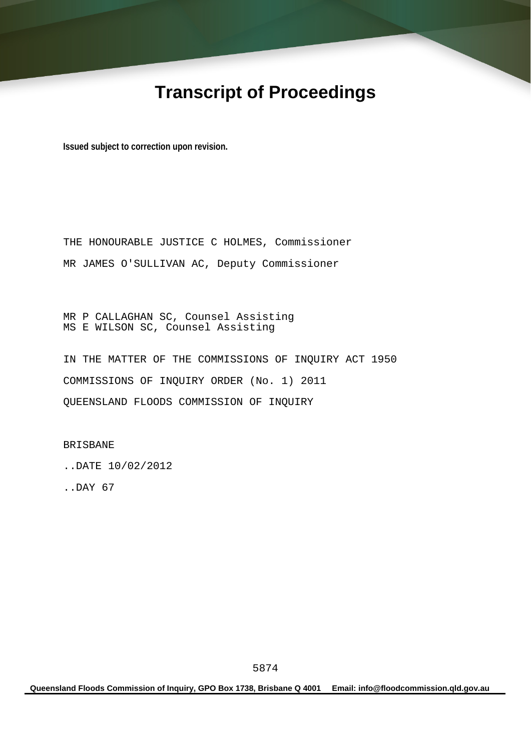# **Transcript of Proceedings**

**Issued subject to correction upon revision.** 

THE HONOURABLE JUSTICE C HOLMES, Commissioner MR JAMES O'SULLIVAN AC, Deputy Commissioner

MR P CALLAGHAN SC, Counsel Assisting MS E WILSON SC, Counsel Assisting

IN THE MATTER OF THE COMMISSIONS OF INQUIRY ACT 1950 COMMISSIONS OF INQUIRY ORDER (No. 1) 2011 QUEENSLAND FLOODS COMMISSION OF INQUIRY

BRISBANE

..DATE 10/02/2012

..DAY 67

**Queensland Floods Commission of Inquiry, GPO Box 1738, Brisbane Q 4001 Email: info@floodcommission.qld.gov.au**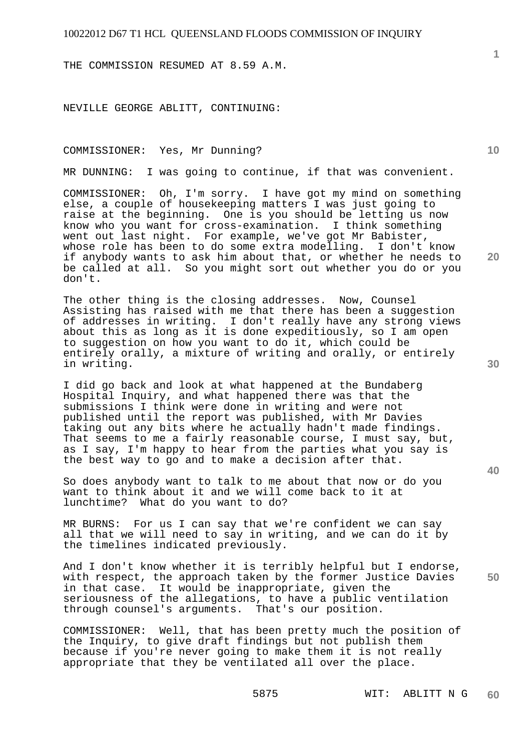THE COMMISSION RESUMED AT 8.59 A.M.

NEVILLE GEORGE ABLITT, CONTINUING:

COMMISSIONER: Yes, Mr Dunning?

MR DUNNING: I was going to continue, if that was convenient.

COMMISSIONER: Oh, I'm sorry. I have got my mind on something else, a couple of housekeeping matters I was just going to raise at the beginning. One is you should be letting us now know who you want for cross-examination. I think something went out last night. For example, we've got Mr Babister, whose role has been to do some extra modelling. I don't know if anybody wants to ask him about that, or whether he needs to be called at all. So you might sort out whether you do or you don't.

The other thing is the closing addresses. Now, Counsel Assisting has raised with me that there has been a suggestion of addresses in writing. I don't really have any strong views about this as long as it is done expeditiously, so I am open to suggestion on how you want to do it, which could be entirely orally, a mixture of writing and orally, or entirely in writing.

I did go back and look at what happened at the Bundaberg Hospital Inquiry, and what happened there was that the submissions I think were done in writing and were not published until the report was published, with Mr Davies taking out any bits where he actually hadn't made findings. That seems to me a fairly reasonable course, I must say, but, as I say, I'm happy to hear from the parties what you say is the best way to go and to make a decision after that.

So does anybody want to talk to me about that now or do you want to think about it and we will come back to it at lunchtime? What do you want to do?

MR BURNS: For us I can say that we're confident we can say all that we will need to say in writing, and we can do it by the timelines indicated previously.

**50**  And I don't know whether it is terribly helpful but I endorse, with respect, the approach taken by the former Justice Davies in that case. It would be inappropriate, given the seriousness of the allegations, to have a public ventilation through counsel's arguments. That's our position.

COMMISSIONER: Well, that has been pretty much the position of the Inquiry, to give draft findings but not publish them because if you're never going to make them it is not really appropriate that they be ventilated all over the place.

**1**

**10** 

**20** 

**30**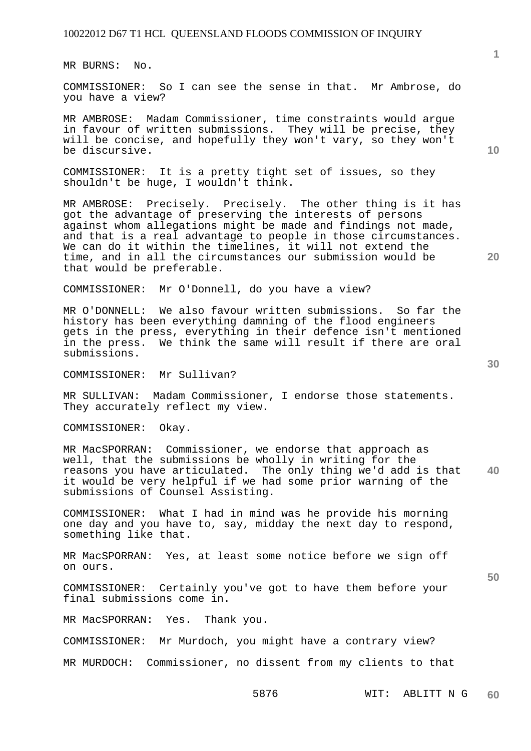MR BURNS: No.

COMMISSIONER: So I can see the sense in that. Mr Ambrose, do you have a view?

MR AMBROSE: Madam Commissioner, time constraints would argue in favour of written submissions. They will be precise, they will be concise, and hopefully they won't vary, so they won't be discursive.

COMMISSIONER: It is a pretty tight set of issues, so they shouldn't be huge, I wouldn't think.

MR AMBROSE: Precisely. Precisely. The other thing is it has got the advantage of preserving the interests of persons against whom allegations might be made and findings not made, and that is a real advantage to people in those circumstances. We can do it within the timelines, it will not extend the time, and in all the circumstances our submission would be that would be preferable.

COMMISSIONER: Mr O'Donnell, do you have a view?

MR O'DONNELL: We also favour written submissions. So far the history has been everything damning of the flood engineers gets in the press, everything in their defence isn't mentioned in the press. We think the same will result if there are oral submissions.

COMMISSIONER: Mr Sullivan?

MR SULLIVAN: Madam Commissioner, I endorse those statements. They accurately reflect my view.

COMMISSIONER: Okay.

**40**  MR MacSPORRAN: Commissioner, we endorse that approach as well, that the submissions be wholly in writing for the reasons you have articulated. The only thing we'd add is that it would be very helpful if we had some prior warning of the submissions of Counsel Assisting.

COMMISSIONER: What I had in mind was he provide his morning one day and you have to, say, midday the next day to respond, something like that.

MR MacSPORRAN: Yes, at least some notice before we sign off on ours.

COMMISSIONER: Certainly you've got to have them before your final submissions come in.

MR MacSPORRAN: Yes. Thank you.

COMMISSIONER: Mr Murdoch, you might have a contrary view?

MR MURDOCH: Commissioner, no dissent from my clients to that

**1**

**10** 

**20**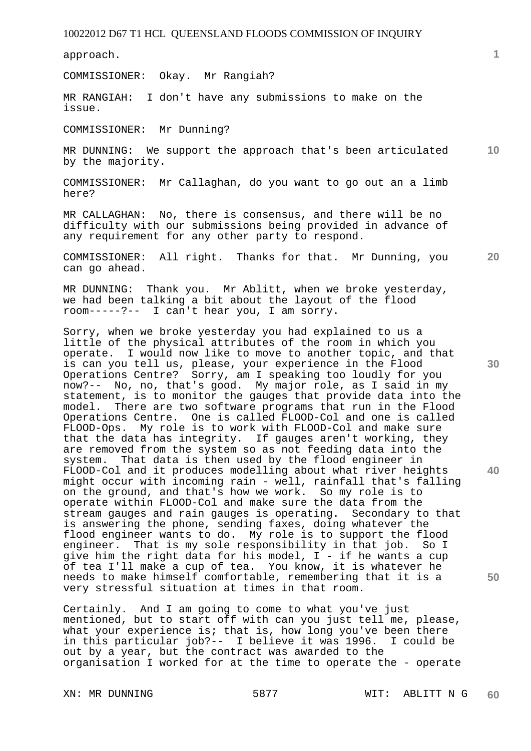approach.

COMMISSIONER: Okay. Mr Rangiah?

MR RANGIAH: I don't have any submissions to make on the issue.

COMMISSIONER: Mr Dunning?

**10**  MR DUNNING: We support the approach that's been articulated by the majority.

COMMISSIONER: Mr Callaghan, do you want to go out an a limb here?

MR CALLAGHAN: No, there is consensus, and there will be no difficulty with our submissions being provided in advance of any requirement for any other party to respond.

**20**  COMMISSIONER: All right. Thanks for that. Mr Dunning, you can go ahead.

MR DUNNING: Thank you. Mr Ablitt, when we broke yesterday, we had been talking a bit about the layout of the flood room-----?-- I can't hear you, I am sorry.

Sorry, when we broke yesterday you had explained to us a little of the physical attributes of the room in which you operate. I would now like to move to another topic, and that is can you tell us, please, your experience in the Flood Operations Centre? Sorry, am I speaking too loudly for you now?-- No, no, that's good. My major role, as I said in my statement, is to monitor the gauges that provide data into the model. There are two software programs that run in the Flood There are two software programs that run in the Flood Operations Centre. One is called FLOOD-Col and one is called FLOOD-Ops. My role is to work with FLOOD-Col and make sure that the data has integrity. If gauges aren't working, they are removed from the system so as not feeding data into the system. That data is then used by the flood engineer in FLOOD-Col and it produces modelling about what river heights might occur with incoming rain - well, rainfall that's falling on the ground, and that's how we work. So my role is to operate within FLOOD-Col and make sure the data from the stream gauges and rain gauges is operating. Secondary to that is answering the phone, sending faxes, doing whatever the flood engineer wants to do. My role is to support the flood engineer. That is my sole responsibility in that job. So I give him the right data for his model, I - if he wants a cup of tea I'll make a cup of tea. You know, it is whatever he needs to make himself comfortable, remembering that it is a very stressful situation at times in that room.

Certainly. And I am going to come to what you've just mentioned, but to start off with can you just tell me, please, what your experience is; that is, how long you've been there<br>in this particular job?-- I believe it was 1996. I could be in this particular job?-- I believe it was 1996. out by a year, but the contract was awarded to the organisation I worked for at the time to operate the - operate

**30** 

**50**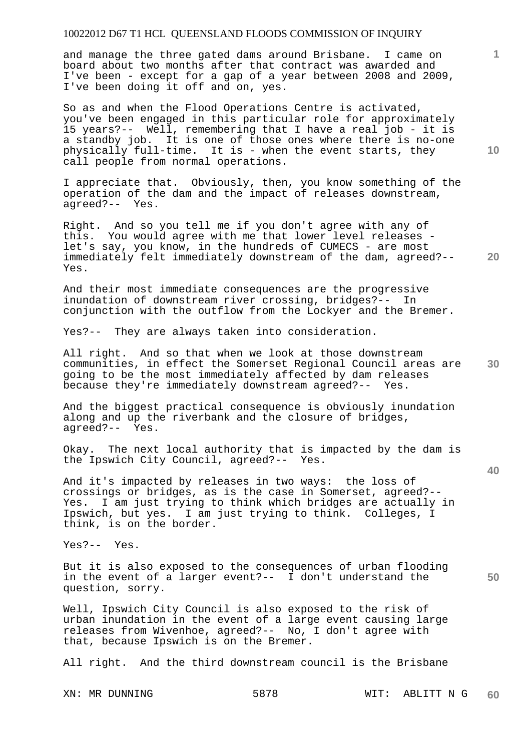and manage the three gated dams around Brisbane. I came on board about two months after that contract was awarded and I've been - except for a gap of a year between 2008 and 2009, I've been doing it off and on, yes.

So as and when the Flood Operations Centre is activated, you've been engaged in this particular role for approximately 15 years?-- Well, remembering that I have a real job - it is a standby job. It is one of those ones where there is no-one physically full-time. It is - when the event starts, they call people from normal operations.

I appreciate that. Obviously, then, you know something of the operation of the dam and the impact of releases downstream, agreed?-- Yes.

**20**  Right. And so you tell me if you don't agree with any of this. You would agree with me that lower level releases let's say, you know, in the hundreds of CUMECS - are most immediately felt immediately downstream of the dam, agreed?-- Yes.

And their most immediate consequences are the progressive inundation of downstream river crossing, bridges?-- In conjunction with the outflow from the Lockyer and the Bremer.

Yes?-- They are always taken into consideration.

**30**  All right. And so that when we look at those downstream communities, in effect the Somerset Regional Council areas are going to be the most immediately affected by dam releases because they're immediately downstream agreed?-- Yes.

And the biggest practical consequence is obviously inundation along and up the riverbank and the closure of bridges, agreed?-- Yes.

Okay. The next local authority that is impacted by the dam is the Ipswich City Council, agreed?-- Yes.

And it's impacted by releases in two ways: the loss of crossings or bridges, as is the case in Somerset, agreed?-- Yes. I am just trying to think which bridges are actually in Ipswich, but yes. I am just trying to think. Colleges, I think, is on the border.

Yes?-- Yes.

But it is also exposed to the consequences of urban flooding in the event of a larger event?-- I don't understand the question, sorry.

Well, Ipswich City Council is also exposed to the risk of urban inundation in the event of a large event causing large releases from Wivenhoe, agreed?-- No, I don't agree with that, because Ipswich is on the Bremer.

All right. And the third downstream council is the Brisbane

**10** 

**1**

**40**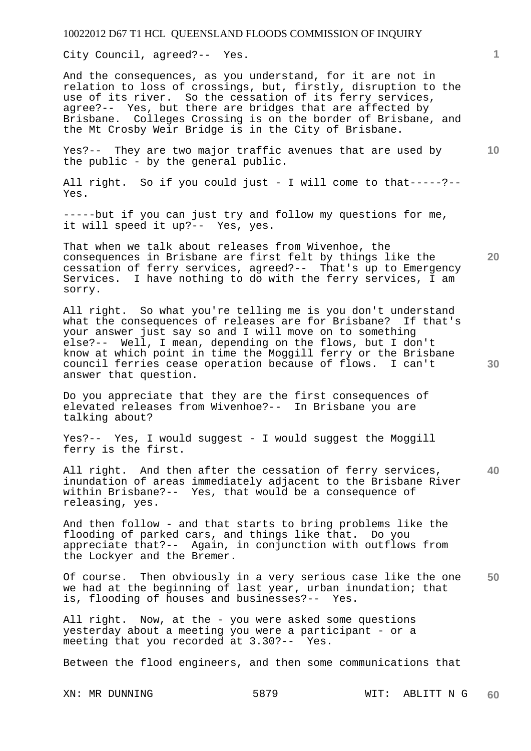City Council, agreed?-- Yes.

And the consequences, as you understand, for it are not in relation to loss of crossings, but, firstly, disruption to the use of its river. So the cessation of its ferry services, agree?-- Yes, but there are bridges that are affected by Brisbane. Colleges Crossing is on the border of Brisbane, and the Mt Crosby Weir Bridge is in the City of Brisbane.

Yes?-- They are two major traffic avenues that are used by the public - by the general public.

All right. So if you could just - I will come to that-----?-- Yes.

-----but if you can just try and follow my questions for me, it will speed it up?-- Yes, yes.

That when we talk about releases from Wivenhoe, the consequences in Brisbane are first felt by things like the cessation of ferry services, agreed?-- That's up to Emergency Services. I have nothing to do with the ferry services, I am sorry.

All right. So what you're telling me is you don't understand what the consequences of releases are for Brisbane? If that's your answer just say so and I will move on to something else?-- Well, I mean, depending on the flows, but I don't know at which point in time the Moggill ferry or the Brisbane council ferries cease operation because of flows. I can't answer that question.

Do you appreciate that they are the first consequences of elevated releases from Wivenhoe?-- In Brisbane you are talking about?

Yes?-- Yes, I would suggest - I would suggest the Moggill ferry is the first.

**40**  All right. And then after the cessation of ferry services, inundation of areas immediately adjacent to the Brisbane River within Brisbane?-- Yes, that would be a consequence of releasing, yes.

And then follow - and that starts to bring problems like the flooding of parked cars, and things like that. Do you appreciate that?-- Again, in conjunction with outflows from the Lockyer and the Bremer.

**50**  Of course. Then obviously in a very serious case like the one we had at the beginning of last year, urban inundation; that is, flooding of houses and businesses?-- Yes.

All right. Now, at the - you were asked some questions yesterday about a meeting you were a participant - or a meeting that you recorded at 3.30?-- Yes.

Between the flood engineers, and then some communications that

**1**

**20** 

**30**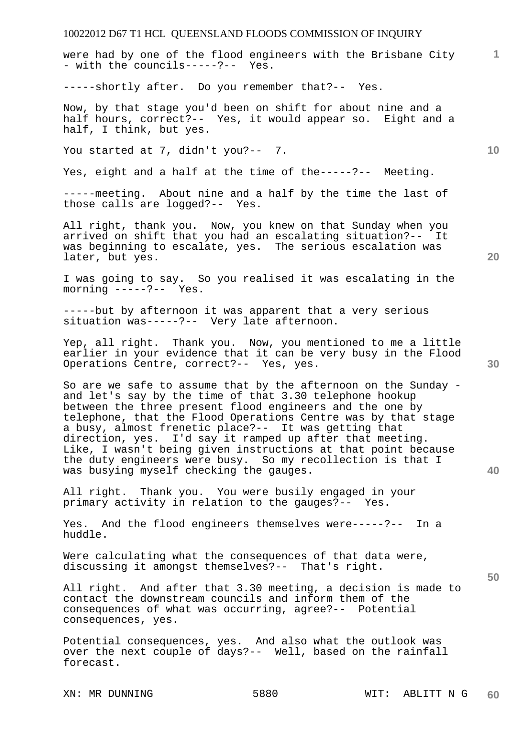were had by one of the flood engineers with the Brisbane City - with the councils-----?-- Yes.

-----shortly after. Do you remember that?-- Yes.

Now, by that stage you'd been on shift for about nine and a half hours, correct?-- Yes, it would appear so. Eight and a half, I think, but yes.

You started at 7, didn't you?-- 7.

Yes, eight and a half at the time of the-----?-- Meeting.

-----meeting. About nine and a half by the time the last of those calls are logged?-- Yes.

All right, thank you. Now, you knew on that Sunday when you arrived on shift that you had an escalating situation?-- It was beginning to escalate, yes. The serious escalation was later, but yes.

I was going to say. So you realised it was escalating in the morning -----?-- Yes.

-----but by afternoon it was apparent that a very serious situation was-----?-- Very late afternoon.

Yep, all right. Thank you. Now, you mentioned to me a little earlier in your evidence that it can be very busy in the Flood Operations Centre, correct?-- Yes, yes.

So are we safe to assume that by the afternoon on the Sunday and let's say by the time of that 3.30 telephone hookup between the three present flood engineers and the one by telephone, that the Flood Operations Centre was by that stage a busy, almost frenetic place?-- It was getting that direction, yes. I'd say it ramped up after that meeting. Like, I wasn't being given instructions at that point because the duty engineers were busy. So my recollection is that I was busying myself checking the gauges.

All right. Thank you. You were busily engaged in your primary activity in relation to the gauges?-- Yes.

Yes. And the flood engineers themselves were-----?-- In a huddle.

Were calculating what the consequences of that data were, discussing it amongst themselves?-- That's right.

All right. And after that 3.30 meeting, a decision is made to contact the downstream councils and inform them of the consequences of what was occurring, agree?-- Potential consequences, yes.

Potential consequences, yes. And also what the outlook was over the next couple of days?-- Well, based on the rainfall forecast.

**20** 

**10** 

**1**



**40**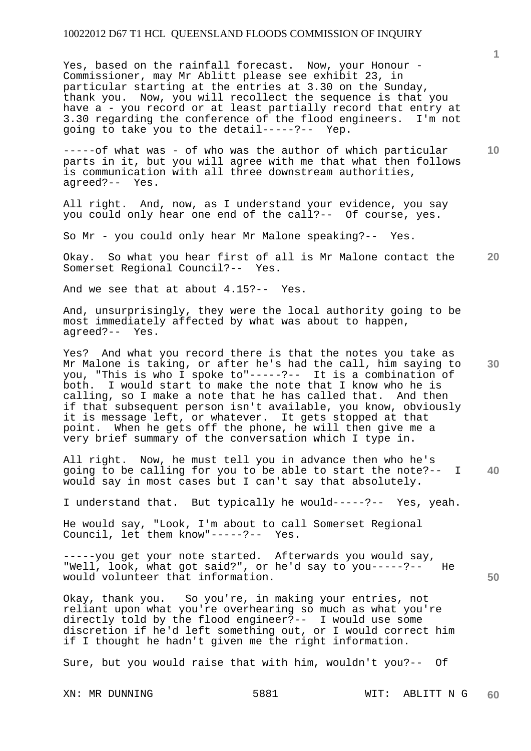Yes, based on the rainfall forecast. Now, your Honour - Commissioner, may Mr Ablitt please see exhibit 23, in particular starting at the entries at 3.30 on the Sunday, thank you. Now, you will recollect the sequence is that you have a - you record or at least partially record that entry at 3.30 regarding the conference of the flood engineers. I'm not going to take you to the detail-----?-- Yep.

-----of what was - of who was the author of which particular parts in it, but you will agree with me that what then follows is communication with all three downstream authorities, agreed?-- Yes.

All right. And, now, as I understand your evidence, you say you could only hear one end of the call?-- Of course, yes.

So Mr - you could only hear Mr Malone speaking?-- Yes.

**20**  Okay. So what you hear first of all is Mr Malone contact the Somerset Regional Council?-- Yes.

And we see that at about 4.15?-- Yes.

And, unsurprisingly, they were the local authority going to be most immediately affected by what was about to happen, agreed?-- Yes.

**30**  Yes? And what you record there is that the notes you take as Mr Malone is taking, or after he's had the call, him saying to you, "This is who I spoke to"-----?-- It is a combination of both. I would start to make the note that I know who he is calling, so I make a note that he has called that. And then if that subsequent person isn't available, you know, obviously it is message left, or whatever. It gets stopped at that point. When he gets off the phone, he will then give me a very brief summary of the conversation which I type in.

**40**  All right. Now, he must tell you in advance then who he's going to be calling for you to be able to start the note?-- I would say in most cases but I can't say that absolutely.

I understand that. But typically he would-----?-- Yes, yeah.

He would say, "Look, I'm about to call Somerset Regional Council, let them know"-----?-- Yes.

-----you get your note started. Afterwards you would say, "Well, look, what got said?", or he'd say to you-----?-- He would volunteer that information.

Okay, thank you. So you're, in making your entries, not reliant upon what you're overhearing so much as what you're directly told by the flood engineer?-- I would use some discretion if he'd left something out, or I would correct him if I thought he hadn't given me the right information.

Sure, but you would raise that with him, wouldn't you?-- Of

**1**

**10**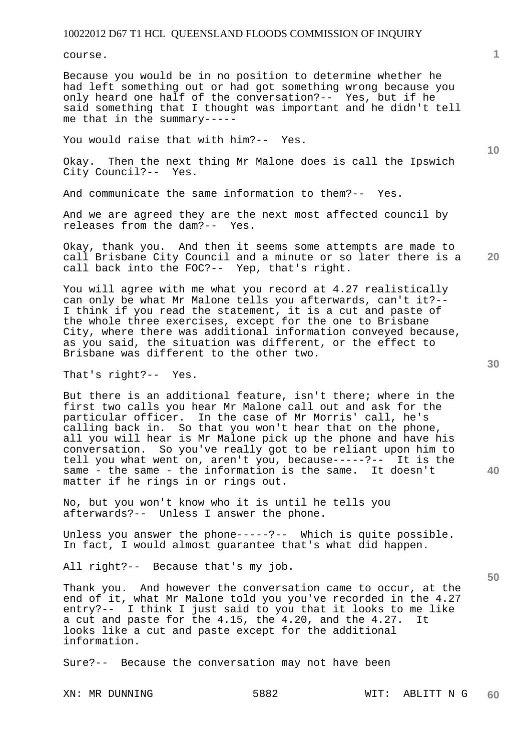course.

Because you would be in no position to determine whether he had left something out or had got something wrong because you only heard one half of the conversation?-- Yes, but if he said something that I thought was important and he didn't tell me that in the summary-----

You would raise that with him?-- Yes.

Okay. Then the next thing Mr Malone does is call the Ipswich City Council?-- Yes.

And communicate the same information to them?-- Yes.

And we are agreed they are the next most affected council by releases from the dam?-- Yes.

**20**  Okay, thank you. And then it seems some attempts are made to call Brisbane City Council and a minute or so later there is a call back into the FOC?-- Yep, that's right.

You will agree with me what you record at 4.27 realistically can only be what Mr Malone tells you afterwards, can't it?-- I think if you read the statement, it is a cut and paste of the whole three exercises, except for the one to Brisbane City, where there was additional information conveyed because, as you said, the situation was different, or the effect to Brisbane was different to the other two.

That's right?-- Yes.

But there is an additional feature, isn't there; where in the first two calls you hear Mr Malone call out and ask for the particular officer. In the case of Mr Morris' call, he's calling back in. So that you won't hear that on the phone, all you will hear is Mr Malone pick up the phone and have his conversation. So you've really got to be reliant upon him to tell you what went on, aren't you, because-----?-- It is the same - the same - the information is the same. It doesn't matter if he rings in or rings out.

No, but you won't know who it is until he tells you afterwards?-- Unless I answer the phone.

Unless you answer the phone-----?-- Which is quite possible. In fact, I would almost guarantee that's what did happen.

All right?-- Because that's my job.

Thank you. And however the conversation came to occur, at the end of it, what Mr Malone told you you've recorded in the 4.27 entry?-- I think I just said to you that it looks to me like a cut and paste for the 4.15, the 4.20, and the 4.27. It looks like a cut and paste except for the additional information.

Sure?-- Because the conversation may not have been

**10** 

**40**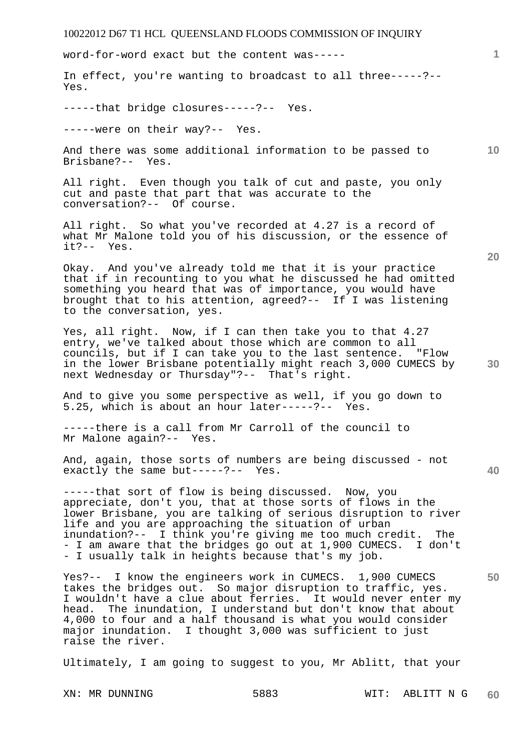| 10022012 D67 T1 HCL QUEENSLAND FLOODS COMMISSION OF INQUIRY                                                                                                                                                                                                                                                                                                                                                                      |      |      |            |                 |
|----------------------------------------------------------------------------------------------------------------------------------------------------------------------------------------------------------------------------------------------------------------------------------------------------------------------------------------------------------------------------------------------------------------------------------|------|------|------------|-----------------|
| word-for-word exact but the content was-----                                                                                                                                                                                                                                                                                                                                                                                     |      |      |            | 1               |
| In effect, you're wanting to broadcast to all three-----?--<br>Yes.                                                                                                                                                                                                                                                                                                                                                              |      |      |            |                 |
| -----that bridge closures-----?-- Yes.                                                                                                                                                                                                                                                                                                                                                                                           |      |      |            |                 |
| -----were on their way?-- Yes.                                                                                                                                                                                                                                                                                                                                                                                                   |      |      |            |                 |
| And there was some additional information to be passed to<br>Brisbane?-- Yes.                                                                                                                                                                                                                                                                                                                                                    |      |      |            | 10 <sup>°</sup> |
| All right. Even though you talk of cut and paste, you only<br>cut and paste that part that was accurate to the<br>conversation?-- Of course.                                                                                                                                                                                                                                                                                     |      |      |            |                 |
| All right. So what you've recorded at 4.27 is a record of<br>what Mr Malone told you of his discussion, or the essence of<br>$it? -- Yes.$                                                                                                                                                                                                                                                                                       |      |      |            |                 |
| Okay. And you've already told me that it is your practice<br>that if in recounting to you what he discussed he had omitted<br>something you heard that was of importance, you would have<br>brought that to his attention, agreed?-- If I was listening<br>to the conversation, yes.                                                                                                                                             |      |      |            | 20              |
| Yes, all right. Now, if I can then take you to that 4.27<br>entry, we've talked about those which are common to all<br>councils, but if I can take you to the last sentence. "Flow<br>in the lower Brisbane potentially might reach 3,000 CUMECS by<br>next Wednesday or Thursday"?-- That's right.                                                                                                                              |      |      |            | 30              |
| And to give you some perspective as well, if you go down to<br>5.25, which is about an hour later-----?-- Yes.                                                                                                                                                                                                                                                                                                                   |      |      |            |                 |
| -----there is a call from Mr Carroll of the council to<br>Mr Malone again?-- Yes.                                                                                                                                                                                                                                                                                                                                                |      |      |            |                 |
| And, again, those sorts of numbers are being discussed - not<br>exactly the same but-----?-- Yes.                                                                                                                                                                                                                                                                                                                                |      |      |            | 40              |
| -----that sort of flow is being discussed. Now, you<br>appreciate, don't you, that at those sorts of flows in the<br>lower Brisbane, you are talking of serious disruption to river<br>life and you are approaching the situation of urban<br>inundation?-- I think you're giving me too much credit. The<br>- I am aware that the bridges go out at 1,900 CUMECS. I don't<br>- I usually talk in heights because that's my job. |      |      |            |                 |
| Yes?-- I know the engineers work in CUMECS. 1,900 CUMECS<br>takes the bridges out. So major disruption to traffic, yes.<br>I wouldn't have a clue about ferries. It would never enter my<br>head. The inundation, I understand but don't know that about<br>4,000 to four and a half thousand is what you would consider<br>major inundation. I thought 3,000 was sufficient to just<br>raise the river.                         |      |      |            | 50              |
| Ultimately, I am going to suggest to you, Mr Ablitt, that your                                                                                                                                                                                                                                                                                                                                                                   |      |      |            |                 |
| XN: MR DUNNING                                                                                                                                                                                                                                                                                                                                                                                                                   | 5883 | WIT: | ABLITT N G | 60              |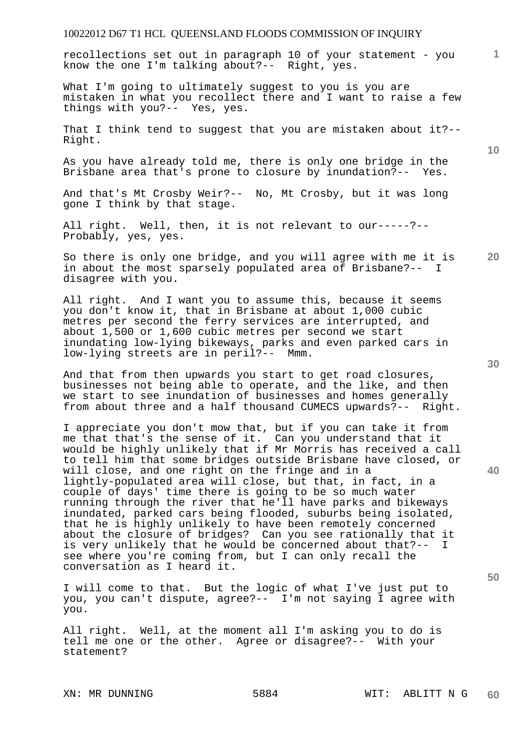recollections set out in paragraph 10 of your statement - you know the one I'm talking about?-- Right, yes.

What I'm going to ultimately suggest to you is you are mistaken in what you recollect there and I want to raise a few things with you?-- Yes, yes.

That I think tend to suggest that you are mistaken about it?-- Right.

As you have already told me, there is only one bridge in the Brisbane area that's prone to closure by inundation?-- Yes.

And that's Mt Crosby Weir?-- No, Mt Crosby, but it was long gone I think by that stage.

All right. Well, then, it is not relevant to our-----?-- Probably, yes, yes.

**20**  So there is only one bridge, and you will agree with me it is in about the most sparsely populated area of Brisbane?-- I disagree with you.

All right. And I want you to assume this, because it seems you don't know it, that in Brisbane at about 1,000 cubic metres per second the ferry services are interrupted, and about 1,500 or 1,600 cubic metres per second we start inundating low-lying bikeways, parks and even parked cars in low-lying streets are in peril?-- Mmm.

And that from then upwards you start to get road closures, businesses not being able to operate, and the like, and then we start to see inundation of businesses and homes generally from about three and a half thousand CUMECS upwards?-- Right.

I appreciate you don't mow that, but if you can take it from me that that's the sense of it. Can you understand that it would be highly unlikely that if Mr Morris has received a call to tell him that some bridges outside Brisbane have closed, or will close, and one right on the fringe and in a lightly-populated area will close, but that, in fact, in a couple of days' time there is going to be so much water running through the river that he'll have parks and bikeways inundated, parked cars being flooded, suburbs being isolated, that he is highly unlikely to have been remotely concerned about the closure of bridges? Can you see rationally that it is very unlikely that he would be concerned about that?-- I see where you're coming from, but I can only recall the conversation as I heard it.

I will come to that. But the logic of what I've just put to you, you can't dispute, agree?-- I'm not saying I agree with you.

All right. Well, at the moment all I'm asking you to do is tell me one or the other. Agree or disagree?-- With your statement?

**30** 

**40** 

**50** 

**10**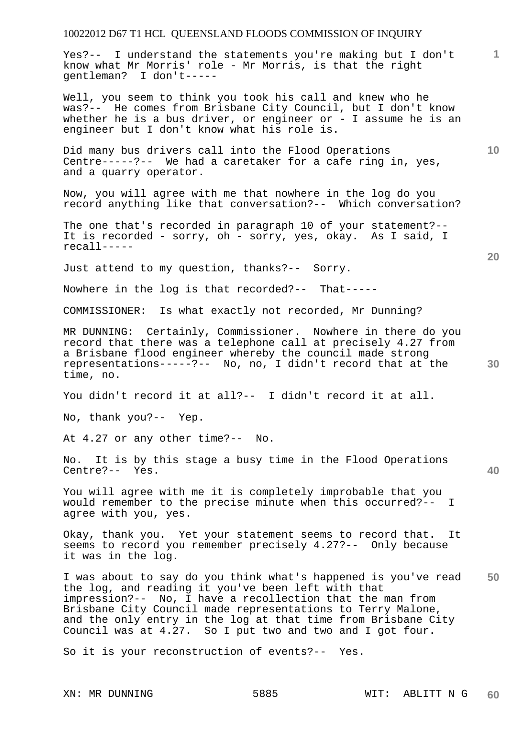Yes?-- I understand the statements you're making but I don't know what Mr Morris' role - Mr Morris, is that the right gentleman? I don't-----

Well, you seem to think you took his call and knew who he was?-- He comes from Brisbane City Council, but I don't know whether he is a bus driver, or engineer or - I assume he is an engineer but I don't know what his role is.

Did many bus drivers call into the Flood Operations Centre-----?-- We had a caretaker for a cafe ring in, yes, and a quarry operator.

Now, you will agree with me that nowhere in the log do you record anything like that conversation?-- Which conversation?

The one that's recorded in paragraph 10 of your statement?-- It is recorded - sorry, oh - sorry, yes, okay. As I said, I recall-----

Just attend to my question, thanks?-- Sorry.

Nowhere in the log is that recorded?-- That-----

COMMISSIONER: Is what exactly not recorded, Mr Dunning?

MR DUNNING: Certainly, Commissioner. Nowhere in there do you record that there was a telephone call at precisely 4.27 from a Brisbane flood engineer whereby the council made strong representations-----?-- No, no, I didn't record that at the time, no.

You didn't record it at all?-- I didn't record it at all.

No, thank you?-- Yep.

At 4.27 or any other time?-- No.

No. It is by this stage a busy time in the Flood Operations Centre?-- Yes.

You will agree with me it is completely improbable that you would remember to the precise minute when this occurred?-- I agree with you, yes.

Okay, thank you. Yet your statement seems to record that. It seems to record you remember precisely 4.27?-- Only because it was in the log.

**50**  I was about to say do you think what's happened is you've read the log, and reading it you've been left with that impression?-- No, I have a recollection that the man from Brisbane City Council made representations to Terry Malone, and the only entry in the log at that time from Brisbane City Council was at 4.27. So I put two and two and I got four.

So it is your reconstruction of events?-- Yes.

**1**

**10**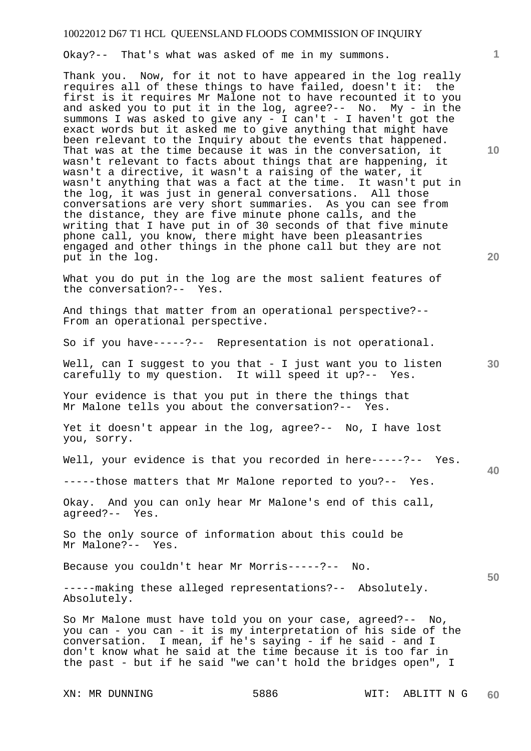Okay?-- That's what was asked of me in my summons.

Thank you. Now, for it not to have appeared in the log really requires all of these things to have failed, doesn't it: the first is it requires Mr Malone not to have recounted it to you and asked you to put it in the log, agree?-- No. My - in the summons I was asked to give any - I can't - I haven't got the exact words but it asked me to give anything that might have been relevant to the Inquiry about the events that happened. That was at the time because it was in the conversation, it wasn't relevant to facts about things that are happening, it wasn't a directive, it wasn't a raising of the water, it wasn't anything that was a fact at the time. It wasn't put in the log, it was just in general conversations. All those conversations are very short summaries. As you can see from the distance, they are five minute phone calls, and the writing that I have put in of 30 seconds of that five minute phone call, you know, there might have been pleasantries engaged and other things in the phone call but they are not put in the log.

What you do put in the log are the most salient features of the conversation?-- Yes.

And things that matter from an operational perspective?-- From an operational perspective.

So if you have-----?-- Representation is not operational.

Well, can I suggest to you that - I just want you to listen carefully to my question. It will speed it up?-- Yes.

Your evidence is that you put in there the things that Mr Malone tells you about the conversation?-- Yes.

Yet it doesn't appear in the log, agree?-- No, I have lost you, sorry.

Well, your evidence is that you recorded in here-----?-- Yes.

-----those matters that Mr Malone reported to you?-- Yes.

Okay. And you can only hear Mr Malone's end of this call, agreed?-- Yes.

So the only source of information about this could be Mr Malone?-- Yes.

Because you couldn't hear Mr Morris-----?-- No.

-----making these alleged representations?-- Absolutely. Absolutely.

So Mr Malone must have told you on your case, agreed?-- No, you can - you can - it is my interpretation of his side of the conversation. I mean, if he's saying - if he said - and I don't know what he said at the time because it is too far in the past - but if he said "we can't hold the bridges open", I

**20** 

**10** 

**40** 

**50**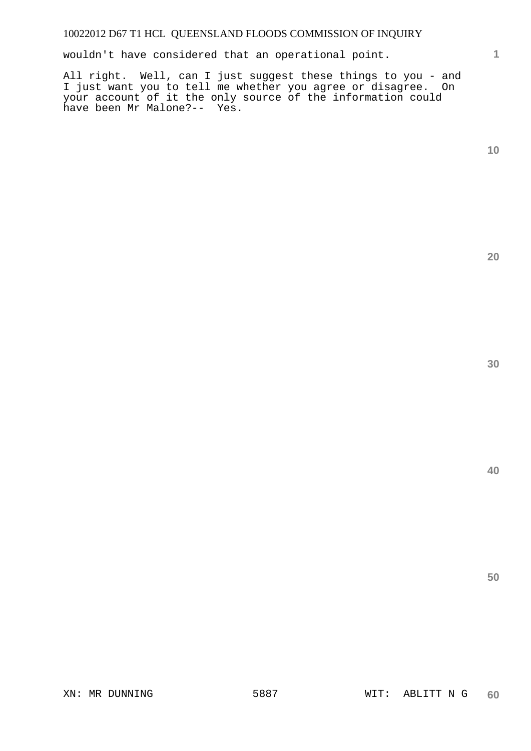wouldn't have considered that an operational point.

All right. Well, can I just suggest these things to you - and I just want you to tell me whether you agree or disagree. On your account of it the only source of the information could have been Mr Malone?-- Yes.

**10** 

**1**

**20** 

**30**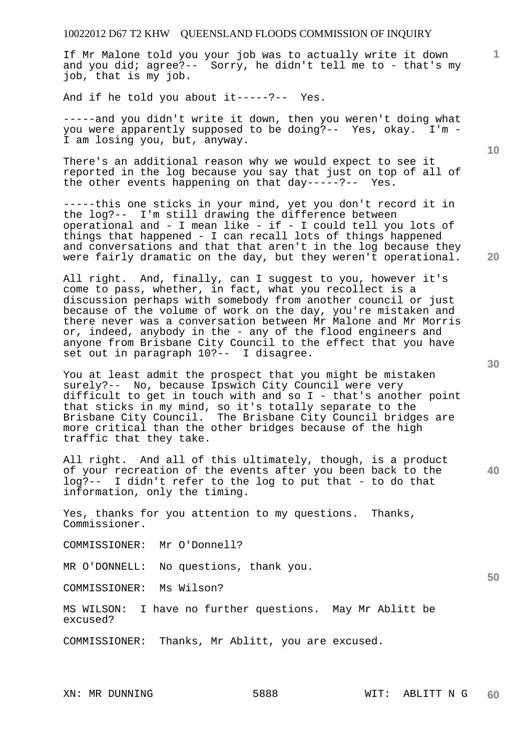If Mr Malone told you your job was to actually write it down and you did; agree?-- Sorry, he didn't tell me to - that's my job, that is my job.

And if he told you about it-----?-- Yes.

-----and you didn't write it down, then you weren't doing what you were apparently supposed to be doing?-- Yes, okay. I'm - I am losing you, but, anyway.

There's an additional reason why we would expect to see it reported in the log because you say that just on top of all of the other events happening on that day-----?-- Yes.

-----this one sticks in your mind, yet you don't record it in the log?-- I'm still drawing the difference between operational and - I mean like - if - I could tell you lots of things that happened - I can recall lots of things happened and conversations and that that aren't in the log because they were fairly dramatic on the day, but they weren't operational.

All right. And, finally, can I suggest to you, however it's come to pass, whether, in fact, what you recollect is a discussion perhaps with somebody from another council or just because of the volume of work on the day, you're mistaken and there never was a conversation between Mr Malone and Mr Morris or, indeed, anybody in the - any of the flood engineers and anyone from Brisbane City Council to the effect that you have set out in paragraph 10?-- I disagree.

You at least admit the prospect that you might be mistaken surely?-- No, because Ipswich City Council were very difficult to get in touch with and so I - that's another point that sticks in my mind, so it's totally separate to the Brisbane City Council. The Brisbane City Council bridges are more critical than the other bridges because of the high traffic that they take.

**40**  All right. And all of this ultimately, though, is a product of your recreation of the events after you been back to the log?-- I didn't refer to the log to put that - to do that information, only the timing.

Yes, thanks for you attention to my questions. Thanks, Commissioner.

COMMISSIONER: Mr O'Donnell?

MR O'DONNELL: No questions, thank you.

COMMISSIONER: Ms Wilson?

MS WILSON: I have no further questions. May Mr Ablitt be excused?

COMMISSIONER: Thanks, Mr Ablitt, you are excused.

**30** 

**20** 

**10** 

**1**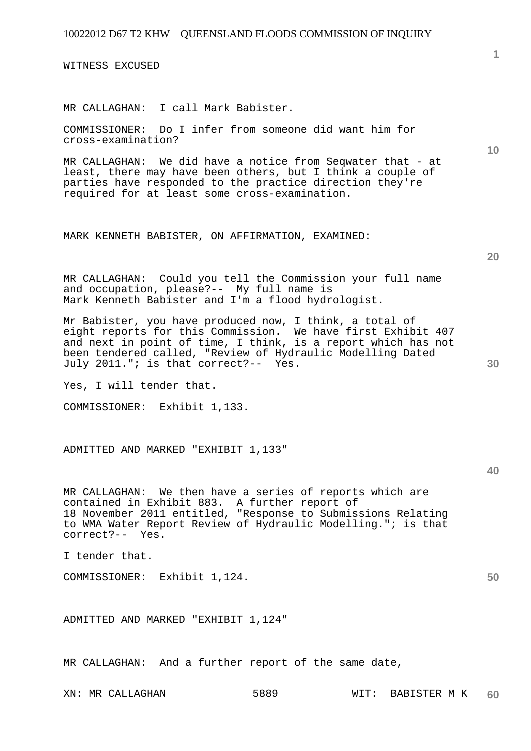WITNESS EXCUSED

MR CALLAGHAN: I call Mark Babister.

COMMISSIONER: Do I infer from someone did want him for cross-examination?

MR CALLAGHAN: We did have a notice from Seqwater that - at least, there may have been others, but I think a couple of parties have responded to the practice direction they're required for at least some cross-examination.

MARK KENNETH BABISTER, ON AFFIRMATION, EXAMINED:

MR CALLAGHAN: Could you tell the Commission your full name and occupation, please?-- My full name is Mark Kenneth Babister and I'm a flood hydrologist.

Mr Babister, you have produced now, I think, a total of eight reports for this Commission. We have first Exhibit 407 and next in point of time, I think, is a report which has not been tendered called, "Review of Hydraulic Modelling Dated July 2011."; is that correct?-- Yes.

Yes, I will tender that.

COMMISSIONER: Exhibit 1,133.

ADMITTED AND MARKED "EXHIBIT 1,133"

**40** 

**50** 

MR CALLAGHAN: We then have a series of reports which are contained in Exhibit 883. A further report of 18 November 2011 entitled, "Response to Submissions Relating to WMA Water Report Review of Hydraulic Modelling."; is that correct?-- Yes.

I tender that.

COMMISSIONER: Exhibit 1,124.

ADMITTED AND MARKED "EXHIBIT 1,124"

MR CALLAGHAN: And a further report of the same date,

**20**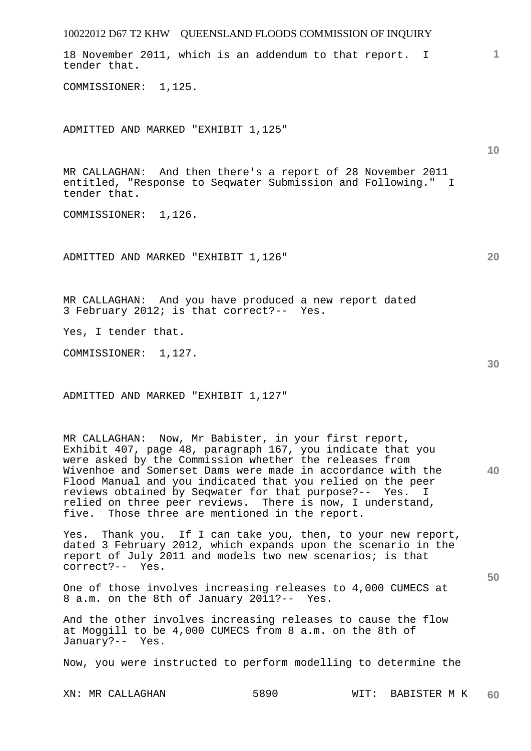| 10022012 D67 T2 KHW QUEENSLAND FLOODS COMMISSION OF INQUIRY                                                                                                                                                                                                                                                                                                                                                                                                                          |              |
|--------------------------------------------------------------------------------------------------------------------------------------------------------------------------------------------------------------------------------------------------------------------------------------------------------------------------------------------------------------------------------------------------------------------------------------------------------------------------------------|--------------|
| 18 November 2011, which is an addendum to that report. I<br>tender that.                                                                                                                                                                                                                                                                                                                                                                                                             | $\mathbf{1}$ |
| COMMISSIONER: 1,125.                                                                                                                                                                                                                                                                                                                                                                                                                                                                 |              |
| ADMITTED AND MARKED "EXHIBIT 1,125"                                                                                                                                                                                                                                                                                                                                                                                                                                                  | 10           |
| MR CALLAGHAN: And then there's a report of 28 November 2011<br>entitled, "Response to Seqwater Submission and Following." I<br>tender that.                                                                                                                                                                                                                                                                                                                                          |              |
| COMMISSIONER: 1,126.                                                                                                                                                                                                                                                                                                                                                                                                                                                                 |              |
| ADMITTED AND MARKED "EXHIBIT 1,126"                                                                                                                                                                                                                                                                                                                                                                                                                                                  | 20           |
| MR CALLAGHAN: And you have produced a new report dated<br>3 February 2012; is that correct?-- Yes.                                                                                                                                                                                                                                                                                                                                                                                   |              |
| Yes, I tender that.                                                                                                                                                                                                                                                                                                                                                                                                                                                                  |              |
| COMMISSIONER: 1,127.                                                                                                                                                                                                                                                                                                                                                                                                                                                                 | 30           |
| ADMITTED AND MARKED "EXHIBIT 1,127"                                                                                                                                                                                                                                                                                                                                                                                                                                                  |              |
| MR CALLAGHAN: Now, Mr Babister, in your first report,<br>Exhibit 407, page 48, paragraph 167, you indicate that you<br>were asked by the Commission whether the releases from<br>Wivenhoe and Somerset Dams were made in accordance with the<br>Flood Manual and you indicated that you relied on the peer<br>reviews obtained by Seqwater for that purpose?-- Yes. I<br>relied on three peer reviews. There is now, I understand,<br>five. Those three are mentioned in the report. | 40           |
| Yes. Thank you. If I can take you, then, to your new report,<br>dated 3 February 2012, which expands upon the scenario in the<br>report of July 2011 and models two new scenarios; is that<br>correct?-- Yes.                                                                                                                                                                                                                                                                        |              |
| One of those involves increasing releases to 4,000 CUMECS at<br>8 a.m. on the 8th of January 2011?-- Yes.                                                                                                                                                                                                                                                                                                                                                                            | 50           |
| And the other involves increasing releases to cause the flow<br>at Moggill to be 4,000 CUMECS from 8 a.m. on the 8th of<br>January?-- Yes.                                                                                                                                                                                                                                                                                                                                           |              |
| Now, you were instructed to perform modelling to determine the                                                                                                                                                                                                                                                                                                                                                                                                                       |              |
| 5890<br>XN: MR CALLAGHAN<br>WIT:<br>BABISTER M K                                                                                                                                                                                                                                                                                                                                                                                                                                     | 60           |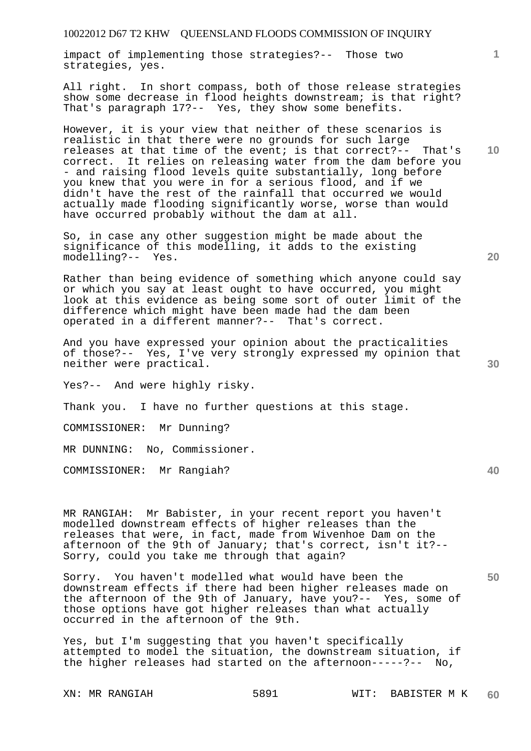impact of implementing those strategies?-- Those two strategies, yes.

All right. In short compass, both of those release strategies show some decrease in flood heights downstream; is that right? That's paragraph 17?-- Yes, they show some benefits.

However, it is your view that neither of these scenarios is realistic in that there were no grounds for such large releases at that time of the event; is that correct?-- That's correct. It relies on releasing water from the dam before you - and raising flood levels quite substantially, long before you knew that you were in for a serious flood, and if we didn't have the rest of the rainfall that occurred we would actually made flooding significantly worse, worse than would have occurred probably without the dam at all.

So, in case any other suggestion might be made about the significance of this modelling, it adds to the existing modelling?-- Yes.

Rather than being evidence of something which anyone could say or which you say at least ought to have occurred, you might look at this evidence as being some sort of outer limit of the difference which might have been made had the dam been operated in a different manner?-- That's correct.

And you have expressed your opinion about the practicalities of those?-- Yes, I've very strongly expressed my opinion that neither were practical.

Yes?-- And were highly risky.

Thank you. I have no further questions at this stage.

COMMISSIONER: Mr Dunning?

MR DUNNING: No, Commissioner.

COMMISSIONER: Mr Rangiah?

MR RANGIAH: Mr Babister, in your recent report you haven't modelled downstream effects of higher releases than the releases that were, in fact, made from Wivenhoe Dam on the afternoon of the 9th of January; that's correct, isn't it?-- Sorry, could you take me through that again?

Sorry. You haven't modelled what would have been the downstream effects if there had been higher releases made on the afternoon of the 9th of January, have you?-- Yes, some of those options have got higher releases than what actually occurred in the afternoon of the 9th.

Yes, but I'm suggesting that you haven't specifically attempted to model the situation, the downstream situation, if the higher releases had started on the afternoon-----?-- No,

**20** 

**30** 

**40** 

**50** 

**10**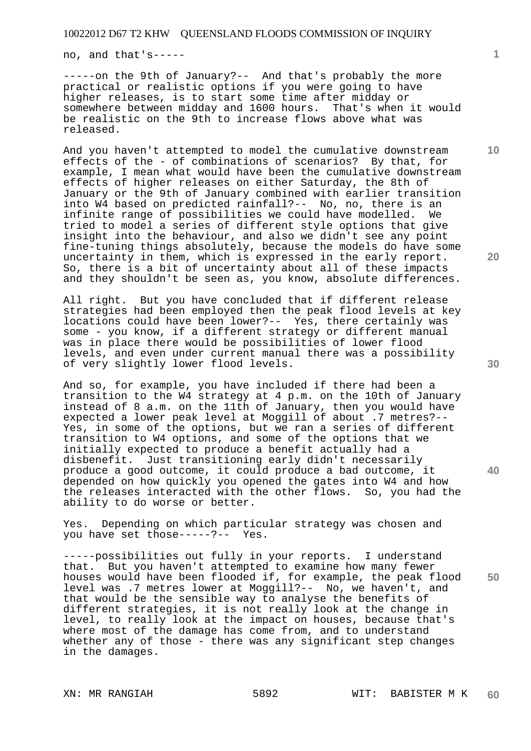no, and that's-----

-----on the 9th of January?-- And that's probably the more practical or realistic options if you were going to have higher releases, is to start some time after midday or somewhere between midday and 1600 hours. That's when it would be realistic on the 9th to increase flows above what was released.

And you haven't attempted to model the cumulative downstream effects of the - of combinations of scenarios? By that, for example, I mean what would have been the cumulative downstream effects of higher releases on either Saturday, the 8th of January or the 9th of January combined with earlier transition into W4 based on predicted rainfall?-- No, no, there is an infinite range of possibilities we could have modelled. We tried to model a series of different style options that give insight into the behaviour, and also we didn't see any point fine-tuning things absolutely, because the models do have some uncertainty in them, which is expressed in the early report. So, there is a bit of uncertainty about all of these impacts and they shouldn't be seen as, you know, absolute differences.

All right. But you have concluded that if different release strategies had been employed then the peak flood levels at key locations could have been lower?-- Yes, there certainly was some - you know, if a different strategy or different manual was in place there would be possibilities of lower flood levels, and even under current manual there was a possibility of very slightly lower flood levels.

And so, for example, you have included if there had been a transition to the W4 strategy at 4 p.m. on the 10th of January instead of 8 a.m. on the 11th of January, then you would have expected a lower peak level at Moggill of about .7 metres?-- Yes, in some of the options, but we ran a series of different transition to W4 options, and some of the options that we initially expected to produce a benefit actually had a disbenefit. Just transitioning early didn't necessarily produce a good outcome, it could produce a bad outcome, it depended on how quickly you opened the gates into W4 and how the releases interacted with the other flows. So, you had the ability to do worse or better.

Yes. Depending on which particular strategy was chosen and you have set those-----?-- Yes.

-----possibilities out fully in your reports. I understand that. But you haven't attempted to examine how many fewer houses would have been flooded if, for example, the peak flood level was .7 metres lower at Moggill?-- No, we haven't, and that would be the sensible way to analyse the benefits of different strategies, it is not really look at the change in level, to really look at the impact on houses, because that's where most of the damage has come from, and to understand whether any of those - there was any significant step changes in the damages.

**10** 

**20** 

**30** 

**40**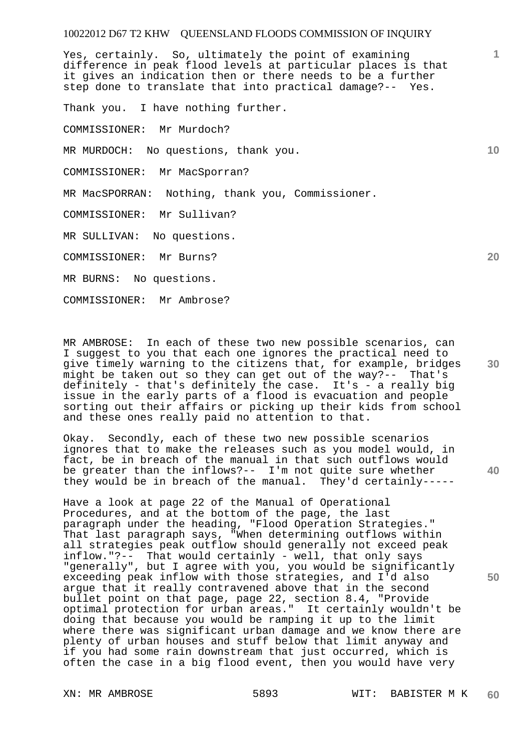Yes, certainly. So, ultimately the point of examining difference in peak flood levels at particular places is that it gives an indication then or there needs to be a further step done to translate that into practical damage?-- Yes.

Thank you. I have nothing further.

COMMISSIONER: Mr Murdoch?

MR MURDOCH: No questions, thank you.

COMMISSIONER: Mr MacSporran?

MR MacSPORRAN: Nothing, thank you, Commissioner.

COMMISSIONER: Mr Sullivan?

MR SULLIVAN: No questions.

COMMISSIONER: Mr Burns?

MR BURNS: No questions.

COMMISSIONER: Mr Ambrose?

MR AMBROSE: In each of these two new possible scenarios, can I suggest to you that each one ignores the practical need to give timely warning to the citizens that, for example, bridges might be taken out so they can get out of the way?-- That's definitely - that's definitely the case. It's - a really big issue in the early parts of a flood is evacuation and people sorting out their affairs or picking up their kids from school and these ones really paid no attention to that.

Okay. Secondly, each of these two new possible scenarios ignores that to make the releases such as you model would, in fact, be in breach of the manual in that such outflows would be greater than the inflows?-- I'm not quite sure whether they would be in breach of the manual. They'd certainly-----

Have a look at page 22 of the Manual of Operational Procedures, and at the bottom of the page, the last paragraph under the heading, "Flood Operation Strategies." That last paragraph says, "When determining outflows within all strategies peak outflow should generally not exceed peak inflow."?-- That would certainly - well, that only says "generally", but I agree with you, you would be significantly exceeding peak inflow with those strategies, and I'd also argue that it really contravened above that in the second bullet point on that page, page 22, section 8.4, "Provide optimal protection for urban areas." It certainly wouldn't be doing that because you would be ramping it up to the limit where there was significant urban damage and we know there are plenty of urban houses and stuff below that limit anyway and if you had some rain downstream that just occurred, which is often the case in a big flood event, then you would have very

**20** 

**30** 

**40** 

**50**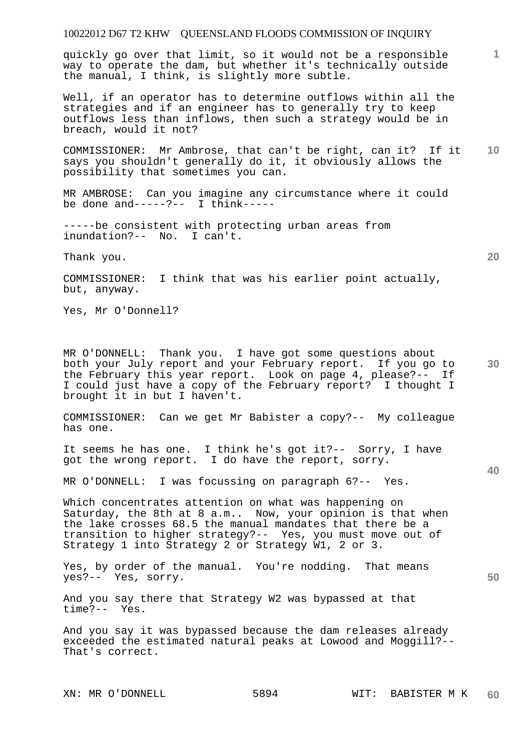quickly go over that limit, so it would not be a responsible way to operate the dam, but whether it's technically outside the manual, I think, is slightly more subtle.

Well, if an operator has to determine outflows within all the strategies and if an engineer has to generally try to keep outflows less than inflows, then such a strategy would be in breach, would it not?

**10**  COMMISSIONER: Mr Ambrose, that can't be right, can it? If it says you shouldn't generally do it, it obviously allows the possibility that sometimes you can.

MR AMBROSE: Can you imagine any circumstance where it could be done and-----?-- I think-----

-----be consistent with protecting urban areas from inundation?-- No. I can't.

Thank you.

COMMISSIONER: I think that was his earlier point actually, but, anyway.

Yes, Mr O'Donnell?

**30**  MR O'DONNELL: Thank you. I have got some questions about both your July report and your February report. If you go to the February this year report. Look on page 4, please?-- If I could just have a copy of the February report? I thought I brought it in but I haven't.

COMMISSIONER: Can we get Mr Babister a copy?-- My colleague has one.

It seems he has one. I think he's got it?-- Sorry, I have got the wrong report. I do have the report, sorry.

MR O'DONNELL: I was focussing on paragraph 6?-- Yes.

Which concentrates attention on what was happening on Saturday, the 8th at 8 a.m.. Now, your opinion is that when the lake crosses 68.5 the manual mandates that there be a transition to higher strategy?-- Yes, you must move out of Strategy 1 into Strategy 2 or Strategy W1, 2 or 3.

Yes, by order of the manual. You're nodding. That means yes?-- Yes, sorry.

And you say there that Strategy W2 was bypassed at that  $time$  ? - -

And you say it was bypassed because the dam releases already exceeded the estimated natural peaks at Lowood and Moggill?-- That's correct.

**20** 

**1**

**40**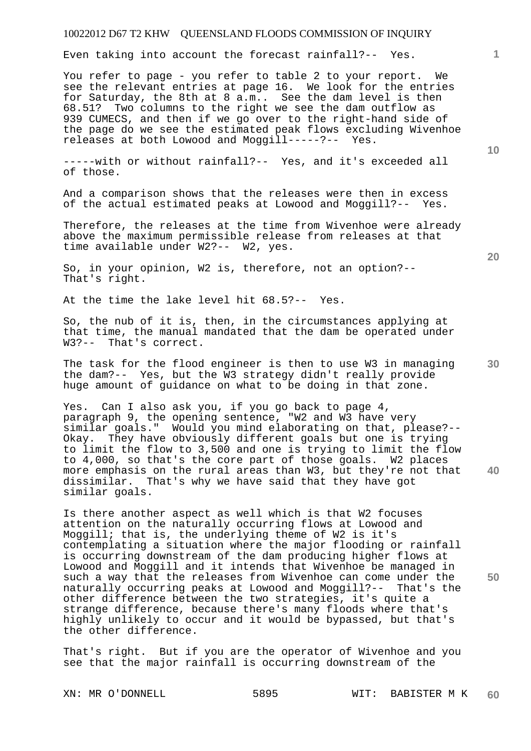Even taking into account the forecast rainfall?-- Yes.

You refer to page - you refer to table 2 to your report. We see the relevant entries at page 16. We look for the entries for Saturday, the 8th at 8 a.m.. See the dam level is then 68.51? Two columns to the right we see the dam outflow as 939 CUMECS, and then if we go over to the right-hand side of the page do we see the estimated peak flows excluding Wivenhoe releases at both Lowood and Moggill-----?-- Yes.

-----with or without rainfall?-- Yes, and it's exceeded all of those.

And a comparison shows that the releases were then in excess of the actual estimated peaks at Lowood and Moggill?-- Yes.

Therefore, the releases at the time from Wivenhoe were already above the maximum permissible release from releases at that time available under W2?-- W2, yes.

So, in your opinion, W2 is, therefore, not an option?-- That's right.

At the time the lake level hit 68.5?-- Yes.

So, the nub of it is, then, in the circumstances applying at that time, the manual mandated that the dam be operated under W3?-- That's correct.

The task for the flood engineer is then to use W3 in managing the dam?-- Yes, but the W3 strategy didn't really provide huge amount of guidance on what to be doing in that zone.

Yes. Can I also ask you, if you go back to page 4, paragraph 9, the opening sentence, "W2 and W3 have very similar goals." Would you mind elaborating on that, please?-- Okay. They have obviously different goals but one is trying to limit the flow to 3,500 and one is trying to limit the flow to 4,000, so that's the core part of those goals. W2 places more emphasis on the rural areas than W3, but they're not that dissimilar. That's why we have said that they have got similar goals.

Is there another aspect as well which is that W2 focuses attention on the naturally occurring flows at Lowood and Moggill; that is, the underlying theme of W2 is it's contemplating a situation where the major flooding or rainfall is occurring downstream of the dam producing higher flows at Lowood and Moggill and it intends that Wivenhoe be managed in such a way that the releases from Wivenhoe can come under the naturally occurring peaks at Lowood and Moggill?-- That's the other difference between the two strategies, it's quite a strange difference, because there's many floods where that's highly unlikely to occur and it would be bypassed, but that's the other difference.

That's right. But if you are the operator of Wivenhoe and you see that the major rainfall is occurring downstream of the

**10** 

**1**

**30** 

**40** 

**50**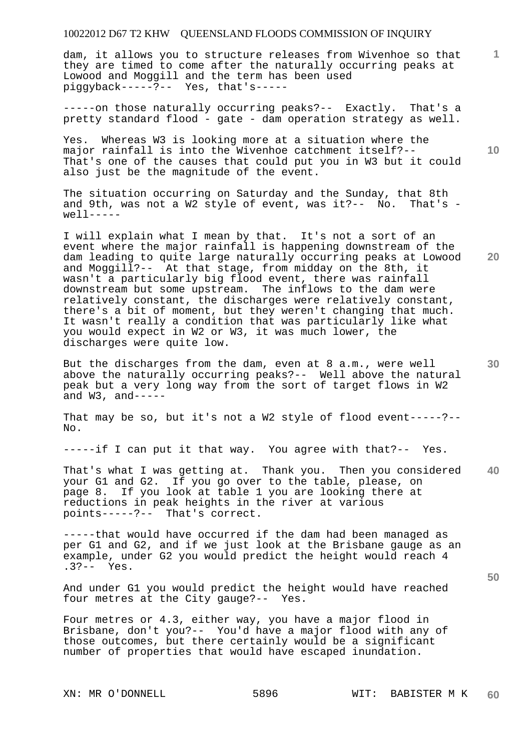dam, it allows you to structure releases from Wivenhoe so that they are timed to come after the naturally occurring peaks at Lowood and Moggill and the term has been used piggyback-----?-- Yes, that's-----

-----on those naturally occurring peaks?-- Exactly. That's a pretty standard flood - gate - dam operation strategy as well.

Yes. Whereas W3 is looking more at a situation where the major rainfall is into the Wivenhoe catchment itself?-- That's one of the causes that could put you in W3 but it could also just be the magnitude of the event.

The situation occurring on Saturday and the Sunday, that 8th and 9th, was not a W2 style of event, was it?-- No. That's  $w^{e}$ ]  $1 - - - - -$ 

I will explain what I mean by that. It's not a sort of an event where the major rainfall is happening downstream of the dam leading to quite large naturally occurring peaks at Lowood and Moggill?-- At that stage, from midday on the 8th, it wasn't a particularly big flood event, there was rainfall downstream but some upstream. The inflows to the dam were relatively constant, the discharges were relatively constant, there's a bit of moment, but they weren't changing that much. It wasn't really a condition that was particularly like what you would expect in W2 or W3, it was much lower, the discharges were quite low.

But the discharges from the dam, even at 8 a.m., were well above the naturally occurring peaks?-- Well above the natural peak but a very long way from the sort of target flows in W2 and  $W3$ , and-----

That may be so, but it's not a W2 style of flood event-----?-- No.

-----if I can put it that way. You agree with that?-- Yes.

**40**  That's what I was getting at. Thank you. Then you considered your G1 and G2. If you go over to the table, please, on page 8. If you look at table 1 you are looking there at reductions in peak heights in the river at various points-----?-- That's correct.

-----that would have occurred if the dam had been managed as per G1 and G2, and if we just look at the Brisbane gauge as an example, under G2 you would predict the height would reach 4 .3?-- Yes.

And under G1 you would predict the height would have reached four metres at the City gauge?-- Yes. four metres at the City gauge?--

Four metres or 4.3, either way, you have a major flood in Brisbane, don't you?-- You'd have a major flood with any of those outcomes, but there certainly would be a significant number of properties that would have escaped inundation.

**10** 

**1**

**30**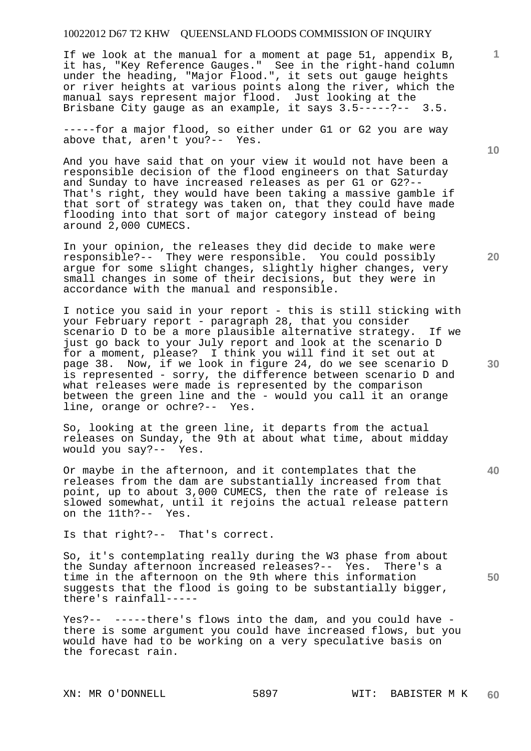If we look at the manual for a moment at page 51, appendix B, it has, "Key Reference Gauges." See in the right-hand column under the heading, "Major Flood.", it sets out gauge heights or river heights at various points along the river, which the manual says represent major flood. Just looking at the Brisbane City gauge as an example, it says 3.5-----?-- 3.5.

-----for a major flood, so either under G1 or G2 you are way above that, aren't you?-- Yes.

And you have said that on your view it would not have been a responsible decision of the flood engineers on that Saturday and Sunday to have increased releases as per G1 or G2?-- That's right, they would have been taking a massive gamble if that sort of strategy was taken on, that they could have made flooding into that sort of major category instead of being around 2,000 CUMECS.

In your opinion, the releases they did decide to make were responsible?-- They were responsible. You could possibly argue for some slight changes, slightly higher changes, very small changes in some of their decisions, but they were in accordance with the manual and responsible.

I notice you said in your report - this is still sticking with your February report - paragraph 28, that you consider scenario D to be a more plausible alternative strategy. If we just go back to your July report and look at the scenario D for a moment, please? I think you will find it set out at page 38. Now, if we look in figure 24, do we see scenario D is represented - sorry, the difference between scenario D and what releases were made is represented by the comparison between the green line and the - would you call it an orange line, orange or ochre?-- Yes.

So, looking at the green line, it departs from the actual releases on Sunday, the 9th at about what time, about midday would you say?-- Yes.

Or maybe in the afternoon, and it contemplates that the releases from the dam are substantially increased from that point, up to about 3,000 CUMECS, then the rate of release is slowed somewhat, until it rejoins the actual release pattern on the 11th?-- Yes.

Is that right?-- That's correct.

So, it's contemplating really during the W3 phase from about the Sunday afternoon increased releases?-- Yes. There's a time in the afternoon on the 9th where this information suggests that the flood is going to be substantially bigger, there's rainfall-----

Yes?-- -----there's flows into the dam, and you could have there is some argument you could have increased flows, but you would have had to be working on a very speculative basis on the forecast rain.

**10** 

**1**

**20** 

**30** 

**40**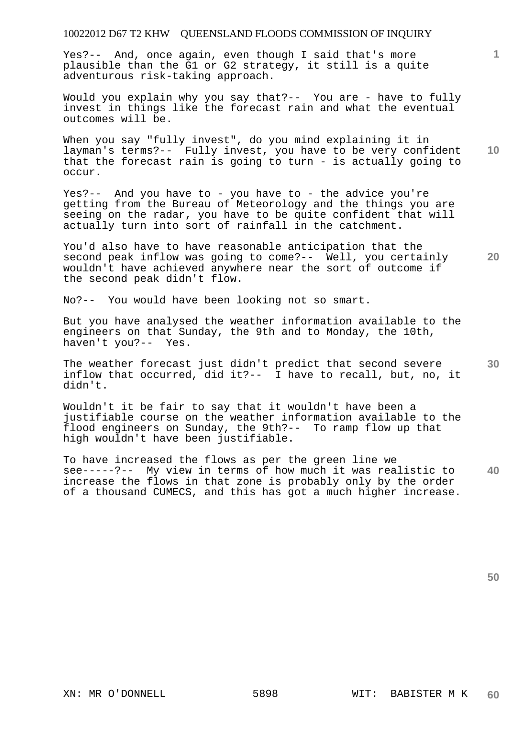Yes?-- And, once again, even though I said that's more plausible than the G1 or G2 strategy, it still is a quite adventurous risk-taking approach.

Would you explain why you say that?-- You are - have to fully invest in things like the forecast rain and what the eventual outcomes will be.

**10**  When you say "fully invest", do you mind explaining it in layman's terms?-- Fully invest, you have to be very confident that the forecast rain is going to turn - is actually going to occur.

Yes?-- And you have to - you have to - the advice you're getting from the Bureau of Meteorology and the things you are seeing on the radar, you have to be quite confident that will actually turn into sort of rainfall in the catchment.

**20**  You'd also have to have reasonable anticipation that the second peak inflow was going to come?-- Well, you certainly wouldn't have achieved anywhere near the sort of outcome if the second peak didn't flow.

No?-- You would have been looking not so smart.

But you have analysed the weather information available to the engineers on that Sunday, the 9th and to Monday, the 10th, haven't you?-- Yes.

**30**  The weather forecast just didn't predict that second severe inflow that occurred, did it?-- I have to recall, but, no, it didn't.

Wouldn't it be fair to say that it wouldn't have been a justifiable course on the weather information available to the flood engineers on Sunday, the 9th?-- To ramp flow up that high wouldn't have been justifiable.

**40**  To have increased the flows as per the green line we see-----?-- My view in terms of how much it was realistic to increase the flows in that zone is probably only by the order of a thousand CUMECS, and this has got a much higher increase.

**50**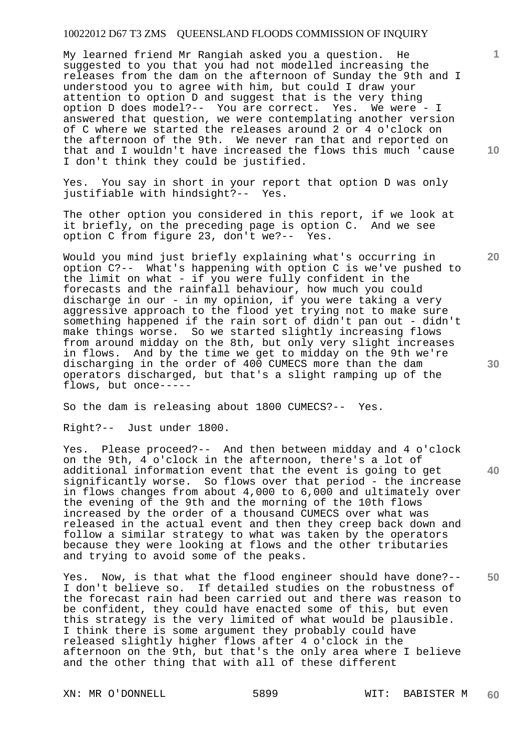My learned friend Mr Rangiah asked you a question. He suggested to you that you had not modelled increasing the releases from the dam on the afternoon of Sunday the 9th and I understood you to agree with him, but could I draw your attention to option D and suggest that is the very thing option D does model?-- You are correct. Yes. We were - I answered that question, we were contemplating another version of C where we started the releases around 2 or 4 o'clock on the afternoon of the 9th. We never ran that and reported on that and I wouldn't have increased the flows this much 'cause I don't think they could be justified.

Yes. You say in short in your report that option D was only justifiable with hindsight?-- Yes.

The other option you considered in this report, if we look at it briefly, on the preceding page is option C. And we see option C from figure 23, don't we?-- Yes.

Would you mind just briefly explaining what's occurring in option C?-- What's happening with option C is we've pushed to the limit on what - if you were fully confident in the forecasts and the rainfall behaviour, how much you could discharge in our - in my opinion, if you were taking a very aggressive approach to the flood yet trying not to make sure something happened if the rain sort of didn't pan out - didn't make things worse. So we started slightly increasing flows from around midday on the 8th, but only very slight increases in flows. And by the time we get to midday on the 9th we're discharging in the order of 400 CUMECS more than the dam operators discharged, but that's a slight ramping up of the flows, but once-----

So the dam is releasing about 1800 CUMECS?-- Yes.

Right?-- Just under 1800.

Yes. Please proceed?-- And then between midday and 4 o'clock on the 9th, 4 o'clock in the afternoon, there's a lot of additional information event that the event is going to get significantly worse. So flows over that period - the increase in flows changes from about 4,000 to 6,000 and ultimately over the evening of the 9th and the morning of the 10th flows increased by the order of a thousand CUMECS over what was released in the actual event and then they creep back down and follow a similar strategy to what was taken by the operators because they were looking at flows and the other tributaries and trying to avoid some of the peaks.

**50**  Yes. Now, is that what the flood engineer should have done?-- I don't believe so. If detailed studies on the robustness of the forecast rain had been carried out and there was reason to be confident, they could have enacted some of this, but even this strategy is the very limited of what would be plausible. I think there is some argument they probably could have released slightly higher flows after 4 o'clock in the afternoon on the 9th, but that's the only area where I believe and the other thing that with all of these different

XN: MR O'DONNELL 5899 WIT: BABISTER M

**10** 

**1**

**30** 

**40**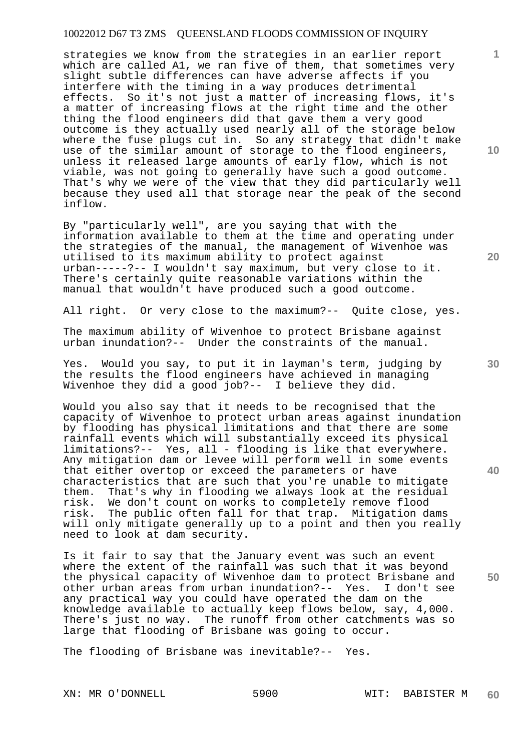strategies we know from the strategies in an earlier report which are called A1, we ran five of them, that sometimes very slight subtle differences can have adverse affects if you interfere with the timing in a way produces detrimental effects. So it's not just a matter of increasing flows, it's a matter of increasing flows at the right time and the other thing the flood engineers did that gave them a very good outcome is they actually used nearly all of the storage below where the fuse plugs cut in. So any strategy that didn't make use of the similar amount of storage to the flood engineers, unless it released large amounts of early flow, which is not viable, was not going to generally have such a good outcome. That's why we were of the view that they did particularly well because they used all that storage near the peak of the second inflow.

By "particularly well", are you saying that with the information available to them at the time and operating under the strategies of the manual, the management of Wivenhoe was utilised to its maximum ability to protect against urban-----?-- I wouldn't say maximum, but very close to it. There's certainly quite reasonable variations within the manual that wouldn't have produced such a good outcome.

All right. Or very close to the maximum?-- Quite close, yes.

The maximum ability of Wivenhoe to protect Brisbane against urban inundation?-- Under the constraints of the manual.

Yes. Would you say, to put it in layman's term, judging by the results the flood engineers have achieved in managing Wivenhoe they did a good job?-- I believe they did.

Would you also say that it needs to be recognised that the capacity of Wivenhoe to protect urban areas against inundation by flooding has physical limitations and that there are some rainfall events which will substantially exceed its physical limitations?-- Yes, all - flooding is like that everywhere. Any mitigation dam or levee will perform well in some events that either overtop or exceed the parameters or have characteristics that are such that you're unable to mitigate them. That's why in flooding we always look at the residual risk. We don't count on works to completely remove flood risk. The public often fall for that trap. Mitigation dams will only mitigate generally up to a point and then you really need to look at dam security.

Is it fair to say that the January event was such an event where the extent of the rainfall was such that it was beyond the physical capacity of Wivenhoe dam to protect Brisbane and other urban areas from urban inundation?-- Yes. I don't see any practical way you could have operated the dam on the knowledge available to actually keep flows below, say, 4,000. There's just no way. The runoff from other catchments was so large that flooding of Brisbane was going to occur.

The flooding of Brisbane was inevitable?-- Yes.

**10** 

**1**

**20** 

**40** 

**50**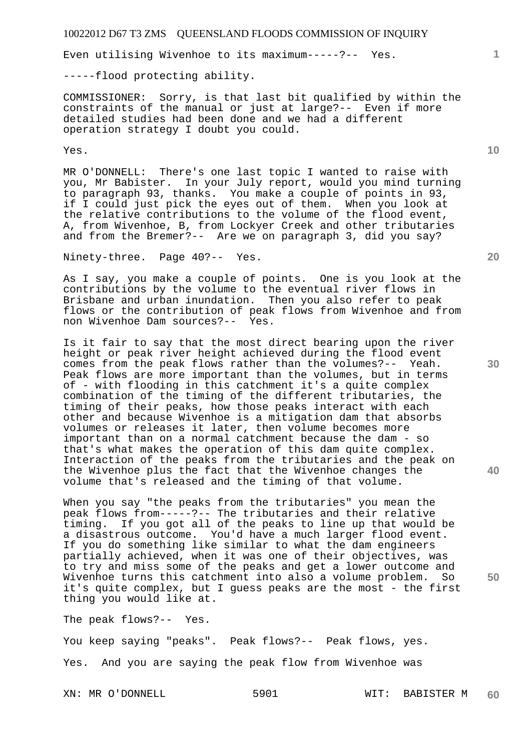Even utilising Wivenhoe to its maximum-----?-- Yes.

-----flood protecting ability.

COMMISSIONER: Sorry, is that last bit qualified by within the constraints of the manual or just at large?-- Even if more detailed studies had been done and we had a different operation strategy I doubt you could.

Yes.

MR O'DONNELL: There's one last topic I wanted to raise with you, Mr Babister. In your July report, would you mind turning to paragraph 93, thanks. You make a couple of points in 93, if I could just pick the eyes out of them. When you look at the relative contributions to the volume of the flood event, A, from Wivenhoe, B, from Lockyer Creek and other tributaries and from the Bremer?-- Are we on paragraph 3, did you say?

Ninety-three. Page 40?-- Yes.

As I say, you make a couple of points. One is you look at the contributions by the volume to the eventual river flows in Brisbane and urban inundation. Then you also refer to peak flows or the contribution of peak flows from Wivenhoe and from non Wivenhoe Dam sources?-- Yes.

Is it fair to say that the most direct bearing upon the river height or peak river height achieved during the flood event comes from the peak flows rather than the volumes?-- Yeah. Peak flows are more important than the volumes, but in terms of - with flooding in this catchment it's a quite complex combination of the timing of the different tributaries, the timing of their peaks, how those peaks interact with each other and because Wivenhoe is a mitigation dam that absorbs volumes or releases it later, then volume becomes more important than on a normal catchment because the dam - so that's what makes the operation of this dam quite complex. Interaction of the peaks from the tributaries and the peak on the Wivenhoe plus the fact that the Wivenhoe changes the volume that's released and the timing of that volume.

When you say "the peaks from the tributaries" you mean the peak flows from-----?-- The tributaries and their relative timing. If you got all of the peaks to line up that would be a disastrous outcome. You'd have a much larger flood event. If you do something like similar to what the dam engineers partially achieved, when it was one of their objectives, was to try and miss some of the peaks and get a lower outcome and Wivenhoe turns this catchment into also a volume problem. So it's quite complex, but I guess peaks are the most - the first thing you would like at.

The peak flows?-- Yes.

You keep saying "peaks". Peak flows?-- Peak flows, yes. Yes. And you are saying the peak flow from Wivenhoe was

XN: MR O'DONNELL 5901 WIT: BABISTER M **60** 

**30** 

**20** 

**40** 

**50** 

**10**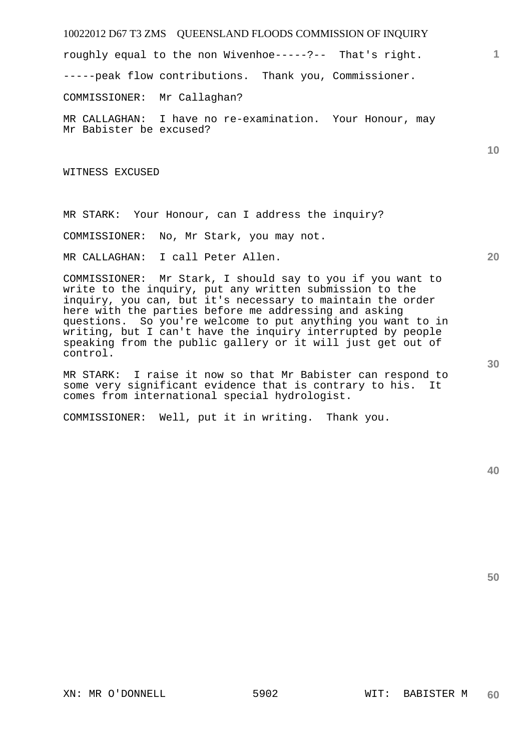roughly equal to the non Wivenhoe-----?-- That's right.

-----peak flow contributions. Thank you, Commissioner.

COMMISSIONER: Mr Callaghan?

MR CALLAGHAN: I have no re-examination. Your Honour, may Mr Babister be excused?

WITNESS EXCUSED

MR STARK: Your Honour, can I address the inquiry?

COMMISSIONER: No, Mr Stark, you may not.

MR CALLAGHAN: I call Peter Allen.

COMMISSIONER: Mr Stark, I should say to you if you want to write to the inquiry, put any written submission to the inquiry, you can, but it's necessary to maintain the order here with the parties before me addressing and asking questions. So you're welcome to put anything you want to in writing, but I can't have the inquiry interrupted by people speaking from the public gallery or it will just get out of control.

MR STARK: I raise it now so that Mr Babister can respond to some very significant evidence that is contrary to his. It comes from international special hydrologist.

COMMISSIONER: Well, put it in writing. Thank you.

**40** 

**50** 

**30** 

**1**

**10**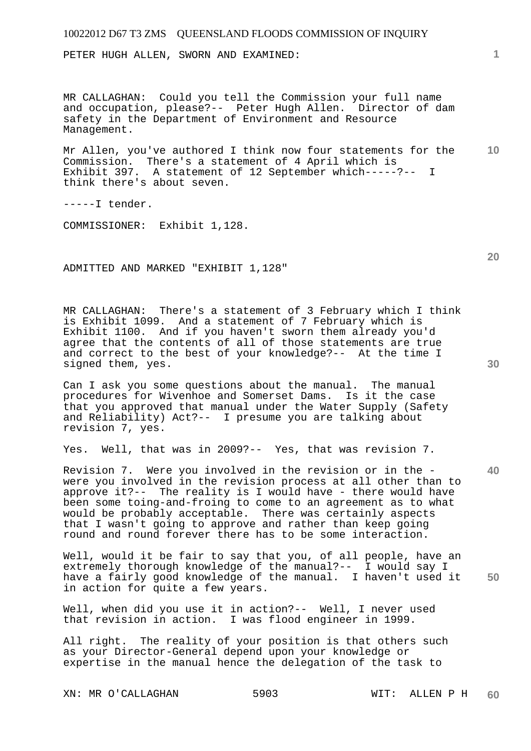PETER HUGH ALLEN, SWORN AND EXAMINED:

MR CALLAGHAN: Could you tell the Commission your full name and occupation, please?-- Peter Hugh Allen. Director of dam safety in the Department of Environment and Resource Management.

**10**  Mr Allen, you've authored I think now four statements for the Commission. There's a statement of 4 April which is Exhibit 397. A statement of 12 September which-----?-- I think there's about seven.

-----I tender.

COMMISSIONER: Exhibit 1,128.

ADMITTED AND MARKED "EXHIBIT 1,128"

MR CALLAGHAN: There's a statement of 3 February which I think is Exhibit 1099. And a statement of 7 February which is Exhibit 1100. And if you haven't sworn them already you'd agree that the contents of all of those statements are true and correct to the best of your knowledge?-- At the time I signed them, yes.

Can I ask you some questions about the manual. The manual procedures for Wivenhoe and Somerset Dams. Is it the case that you approved that manual under the Water Supply (Safety and Reliability) Act?-- I presume you are talking about revision 7, yes.

Yes. Well, that was in 2009?-- Yes, that was revision 7.

Revision 7. Were you involved in the revision or in the were you involved in the revision process at all other than to approve it?-- The reality is I would have - there would have been some toing-and-froing to come to an agreement as to what would be probably acceptable. There was certainly aspects that I wasn't going to approve and rather than keep going round and round forever there has to be some interaction.

**50**  Well, would it be fair to say that you, of all people, have an extremely thorough knowledge of the manual?-- I would say I have a fairly good knowledge of the manual. I haven't used it in action for quite a few years.

Well, when did you use it in action?-- Well, I never used that revision in action. I was flood engineer in 1999.

All right. The reality of your position is that others such as your Director-General depend upon your knowledge or expertise in the manual hence the delegation of the task to

XN: MR O'CALLAGHAN 5903 WIT: ALLEN P H

**20** 

**40** 

**30**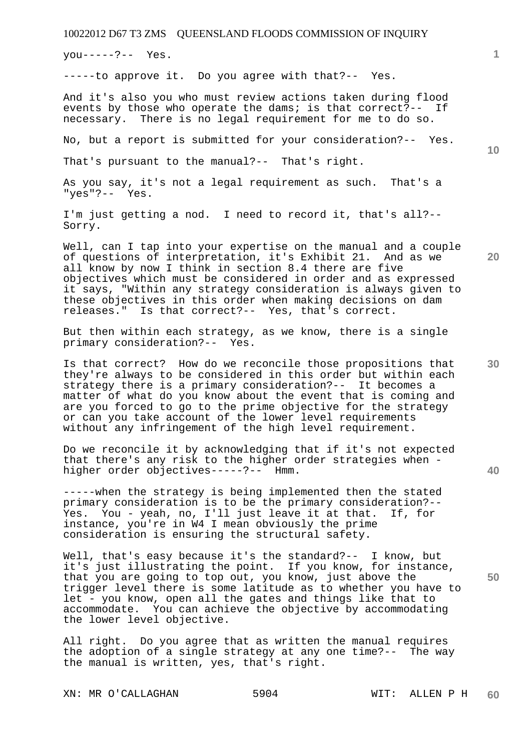you-----?-- Yes.

-----to approve it. Do you agree with that?-- Yes.

And it's also you who must review actions taken during flood events by those who operate the dams; is that correct?-- If necessary. There is no legal requirement for me to do so.

No, but a report is submitted for your consideration?-- Yes.

That's pursuant to the manual?-- That's right.

As you say, it's not a legal requirement as such. That's a "yes"?-- Yes.

I'm just getting a nod. I need to record it, that's all?-- Sorry.

Well, can I tap into your expertise on the manual and a couple of questions of interpretation, it's Exhibit 21. And as we all know by now I think in section 8.4 there are five objectives which must be considered in order and as expressed it says, "Within any strategy consideration is always given to these objectives in this order when making decisions on dam releases." Is that correct?-- Yes, that's correct. Is that correct?-- Yes, that's correct.

But then within each strategy, as we know, there is a single primary consideration?-- Yes.

Is that correct? How do we reconcile those propositions that they're always to be considered in this order but within each strategy there is a primary consideration?-- It becomes a matter of what do you know about the event that is coming and are you forced to go to the prime objective for the strategy or can you take account of the lower level requirements without any infringement of the high level requirement.

Do we reconcile it by acknowledging that if it's not expected that there's any risk to the higher order strategies when higher order objectives-----?-- Hmm.

-----when the strategy is being implemented then the stated primary consideration is to be the primary consideration?-- Yes. You - yeah, no, I'll just leave it at that. If, for instance, you're in W4 I mean obviously the prime consideration is ensuring the structural safety.

Well, that's easy because it's the standard?-- I know, but it's just illustrating the point. If you know, for instance, that you are going to top out, you know, just above the trigger level there is some latitude as to whether you have to let - you know, open all the gates and things like that to accommodate. You can achieve the objective by accommodating the lower level objective.

All right. Do you agree that as written the manual requires the adoption of a single strategy at any one time?-- The way the manual is written, yes, that's right.

XN: MR O'CALLAGHAN 5904 WIT: ALLEN P H

**10** 

**1**

**20** 

**40**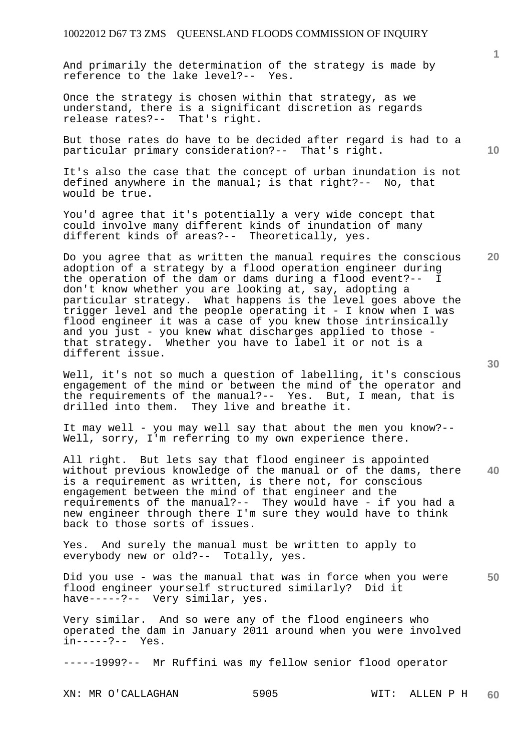And primarily the determination of the strategy is made by reference to the lake level?-- Yes.

Once the strategy is chosen within that strategy, as we understand, there is a significant discretion as regards release rates?-- That's right.

But those rates do have to be decided after regard is had to a particular primary consideration?-- That's right.

It's also the case that the concept of urban inundation is not defined anywhere in the manual; is that right?-- No, that would be true.

You'd agree that it's potentially a very wide concept that could involve many different kinds of inundation of many different kinds of areas?-- Theoretically, yes.

Do you agree that as written the manual requires the conscious adoption of a strategy by a flood operation engineer during the operation of the dam or dams during a flood event?-- I don't know whether you are looking at, say, adopting a particular strategy. What happens is the level goes above the trigger level and the people operating it - I know when I was flood engineer it was a case of you knew those intrinsically and you just - you knew what discharges applied to those that strategy. Whether you have to label it or not is a different issue.

Well, it's not so much a question of labelling, it's conscious engagement of the mind or between the mind of the operator and the requirements of the manual?-- Yes. But, I mean, that is drilled into them. They live and breathe it.

It may well - you may well say that about the men you know?-- Well, sorry, I'm referring to my own experience there.

**40**  All right. But lets say that flood engineer is appointed without previous knowledge of the manual or of the dams, there is a requirement as written, is there not, for conscious engagement between the mind of that engineer and the requirements of the manual?-- They would have - if you had a new engineer through there I'm sure they would have to think back to those sorts of issues.

Yes. And surely the manual must be written to apply to everybody new or old?-- Totally, yes.

**50**  Did you use - was the manual that was in force when you were flood engineer yourself structured similarly? Did it have-----?-- Very similar, yes.

Very similar. And so were any of the flood engineers who operated the dam in January 2011 around when you were involved in-----?-- Yes.  $in---?--$ 

-----1999?-- Mr Ruffini was my fellow senior flood operator

XN: MR O'CALLAGHAN 5905 WIT: ALLEN P H

**60** 

**10** 

**20** 

**1**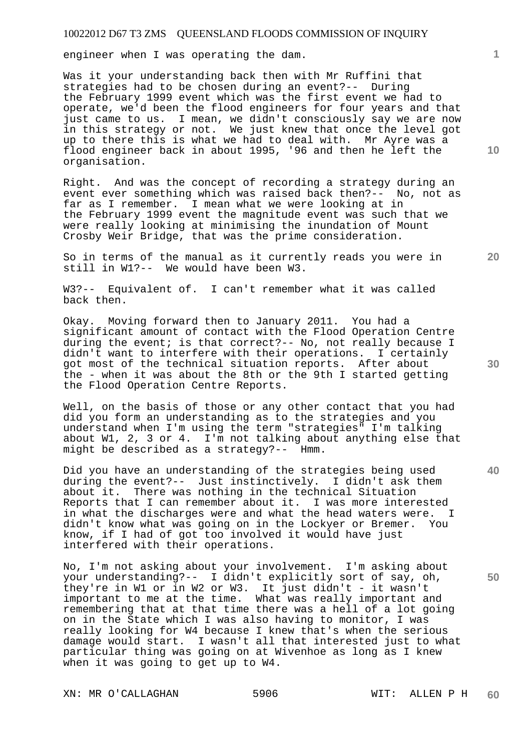engineer when I was operating the dam.

Was it your understanding back then with Mr Ruffini that strategies had to be chosen during an event?-- During the February 1999 event which was the first event we had to operate, we'd been the flood engineers for four years and that just came to us. I mean, we didn't consciously say we are now in this strategy or not. We just knew that once the level got up to there this is what we had to deal with. Mr Ayre was a flood engineer back in about 1995, '96 and then he left the organisation.

Right. And was the concept of recording a strategy during an event ever something which was raised back then?-- No, not as far as I remember. I mean what we were looking at in the February 1999 event the magnitude event was such that we were really looking at minimising the inundation of Mount Crosby Weir Bridge, that was the prime consideration.

So in terms of the manual as it currently reads you were in still in W1?-- We would have been W3.

W3?-- Equivalent of. I can't remember what it was called back then.

Okay. Moving forward then to January 2011. You had a significant amount of contact with the Flood Operation Centre during the event; is that correct?-- No, not really because I didn't want to interfere with their operations. I certainly got most of the technical situation reports. After about the - when it was about the 8th or the 9th I started getting the Flood Operation Centre Reports.

Well, on the basis of those or any other contact that you had did you form an understanding as to the strategies and you understand when I'm using the term "strategies" I'm talking about W1, 2, 3 or 4. I'm not talking about anything else that might be described as a strategy?-- Hmm.

Did you have an understanding of the strategies being used during the event?-- Just instinctively. I didn't ask them about it. There was nothing in the technical Situation Reports that I can remember about it. I was more interested in what the discharges were and what the head waters were. I didn't know what was going on in the Lockyer or Bremer. You know, if I had of got too involved it would have just interfered with their operations.

No, I'm not asking about your involvement. I'm asking about your understanding?-- I didn't explicitly sort of say, oh, they're in W1 or in W2 or W3. It just didn't - it wasn't important to me at the time. What was really important and remembering that at that time there was a hell of a lot going on in the State which I was also having to monitor, I was really looking for W4 because I knew that's when the serious damage would start. I wasn't all that interested just to what particular thing was going on at Wivenhoe as long as I knew when it was going to get up to W4.

XN: MR O'CALLAGHAN 5906 WIT: ALLEN P H

**1**

**10** 

**30** 

**40** 

**50**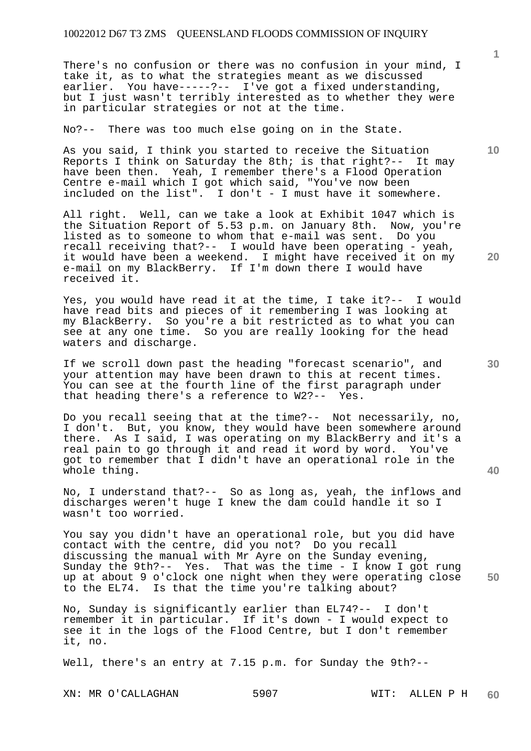There's no confusion or there was no confusion in your mind, I take it, as to what the strategies meant as we discussed earlier. You have-----?-- I've got a fixed understanding, but I just wasn't terribly interested as to whether they were in particular strategies or not at the time.

No?-- There was too much else going on in the State.

As you said, I think you started to receive the Situation Reports I think on Saturday the 8th; is that right?-- It may have been then. Yeah, I remember there's a Flood Operation Centre e-mail which I got which said, "You've now been included on the list". I don't - I must have it somewhere.

All right. Well, can we take a look at Exhibit 1047 which is the Situation Report of 5.53 p.m. on January 8th. Now, you're listed as to someone to whom that e-mail was sent. Do you recall receiving that?-- I would have been operating - yeah, it would have been a weekend. I might have received it on my e-mail on my BlackBerry. If I'm down there I would have received it.

Yes, you would have read it at the time, I take it?-- I would have read bits and pieces of it remembering I was looking at my BlackBerry. So you're a bit restricted as to what you can see at any one time. So you are really looking for the head waters and discharge.

If we scroll down past the heading "forecast scenario", and your attention may have been drawn to this at recent times. You can see at the fourth line of the first paragraph under that heading there's a reference to W2?-- Yes.

Do you recall seeing that at the time?-- Not necessarily, no, I don't. But, you know, they would have been somewhere around there. As I said, I was operating on my BlackBerry and it's a real pain to go through it and read it word by word. You've got to remember that I didn't have an operational role in the whole thing.

No, I understand that?-- So as long as, yeah, the inflows and discharges weren't huge I knew the dam could handle it so I wasn't too worried.

You say you didn't have an operational role, but you did have contact with the centre, did you not? Do you recall discussing the manual with Mr Ayre on the Sunday evening, Sunday the 9th?-- Yes. That was the time - I know I got rung up at about 9 o'clock one night when they were operating close to the EL74. Is that the time you're talking about?

No, Sunday is significantly earlier than EL74?-- I don't remember it in particular. If it's down - I would expect to see it in the logs of the Flood Centre, but I don't remember it, no.

Well, there's an entry at 7.15 p.m. for Sunday the 9th?--

XN: MR O'CALLAGHAN 5907 WIT: ALLEN P H

**1**

**20** 

**30** 

**40** 

**50**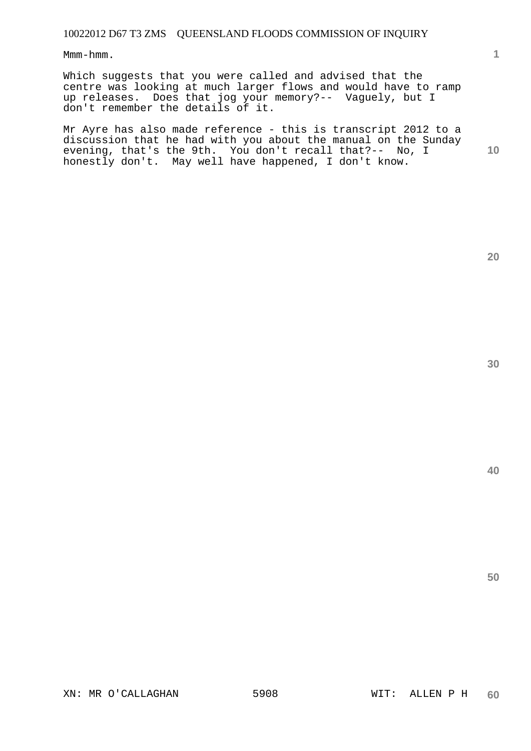Mmm-hmm.

Which suggests that you were called and advised that the centre was looking at much larger flows and would have to ramp up releases. Does that jog your memory?-- Vaguely, but I don't remember the details of it.

**10**  Mr Ayre has also made reference - this is transcript 2012 to a discussion that he had with you about the manual on the Sunday evening, that's the 9th. You don't recall that?-- No, I honestly don't. May well have happened, I don't know.

**30** 

**40** 

**20**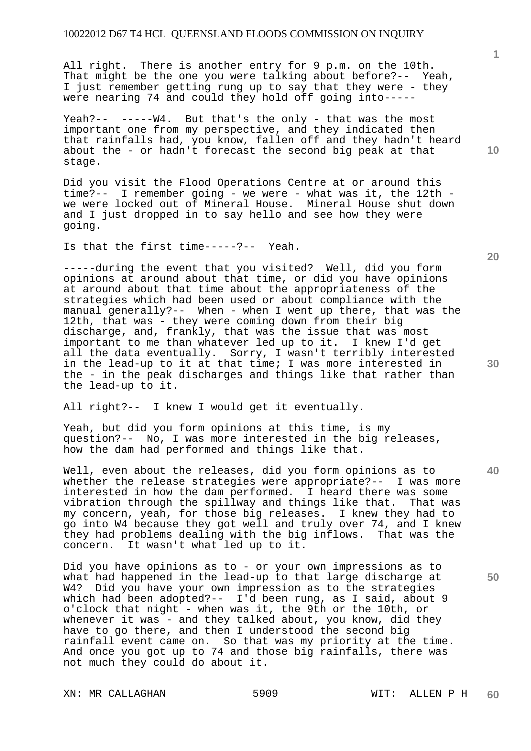All right. There is another entry for 9 p.m. on the 10th. That might be the one you were talking about before?-- Yeah, I just remember getting rung up to say that they were - they were nearing 74 and could they hold off going into-----

Yeah?-- -----W4. But that's the only - that was the most important one from my perspective, and they indicated then that rainfalls had, you know, fallen off and they hadn't heard about the - or hadn't forecast the second big peak at that stage.

Did you visit the Flood Operations Centre at or around this time?-- I remember going - we were - what was it, the 12th we were locked out of Mineral House. Mineral House shut down and I just dropped in to say hello and see how they were going.

Is that the first time-----?-- Yeah.

-----during the event that you visited? Well, did you form opinions at around about that time, or did you have opinions at around about that time about the appropriateness of the strategies which had been used or about compliance with the manual generally?-- When - when I went up there, that was the 12th, that was - they were coming down from their big discharge, and, frankly, that was the issue that was most important to me than whatever led up to it. I knew I'd get all the data eventually. Sorry, I wasn't terribly interested in the lead-up to it at that time; I was more interested in the - in the peak discharges and things like that rather than the lead-up to it.

All right?-- I knew I would get it eventually.

Yeah, but did you form opinions at this time, is my question?-- No, I was more interested in the big releases, how the dam had performed and things like that.

Well, even about the releases, did you form opinions as to whether the release strategies were appropriate?-- I was more interested in how the dam performed. I heard there was some vibration through the spillway and things like that. That was my concern, yeah, for those big releases. I knew they had to go into W4 because they got well and truly over 74, and I knew they had problems dealing with the big inflows. That was the concern. It wasn't what led up to it.

Did you have opinions as to - or your own impressions as to what had happened in the lead-up to that large discharge at W4? Did you have your own impression as to the strategies which had been adopted?-- I'd been rung, as I said, about 9 o'clock that night - when was it, the 9th or the 10th, or whenever it was - and they talked about, you know, did they have to go there, and then I understood the second big rainfall event came on. So that was my priority at the time. And once you got up to 74 and those big rainfalls, there was not much they could do about it.

XN: MR CALLAGHAN 5909 WIT: ALLEN P H

**1**

**20** 

**40**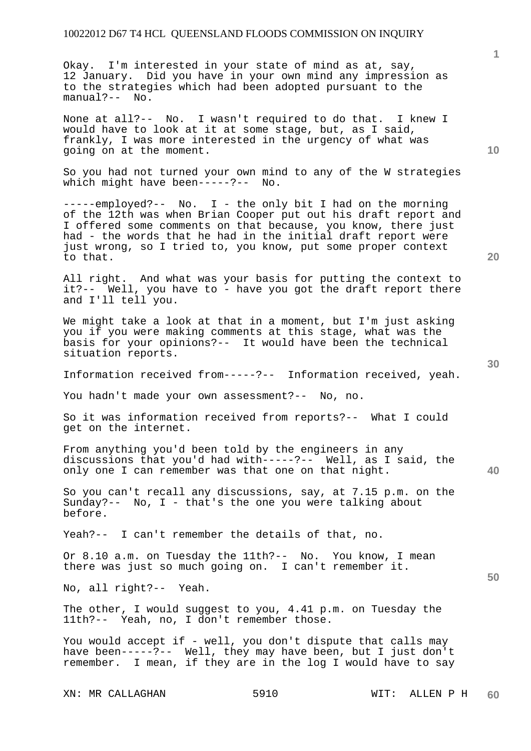Okay. I'm interested in your state of mind as at, say, 12 January. Did you have in your own mind any impression as to the strategies which had been adopted pursuant to the manual?-- No.

None at all?-- No. I wasn't required to do that. I knew I would have to look at it at some stage, but, as I said, frankly, I was more interested in the urgency of what was going on at the moment.

So you had not turned your own mind to any of the W strategies which might have been-----?-- No.

-----employed?-- No. I - the only bit I had on the morning of the 12th was when Brian Cooper put out his draft report and I offered some comments on that because, you know, there just had - the words that he had in the initial draft report were just wrong, so I tried to, you know, put some proper context to that.

All right. And what was your basis for putting the context to it?-- Well, you have to - have you got the draft report there and I'll tell you.

We might take a look at that in a moment, but I'm just asking you if you were making comments at this stage, what was the basis for your opinions?-- It would have been the technical situation reports.

Information received from-----?-- Information received, yeah.

You hadn't made your own assessment?-- No, no.

So it was information received from reports?-- What I could get on the internet.

From anything you'd been told by the engineers in any discussions that you'd had with-----?-- Well, as I said, the only one I can remember was that one on that night.

So you can't recall any discussions, say, at 7.15 p.m. on the Sunday?-- No, I - that's the one you were talking about before.

Yeah?-- I can't remember the details of that, no.

Or 8.10 a.m. on Tuesday the 11th?-- No. You know, I mean there was just so much going on. I can't remember it.

No, all right?-- Yeah.

The other, I would suggest to you, 4.41 p.m. on Tuesday the 11th?-- Yeah, no, I don't remember those.

You would accept if - well, you don't dispute that calls may have been-----?-- Well, they may have been, but I just don't remember. I mean, if they are in the log I would have to say

XN: MR CALLAGHAN 5910 WIT: ALLEN P H

**10** 

**20** 

**1**

**30** 

**50**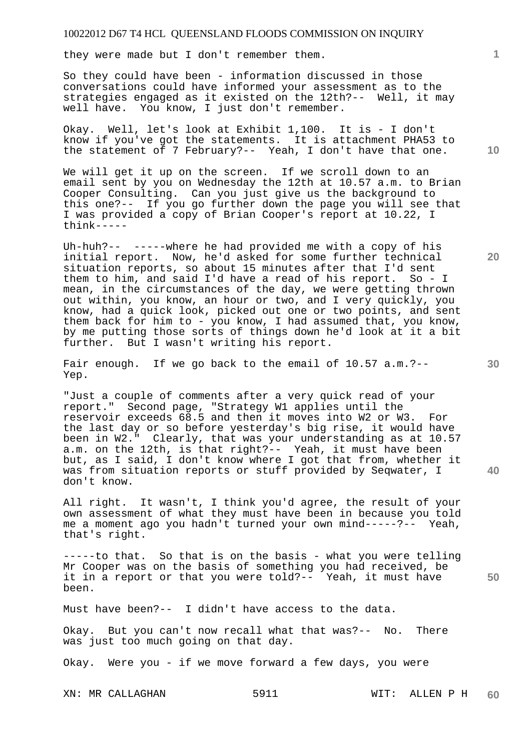they were made but I don't remember them.

So they could have been - information discussed in those conversations could have informed your assessment as to the strategies engaged as it existed on the 12th?-- Well, it may well have. You know, I just don't remember.

Okay. Well, let's look at Exhibit 1,100. It is - I don't know if you've got the statements. It is attachment PHA53 to the statement of 7 February?-- Yeah, I don't have that one.

We will get it up on the screen. If we scroll down to an email sent by you on Wednesday the 12th at 10.57 a.m. to Brian Cooper Consulting. Can you just give us the background to this one?-- If you go further down the page you will see that I was provided a copy of Brian Cooper's report at 10.22, I think-----

Uh-huh?-- -----where he had provided me with a copy of his initial report. Now, he'd asked for some further technical situation reports, so about 15 minutes after that I'd sent them to him, and said I'd have a read of his report. So - I mean, in the circumstances of the day, we were getting thrown out within, you know, an hour or two, and I very quickly, you know, had a quick look, picked out one or two points, and sent them back for him to - you know, I had assumed that, you know, by me putting those sorts of things down he'd look at it a bit further. But I wasn't writing his report.

Fair enough. If we go back to the email of 10.57 a.m.?--Yep.

"Just a couple of comments after a very quick read of your report." Second page, "Strategy W1 applies until the reservoir exceeds 68.5 and then it moves into W2 or W3. For the last day or so before yesterday's big rise, it would have been in W2." Clearly, that was your understanding as at 10.57 a.m. on the 12th, is that right?-- Yeah, it must have been but, as I said, I don't know where I got that from, whether it was from situation reports or stuff provided by Seqwater, I don't know.

All right. It wasn't, I think you'd agree, the result of your own assessment of what they must have been in because you told me a moment ago you hadn't turned your own mind-----?-- Yeah, that's right.

-----to that. So that is on the basis - what you were telling Mr Cooper was on the basis of something you had received, be it in a report or that you were told?-- Yeah, it must have been.

Must have been?-- I didn't have access to the data.

Okay. But you can't now recall what that was?-- No. There was just too much going on that day.

Okay. Were you - if we move forward a few days, you were

XN: MR CALLAGHAN 5911 WIT: ALLEN P H **60** 

**10** 

**1**

**20** 

**40**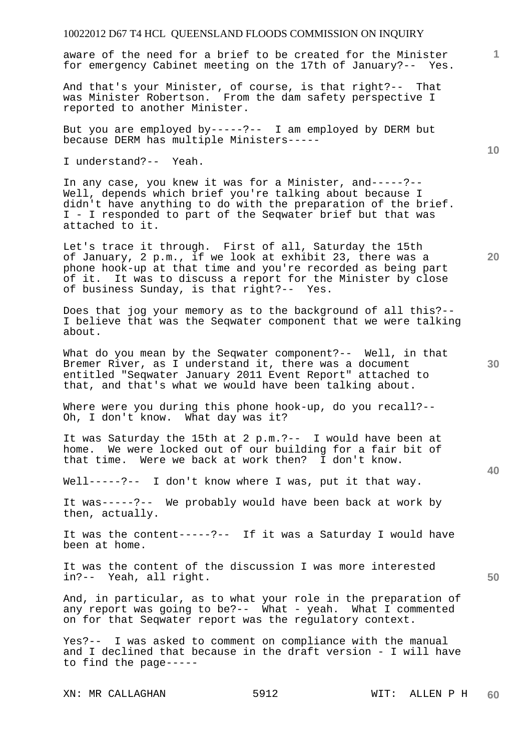aware of the need for a brief to be created for the Minister for emergency Cabinet meeting on the 17th of January?-- Yes.

And that's your Minister, of course, is that right?-- That was Minister Robertson. From the dam safety perspective I reported to another Minister.

But you are employed by-----?-- I am employed by DERM but because DERM has multiple Ministers-----

I understand?-- Yeah.

In any case, you knew it was for a Minister, and-----?-- Well, depends which brief you're talking about because I didn't have anything to do with the preparation of the brief. I - I responded to part of the Seqwater brief but that was attached to it.

Let's trace it through. First of all, Saturday the 15th of January, 2 p.m., if we look at exhibit 23, there was a phone hook-up at that time and you're recorded as being part of it. It was to discuss a report for the Minister by close of business Sunday, is that right?-- Yes.

Does that jog your memory as to the background of all this?-- I believe that was the Seqwater component that we were talking about.

What do you mean by the Seqwater component?-- Well, in that Bremer River, as I understand it, there was a document entitled "Seqwater January 2011 Event Report" attached to that, and that's what we would have been talking about.

Where were you during this phone hook-up, do you recall?-- Oh, I don't know. What day was it?

It was Saturday the 15th at 2 p.m.?-- I would have been at home. We were locked out of our building for a fair bit of that time. Were we back at work then? I don't know.

Well-----?-- I don't know where I was, put it that way.

It was-----?-- We probably would have been back at work by then, actually.

It was the content-----?-- If it was a Saturday I would have been at home.

It was the content of the discussion I was more interested in?-- Yeah, all right.

And, in particular, as to what your role in the preparation of any report was going to be?-- What - yeah. What I commented on for that Seqwater report was the regulatory context.

Yes?-- I was asked to comment on compliance with the manual and I declined that because in the draft version - I will have to find the page-----

XN: MR CALLAGHAN 5912 WIT: ALLEN P H

**60** 

**30** 

**20** 

**40** 

**50** 

**10**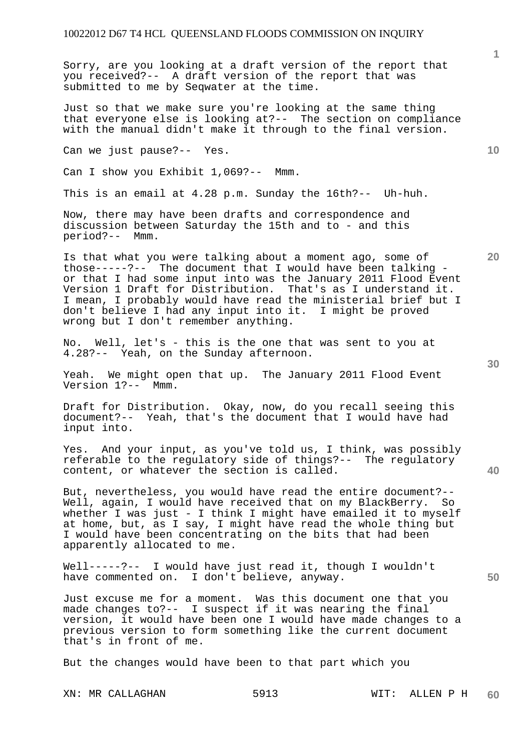Sorry, are you looking at a draft version of the report that you received?-- A draft version of the report that was submitted to me by Seqwater at the time.

Just so that we make sure you're looking at the same thing that everyone else is looking at?-- The section on compliance with the manual didn't make it through to the final version.

Can we just pause?-- Yes.

Can I show you Exhibit 1,069?-- Mmm.

This is an email at 4.28 p.m. Sunday the 16th?-- Uh-huh.

Now, there may have been drafts and correspondence and discussion between Saturday the 15th and to - and this period?-- Mmm.

Is that what you were talking about a moment ago, some of those-----?-- The document that I would have been talking or that I had some input into was the January 2011 Flood Event Version 1 Draft for Distribution. That's as I understand it. I mean, I probably would have read the ministerial brief but I don't believe I had any input into it. I might be proved wrong but I don't remember anything.

No. Well, let's - this is the one that was sent to you at 4.28?-- Yeah, on the Sunday afternoon.

Yeah. We might open that up. The January 2011 Flood Event Version 1?-- Mmm.

Draft for Distribution. Okay, now, do you recall seeing this document?-- Yeah, that's the document that I would have had input into.

Yes. And your input, as you've told us, I think, was possibly referable to the regulatory side of things?-- The regulatory content, or whatever the section is called.

But, nevertheless, you would have read the entire document?-- Well, again, I would have received that on my BlackBerry. So whether I was just - I think I might have emailed it to myself at home, but, as I say, I might have read the whole thing but I would have been concentrating on the bits that had been apparently allocated to me.

Well-----?-- I would have just read it, though I wouldn't have commented on. I don't believe, anyway.

Just excuse me for a moment. Was this document one that you made changes to?-- I suspect if it was nearing the final version, it would have been one I would have made changes to a previous version to form something like the current document that's in front of me.

But the changes would have been to that part which you

XN: MR CALLAGHAN 5913 WIT: ALLEN P H

**40** 

**50** 

**10**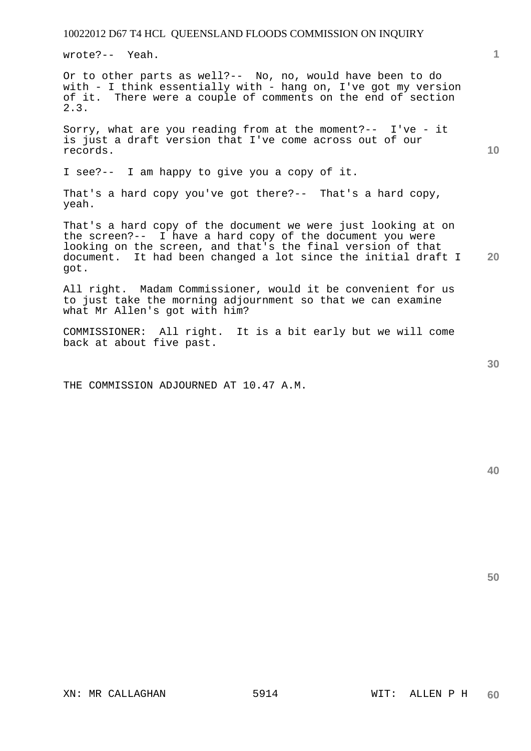wrote?-- Yeah.

Or to other parts as well?-- No, no, would have been to do with - I think essentially with - hang on, I've got my version of it. There were a couple of comments on the end of section 2.3.

Sorry, what are you reading from at the moment?-- I've - it is just a draft version that I've come across out of our records.

I see?-- I am happy to give you a copy of it.

That's a hard copy you've got there?-- That's a hard copy, yeah.

**20**  That's a hard copy of the document we were just looking at on the screen?-- I have a hard copy of the document you were looking on the screen, and that's the final version of that document. It had been changed a lot since the initial draft I got.

All right. Madam Commissioner, would it be convenient for us to just take the morning adjournment so that we can examine what Mr Allen's got with him?

COMMISSIONER: All right. It is a bit early but we will come back at about five past.

THE COMMISSION ADJOURNED AT 10.47 A.M.

**30** 

**50** 

**1**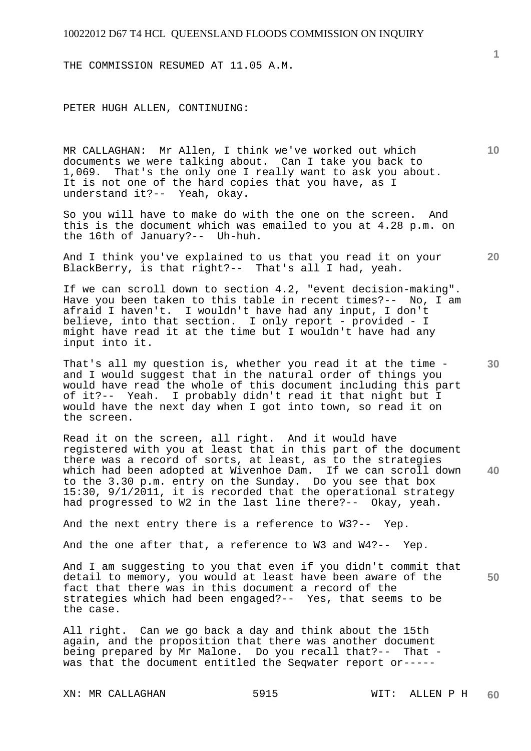THE COMMISSION RESUMED AT 11.05 A.M.

PETER HUGH ALLEN, CONTINUING:

MR CALLAGHAN: Mr Allen, I think we've worked out which documents we were talking about. Can I take you back to 1,069. That's the only one I really want to ask you about. It is not one of the hard copies that you have, as I understand it?-- Yeah, okay.

So you will have to make do with the one on the screen. And this is the document which was emailed to you at 4.28 p.m. on the 16th of January?-- Uh-huh.

And I think you've explained to us that you read it on your BlackBerry, is that right?-- That's all I had, yeah.

If we can scroll down to section 4.2, "event decision-making". Have you been taken to this table in recent times?-- No, I am afraid I haven't. I wouldn't have had any input, I don't believe, into that section. I only report - provided - I might have read it at the time but I wouldn't have had any input into it.

That's all my question is, whether you read it at the time and I would suggest that in the natural order of things you would have read the whole of this document including this part of it?-- Yeah. I probably didn't read it that night but I would have the next day when I got into town, so read it on the screen.

**40**  Read it on the screen, all right. And it would have registered with you at least that in this part of the document there was a record of sorts, at least, as to the strategies which had been adopted at Wivenhoe Dam. If we can scroll down to the 3.30 p.m. entry on the Sunday. Do you see that box 15:30, 9/1/2011, it is recorded that the operational strategy had progressed to W2 in the last line there?-- Okay, yeah.

And the next entry there is a reference to W3?-- Yep.

And the one after that, a reference to W3 and W4?-- Yep.

**50**  And I am suggesting to you that even if you didn't commit that detail to memory, you would at least have been aware of the fact that there was in this document a record of the strategies which had been engaged?-- Yes, that seems to be the case.

All right. Can we go back a day and think about the 15th again, and the proposition that there was another document being prepared by Mr Malone. Do you recall that?-- That was that the document entitled the Seqwater report or-----

XN: MR CALLAGHAN 5915 WIT: ALLEN P H

**1**

**10** 

**30**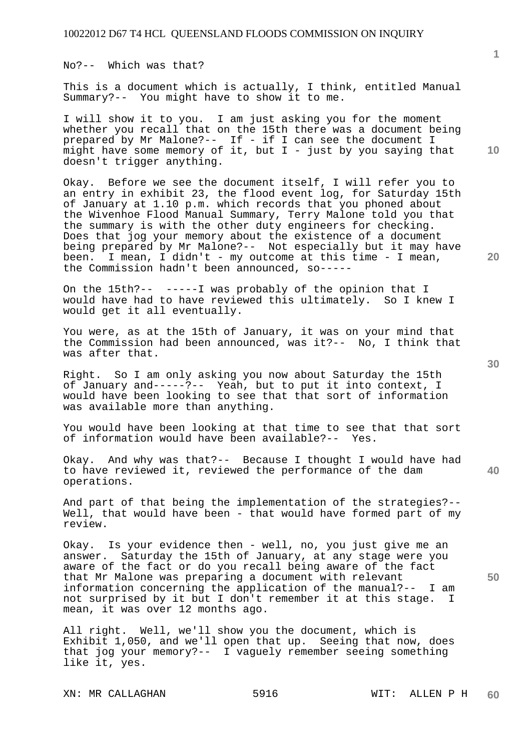No?-- Which was that?

This is a document which is actually, I think, entitled Manual Summary?-- You might have to show it to me.

I will show it to you. I am just asking you for the moment whether you recall that on the 15th there was a document being prepared by Mr Malone?-- If - if I can see the document I might have some memory of it, but  $I$  - just by you saying that doesn't trigger anything.

Okay. Before we see the document itself, I will refer you to an entry in exhibit 23, the flood event log, for Saturday 15th of January at 1.10 p.m. which records that you phoned about the Wivenhoe Flood Manual Summary, Terry Malone told you that the summary is with the other duty engineers for checking. Does that jog your memory about the existence of a document being prepared by Mr Malone?-- Not especially but it may have been. I mean, I didn't - my outcome at this time - I mean, the Commission hadn't been announced, so-----

On the 15th?-- -----I was probably of the opinion that I would have had to have reviewed this ultimately. So I knew I would get it all eventually.

You were, as at the 15th of January, it was on your mind that the Commission had been announced, was it?-- No, I think that was after that.

Right. So I am only asking you now about Saturday the 15th of January and-----?-- Yeah, but to put it into context, I would have been looking to see that that sort of information was available more than anything.

You would have been looking at that time to see that that sort<br>of information would have been available?-- Yes. of information would have been available?--

Okay. And why was that?-- Because I thought I would have had to have reviewed it, reviewed the performance of the dam operations.

And part of that being the implementation of the strategies?-- Well, that would have been - that would have formed part of my review.

Okay. Is your evidence then - well, no, you just give me an answer. Saturday the 15th of January, at any stage were you aware of the fact or do you recall being aware of the fact that Mr Malone was preparing a document with relevant information concerning the application of the manual?-- I am not surprised by it but I don't remember it at this stage. I mean, it was over 12 months ago.

All right. Well, we'll show you the document, which is Exhibit 1,050, and we'll open that up. Seeing that now, does that jog your memory?-- I vaguely remember seeing something like it, yes.

XN: MR CALLAGHAN 5916 WIT: ALLEN P H

**40** 

**50** 

**20** 

**10**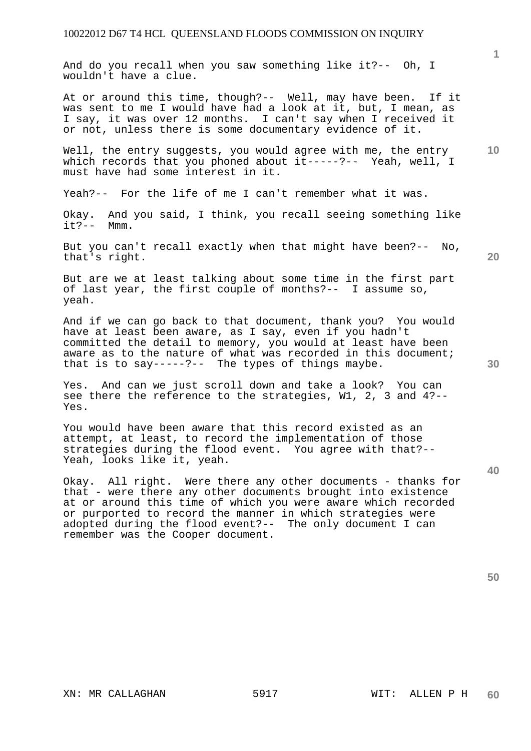And do you recall when you saw something like it?-- Oh, I wouldn't have a clue.

At or around this time, though?-- Well, may have been. If it was sent to me I would have had a look at it, but, I mean, as I say, it was over 12 months. I can't say when I received it or not, unless there is some documentary evidence of it.

**10**  Well, the entry suggests, you would agree with me, the entry which records that you phoned about it-----?-- Yeah, well, I must have had some interest in it.

Yeah?-- For the life of me I can't remember what it was.

Okay. And you said, I think, you recall seeing something like it?-- Mmm.

But you can't recall exactly when that might have been?-- No, that's right.

But are we at least talking about some time in the first part of last year, the first couple of months?-- I assume so, yeah.

And if we can go back to that document, thank you? You would have at least been aware, as I say, even if you hadn't committed the detail to memory, you would at least have been aware as to the nature of what was recorded in this document; that is to say-----?-- The types of things maybe.

Yes. And can we just scroll down and take a look? You can see there the reference to the strategies, W1, 2, 3 and 4?-- Yes.

You would have been aware that this record existed as an attempt, at least, to record the implementation of those strategies during the flood event. You agree with that?-- Yeah, looks like it, yeah.

Okay. All right. Were there any other documents - thanks for that - were there any other documents brought into existence at or around this time of which you were aware which recorded or purported to record the manner in which strategies were adopted during the flood event?-- The only document I can remember was the Cooper document.

**50** 

**20** 

**30** 

**40**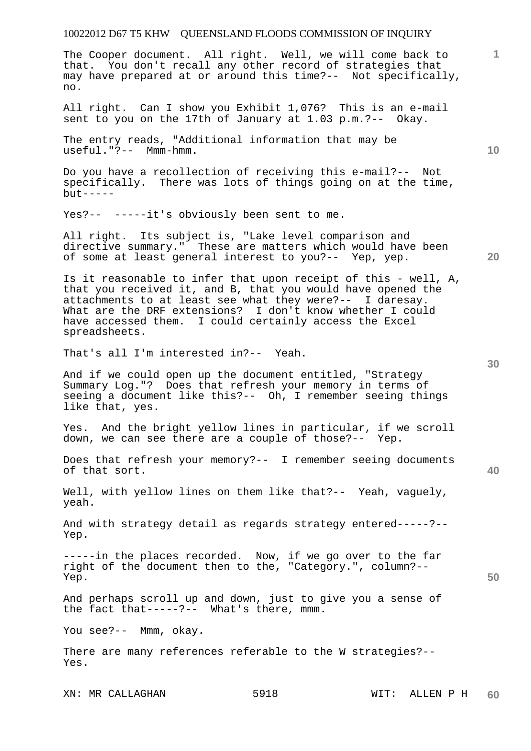The Cooper document. All right. Well, we will come back to that. You don't recall any other record of strategies that may have prepared at or around this time?-- Not specifically, no.

All right. Can I show you Exhibit 1,076? This is an e-mail sent to you on the 17th of January at 1.03 p.m.?-- Okay.

The entry reads, "Additional information that may be useful."?-- Mmm-hmm.

Do you have a recollection of receiving this e-mail?-- Not specifically. There was lots of things going on at the time,  $b$ ut -----

Yes?-- -----it's obviously been sent to me.

All right. Its subject is, "Lake level comparison and directive summary." These are matters which would have been of some at least general interest to you?-- Yep, yep.

Is it reasonable to infer that upon receipt of this - well, A, that you received it, and B, that you would have opened the attachments to at least see what they were?-- I daresay. What are the DRF extensions? I don't know whether I could have accessed them. I could certainly access the Excel spreadsheets.

That's all I'm interested in?-- Yeah.

And if we could open up the document entitled, "Strategy Summary Log."? Does that refresh your memory in terms of seeing a document like this?-- Oh, I remember seeing things like that, yes.

Yes. And the bright yellow lines in particular, if we scroll down, we can see there are a couple of those?-- Yep.

Does that refresh your memory?-- I remember seeing documents of that sort.

Well, with yellow lines on them like that?-- Yeah, vaguely, yeah.

And with strategy detail as regards strategy entered-----?-- Yep.

-----in the places recorded. Now, if we go over to the far right of the document then to the, "Category.", column?-- Yep.

And perhaps scroll up and down, just to give you a sense of the fact that-----?-- What's there, mmm.

You see?-- Mmm, okay.

There are many references referable to the W strategies?-- Yes.

XN: MR CALLAGHAN 5918 WIT: ALLEN P H

**60** 

**30** 

**40** 

**1**

**10**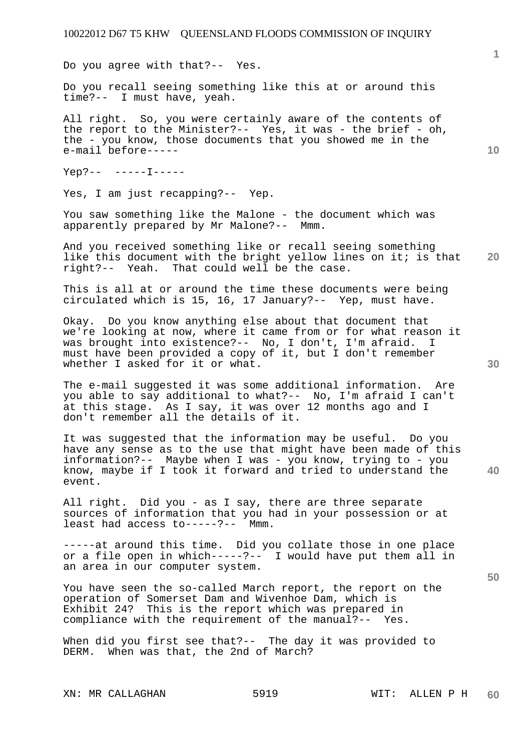Do you agree with that?-- Yes.

Do you recall seeing something like this at or around this time?-- I must have, yeah.

All right. So, you were certainly aware of the contents of the report to the Minister?-- Yes, it was - the brief - oh, the - you know, those documents that you showed me in the e-mail before-----

Yep?-- -----I-----

Yes, I am just recapping?-- Yep.

You saw something like the Malone - the document which was apparently prepared by Mr Malone?-- Mmm.

**20**  And you received something like or recall seeing something like this document with the bright yellow lines on it; is that right?-- Yeah. That could well be the case.

This is all at or around the time these documents were being circulated which is 15, 16, 17 January?-- Yep, must have.

Okay. Do you know anything else about that document that we're looking at now, where it came from or for what reason it was brought into existence?-- No, I don't, I'm afraid. I must have been provided a copy of it, but I don't remember whether I asked for it or what.

The e-mail suggested it was some additional information. Are you able to say additional to what?-- No, I'm afraid I can't at this stage. As I say, it was over 12 months ago and I don't remember all the details of it.

It was suggested that the information may be useful. Do you have any sense as to the use that might have been made of this information?-- Maybe when I was - you know, trying to - you know, maybe if I took it forward and tried to understand the event.

All right. Did you - as I say, there are three separate sources of information that you had in your possession or at least had access to-----?-- Mmm.

-----at around this time. Did you collate those in one place or a file open in which-----?-- I would have put them all in an area in our computer system.

You have seen the so-called March report, the report on the operation of Somerset Dam and Wivenhoe Dam, which is Exhibit 24? This is the report which was prepared in compliance with the requirement of the manual?-- Yes.

When did you first see that?-- The day it was provided to DERM. When was that, the 2nd of March?

XN: MR CALLAGHAN 5919 WIT: ALLEN P H

**10** 

**1**

**30** 

**40**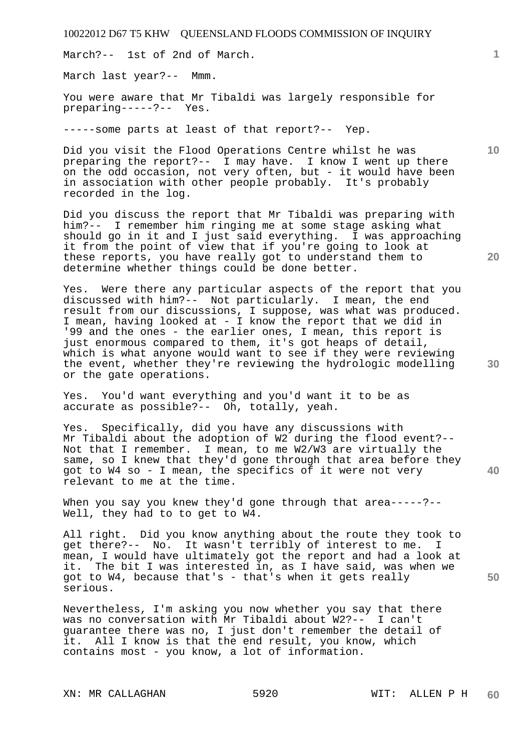March?-- 1st of 2nd of March.

March last year?-- Mmm.

You were aware that Mr Tibaldi was largely responsible for preparing-----?-- Yes.

-----some parts at least of that report?-- Yep.

Did you visit the Flood Operations Centre whilst he was preparing the report?-- I may have. I know I went up there on the odd occasion, not very often, but - it would have been in association with other people probably. It's probably recorded in the log.

Did you discuss the report that Mr Tibaldi was preparing with him?-- I remember him ringing me at some stage asking what should go in it and I just said everything. I was approaching it from the point of view that if you're going to look at these reports, you have really got to understand them to determine whether things could be done better.

Yes. Were there any particular aspects of the report that you discussed with him?-- Not particularly. I mean, the end result from our discussions, I suppose, was what was produced. I mean, having looked at - I know the report that we did in '99 and the ones - the earlier ones, I mean, this report is just enormous compared to them, it's got heaps of detail, which is what anyone would want to see if they were reviewing the event, whether they're reviewing the hydrologic modelling or the gate operations.

Yes. You'd want everything and you'd want it to be as accurate as possible?-- Oh, totally, yeah.

Yes. Specifically, did you have any discussions with Mr Tibaldi about the adoption of W2 during the flood event?-- Not that I remember. I mean, to me W2/W3 are virtually the same, so I knew that they'd gone through that area before they got to W4 so - I mean, the specifics of it were not very relevant to me at the time.

When you say you knew they'd gone through that area-----?--Well, they had to to get to W4.

All right. Did you know anything about the route they took to get there?-- No. It wasn't terribly of interest to me. I mean, I would have ultimately got the report and had a look at it. The bit I was interested in, as I have said, was when we got to W4, because that's - that's when it gets really serious.

Nevertheless, I'm asking you now whether you say that there was no conversation with Mr Tibaldi about W2?-- I can't guarantee there was no, I just don't remember the detail of it. All I know is that the end result, you know, which contains most - you know, a lot of information.

XN: MR CALLAGHAN 5920 WIT: ALLEN P H

**10** 

**1**

**20** 

**40**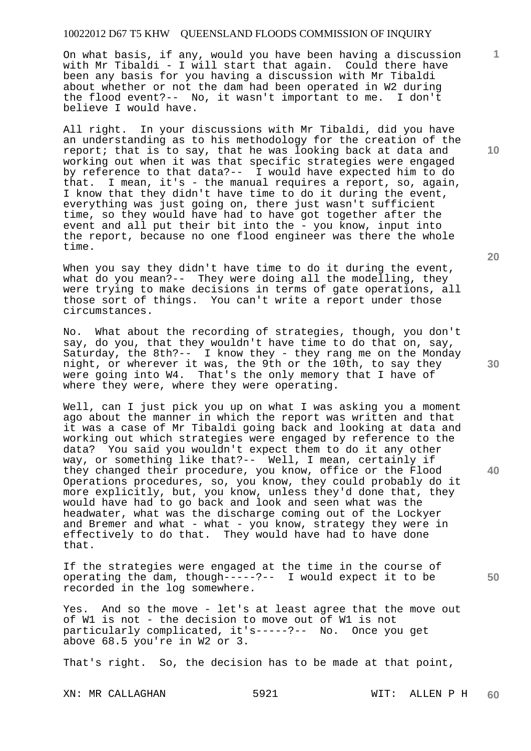On what basis, if any, would you have been having a discussion with Mr Tibaldi - I will start that again. Could there have been any basis for you having a discussion with Mr Tibaldi about whether or not the dam had been operated in W2 during the flood event?-- No, it wasn't important to me. I don't believe I would have.

All right. In your discussions with Mr Tibaldi, did you have an understanding as to his methodology for the creation of the report; that is to say, that he was looking back at data and working out when it was that specific strategies were engaged by reference to that data?-- I would have expected him to do that. I mean, it's - the manual requires a report, so, again, I know that they didn't have time to do it during the event, everything was just going on, there just wasn't sufficient time, so they would have had to have got together after the event and all put their bit into the - you know, input into the report, because no one flood engineer was there the whole time.

When you say they didn't have time to do it during the event, what do you mean?-- They were doing all the modelling, they were trying to make decisions in terms of gate operations, all those sort of things. You can't write a report under those circumstances.

No. What about the recording of strategies, though, you don't say, do you, that they wouldn't have time to do that on, say, Saturday, the 8th?-- I know they - they rang me on the Monday night, or wherever it was, the 9th or the 10th, to say they were going into W4. That's the only memory that I have of where they were, where they were operating.

Well, can I just pick you up on what I was asking you a moment ago about the manner in which the report was written and that it was a case of Mr Tibaldi going back and looking at data and working out which strategies were engaged by reference to the data? You said you wouldn't expect them to do it any other way, or something like that?-- Well, I mean, certainly if they changed their procedure, you know, office or the Flood Operations procedures, so, you know, they could probably do it more explicitly, but, you know, unless they'd done that, they would have had to go back and look and seen what was the headwater, what was the discharge coming out of the Lockyer and Bremer and what - what - you know, strategy they were in effectively to do that. They would have had to have done that.

If the strategies were engaged at the time in the course of operating the dam, though-----?-- I would expect it to be recorded in the log somewhere.

Yes. And so the move - let's at least agree that the move out of W1 is not - the decision to move out of W1 is not particularly complicated, it's-----?-- No. Once you get above 68.5 you're in W2 or 3.

That's right. So, the decision has to be made at that point,

XN: MR CALLAGHAN 5921 WIT: ALLEN P H

**10** 

**1**

**20** 

**30** 

**40**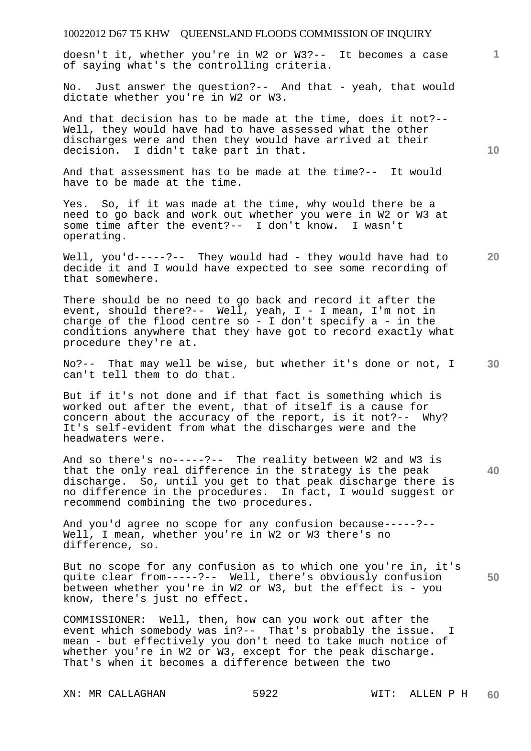doesn't it, whether you're in W2 or W3?-- It becomes a case of saying what's the controlling criteria.

No. Just answer the question?-- And that - yeah, that would dictate whether you're in W2 or W3.

And that decision has to be made at the time, does it not?-- Well, they would have had to have assessed what the other discharges were and then they would have arrived at their decision. I didn't take part in that.

And that assessment has to be made at the time?-- It would have to be made at the time.

Yes. So, if it was made at the time, why would there be a need to go back and work out whether you were in W2 or W3 at some time after the event?-- I don't know. I wasn't operating.

Well, you'd-----?-- They would had - they would have had to decide it and I would have expected to see some recording of that somewhere.

There should be no need to go back and record it after the event, should there?-- Well, yeah, I - I mean, I'm not in charge of the flood centre so - I don't specify  $a - in$  the conditions anywhere that they have got to record exactly what procedure they're at.

**30**  No?-- That may well be wise, but whether it's done or not, I can't tell them to do that.

But if it's not done and if that fact is something which is worked out after the event, that of itself is a cause for concern about the accuracy of the report, is it not?-- Why? It's self-evident from what the discharges were and the headwaters were.

And so there's no-----?-- The reality between W2 and W3 is that the only real difference in the strategy is the peak discharge. So, until you get to that peak discharge there is no difference in the procedures. In fact, I would suggest or recommend combining the two procedures.

And you'd agree no scope for any confusion because-----?-- Well, I mean, whether you're in W2 or W3 there's no difference, so.

But no scope for any confusion as to which one you're in, it's quite clear from-----?-- Well, there's obviously confusion between whether you're in W2 or W3, but the effect is - you know, there's just no effect.

COMMISSIONER: Well, then, how can you work out after the event which somebody was in?-- That's probably the issue. I mean - but effectively you don't need to take much notice of whether you're in W2 or W3, except for the peak discharge. That's when it becomes a difference between the two

XN: MR CALLAGHAN 5922 WIT: ALLEN P H

**10** 

**20** 

**1**

**40**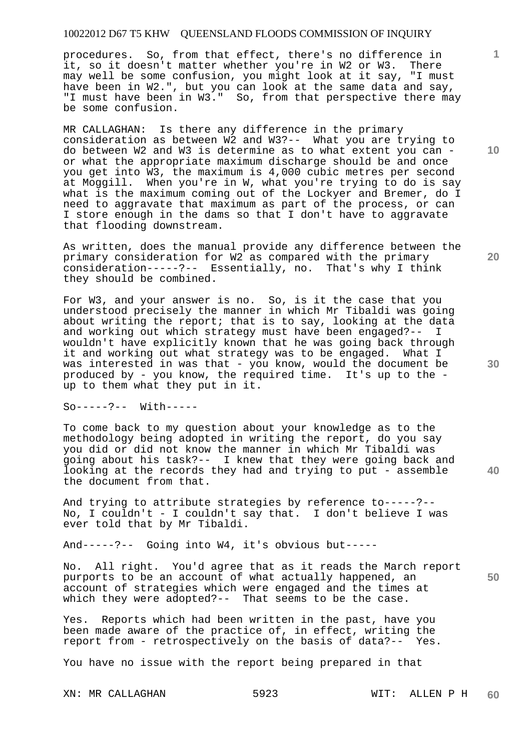procedures. So, from that effect, there's no difference in it, so it doesn't matter whether you're in W2 or W3. There may well be some confusion, you might look at it say, "I must have been in W2.", but you can look at the same data and say, "I must have been in W3." So, from that perspective there may be some confusion.

MR CALLAGHAN: Is there any difference in the primary consideration as between W2 and W3?-- What you are trying to do between W2 and W3 is determine as to what extent you can or what the appropriate maximum discharge should be and once you get into W3, the maximum is 4,000 cubic metres per second at Moggill. When you're in W, what you're trying to do is say what is the maximum coming out of the Lockyer and Bremer, do I need to aggravate that maximum as part of the process, or can I store enough in the dams so that I don't have to aggravate that flooding downstream.

As written, does the manual provide any difference between the primary consideration for W2 as compared with the primary consideration-----?-- Essentially, no. That's why I think they should be combined.

For W3, and your answer is no. So, is it the case that you understood precisely the manner in which Mr Tibaldi was going about writing the report; that is to say, looking at the data and working out which strategy must have been engaged?-- I wouldn't have explicitly known that he was going back through it and working out what strategy was to be engaged. What I was interested in was that - you know, would the document be produced by - you know, the required time. It's up to the up to them what they put in it.

So-----?-- With-----

To come back to my question about your knowledge as to the methodology being adopted in writing the report, do you say you did or did not know the manner in which Mr Tibaldi was going about his task?-- I knew that they were going back and looking at the records they had and trying to put - assemble the document from that.

And trying to attribute strategies by reference to-----?-- No, I couldn't - I couldn't say that. I don't believe I was ever told that by Mr Tibaldi.

And-----?-- Going into W4, it's obvious but-----

No. All right. You'd agree that as it reads the March report purports to be an account of what actually happened, an account of strategies which were engaged and the times at which they were adopted?-- That seems to be the case.

Yes. Reports which had been written in the past, have you been made aware of the practice of, in effect, writing the report from - retrospectively on the basis of data?-- Yes.

You have no issue with the report being prepared in that

**10** 

**1**

**20** 

**40**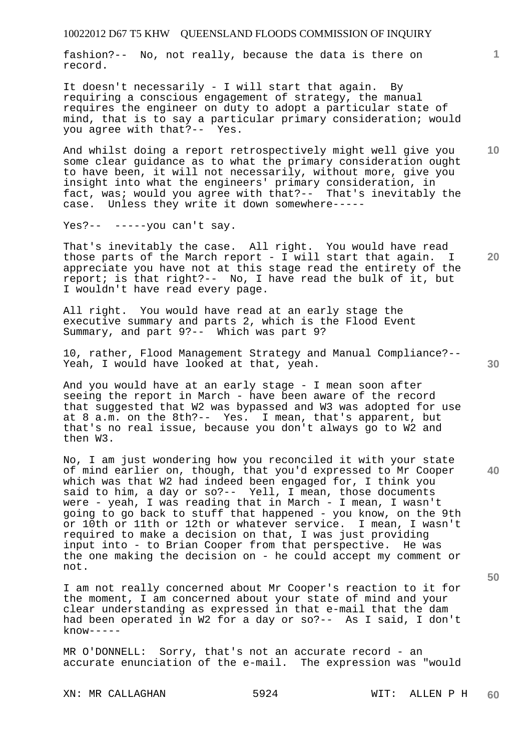fashion?-- No, not really, because the data is there on record.

It doesn't necessarily - I will start that again. By requiring a conscious engagement of strategy, the manual requires the engineer on duty to adopt a particular state of mind, that is to say a particular primary consideration; would you agree with that?-- Yes.

And whilst doing a report retrospectively might well give you some clear guidance as to what the primary consideration ought to have been, it will not necessarily, without more, give you insight into what the engineers' primary consideration, in fact, was; would you agree with that?-- That's inevitably the case. Unless they write it down somewhere-----

Yes?-- -----you can't say.

That's inevitably the case. All right. You would have read<br>those parts of the March report - I will start that again. I those parts of the March report - I will start that again. appreciate you have not at this stage read the entirety of the report; is that right?-- No, I have read the bulk of it, but I wouldn't have read every page.

All right. You would have read at an early stage the executive summary and parts 2, which is the Flood Event Summary, and part 9?-- Which was part 9?

10, rather, Flood Management Strategy and Manual Compliance?-- Yeah, I would have looked at that, yeah.

And you would have at an early stage - I mean soon after seeing the report in March - have been aware of the record that suggested that W2 was bypassed and W3 was adopted for use at 8 a.m. on the 8th?-- Yes. I mean, that's apparent, but that's no real issue, because you don't always go to W2 and then W3.

No, I am just wondering how you reconciled it with your state of mind earlier on, though, that you'd expressed to Mr Cooper which was that W2 had indeed been engaged for, I think you said to him, a day or so?-- Yell, I mean, those documents were - yeah, I was reading that in March - I mean, I wasn't going to go back to stuff that happened - you know, on the 9th or 10th or 11th or 12th or whatever service. I mean, I wasn't required to make a decision on that, I was just providing input into - to Brian Cooper from that perspective. He was the one making the decision on - he could accept my comment or not.

I am not really concerned about Mr Cooper's reaction to it for the moment, I am concerned about your state of mind and your clear understanding as expressed in that e-mail that the dam had been operated in W2 for a day or so?-- As I said, I don't  $know---$ 

MR O'DONNELL: Sorry, that's not an accurate record - an accurate enunciation of the e-mail. The expression was "would

XN: MR CALLAGHAN 5924 WIT: ALLEN P H

**1**

**20** 

**10** 

**30** 

**40**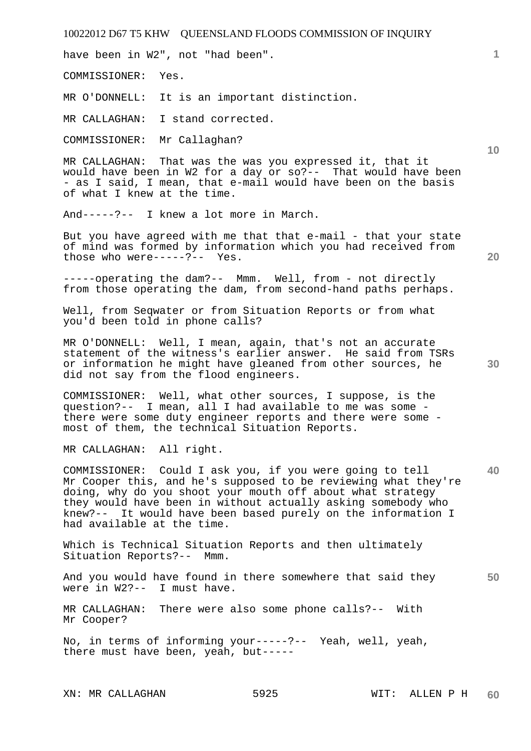have been in W2", not "had been".

COMMISSIONER: Yes.

MR O'DONNELL: It is an important distinction.

MR CALLAGHAN: I stand corrected.

COMMISSIONER: Mr Callaghan?

MR CALLAGHAN: That was the was you expressed it, that it would have been in W2 for a day or so?-- That would have been - as I said, I mean, that e-mail would have been on the basis of what I knew at the time.

And-----?-- I knew a lot more in March.

But you have agreed with me that that e-mail - that your state of mind was formed by information which you had received from those who were-----?-- Yes.

-----operating the dam?-- Mmm. Well, from - not directly from those operating the dam, from second-hand paths perhaps.

Well, from Seqwater or from Situation Reports or from what you'd been told in phone calls?

MR O'DONNELL: Well, I mean, again, that's not an accurate statement of the witness's earlier answer. He said from TSRs or information he might have gleaned from other sources, he did not say from the flood engineers.

COMMISSIONER: Well, what other sources, I suppose, is the question?-- I mean, all I had available to me was some there were some duty engineer reports and there were some most of them, the technical Situation Reports.

MR CALLAGHAN: All right.

**40**  COMMISSIONER: Could I ask you, if you were going to tell Mr Cooper this, and he's supposed to be reviewing what they're doing, why do you shoot your mouth off about what strategy they would have been in without actually asking somebody who knew?-- It would have been based purely on the information I had available at the time.

Which is Technical Situation Reports and then ultimately Situation Reports?-- Mmm.

**50**  And you would have found in there somewhere that said they were in W2?-- I must have.

MR CALLAGHAN: There were also some phone calls?-- With Mr Cooper?

No, in terms of informing your-----?-- Yeah, well, yeah, there must have been, yeah, but-----

XN: MR CALLAGHAN 5925 WIT: ALLEN P H

**20** 

**10** 

**1**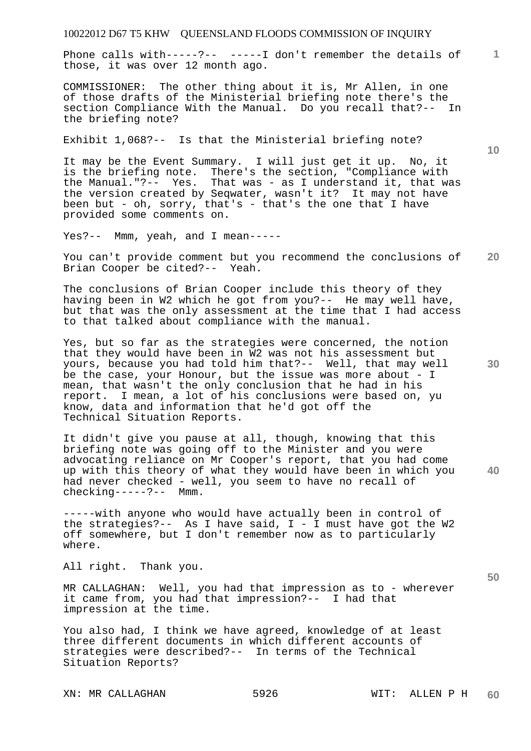Phone calls with-----?-- -----I don't remember the details of 1 those, it was over 12 month ago.

COMMISSIONER: The other thing about it is, Mr Allen, in one of those drafts of the Ministerial briefing note there's the section Compliance With the Manual. Do you recall that?-- In the briefing note?

Exhibit 1,068?-- Is that the Ministerial briefing note?

It may be the Event Summary. I will just get it up. No, it is the briefing note. There's the section, "Compliance with the Manual."?-- Yes. That was - as I understand it, that was the version created by Seqwater, wasn't it? It may not have been but - oh, sorry, that's - that's the one that I have provided some comments on.

Yes?-- Mmm, yeah, and I mean-----

**20**  You can't provide comment but you recommend the conclusions of Brian Cooper be cited?-- Yeah.

The conclusions of Brian Cooper include this theory of they having been in W2 which he got from you?-- He may well have, but that was the only assessment at the time that I had access to that talked about compliance with the manual.

Yes, but so far as the strategies were concerned, the notion that they would have been in W2 was not his assessment but yours, because you had told him that?-- Well, that may well be the case, your Honour, but the issue was more about - I mean, that wasn't the only conclusion that he had in his report. I mean, a lot of his conclusions were based on, yu know, data and information that he'd got off the Technical Situation Reports.

It didn't give you pause at all, though, knowing that this briefing note was going off to the Minister and you were advocating reliance on Mr Cooper's report, that you had come up with this theory of what they would have been in which you had never checked - well, you seem to have no recall of checking-----?-- Mmm.

-----with anyone who would have actually been in control of the strategies?-- As I have said,  $I - I$  must have got the W2 off somewhere, but I don't remember now as to particularly where.

All right. Thank you.

MR CALLAGHAN: Well, you had that impression as to - wherever it came from, you had that impression?-- I had that impression at the time.

You also had, I think we have agreed, knowledge of at least three different documents in which different accounts of strategies were described?-- In terms of the Technical Situation Reports?

**30** 

**40** 

**50**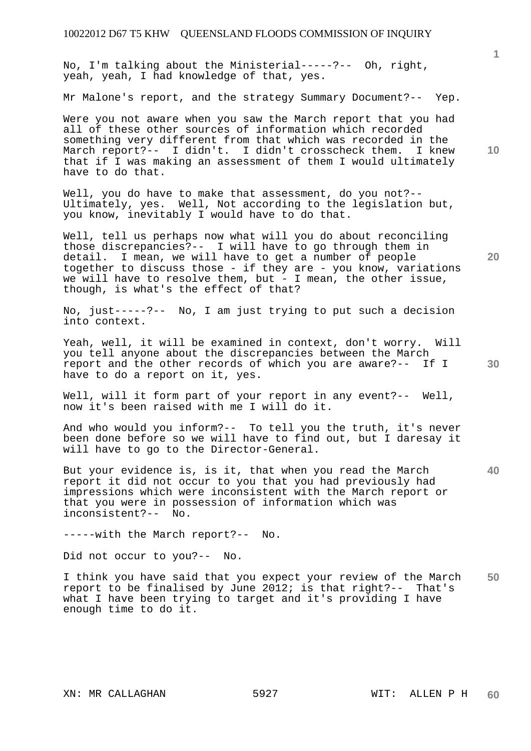No, I'm talking about the Ministerial-----?-- Oh, right, yeah, yeah, I had knowledge of that, yes.

Mr Malone's report, and the strategy Summary Document?-- Yep.

Were you not aware when you saw the March report that you had all of these other sources of information which recorded something very different from that which was recorded in the March report?-- I didn't. I didn't crosscheck them. I knew that if I was making an assessment of them I would ultimately have to do that.

Well, you do have to make that assessment, do you not?-- Ultimately, yes. Well, Not according to the legislation but, you know, inevitably I would have to do that.

Well, tell us perhaps now what will you do about reconciling those discrepancies?-- I will have to go through them in detail. I mean, we will have to get a number of people together to discuss those - if they are - you know, variations we will have to resolve them, but - I mean, the other issue, though, is what's the effect of that?

No, just-----?-- No, I am just trying to put such a decision into context.

Yeah, well, it will be examined in context, don't worry. Will you tell anyone about the discrepancies between the March report and the other records of which you are aware?-- If I have to do a report on it, yes.

Well, will it form part of your report in any event?-- Well, now it's been raised with me I will do it.

And who would you inform?-- To tell you the truth, it's never been done before so we will have to find out, but I daresay it will have to go to the Director-General.

But your evidence is, is it, that when you read the March report it did not occur to you that you had previously had impressions which were inconsistent with the March report or that you were in possession of information which was inconsistent?-- No.

-----with the March report?-- No.

Did not occur to you?-- No.

**50**  I think you have said that you expect your review of the March report to be finalised by June 2012; is that right?-- That's what I have been trying to target and it's providing I have enough time to do it.

**10** 

**1**

**20** 

**30**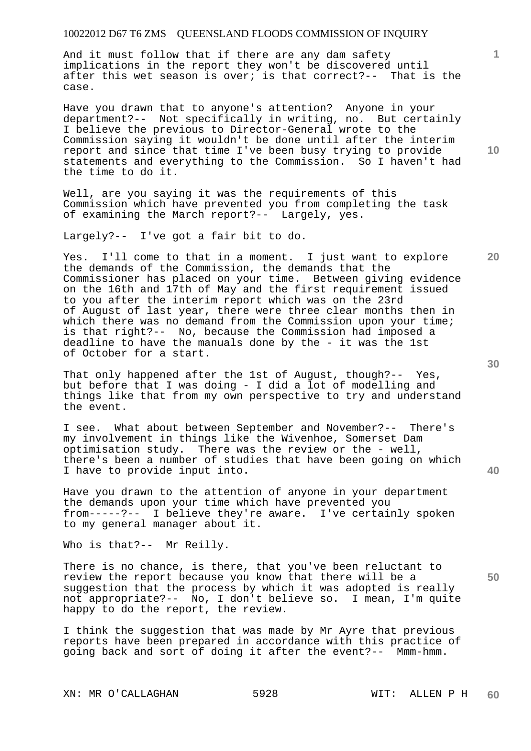And it must follow that if there are any dam safety implications in the report they won't be discovered until after this wet season is over; is that correct?-- That is the case.

Have you drawn that to anyone's attention? Anyone in your department?-- Not specifically in writing, no. But certainly I believe the previous to Director-General wrote to the Commission saying it wouldn't be done until after the interim report and since that time I've been busy trying to provide statements and everything to the Commission. So I haven't had the time to do it.

Well, are you saying it was the requirements of this Commission which have prevented you from completing the task of examining the March report?-- Largely, yes.

Largely?-- I've got a fair bit to do.

Yes. I'll come to that in a moment. I just want to explore the demands of the Commission, the demands that the Commissioner has placed on your time. Between giving evidence on the 16th and 17th of May and the first requirement issued to you after the interim report which was on the 23rd of August of last year, there were three clear months then in which there was no demand from the Commission upon your time; is that right?-- No, because the Commission had imposed a deadline to have the manuals done by the - it was the 1st of October for a start.

That only happened after the 1st of August, though?-- Yes, but before that I was doing - I did a lot of modelling and things like that from my own perspective to try and understand the event.

I see. What about between September and November?-- There's my involvement in things like the Wivenhoe, Somerset Dam optimisation study. There was the review or the - well, there's been a number of studies that have been going on which I have to provide input into.

Have you drawn to the attention of anyone in your department the demands upon your time which have prevented you from-----?-- I believe they're aware. I've certainly spoken to my general manager about it.

Who is that?-- Mr Reilly.

There is no chance, is there, that you've been reluctant to review the report because you know that there will be a suggestion that the process by which it was adopted is really not appropriate?-- No, I don't believe so. I mean, I'm quite happy to do the report, the review.

I think the suggestion that was made by Mr Ayre that previous reports have been prepared in accordance with this practice of going back and sort of doing it after the event?-- Mmm-hmm.

**10** 

**20** 

**1**

**30** 

**50**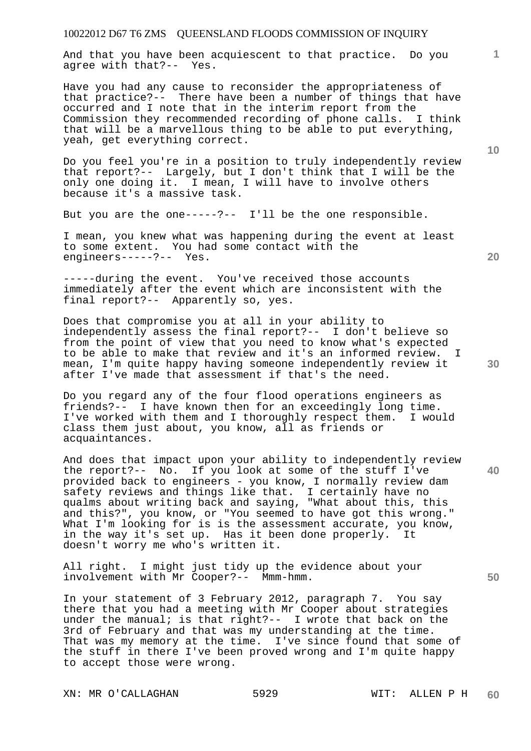And that you have been acquiescent to that practice. Do you agree with that?-- Yes.

Have you had any cause to reconsider the appropriateness of that practice?-- There have been a number of things that have occurred and I note that in the interim report from the Commission they recommended recording of phone calls. I think that will be a marvellous thing to be able to put everything, yeah, get everything correct.

Do you feel you're in a position to truly independently review that report?-- Largely, but I don't think that I will be the only one doing it. I mean, I will have to involve others because it's a massive task.

But you are the one-----?-- I'll be the one responsible.

I mean, you knew what was happening during the event at least to some extent. You had some contact with the engineers-----?-- Yes.

-----during the event. You've received those accounts immediately after the event which are inconsistent with the final report?-- Apparently so, yes.

Does that compromise you at all in your ability to independently assess the final report?-- I don't believe so from the point of view that you need to know what's expected to be able to make that review and it's an informed review. I mean, I'm quite happy having someone independently review it after I've made that assessment if that's the need.

Do you regard any of the four flood operations engineers as friends?-- I have known then for an exceedingly long time. I've worked with them and I thoroughly respect them. I would class them just about, you know, all as friends or acquaintances.

And does that impact upon your ability to independently review the report?-- No. If you look at some of the stuff I've provided back to engineers - you know, I normally review dam safety reviews and things like that. I certainly have no qualms about writing back and saying, "What about this, this and this?", you know, or "You seemed to have got this wrong." What I'm looking for is is the assessment accurate, you know, in the way it's set up. Has it been done properly. It doesn't worry me who's written it.

All right. I might just tidy up the evidence about your involvement with Mr Cooper?-- Mmm-hmm.

In your statement of 3 February 2012, paragraph 7. You say there that you had a meeting with Mr Cooper about strategies under the manual; is that right?-- I wrote that back on the 3rd of February and that was my understanding at the time. That was my memory at the time. I've since found that some of the stuff in there I've been proved wrong and I'm quite happy to accept those were wrong.

XN: MR O'CALLAGHAN 5929 WIT: ALLEN P H

**10** 

**1**

**20** 

**40**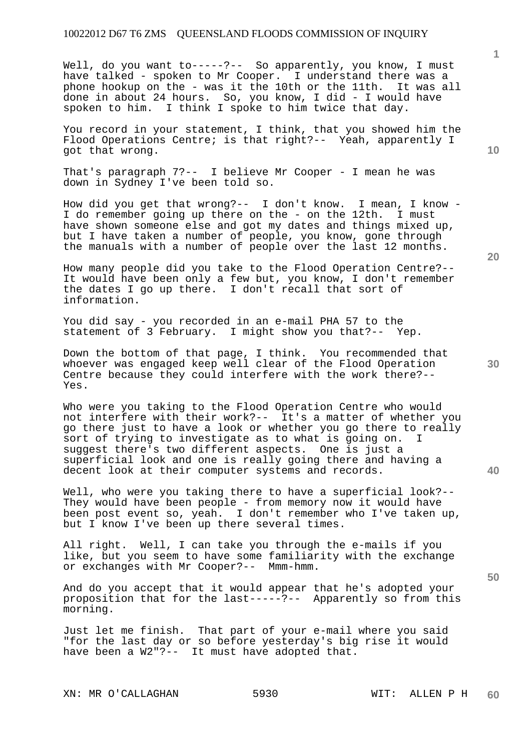Well, do you want to-----?-- So apparently, you know, I must have talked - spoken to Mr Cooper. I understand there was a phone hookup on the - was it the 10th or the 11th. It was all done in about 24 hours. So, you know, I did - I would have spoken to him. I think I spoke to him twice that day.

You record in your statement, I think, that you showed him the Flood Operations Centre; is that right?-- Yeah, apparently I got that wrong.

That's paragraph 7?-- I believe Mr Cooper - I mean he was down in Sydney I've been told so.

How did you get that wrong?-- I don't know. I mean, I know - I do remember going up there on the - on the 12th. I must have shown someone else and got my dates and things mixed up, but I have taken a number of people, you know, gone through the manuals with a number of people over the last 12 months.

How many people did you take to the Flood Operation Centre?-- It would have been only a few but, you know, I don't remember the dates I go up there. I don't recall that sort of information.

You did say - you recorded in an e-mail PHA 57 to the statement of 3 February. I might show you that?-- Yep.

Down the bottom of that page, I think. You recommended that whoever was engaged keep well clear of the Flood Operation Centre because they could interfere with the work there?-- Yes.

Who were you taking to the Flood Operation Centre who would not interfere with their work?-- It's a matter of whether you go there just to have a look or whether you go there to really sort of trying to investigate as to what is going on. I suggest there's two different aspects. One is just a superficial look and one is really going there and having a decent look at their computer systems and records.

Well, who were you taking there to have a superficial look?--They would have been people - from memory now it would have been post event so, yeah. I don't remember who I've taken up, but I know I've been up there several times.

All right. Well, I can take you through the e-mails if you like, but you seem to have some familiarity with the exchange or exchanges with Mr Cooper?-- Mmm-hmm.

And do you accept that it would appear that he's adopted your proposition that for the last-----?-- Apparently so from this morning.

Just let me finish. That part of your e-mail where you said "for the last day or so before yesterday's big rise it would have been a W2"?-- It must have adopted that.

XN: MR O'CALLAGHAN 5930 WIT: ALLEN P H

**20** 

**40** 

**50** 

**10**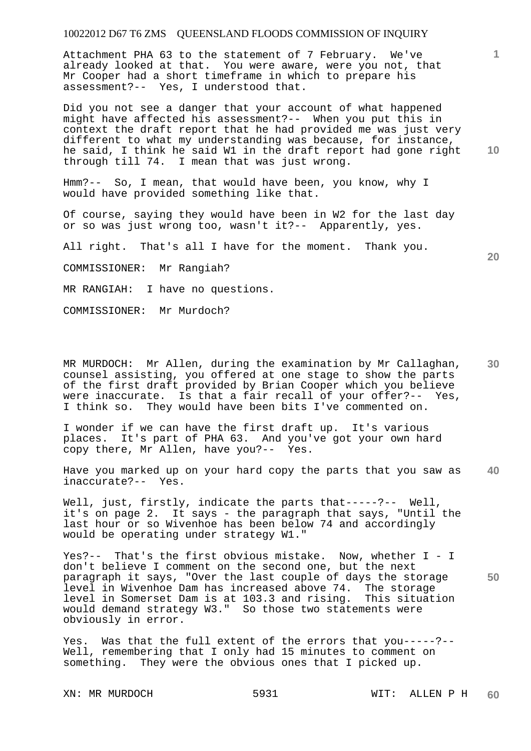Attachment PHA 63 to the statement of 7 February. We've already looked at that. You were aware, were you not, that Mr Cooper had a short timeframe in which to prepare his assessment?-- Yes, I understood that.

Did you not see a danger that your account of what happened might have affected his assessment?-- When you put this in context the draft report that he had provided me was just very different to what my understanding was because, for instance, he said, I think he said W1 in the draft report had gone right through till 74. I mean that was just wrong.

Hmm?-- So, I mean, that would have been, you know, why I would have provided something like that.

Of course, saying they would have been in W2 for the last day or so was just wrong too, wasn't it?-- Apparently, yes.

All right. That's all I have for the moment. Thank you.

COMMISSIONER: Mr Rangiah?

MR RANGIAH: I have no questions.

COMMISSIONER: Mr Murdoch?

**30**  MR MURDOCH: Mr Allen, during the examination by Mr Callaghan, counsel assisting, you offered at one stage to show the parts of the first draft provided by Brian Cooper which you believe were inaccurate. Is that a fair recall of your offer?-- Yes, I think so. They would have been bits I've commented on.

I wonder if we can have the first draft up. It's various places. It's part of PHA 63. And you've got your own hard copy there, Mr Allen, have you?-- Yes.

**40**  Have you marked up on your hard copy the parts that you saw as inaccurate?-- Yes.

Well, just, firstly, indicate the parts that-----?-- Well, it's on page 2. It says - the paragraph that says, "Until the last hour or so Wivenhoe has been below 74 and accordingly would be operating under strategy W1."

**50**  Yes?-- That's the first obvious mistake. Now, whether I - I don't believe I comment on the second one, but the next paragraph it says, "Over the last couple of days the storage level in Wivenhoe Dam has increased above 74. The storage level in Somerset Dam is at 103.3 and rising. This situation would demand strategy W3." So those two statements were obviously in error.

Yes. Was that the full extent of the errors that you-----?-- Well, remembering that I only had 15 minutes to comment on something. They were the obvious ones that I picked up.

**1**

**10**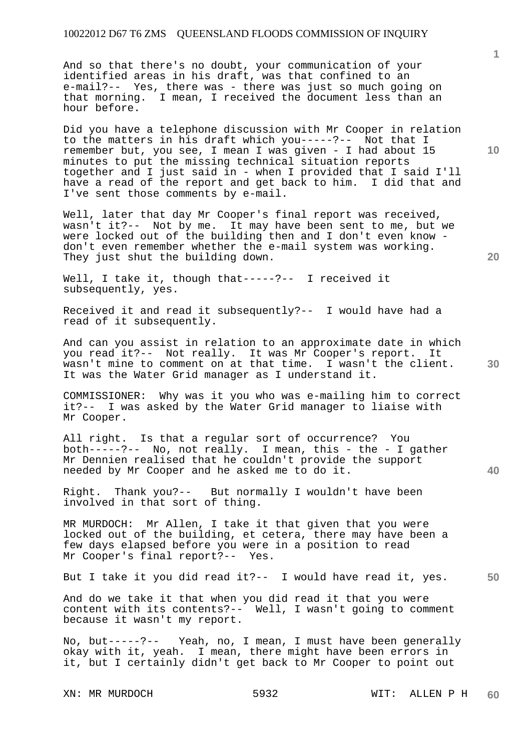And so that there's no doubt, your communication of your identified areas in his draft, was that confined to an e-mail?-- Yes, there was - there was just so much going on that morning. I mean, I received the document less than an hour before.

Did you have a telephone discussion with Mr Cooper in relation to the matters in his draft which you-----?-- Not that I remember but, you see, I mean I was given - I had about 15 minutes to put the missing technical situation reports together and I just said in - when I provided that I said I'll have a read of the report and get back to him. I did that and I've sent those comments by e-mail.

Well, later that day Mr Cooper's final report was received, wasn't it?-- Not by me. It may have been sent to me, but we were locked out of the building then and I don't even know don't even remember whether the e-mail system was working. They just shut the building down.

Well, I take it, though that-----?-- I received it subsequently, yes.

Received it and read it subsequently?-- I would have had a read of it subsequently.

And can you assist in relation to an approximate date in which you read it?-- Not really. It was Mr Cooper's report. It wasn't mine to comment on at that time. I wasn't the client. It was the Water Grid manager as I understand it.

COMMISSIONER: Why was it you who was e-mailing him to correct it?-- I was asked by the Water Grid manager to liaise with Mr Cooper.

All right. Is that a regular sort of occurrence? You both-----?-- No, not really. I mean, this - the - I gather Mr Dennien realised that he couldn't provide the support needed by Mr Cooper and he asked me to do it.

Right. Thank you?-- But normally I wouldn't have been involved in that sort of thing.

MR MURDOCH: Mr Allen, I take it that given that you were locked out of the building, et cetera, there may have been a few days elapsed before you were in a position to read Mr Cooper's final report?-- Yes.

**50**  But I take it you did read it?-- I would have read it, yes.

And do we take it that when you did read it that you were content with its contents?-- Well, I wasn't going to comment because it wasn't my report.

No, but-----?-- Yeah, no, I mean, I must have been generally okay with it, yeah. I mean, there might have been errors in it, but I certainly didn't get back to Mr Cooper to point out

**10** 

**1**

**20**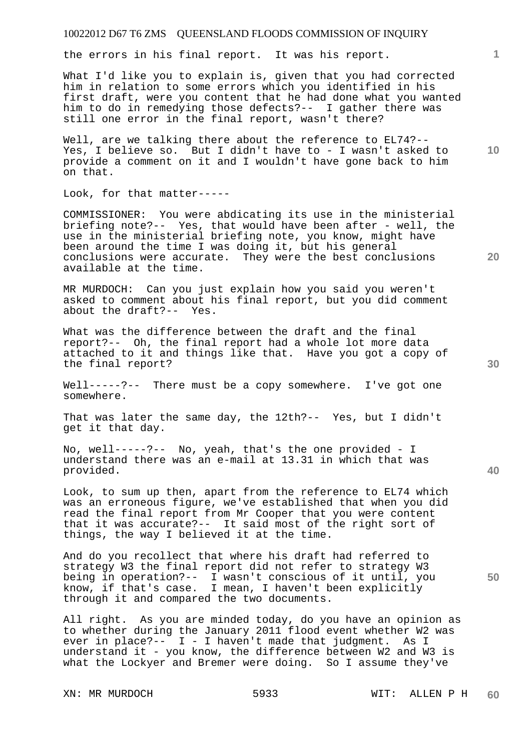the errors in his final report. It was his report.

What I'd like you to explain is, given that you had corrected him in relation to some errors which you identified in his first draft, were you content that he had done what you wanted him to do in remedying those defects?-- I gather there was still one error in the final report, wasn't there?

Well, are we talking there about the reference to EL74?--Yes, I believe so. But I didn't have to - I wasn't asked to provide a comment on it and I wouldn't have gone back to him on that.

Look, for that matter-----

COMMISSIONER: You were abdicating its use in the ministerial briefing note?-- Yes, that would have been after - well, the use in the ministerial briefing note, you know, might have been around the time I was doing it, but his general conclusions were accurate. They were the best conclusions available at the time.

MR MURDOCH: Can you just explain how you said you weren't asked to comment about his final report, but you did comment about the draft?-- Yes.

What was the difference between the draft and the final report?-- Oh, the final report had a whole lot more data attached to it and things like that. Have you got a copy of the final report?

Well-----?-- There must be a copy somewhere. I've got one somewhere.

That was later the same day, the 12th?-- Yes, but I didn't get it that day.

No, well-----?-- No, yeah, that's the one provided - I understand there was an e-mail at 13.31 in which that was provided.

Look, to sum up then, apart from the reference to EL74 which was an erroneous figure, we've established that when you did read the final report from Mr Cooper that you were content that it was accurate?-- It said most of the right sort of things, the way I believed it at the time.

And do you recollect that where his draft had referred to strategy W3 the final report did not refer to strategy W3 being in operation?-- I wasn't conscious of it until, you know, if that's case. I mean, I haven't been explicitly through it and compared the two documents.

All right. As you are minded today, do you have an opinion as to whether during the January 2011 flood event whether W2 was ever in place?-- I - I haven't made that judgment. As I understand it - you know, the difference between W2 and W3 is what the Lockyer and Bremer were doing. So I assume they've

**30** 

**20** 

**40** 

**50** 

**10**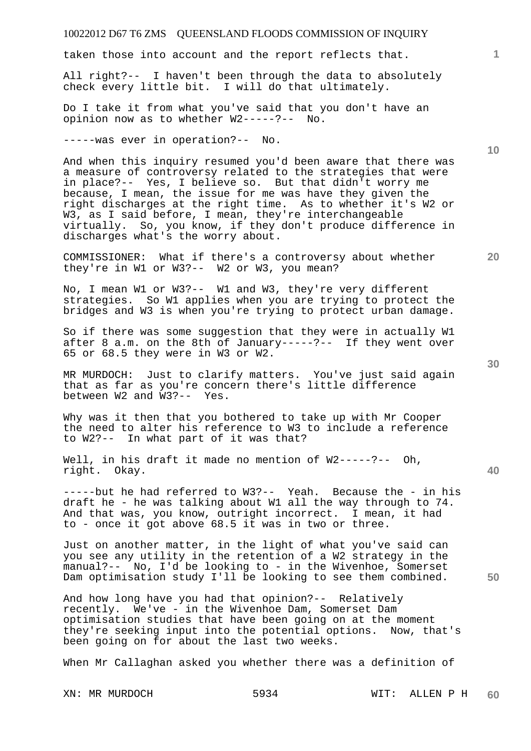taken those into account and the report reflects that.

All right?-- I haven't been through the data to absolutely check every little bit. I will do that ultimately.

Do I take it from what you've said that you don't have an opinion now as to whether W2-----?-- No.

-----was ever in operation?-- No.

And when this inquiry resumed you'd been aware that there was a measure of controversy related to the strategies that were in place?-- Yes, I believe so. But that didn't worry me because, I mean, the issue for me was have they given the right discharges at the right time. As to whether it's W2 or W3, as I said before, I mean, they're interchangeable virtually. So, you know, if they don't produce difference in discharges what's the worry about.

COMMISSIONER: What if there's a controversy about whether they're in W1 or W3?-- W2 or W3, you mean?

No, I mean W1 or W3?-- W1 and W3, they're very different strategies. So W1 applies when you are trying to protect the bridges and W3 is when you're trying to protect urban damage.

So if there was some suggestion that they were in actually W1 after 8 a.m. on the 8th of January-----?-- If they went over 65 or 68.5 they were in W3 or W2.

MR MURDOCH: Just to clarify matters. You've just said again that as far as you're concern there's little difference between W2 and W3?-- Yes.

Why was it then that you bothered to take up with Mr Cooper the need to alter his reference to W3 to include a reference<br>to W2?-- In what part of it was that? In what part of it was that?

Well, in his draft it made no mention of W2-----?-- Oh, right. Okay.

-----but he had referred to W3?-- Yeah. Because the - in his draft he - he was talking about W1 all the way through to 74. And that was, you know, outright incorrect. I mean, it had to - once it got above 68.5 it was in two or three.

Just on another matter, in the light of what you've said can you see any utility in the retention of a W2 strategy in the manual?-- No, I'd be looking to - in the Wivenhoe, Somerset Dam optimisation study I'll be looking to see them combined.

And how long have you had that opinion?-- Relatively recently. We've - in the Wivenhoe Dam, Somerset Dam optimisation studies that have been going on at the moment they're seeking input into the potential options. Now, that's been going on for about the last two weeks.

When Mr Callaghan asked you whether there was a definition of

**20** 

**40** 

**50** 

**30** 

**10**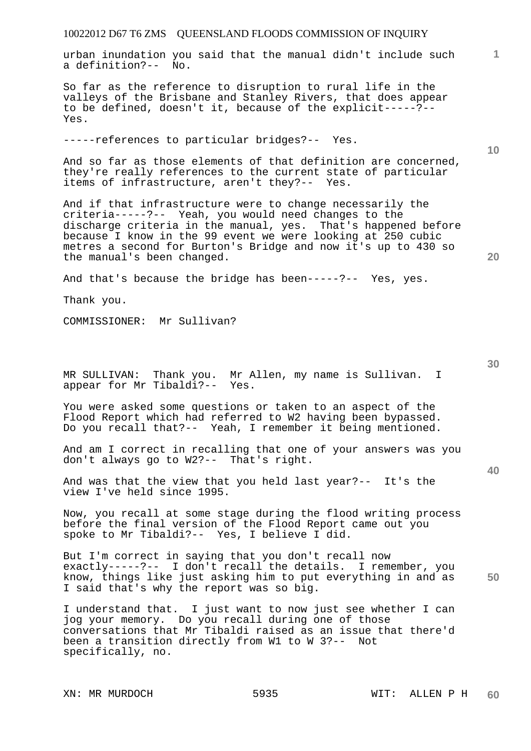urban inundation you said that the manual didn't include such a definition?-- No.

So far as the reference to disruption to rural life in the valleys of the Brisbane and Stanley Rivers, that does appear to be defined, doesn't it, because of the explicit-----?-- Yes.

-----references to particular bridges?-- Yes.

And so far as those elements of that definition are concerned, they're really references to the current state of particular items of infrastructure, aren't they?-- Yes.

And if that infrastructure were to change necessarily the criteria-----?-- Yeah, you would need changes to the discharge criteria in the manual, yes. That's happened before because I know in the 99 event we were looking at 250 cubic metres a second for Burton's Bridge and now it's up to 430 so the manual's been changed.

And that's because the bridge has been-----?-- Yes, yes.

Thank you.

COMMISSIONER: Mr Sullivan?

MR SULLIVAN: Thank you. Mr Allen, my name is Sullivan. I appear for Mr Tibaldi?-- Yes.

You were asked some questions or taken to an aspect of the Flood Report which had referred to W2 having been bypassed. Do you recall that?-- Yeah, I remember it being mentioned.

And am I correct in recalling that one of your answers was you don't always go to W2?-- That's right.

And was that the view that you held last year?-- It's the view I've held since 1995.

Now, you recall at some stage during the flood writing process before the final version of the Flood Report came out you spoke to Mr Tibaldi?-- Yes, I believe I did.

**50**  But I'm correct in saying that you don't recall now exactly-----?-- I don't recall the details. I remember, you know, things like just asking him to put everything in and as I said that's why the report was so big.

I understand that. I just want to now just see whether I can jog your memory. Do you recall during one of those conversations that Mr Tibaldi raised as an issue that there'd been a transition directly from W1 to W 3?-- Not specifically, no.

**30** 

**40** 

**20** 

**10**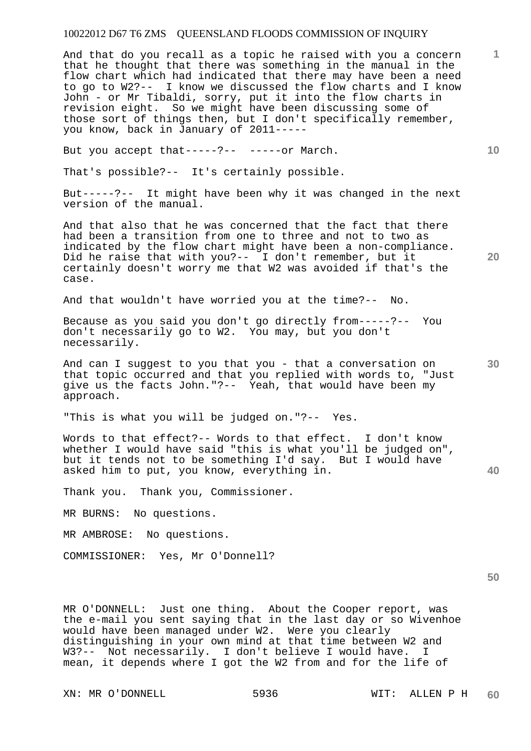And that do you recall as a topic he raised with you a concern that he thought that there was something in the manual in the flow chart which had indicated that there may have been a need to go to W2?-- I know we discussed the flow charts and I know John - or Mr Tibaldi, sorry, put it into the flow charts in revision eight. So we might have been discussing some of those sort of things then, but I don't specifically remember, you know, back in January of 2011-----

But you accept that-----?-- -----or March.

That's possible?-- It's certainly possible.

But-----?-- It might have been why it was changed in the next version of the manual.

And that also that he was concerned that the fact that there had been a transition from one to three and not to two as indicated by the flow chart might have been a non-compliance. Did he raise that with you?-- I don't remember, but it certainly doesn't worry me that W2 was avoided if that's the case.

And that wouldn't have worried you at the time?-- No.

Because as you said you don't go directly from-----?-- You don't necessarily go to W2. You may, but you don't necessarily.

And can I suggest to you that you - that a conversation on that topic occurred and that you replied with words to, "Just give us the facts John."?-- Yeah, that would have been my approach.

"This is what you will be judged on."?-- Yes.

**40**  Words to that effect?-- Words to that effect. I don't know whether I would have said "this is what you'll be judged on", but it tends not to be something I'd say. But I would have asked him to put, you know, everything in.

Thank you. Thank you, Commissioner.

MR BURNS: No questions.

MR AMBROSE: No questions.

COMMISSIONER: Yes, Mr O'Donnell?

**50** 

MR O'DONNELL: Just one thing. About the Cooper report, was the e-mail you sent saying that in the last day or so Wivenhoe would have been managed under W2. Were you clearly distinguishing in your own mind at that time between W2 and W3?-- Not necessarily. I don't believe I would have. mean, it depends where I got the W2 from and for the life of

**10** 

**1**

**30**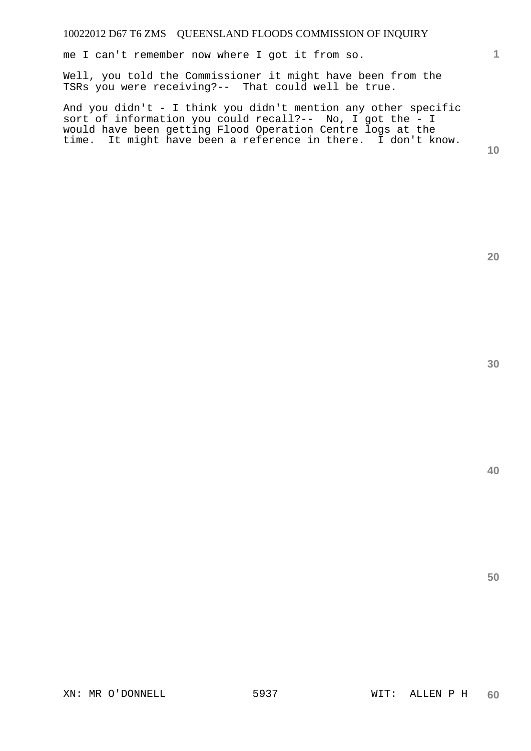me I can't remember now where I got it from so.

Well, you told the Commissioner it might have been from the TSRs you were receiving?-- That could well be true.

And you didn't - I think you didn't mention any other specific sort of information you could recall?-- No, I got the - I would have been getting Flood Operation Centre logs at the time. It might have been a reference in there. I don't know.

**10** 

**1**

**40**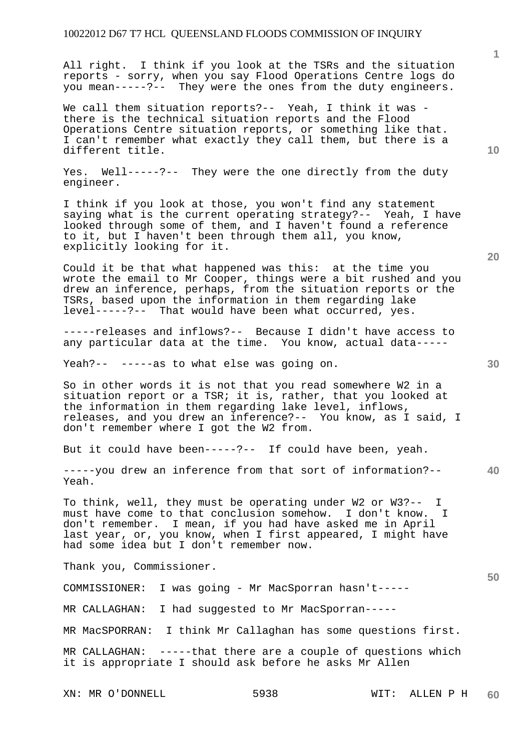All right. I think if you look at the TSRs and the situation reports - sorry, when you say Flood Operations Centre logs do you mean-----?-- They were the ones from the duty engineers.

We call them situation reports?-- Yeah, I think it was there is the technical situation reports and the Flood Operations Centre situation reports, or something like that. I can't remember what exactly they call them, but there is a different title.

Yes. Well-----?-- They were the one directly from the duty engineer.

I think if you look at those, you won't find any statement saying what is the current operating strategy?-- Yeah, I have looked through some of them, and I haven't found a reference to it, but I haven't been through them all, you know, explicitly looking for it.

Could it be that what happened was this: at the time you wrote the email to Mr Cooper, things were a bit rushed and you drew an inference, perhaps, from the situation reports or the TSRs, based upon the information in them regarding lake level-----?-- That would have been what occurred, yes.

-----releases and inflows?-- Because I didn't have access to any particular data at the time. You know, actual data-----

Yeah?-- -----as to what else was going on.

So in other words it is not that you read somewhere W2 in a situation report or a TSR; it is, rather, that you looked at the information in them regarding lake level, inflows, releases, and you drew an inference?-- You know, as I said, I don't remember where I got the W2 from.

But it could have been-----?-- If could have been, yeah.

**40**  -----you drew an inference from that sort of information?-- Yeah.

To think, well, they must be operating under W2 or W3?-- I must have come to that conclusion somehow. I don't know. I don't remember. I mean, if you had have asked me in April last year, or, you know, when I first appeared, I might have had some idea but I don't remember now.

Thank you, Commissioner.

COMMISSIONER: I was going - Mr MacSporran hasn't-----

MR CALLAGHAN: I had suggested to Mr MacSporran-----

MR MacSPORRAN: I think Mr Callaghan has some questions first.

MR CALLAGHAN: -----that there are a couple of questions which it is appropriate I should ask before he asks Mr Allen

**10** 

**1**

**20**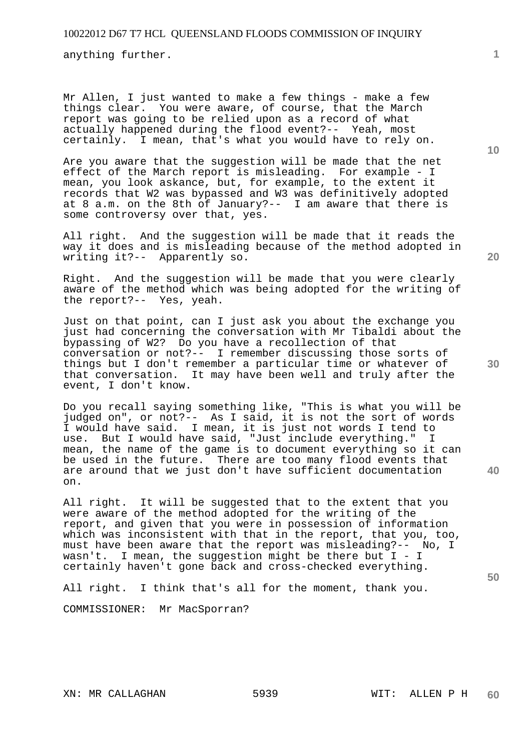anything further.

Mr Allen, I just wanted to make a few things - make a few things clear. You were aware, of course, that the March report was going to be relied upon as a record of what actually happened during the flood event?-- Yeah, most certainly. I mean, that's what you would have to rely on.

Are you aware that the suggestion will be made that the net effect of the March report is misleading. For example - I mean, you look askance, but, for example, to the extent it records that W2 was bypassed and W3 was definitively adopted at 8 a.m. on the 8th of January?-- I am aware that there is some controversy over that, yes.

All right. And the suggestion will be made that it reads the way it does and is misleading because of the method adopted in writing it?-- Apparently so.

Right. And the suggestion will be made that you were clearly aware of the method which was being adopted for the writing of the report?-- Yes, yeah.

Just on that point, can I just ask you about the exchange you just had concerning the conversation with Mr Tibaldi about the bypassing of W2? Do you have a recollection of that conversation or not?-- I remember discussing those sorts of things but I don't remember a particular time or whatever of that conversation. It may have been well and truly after the event, I don't know.

Do you recall saying something like, "This is what you will be judged on", or not?-- As I said, it is not the sort of words I would have said. I mean, it is just not words I tend to use. But I would have said, "Just include everything." I mean, the name of the game is to document everything so it can be used in the future. There are too many flood events that are around that we just don't have sufficient documentation on.

All right. It will be suggested that to the extent that you were aware of the method adopted for the writing of the report, and given that you were in possession of information which was inconsistent with that in the report, that you, too, must have been aware that the report was misleading?-- No, I wasn't. I mean, the suggestion might be there but  $I - I$ certainly haven't gone back and cross-checked everything.

All right. I think that's all for the moment, thank you.

COMMISSIONER: Mr MacSporran?

**10** 

**1**

**20** 

**30** 

**40**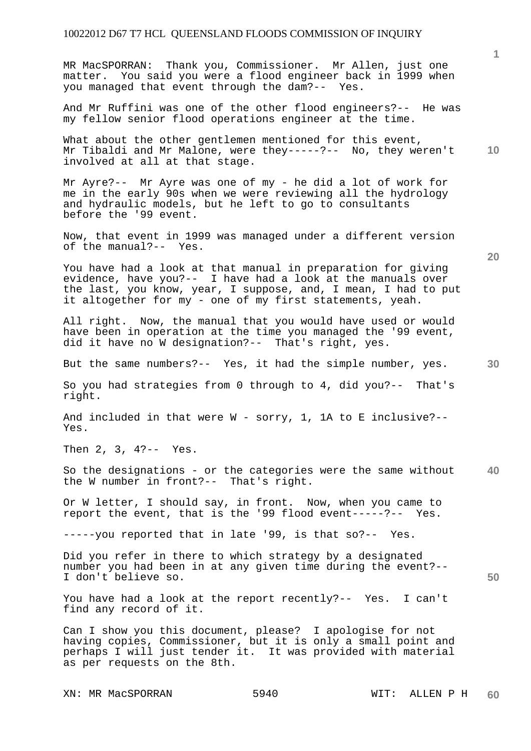MR MacSPORRAN: Thank you, Commissioner. Mr Allen, just one matter. You said you were a flood engineer back in 1999 when you managed that event through the dam?-- Yes.

And Mr Ruffini was one of the other flood engineers?-- He was my fellow senior flood operations engineer at the time.

**10**  What about the other gentlemen mentioned for this event, Mr Tibaldi and Mr Malone, were they-----?-- No, they weren't involved at all at that stage.

Mr Ayre?-- Mr Ayre was one of my - he did a lot of work for me in the early 90s when we were reviewing all the hydrology and hydraulic models, but he left to go to consultants before the '99 event.

Now, that event in 1999 was managed under a different version of the manual?-- Yes.

You have had a look at that manual in preparation for giving evidence, have you?-- I have had a look at the manuals over the last, you know, year, I suppose, and, I mean, I had to put it altogether for my - one of my first statements, yeah.

All right. Now, the manual that you would have used or would have been in operation at the time you managed the '99 event, did it have no W designation?-- That's right, yes.

But the same numbers?-- Yes, it had the simple number, yes.

So you had strategies from 0 through to 4, did you?-- That's right.

And included in that were W - sorry, 1, 1A to E inclusive?-- Yes.

Then 2, 3, 4?-- Yes.

**40**  So the designations - or the categories were the same without the W number in front?-- That's right.

Or W letter, I should say, in front. Now, when you came to report the event, that is the '99 flood event-----?-- Yes.

-----you reported that in late '99, is that so?-- Yes.

Did you refer in there to which strategy by a designated number you had been in at any given time during the event?-- I don't believe so.

You have had a look at the report recently?-- Yes. I can't find any record of it.

Can I show you this document, please? I apologise for not having copies, Commissioner, but it is only a small point and perhaps I will just tender it. It was provided with material as per requests on the 8th.

XN: MR MacSPORRAN 5940 WIT: ALLEN P H

**20** 

**50**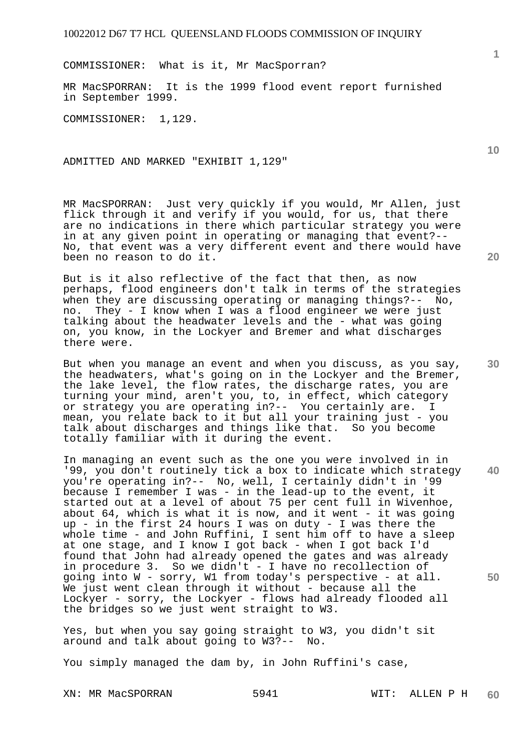COMMISSIONER: What is it, Mr MacSporran?

MR MacSPORRAN: It is the 1999 flood event report furnished in September 1999.

COMMISSIONER: 1,129.

ADMITTED AND MARKED "EXHIBIT 1,129"

MR MacSPORRAN: Just very quickly if you would, Mr Allen, just flick through it and verify if you would, for us, that there are no indications in there which particular strategy you were in at any given point in operating or managing that event?-- No, that event was a very different event and there would have been no reason to do it.

But is it also reflective of the fact that then, as now perhaps, flood engineers don't talk in terms of the strategies when they are discussing operating or managing things?-- No, no. They - I know when I was a flood engineer we were just talking about the headwater levels and the - what was going on, you know, in the Lockyer and Bremer and what discharges there were.

But when you manage an event and when you discuss, as you say, the headwaters, what's going on in the Lockyer and the Bremer, the lake level, the flow rates, the discharge rates, you are turning your mind, aren't you, to, in effect, which category or strategy you are operating in?-- You certainly are. I mean, you relate back to it but all your training just - you talk about discharges and things like that. So you become totally familiar with it during the event.

**40 50**  In managing an event such as the one you were involved in in '99, you don't routinely tick a box to indicate which strategy you're operating in?-- No, well, I certainly didn't in '99 because I remember I was - in the lead-up to the event, it started out at a level of about 75 per cent full in Wivenhoe, about 64, which is what it is now, and it went - it was going up - in the first 24 hours I was on duty - I was there the whole time - and John Ruffini, I sent him off to have a sleep at one stage, and I know I got back - when I got back I'd found that John had already opened the gates and was already in procedure 3. So we didn't - I have no recollection of going into W - sorry, W1 from today's perspective - at all. We just went clean through it without - because all the Lockyer - sorry, the Lockyer - flows had already flooded all the bridges so we just went straight to W3.

Yes, but when you say going straight to W3, you didn't sit around and talk about going to W3?-- No.

You simply managed the dam by, in John Ruffini's case,

XN: MR MacSPORRAN 5941 WIT: ALLEN P H

**1**

**30**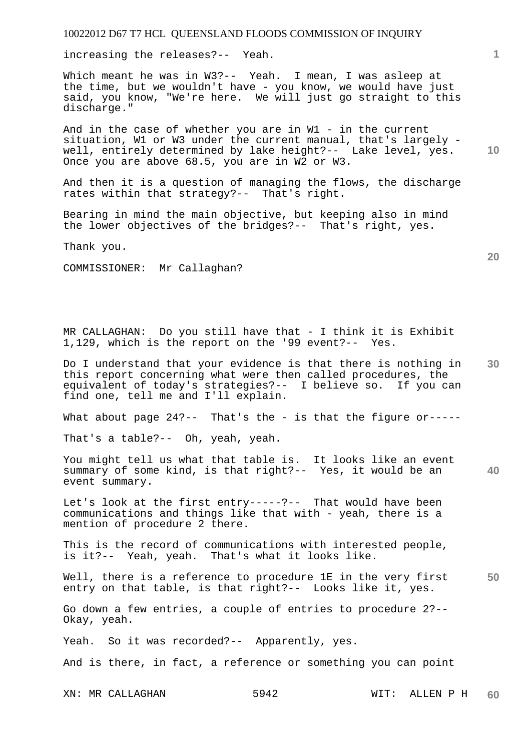increasing the releases?-- Yeah.

Which meant he was in W3?-- Yeah. I mean, I was asleep at the time, but we wouldn't have - you know, we would have just said, you know, "We're here. We will just go straight to this discharge."

And in the case of whether you are in W1 - in the current situation, W1 or W3 under the current manual, that's largely well, entirely determined by lake height?-- Lake level, yes. Once you are above 68.5, you are in W2 or W3.

And then it is a question of managing the flows, the discharge rates within that strategy?-- That's right.

Bearing in mind the main objective, but keeping also in mind the lower objectives of the bridges?-- That's right, yes.

Thank you.

COMMISSIONER: Mr Callaghan?

MR CALLAGHAN: Do you still have that - I think it is Exhibit 1,129, which is the report on the '99 event?-- Yes.

**30**  Do I understand that your evidence is that there is nothing in this report concerning what were then called procedures, the equivalent of today's strategies?-- I believe so. If you can find one, tell me and I'll explain.

What about page  $24?$ -- That's the - is that the figure or-----

That's a table?-- Oh, yeah, yeah.

You might tell us what that table is. It looks like an event summary of some kind, is that right?-- Yes, it would be an event summary.

Let's look at the first entry-----?-- That would have been communications and things like that with - yeah, there is a mention of procedure 2 there.

This is the record of communications with interested people, is it?-- Yeah, yeah. That's what it looks like.

**50**  Well, there is a reference to procedure 1E in the very first entry on that table, is that right?-- Looks like it, yes.

Go down a few entries, a couple of entries to procedure 2?-- Okay, yeah.

Yeah. So it was recorded?-- Apparently, yes.

And is there, in fact, a reference or something you can point

XN: MR CALLAGHAN 5942 WIT: ALLEN P H **60** 

**20** 

**10** 

**40**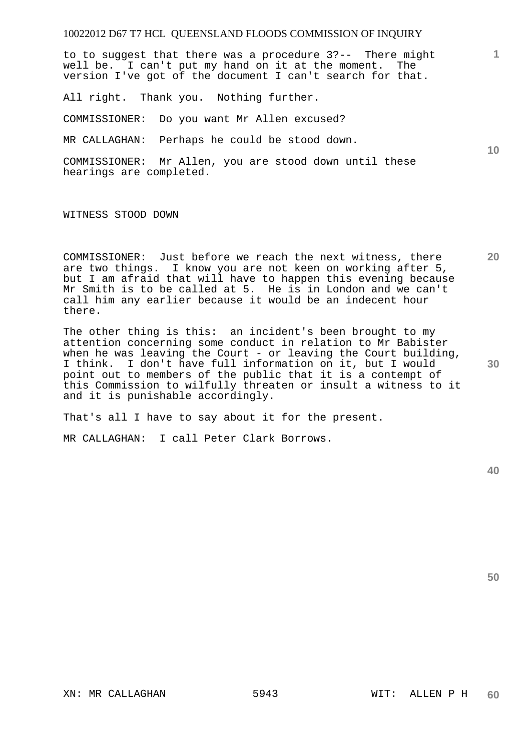to to suggest that there was a procedure 3?-- There might well be. I can't put my hand on it at the moment. The version I've got of the document I can't search for that.

All right. Thank you. Nothing further.

COMMISSIONER: Do you want Mr Allen excused?

MR CALLAGHAN: Perhaps he could be stood down.

COMMISSIONER: Mr Allen, you are stood down until these hearings are completed.

WITNESS STOOD DOWN

COMMISSIONER: Just before we reach the next witness, there are two things. I know you are not keen on working after 5, but I am afraid that will have to happen this evening because Mr Smith is to be called at 5. He is in London and we can't call him any earlier because it would be an indecent hour there.

The other thing is this: an incident's been brought to my attention concerning some conduct in relation to Mr Babister when he was leaving the Court - or leaving the Court building, I think. I don't have full information on it, but I would point out to members of the public that it is a contempt of this Commission to wilfully threaten or insult a witness to it and it is punishable accordingly.

That's all I have to say about it for the present.

MR CALLAGHAN: I call Peter Clark Borrows.

**40** 

**50** 

**1**

**20** 

**30**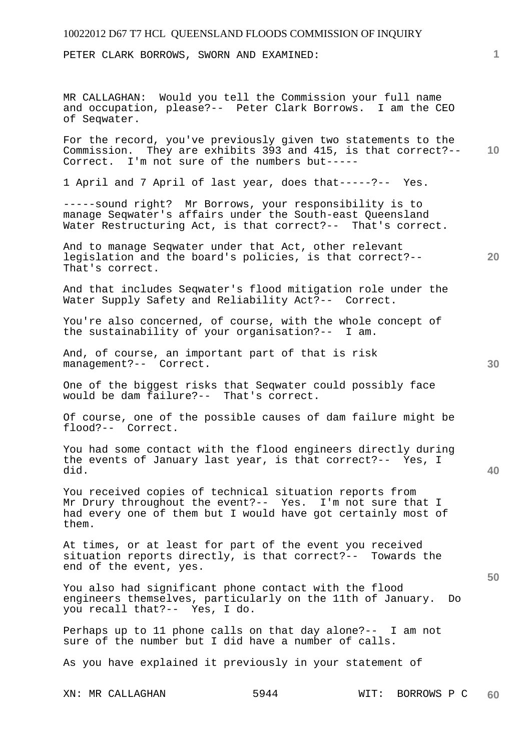PETER CLARK BORROWS, SWORN AND EXAMINED:

MR CALLAGHAN: Would you tell the Commission your full name and occupation, please?-- Peter Clark Borrows. I am the CEO of Seqwater.

**10**  For the record, you've previously given two statements to the Commission. They are exhibits 393 and 415, is that correct?-- Correct. I'm not sure of the numbers but-----

1 April and 7 April of last year, does that-----?-- Yes.

-----sound right? Mr Borrows, your responsibility is to manage Seqwater's affairs under the South-east Queensland Water Restructuring Act, is that correct?-- That's correct.

And to manage Seqwater under that Act, other relevant legislation and the board's policies, is that correct?-- That's correct.

And that includes Seqwater's flood mitigation role under the Water Supply Safety and Reliability Act?-- Correct.

You're also concerned, of course, with the whole concept of the sustainability of your organisation?-- I am.

And, of course, an important part of that is risk management?-- Correct.

One of the biggest risks that Seqwater could possibly face would be dam failure?-- That's correct.

Of course, one of the possible causes of dam failure might be flood?-- Correct.

You had some contact with the flood engineers directly during the events of January last year, is that correct?-- Yes, I did.

You received copies of technical situation reports from Mr Drury throughout the event?-- Yes. I'm not sure that I had every one of them but I would have got certainly most of them.

At times, or at least for part of the event you received situation reports directly, is that correct?-- Towards the end of the event, yes.

You also had significant phone contact with the flood engineers themselves, particularly on the 11th of January. Do you recall that?-- Yes, I do.

Perhaps up to 11 phone calls on that day alone?-- I am not sure of the number but I did have a number of calls.

As you have explained it previously in your statement of

**1**

**30** 

**20** 

**40**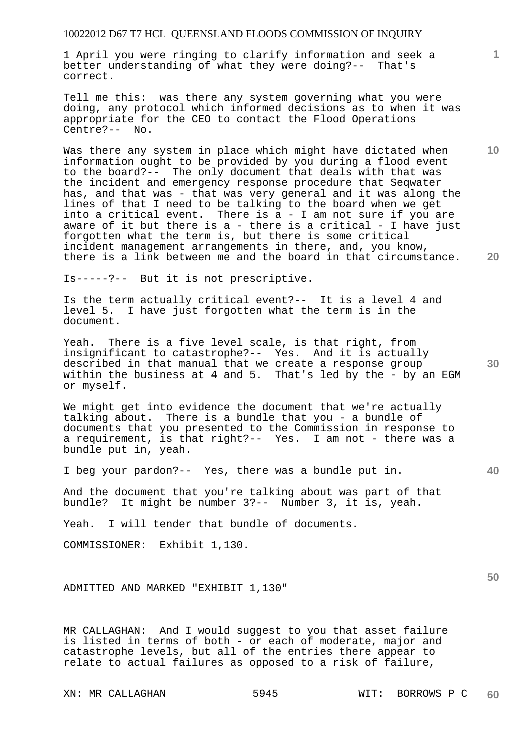1 April you were ringing to clarify information and seek a better understanding of what they were doing?-- That's correct.

Tell me this: was there any system governing what you were doing, any protocol which informed decisions as to when it was appropriate for the CEO to contact the Flood Operations Centre?-- No.

**20**  Was there any system in place which might have dictated when information ought to be provided by you during a flood event to the board?-- The only document that deals with that was the incident and emergency response procedure that Seqwater has, and that was - that was very general and it was along the lines of that I need to be talking to the board when we get into a critical event. There is a - I am not sure if you are aware of it but there is a - there is a critical - I have just forgotten what the term is, but there is some critical incident management arrangements in there, and, you know, there is a link between me and the board in that circumstance.

Is-----?-- But it is not prescriptive.

Is the term actually critical event?-- It is a level 4 and level 5. I have just forgotten what the term is in the document.

**30**  Yeah. There is a five level scale, is that right, from insignificant to catastrophe?-- Yes. And it is actually described in that manual that we create a response group within the business at 4 and 5. That's led by the - by an EGM or myself.

We might get into evidence the document that we're actually talking about. There is a bundle that you - a bundle of documents that you presented to the Commission in response to a requirement, is that right?-- Yes. I am not - there was a bundle put in, yeah.

I beg your pardon?-- Yes, there was a bundle put in.

And the document that you're talking about was part of that<br>bundle? It might be number 3?-- Number 3, it is, yeah. It might be number 3?-- Number 3, it is, yeah.

Yeah. I will tender that bundle of documents.

COMMISSIONER: Exhibit 1,130.

ADMITTED AND MARKED "EXHIBIT 1,130"

MR CALLAGHAN: And I would suggest to you that asset failure is listed in terms of both - or each of moderate, major and catastrophe levels, but all of the entries there appear to relate to actual failures as opposed to a risk of failure,

**40** 

**50** 

**10**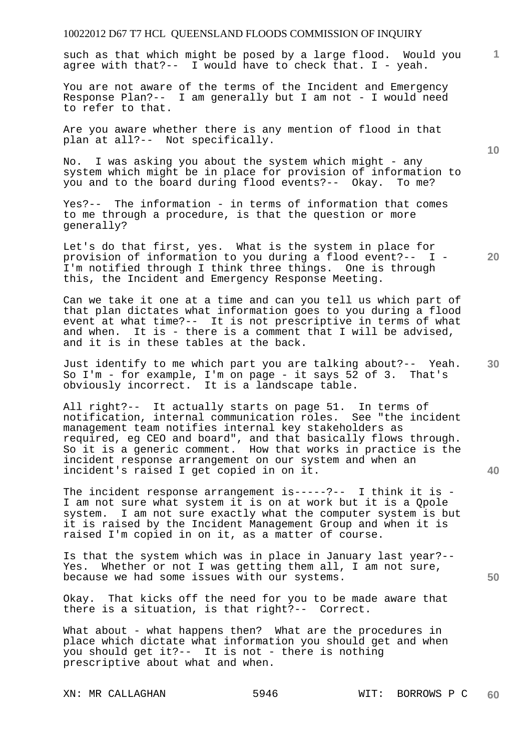such as that which might be posed by a large flood. Would you agree with that?-- I would have to check that. I - yeah.

You are not aware of the terms of the Incident and Emergency Response Plan?-- I am generally but I am not - I would need to refer to that.

Are you aware whether there is any mention of flood in that plan at all?-- Not specifically.

No. I was asking you about the system which might - any system which might be in place for provision of information to you and to the board during flood events?-- Okay. To me?

Yes?-- The information - in terms of information that comes to me through a procedure, is that the question or more generally?

**20**  Let's do that first, yes. What is the system in place for provision of information to you during a flood event?-- I - I'm notified through I think three things. One is through this, the Incident and Emergency Response Meeting.

Can we take it one at a time and can you tell us which part of that plan dictates what information goes to you during a flood event at what time?-- It is not prescriptive in terms of what and when. It is - there is a comment that I will be advised, and it is in these tables at the back.

Just identify to me which part you are talking about?-- Yeah.<br>So I'm - for example, I'm on page - it says 52 of 3. That's So  $I'm - for example, I'm on page - it says 52 of 3.$ obviously incorrect. It is a landscape table.

All right?-- It actually starts on page 51. In terms of notification, internal communication roles. See "the incident management team notifies internal key stakeholders as required, eg CEO and board", and that basically flows through. So it is a generic comment. How that works in practice is the incident response arrangement on our system and when an incident's raised I get copied in on it.

The incident response arrangement is-----?-- I think it is -I am not sure what system it is on at work but it is a Qpole system. I am not sure exactly what the computer system is but it is raised by the Incident Management Group and when it is raised I'm copied in on it, as a matter of course.

Is that the system which was in place in January last year?-- Yes. Whether or not I was getting them all, I am not sure, because we had some issues with our systems.

Okay. That kicks off the need for you to be made aware that there is a situation, is that right?-- Correct.

What about - what happens then? What are the procedures in place which dictate what information you should get and when you should get it?-- It is not - there is nothing prescriptive about what and when.

**10** 

**1**

**30** 

**50**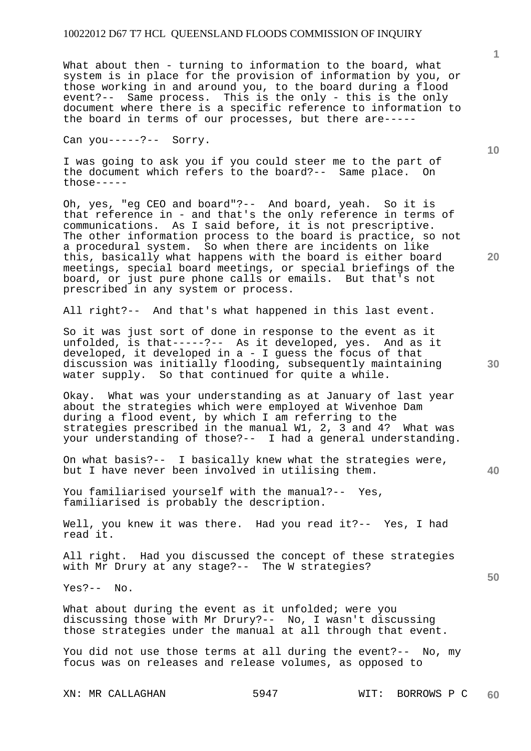What about then - turning to information to the board, what system is in place for the provision of information by you, or those working in and around you, to the board during a flood event?-- Same process. This is the only - this is the only document where there is a specific reference to information to the board in terms of our processes, but there are-----

Can you-----?-- Sorry.

I was going to ask you if you could steer me to the part of the document which refers to the board?-- Same place. On  $those---$ 

Oh, yes, "eg CEO and board"?-- And board, yeah. So it is that reference in - and that's the only reference in terms of communications. As I said before, it is not prescriptive. The other information process to the board is practice, so not a procedural system. So when there are incidents on like this, basically what happens with the board is either board meetings, special board meetings, or special briefings of the board, or just pure phone calls or emails. But that's not prescribed in any system or process.

All right?-- And that's what happened in this last event.

So it was just sort of done in response to the event as it unfolded, is that-----?-- As it developed, yes. And as it developed, it developed in a - I guess the focus of that discussion was initially flooding, subsequently maintaining water supply. So that continued for quite a while.

Okay. What was your understanding as at January of last year about the strategies which were employed at Wivenhoe Dam during a flood event, by which I am referring to the strategies prescribed in the manual W1, 2, 3 and 4? What was your understanding of those?-- I had a general understanding.

On what basis?-- I basically knew what the strategies were, but I have never been involved in utilising them.

You familiarised yourself with the manual?-- Yes, familiarised is probably the description.

Well, you knew it was there. Had you read it?-- Yes, I had read it.

All right. Had you discussed the concept of these strategies with Mr Drury at any stage?-- The W strategies?

Yes?-- No.

What about during the event as it unfolded; were you discussing those with Mr Drury?-- No, I wasn't discussing those strategies under the manual at all through that event.

You did not use those terms at all during the event?-- No, my focus was on releases and release volumes, as opposed to

**1**

**20** 

**10** 

**30** 

**50**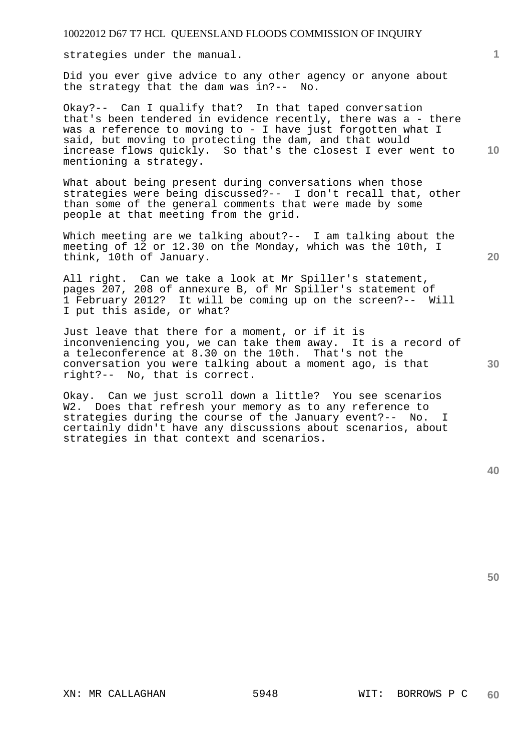strategies under the manual.

Did you ever give advice to any other agency or anyone about the strategy that the dam was in?-- No.

**10**  Okay?-- Can I qualify that? In that taped conversation that's been tendered in evidence recently, there was a - there was a reference to moving to - I have just forgotten what I said, but moving to protecting the dam, and that would increase flows quickly. So that's the closest I ever went to mentioning a strategy.

What about being present during conversations when those strategies were being discussed?-- I don't recall that, other than some of the general comments that were made by some people at that meeting from the grid.

Which meeting are we talking about?-- I am talking about the meeting of 12 or 12.30 on the Monday, which was the 10th, I think, 10th of January.

All right. Can we take a look at Mr Spiller's statement, pages 207, 208 of annexure B, of Mr Spiller's statement of 1 February 2012? It will be coming up on the screen?-- Will I put this aside, or what?

Just leave that there for a moment, or if it is inconveniencing you, we can take them away. It is a record of a teleconference at 8.30 on the 10th. That's not the conversation you were talking about a moment ago, is that right?-- No, that is correct.

Okay. Can we just scroll down a little? You see scenarios W2. Does that refresh your memory as to any reference to strategies during the course of the January event?-- No. I certainly didn't have any discussions about scenarios, about strategies in that context and scenarios.

**50** 

**30** 

**1**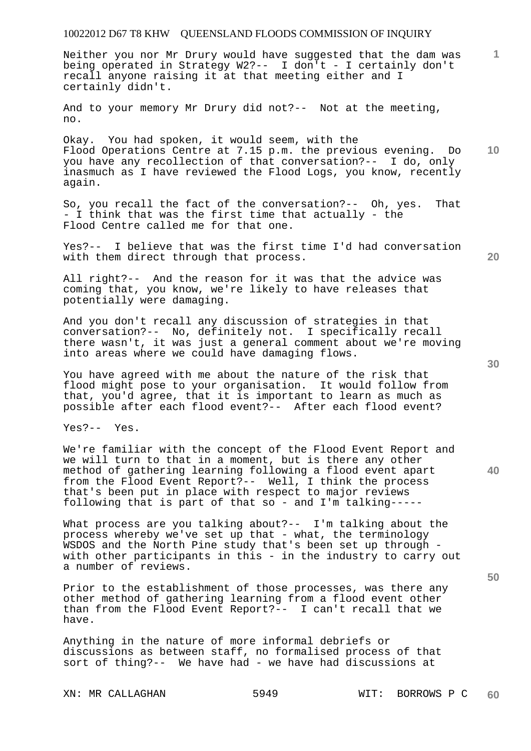**1** Neither you nor Mr Drury would have suggested that the dam was being operated in Strategy W2?-- I don't - I certainly don't recall anyone raising it at that meeting either and I certainly didn't.

And to your memory Mr Drury did not?-- Not at the meeting, no.

**10**  Okay. You had spoken, it would seem, with the Flood Operations Centre at 7.15 p.m. the previous evening. Do you have any recollection of that conversation?-- I do, only inasmuch as I have reviewed the Flood Logs, you know, recently again.

So, you recall the fact of the conversation?-- Oh, yes. That - I think that was the first time that actually - the Flood Centre called me for that one.

Yes?-- I believe that was the first time I'd had conversation with them direct through that process.

All right?-- And the reason for it was that the advice was coming that, you know, we're likely to have releases that potentially were damaging.

And you don't recall any discussion of strategies in that conversation?-- No, definitely not. I specifically recall there wasn't, it was just a general comment about we're moving into areas where we could have damaging flows.

You have agreed with me about the nature of the risk that flood might pose to your organisation. It would follow from that, you'd agree, that it is important to learn as much as possible after each flood event?-- After each flood event?

Yes?-- Yes.

We're familiar with the concept of the Flood Event Report and we will turn to that in a moment, but is there any other method of gathering learning following a flood event apart from the Flood Event Report?-- Well, I think the process that's been put in place with respect to major reviews following that is part of that so - and I'm talking-----

What process are you talking about?-- I'm talking about the process whereby we've set up that - what, the terminology WSDOS and the North Pine study that's been set up through with other participants in this - in the industry to carry out a number of reviews.

Prior to the establishment of those processes, was there any other method of gathering learning from a flood event other than from the Flood Event Report?-- I can't recall that we have.

Anything in the nature of more informal debriefs or discussions as between staff, no formalised process of that sort of thing?-- We have had - we have had discussions at

**40** 

**50**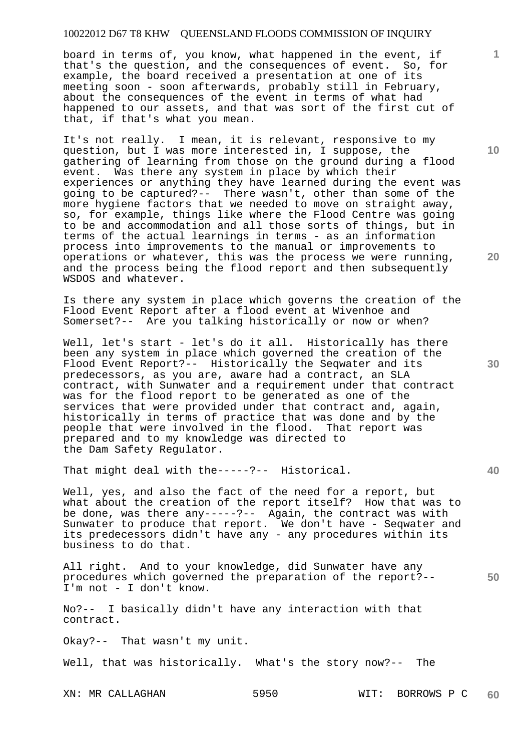board in terms of, you know, what happened in the event, if that's the question, and the consequences of event. So, for example, the board received a presentation at one of its meeting soon - soon afterwards, probably still in February, about the consequences of the event in terms of what had happened to our assets, and that was sort of the first cut of that, if that's what you mean.

It's not really. I mean, it is relevant, responsive to my question, but I was more interested in, I suppose, the gathering of learning from those on the ground during a flood event. Was there any system in place by which their experiences or anything they have learned during the event was going to be captured?-- There wasn't, other than some of the more hygiene factors that we needed to move on straight away, so, for example, things like where the Flood Centre was going to be and accommodation and all those sorts of things, but in terms of the actual learnings in terms - as an information process into improvements to the manual or improvements to operations or whatever, this was the process we were running, and the process being the flood report and then subsequently WSDOS and whatever.

Is there any system in place which governs the creation of the Flood Event Report after a flood event at Wivenhoe and Somerset?-- Are you talking historically or now or when?

Well, let's start - let's do it all. Historically has there been any system in place which governed the creation of the Flood Event Report?-- Historically the Seqwater and its predecessors, as you are, aware had a contract, an SLA contract, with Sunwater and a requirement under that contract was for the flood report to be generated as one of the services that were provided under that contract and, again, historically in terms of practice that was done and by the people that were involved in the flood. That report was prepared and to my knowledge was directed to the Dam Safety Regulator.

That might deal with the-----?-- Historical.

Well, yes, and also the fact of the need for a report, but what about the creation of the report itself? How that was to be done, was there any-----?-- Again, the contract was with Sunwater to produce that report. We don't have - Seqwater and its predecessors didn't have any - any procedures within its business to do that.

All right. And to your knowledge, did Sunwater have any procedures which governed the preparation of the report?-- I'm not - I don't know.

No?-- I basically didn't have any interaction with that contract.

Okay?-- That wasn't my unit.

Well, that was historically. What's the story now?-- The

XN: MR CALLAGHAN 5950 WIT: BORROWS P C **60** 

**20** 

**30** 

**40** 

**50** 

**10**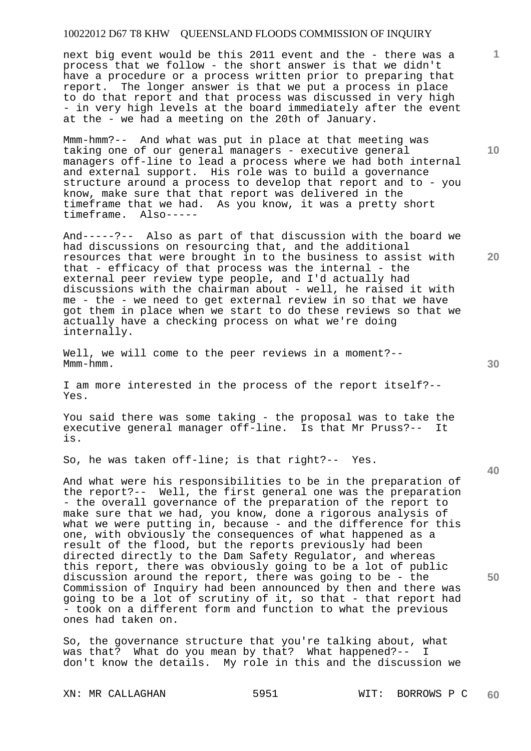next big event would be this 2011 event and the - there was a process that we follow - the short answer is that we didn't have a procedure or a process written prior to preparing that report. The longer answer is that we put a process in place to do that report and that process was discussed in very high - in very high levels at the board immediately after the event at the - we had a meeting on the 20th of January.

Mmm-hmm?-- And what was put in place at that meeting was taking one of our general managers - executive general managers off-line to lead a process where we had both internal and external support. His role was to build a governance structure around a process to develop that report and to - you know, make sure that that report was delivered in the timeframe that we had. As you know, it was a pretty short timeframe. Also-----

And-----?-- Also as part of that discussion with the board we had discussions on resourcing that, and the additional resources that were brought in to the business to assist with that - efficacy of that process was the internal - the external peer review type people, and I'd actually had discussions with the chairman about - well, he raised it with me - the - we need to get external review in so that we have got them in place when we start to do these reviews so that we actually have a checking process on what we're doing internally.

Well, we will come to the peer reviews in a moment?-- Mmm-hmm.

I am more interested in the process of the report itself?-- Yes.

You said there was some taking - the proposal was to take the executive general manager off-line. Is that Mr Pruss?-- It is.

So, he was taken off-line; is that right?-- Yes.

And what were his responsibilities to be in the preparation of the report?-- Well, the first general one was the preparation - the overall governance of the preparation of the report to make sure that we had, you know, done a rigorous analysis of what we were putting in, because - and the difference for this one, with obviously the consequences of what happened as a result of the flood, but the reports previously had been directed directly to the Dam Safety Regulator, and whereas this report, there was obviously going to be a lot of public discussion around the report, there was going to be - the Commission of Inquiry had been announced by then and there was going to be a lot of scrutiny of it, so that - that report had - took on a different form and function to what the previous ones had taken on.

So, the governance structure that you're talking about, what was that? What do you mean by that? What happened?-- I don't know the details. My role in this and the discussion we

XN: MR CALLAGHAN 5951 WIT: BORROWS P C **60** 

**10** 

**1**

**20** 

**40**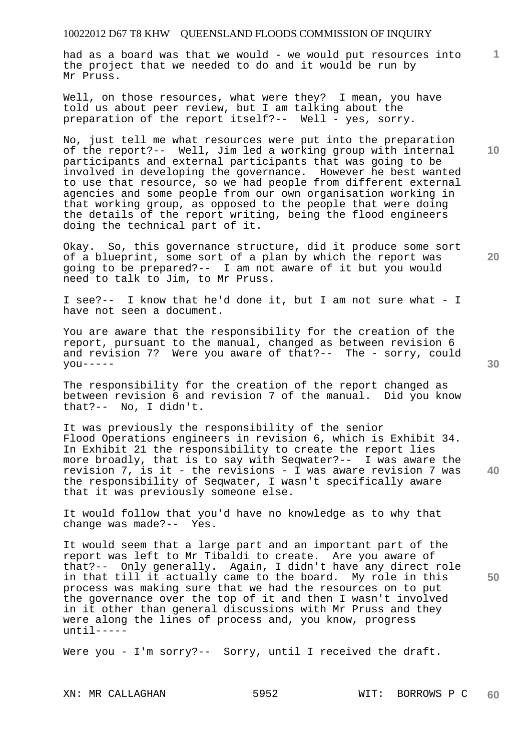had as a board was that we would - we would put resources into the project that we needed to do and it would be run by Mr Pruss.

Well, on those resources, what were they? I mean, you have told us about peer review, but I am talking about the preparation of the report itself?-- Well - yes, sorry.

No, just tell me what resources were put into the preparation of the report?-- Well, Jim led a working group with internal participants and external participants that was going to be involved in developing the governance. However he best wanted to use that resource, so we had people from different external agencies and some people from our own organisation working in that working group, as opposed to the people that were doing the details of the report writing, being the flood engineers doing the technical part of it.

Okay. So, this governance structure, did it produce some sort of a blueprint, some sort of a plan by which the report was going to be prepared?-- I am not aware of it but you would need to talk to Jim, to Mr Pruss.

I see?-- I know that he'd done it, but I am not sure what - I have not seen a document.

You are aware that the responsibility for the creation of the report, pursuant to the manual, changed as between revision 6 and revision 7? Were you aware of that?-- The - sorry, could  $you---$ 

The responsibility for the creation of the report changed as between revision 6 and revision 7 of the manual. Did you know that?-- No, I didn't.

It was previously the responsibility of the senior Flood Operations engineers in revision 6, which is Exhibit 34. In Exhibit 21 the responsibility to create the report lies more broadly, that is to say with Seqwater?-- I was aware the revision 7, is it - the revisions - I was aware revision 7 was the responsibility of Seqwater, I wasn't specifically aware that it was previously someone else.

It would follow that you'd have no knowledge as to why that change was made?-- Yes.

It would seem that a large part and an important part of the report was left to Mr Tibaldi to create. Are you aware of that?-- Only generally. Again, I didn't have any direct role in that till it actually came to the board. My role in this process was making sure that we had the resources on to put the governance over the top of it and then I wasn't involved in it other than general discussions with Mr Pruss and they were along the lines of process and, you know, progress until-----

Were you - I'm sorry?-- Sorry, until I received the draft.

**20** 

**10** 

**1**

**30** 

**50**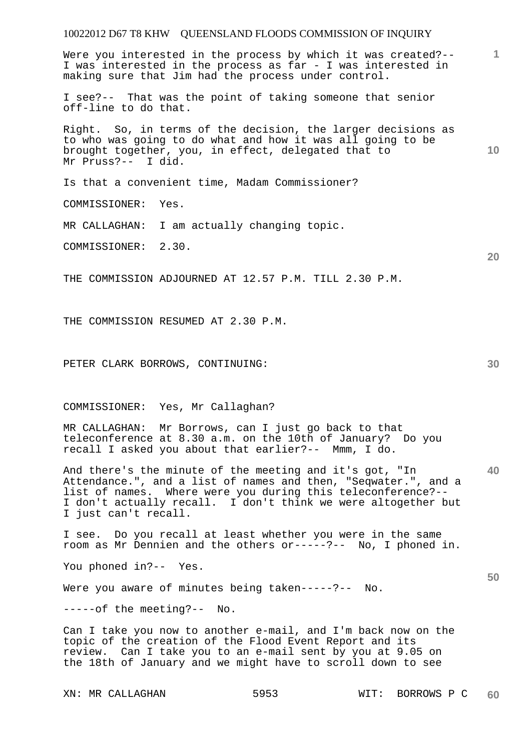**1** Were you interested in the process by which it was created?-- I was interested in the process as far - I was interested in making sure that Jim had the process under control.

I see?-- That was the point of taking someone that senior off-line to do that.

Right. So, in terms of the decision, the larger decisions as to who was going to do what and how it was all going to be brought together, you, in effect, delegated that to Mr Pruss?-- I did.

Is that a convenient time, Madam Commissioner?

COMMISSIONER: Yes.

MR CALLAGHAN: I am actually changing topic.

COMMISSIONER: 2.30.

THE COMMISSION ADJOURNED AT 12.57 P.M. TILL 2.30 P.M.

THE COMMISSION RESUMED AT 2.30 P.M.

PETER CLARK BORROWS, CONTINUING:

COMMISSIONER: Yes, Mr Callaghan?

MR CALLAGHAN: Mr Borrows, can I just go back to that teleconference at 8.30 a.m. on the 10th of January? Do you recall I asked you about that earlier?-- Mmm, I do.

**40**  And there's the minute of the meeting and it's got, "In Attendance.", and a list of names and then, "Seqwater.", and a list of names. Where were you during this teleconference?-- I don't actually recall. I don't think we were altogether but I just can't recall.

I see. Do you recall at least whether you were in the same room as Mr Dennien and the others or-----?-- No, I phoned in.

You phoned in?-- Yes.

Were you aware of minutes being taken-----?-- No.

-----of the meeting?-- No.

Can I take you now to another e-mail, and I'm back now on the topic of the creation of the Flood Event Report and its review. Can I take you to an e-mail sent by you at 9.05 on the 18th of January and we might have to scroll down to see

**30** 

**20** 

**50**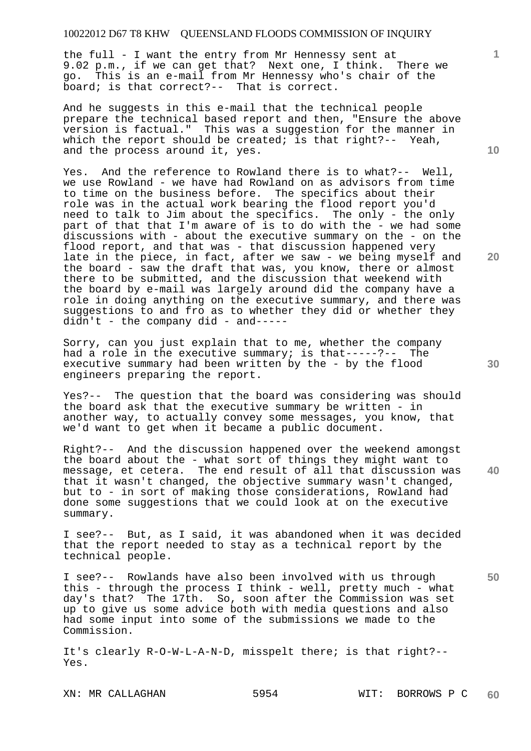the full - I want the entry from Mr Hennessy sent at 9.02 p.m., if we can get that? Next one, I think. There we go. This is an e-mail from Mr Hennessy who's chair of the board; is that correct?-- That is correct.

And he suggests in this e-mail that the technical people prepare the technical based report and then, "Ensure the above version is factual." This was a suggestion for the manner in which the report should be created; is that right?-- Yeah, and the process around it, yes.

Yes. And the reference to Rowland there is to what?-- Well, we use Rowland - we have had Rowland on as advisors from time to time on the business before. The specifics about their role was in the actual work bearing the flood report you'd need to talk to Jim about the specifics. The only - the only part of that that I'm aware of is to do with the - we had some discussions with - about the executive summary on the - on the flood report, and that was - that discussion happened very late in the piece, in fact, after we saw - we being myself and the board - saw the draft that was, you know, there or almost there to be submitted, and the discussion that weekend with the board by e-mail was largely around did the company have a role in doing anything on the executive summary, and there was suggestions to and fro as to whether they did or whether they  $d$ idn't - the company  $d$ id - and-----

Sorry, can you just explain that to me, whether the company had a role in the executive summary; is that-----?-- The executive summary had been written by the - by the flood engineers preparing the report.

Yes?-- The question that the board was considering was should the board ask that the executive summary be written - in another way, to actually convey some messages, you know, that we'd want to get when it became a public document.

Right?-- And the discussion happened over the weekend amongst the board about the - what sort of things they might want to message, et cetera. The end result of all that discussion was that it wasn't changed, the objective summary wasn't changed, but to - in sort of making those considerations, Rowland had done some suggestions that we could look at on the executive summary.

I see?-- But, as I said, it was abandoned when it was decided that the report needed to stay as a technical report by the technical people.

I see?-- Rowlands have also been involved with us through this - through the process I think - well, pretty much - what day's that? The 17th. So, soon after the Commission was set up to give us some advice both with media questions and also had some input into some of the submissions we made to the Commission.

It's clearly R-O-W-L-A-N-D, misspelt there; is that right?-- Yes.

**10** 

**1**

**20** 

**40**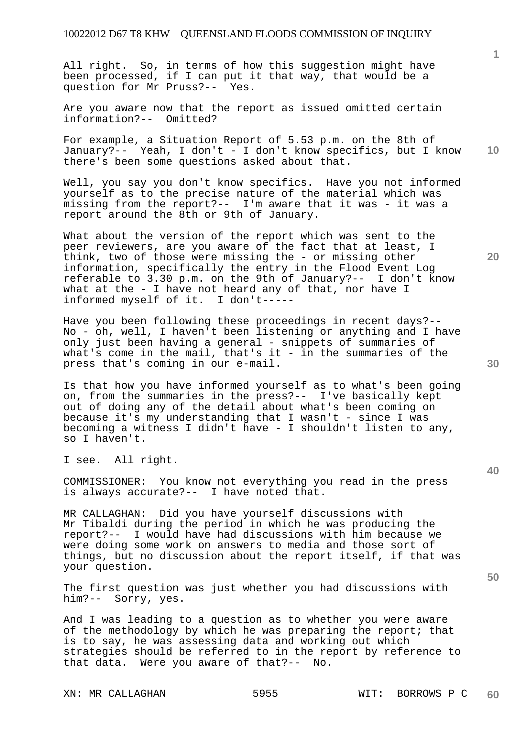All right. So, in terms of how this suggestion might have been processed, if I can put it that way, that would be a question for Mr Pruss?-- Yes.

Are you aware now that the report as issued omitted certain information?-- Omitted?

**10**  For example, a Situation Report of 5.53 p.m. on the 8th of January?-- Yeah, I don't - I don't know specifics, but I know there's been some questions asked about that.

Well, you say you don't know specifics. Have you not informed yourself as to the precise nature of the material which was missing from the report?-- I'm aware that it was - it was a report around the 8th or 9th of January.

What about the version of the report which was sent to the peer reviewers, are you aware of the fact that at least, I think, two of those were missing the - or missing other information, specifically the entry in the Flood Event Log referable to 3.30 p.m. on the 9th of January?-- I don't know what at the - I have not heard any of that, nor have I informed myself of it. I don't-----

Have you been following these proceedings in recent days?-- No - oh, well, I haven't been listening or anything and I have only just been having a general - snippets of summaries of what's come in the mail, that's it - in the summaries of the press that's coming in our e-mail.

Is that how you have informed yourself as to what's been going on, from the summaries in the press?-- I've basically kept out of doing any of the detail about what's been coming on because it's my understanding that I wasn't - since I was becoming a witness I didn't have - I shouldn't listen to any, so I haven't.

I see. All right.

COMMISSIONER: You know not everything you read in the press is always accurate?-- I have noted that.

MR CALLAGHAN: Did you have yourself discussions with Mr Tibaldi during the period in which he was producing the report?-- I would have had discussions with him because we were doing some work on answers to media and those sort of things, but no discussion about the report itself, if that was your question.

The first question was just whether you had discussions with him?-- Sorry, yes.

And I was leading to a question as to whether you were aware of the methodology by which he was preparing the report; that is to say, he was assessing data and working out which strategies should be referred to in the report by reference to that data. Were you aware of that?-- No.

**1**

**20** 

**50**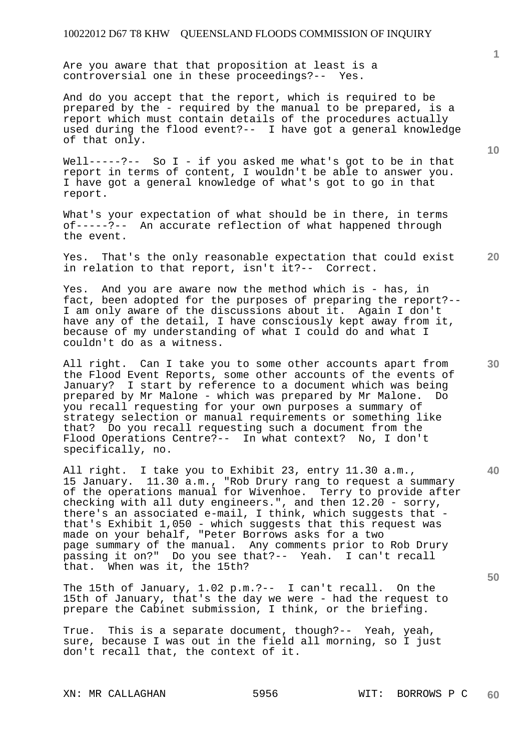Are you aware that that proposition at least is a controversial one in these proceedings?-- Yes.

And do you accept that the report, which is required to be prepared by the - required by the manual to be prepared, is a report which must contain details of the procedures actually used during the flood event?-- I have got a general knowledge of that only.

Well-----?-- So I - if you asked me what's got to be in that report in terms of content, I wouldn't be able to answer you. I have got a general knowledge of what's got to go in that report.

What's your expectation of what should be in there, in terms of-----?-- An accurate reflection of what happened through the event.

**20**  Yes. That's the only reasonable expectation that could exist in relation to that report, isn't it?-- Correct.

Yes. And you are aware now the method which is - has, in fact, been adopted for the purposes of preparing the report?-- I am only aware of the discussions about it. Again I don't have any of the detail, I have consciously kept away from it, because of my understanding of what I could do and what I couldn't do as a witness.

All right. Can I take you to some other accounts apart from the Flood Event Reports, some other accounts of the events of January? I start by reference to a document which was being prepared by Mr Malone - which was prepared by Mr Malone. Do you recall requesting for your own purposes a summary of strategy selection or manual requirements or something like that? Do you recall requesting such a document from the Flood Operations Centre?-- In what context? No, I don't specifically, no.

All right. I take you to Exhibit 23, entry 11.30 a.m., 15 January. 11.30 a.m., "Rob Drury rang to request a summary of the operations manual for Wivenhoe. Terry to provide after checking with all duty engineers.", and then 12.20 - sorry, there's an associated e-mail, I think, which suggests that that's Exhibit 1,050 - which suggests that this request was made on your behalf, "Peter Borrows asks for a two page summary of the manual. Any comments prior to Rob Drury passing it on?" Do you see that?-- Yeah. I can't recall that. When was it, the 15th?

The 15th of January, 1.02 p.m.?-- I can't recall. On the 15th of January, that's the day we were - had the request to prepare the Cabinet submission, I think, or the briefing.

True. This is a separate document, though?-- Yeah, yeah, sure, because I was out in the field all morning, so I just don't recall that, the context of it.

**1**

**10** 

**30** 

**40**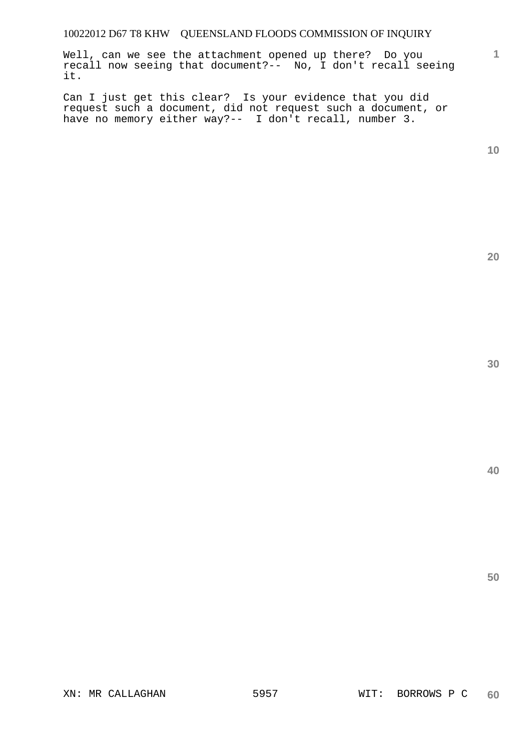Well, can we see the attachment opened up there? Do you recall now seeing that document?-- No, I don't recall seeing it.

Can I just get this clear? Is your evidence that you did request such a document, did not request such a document, or have no memory either way?-- I don't recall, number 3.

**10** 

**1**

**20**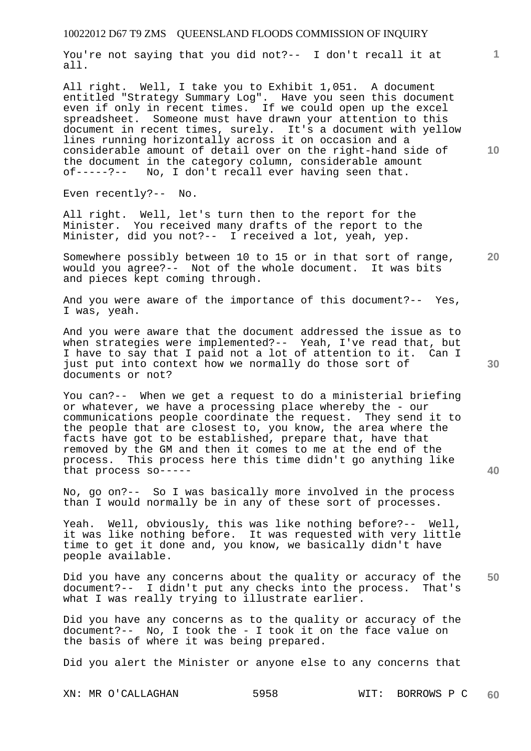You're not saying that you did not?-- I don't recall it at all.

All right. Well, I take you to Exhibit 1,051. A document entitled "Strategy Summary Log". Have you seen this document even if only in recent times. If we could open up the excel spreadsheet. Someone must have drawn your attention to this document in recent times, surely. It's a document with yellow lines running horizontally across it on occasion and a considerable amount of detail over on the right-hand side of the document in the category column, considerable amount of-----?-- No, I don't recall ever having seen that.

Even recently?-- No.

All right. Well, let's turn then to the report for the Minister. You received many drafts of the report to the Minister, did you not?-- I received a lot, yeah, yep.

**20**  Somewhere possibly between 10 to 15 or in that sort of range, would you agree?-- Not of the whole document. It was bits and pieces kept coming through.

And you were aware of the importance of this document?-- Yes, I was, yeah.

And you were aware that the document addressed the issue as to when strategies were implemented?-- Yeah, I've read that, but I have to say that I paid not a lot of attention to it. Can I just put into context how we normally do those sort of documents or not?

You can?-- When we get a request to do a ministerial briefing or whatever, we have a processing place whereby the - our communications people coordinate the request. They send it to the people that are closest to, you know, the area where the facts have got to be established, prepare that, have that removed by the GM and then it comes to me at the end of the process. This process here this time didn't go anything like that process so-----

No, go on?-- So I was basically more involved in the process than I would normally be in any of these sort of processes.

Yeah. Well, obviously, this was like nothing before?-- Well, it was like nothing before. It was requested with very little time to get it done and, you know, we basically didn't have people available.

**50**  Did you have any concerns about the quality or accuracy of the document?-- I didn't put any checks into the process. That's what I was really trying to illustrate earlier.

Did you have any concerns as to the quality or accuracy of the document?-- No, I took the - I took it on the face value on the basis of where it was being prepared.

Did you alert the Minister or anyone else to any concerns that

**10** 

**1**

**40**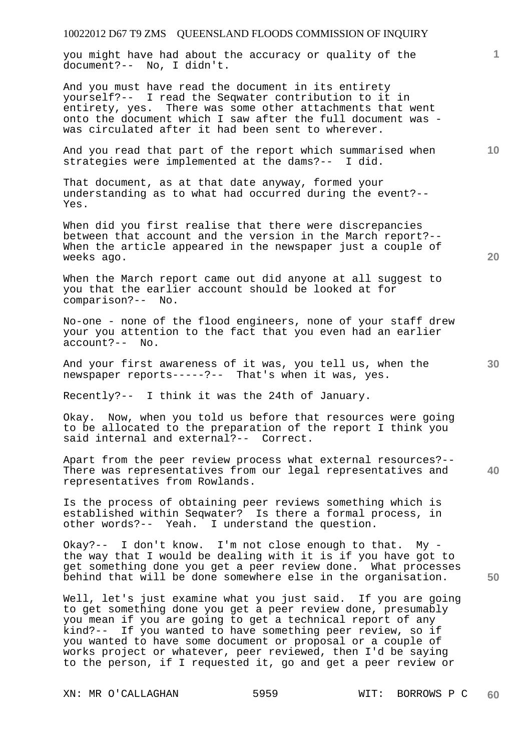you might have had about the accuracy or quality of the document?-- No, I didn't.

And you must have read the document in its entirety yourself?-- I read the Seqwater contribution to it in entirety, yes. There was some other attachments that went onto the document which I saw after the full document was was circulated after it had been sent to wherever.

And you read that part of the report which summarised when strategies were implemented at the dams?-- I did.

That document, as at that date anyway, formed your understanding as to what had occurred during the event?-- Yes.

When did you first realise that there were discrepancies between that account and the version in the March report?-- When the article appeared in the newspaper just a couple of weeks ago.

When the March report came out did anyone at all suggest to you that the earlier account should be looked at for comparison?-- No.

No-one - none of the flood engineers, none of your staff drew your you attention to the fact that you even had an earlier account?-- No.

And your first awareness of it was, you tell us, when the newspaper reports-----?-- That's when it was, yes.

Recently?-- I think it was the 24th of January.

Okay. Now, when you told us before that resources were going to be allocated to the preparation of the report I think you said internal and external?-- Correct.

**40**  Apart from the peer review process what external resources?-- There was representatives from our legal representatives and representatives from Rowlands.

Is the process of obtaining peer reviews something which is established within Seqwater? Is there a formal process, in other words?-- Yeah. I understand the question.

Okay?-- I don't know. I'm not close enough to that. My the way that I would be dealing with it is if you have got to get something done you get a peer review done. What processes behind that will be done somewhere else in the organisation.

Well, let's just examine what you just said. If you are going to get something done you get a peer review done, presumably you mean if you are going to get a technical report of any kind?-- If you wanted to have something peer review, so if you wanted to have some document or proposal or a couple of works project or whatever, peer reviewed, then I'd be saying to the person, if I requested it, go and get a peer review or

**10** 

**1**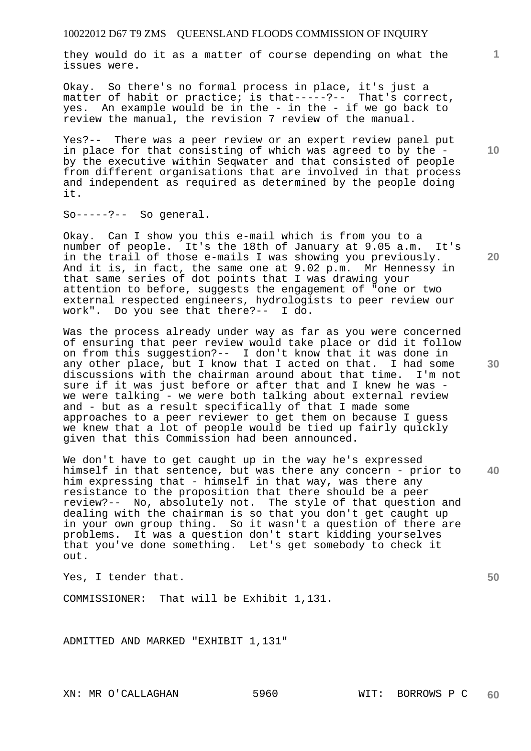they would do it as a matter of course depending on what the issues were.

Okay. So there's no formal process in place, it's just a matter of habit or practice; is that-----?-- That's correct, yes. An example would be in the - in the - if we go back to review the manual, the revision 7 review of the manual.

Yes?-- There was a peer review or an expert review panel put in place for that consisting of which was agreed to by the by the executive within Seqwater and that consisted of people from different organisations that are involved in that process and independent as required as determined by the people doing it.

So-----?-- So general.

Okay. Can I show you this e-mail which is from you to a number of people. It's the 18th of January at 9.05 a.m. It's in the trail of those e-mails I was showing you previously. And it is, in fact, the same one at 9.02 p.m. Mr Hennessy in that same series of dot points that I was drawing your attention to before, suggests the engagement of "one or two external respected engineers, hydrologists to peer review our work". Do you see that there?-- I do.

Was the process already under way as far as you were concerned of ensuring that peer review would take place or did it follow on from this suggestion?-- I don't know that it was done in any other place, but I know that I acted on that. I had some discussions with the chairman around about that time. I'm not sure if it was just before or after that and I knew he was we were talking - we were both talking about external review and - but as a result specifically of that I made some approaches to a peer reviewer to get them on because I guess we knew that a lot of people would be tied up fairly quickly given that this Commission had been announced.

**40**  We don't have to get caught up in the way he's expressed himself in that sentence, but was there any concern - prior to him expressing that - himself in that way, was there any resistance to the proposition that there should be a peer review?-- No, absolutely not. The style of that question and dealing with the chairman is so that you don't get caught up in your own group thing. So it wasn't a question of there are problems. It was a question don't start kidding yourselves that you've done something. Let's get somebody to check it out.

Yes, I tender that.

COMMISSIONER: That will be Exhibit 1,131.

ADMITTED AND MARKED "EXHIBIT 1,131"

**10** 

**1**

**20** 

**30**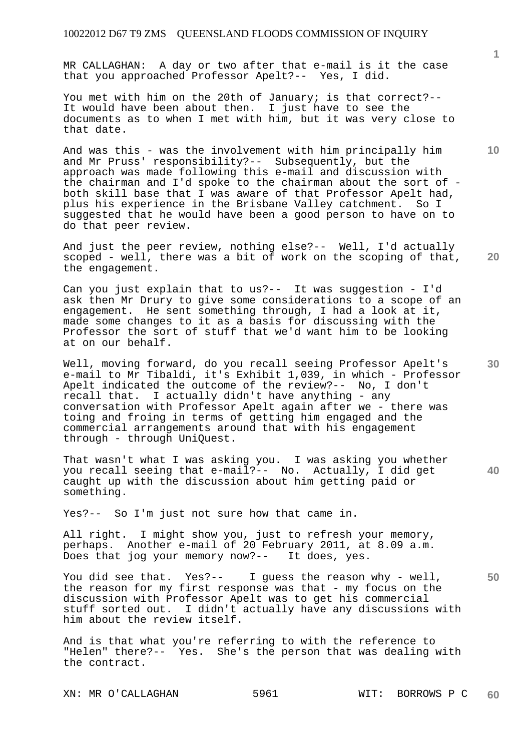MR CALLAGHAN: A day or two after that e-mail is it the case that you approached Professor Apelt?-- Yes, I did.

You met with him on the 20th of January; is that correct?-- It would have been about then. I just have to see the documents as to when I met with him, but it was very close to that date.

And was this - was the involvement with him principally him and Mr Pruss' responsibility?-- Subsequently, but the approach was made following this e-mail and discussion with the chairman and I'd spoke to the chairman about the sort of both skill base that I was aware of that Professor Apelt had, plus his experience in the Brisbane Valley catchment. So I suggested that he would have been a good person to have on to do that peer review.

**20**  And just the peer review, nothing else?-- Well, I'd actually scoped - well, there was a bit of work on the scoping of that, the engagement.

Can you just explain that to us?-- It was suggestion - I'd ask then Mr Drury to give some considerations to a scope of an engagement. He sent something through, I had a look at it, made some changes to it as a basis for discussing with the Professor the sort of stuff that we'd want him to be looking at on our behalf.

Well, moving forward, do you recall seeing Professor Apelt's e-mail to Mr Tibaldi, it's Exhibit 1,039, in which - Professor Apelt indicated the outcome of the review?-- No, I don't recall that. I actually didn't have anything - any conversation with Professor Apelt again after we - there was toing and froing in terms of getting him engaged and the commercial arrangements around that with his engagement through - through UniQuest.

That wasn't what I was asking you. I was asking you whether you recall seeing that e-mail?-- No. Actually, I did get caught up with the discussion about him getting paid or something.

Yes?-- So I'm just not sure how that came in.

All right. I might show you, just to refresh your memory, perhaps. Another e-mail of 20 February 2011, at 8.09 a.m. Does that jog your memory now?-- It does, yes.

You did see that. Yes?-- I guess the reason why - well, the reason for my first response was that - my focus on the discussion with Professor Apelt was to get his commercial stuff sorted out. I didn't actually have any discussions with him about the review itself.

And is that what you're referring to with the reference to "Helen" there?-- Yes. She's the person that was dealing with the contract.

XN: MR O'CALLAGHAN 5961 WIT: BORROWS P C

**1**

**10** 

**40**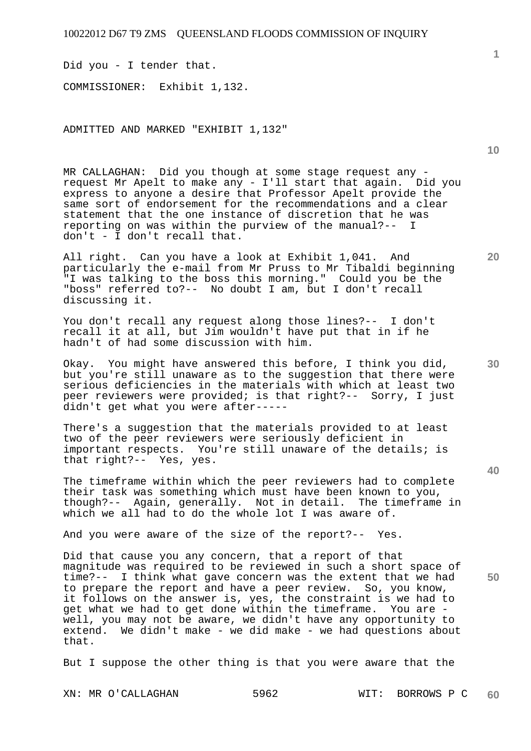Did you - I tender that. COMMISSIONER: Exhibit 1,132.

ADMITTED AND MARKED "EXHIBIT 1,132"

MR CALLAGHAN: Did you though at some stage request any request Mr Apelt to make any - I'll start that again. Did you express to anyone a desire that Professor Apelt provide the same sort of endorsement for the recommendations and a clear statement that the one instance of discretion that he was reporting on was within the purview of the manual?-- I don't - I don't recall that.

All right. Can you have a look at Exhibit 1,041. And particularly the e-mail from Mr Pruss to Mr Tibaldi beginning "I was talking to the boss this morning." Could you be the "boss" referred to?-- No doubt I am, but I don't recall discussing it.

You don't recall any request along those lines?-- I don't recall it at all, but Jim wouldn't have put that in if he hadn't of had some discussion with him.

Okay. You might have answered this before, I think you did, but you're still unaware as to the suggestion that there were serious deficiencies in the materials with which at least two peer reviewers were provided; is that right?-- Sorry, I just didn't get what you were after-----

There's a suggestion that the materials provided to at least two of the peer reviewers were seriously deficient in important respects. You're still unaware of the details; is that right?-- Yes, yes.

The timeframe within which the peer reviewers had to complete their task was something which must have been known to you, though?-- Again, generally. Not in detail. The timeframe in which we all had to do the whole lot I was aware of.

And you were aware of the size of the report?-- Yes.

Did that cause you any concern, that a report of that magnitude was required to be reviewed in such a short space of time?-- I think what gave concern was the extent that we had to prepare the report and have a peer review. So, you know, it follows on the answer is, yes, the constraint is we had to get what we had to get done within the timeframe. You are well, you may not be aware, we didn't have any opportunity to extend. We didn't make - we did make - we had questions about that.

But I suppose the other thing is that you were aware that the

**1**

**10** 

**20** 

**30** 

**50**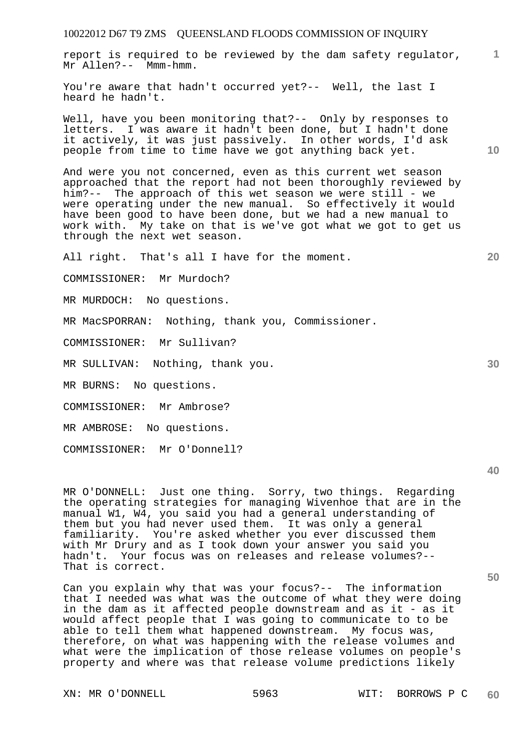**1** report is required to be reviewed by the dam safety regulator, Mr Allen?-- Mmm-hmm.

You're aware that hadn't occurred yet?-- Well, the last I heard he hadn't.

Well, have you been monitoring that?-- Only by responses to letters. I was aware it hadn't been done, but I hadn't done it actively, it was just passively. In other words, I'd ask people from time to time have we got anything back yet.

And were you not concerned, even as this current wet season approached that the report had not been thoroughly reviewed by him?-- The approach of this wet season we were still - we were operating under the new manual. So effectively it would have been good to have been done, but we had a new manual to work with. My take on that is we've got what we got to get us through the next wet season.

All right. That's all I have for the moment.

COMMISSIONER: Mr Murdoch?

MR MURDOCH: No questions.

MR MacSPORRAN: Nothing, thank you, Commissioner.

COMMISSIONER: Mr Sullivan?

MR SULLIVAN: Nothing, thank you.

MR BURNS: No questions.

COMMISSIONER: Mr Ambrose?

MR AMBROSE: No questions.

COMMISSIONER: Mr O'Donnell?

MR O'DONNELL: Just one thing. Sorry, two things. Regarding the operating strategies for managing Wivenhoe that are in the manual W1, W4, you said you had a general understanding of them but you had never used them. It was only a general familiarity. You're asked whether you ever discussed them with Mr Drury and as I took down your answer you said you<br>hadn't. Your focus was on releases and release volumes?--Your focus was on releases and release volumes?--That is correct.

Can you explain why that was your focus?-- The information that I needed was what was the outcome of what they were doing in the dam as it affected people downstream and as it - as it would affect people that I was going to communicate to to be able to tell them what happened downstream. My focus was, therefore, on what was happening with the release volumes and what were the implication of those release volumes on people's property and where was that release volume predictions likely

**10** 

**20** 

**30** 

**40**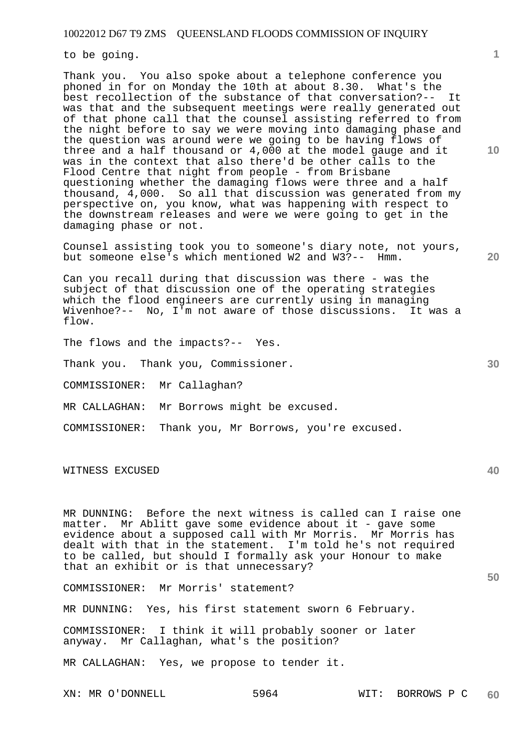to be going.

Thank you. You also spoke about a telephone conference you phoned in for on Monday the 10th at about 8.30. What's the best recollection of the substance of that conversation?-- It was that and the subsequent meetings were really generated out of that phone call that the counsel assisting referred to from the night before to say we were moving into damaging phase and the question was around were we going to be having flows of three and a half thousand or 4,000 at the model gauge and it was in the context that also there'd be other calls to the Flood Centre that night from people - from Brisbane questioning whether the damaging flows were three and a half thousand, 4,000. So all that discussion was generated from my perspective on, you know, what was happening with respect to the downstream releases and were we were going to get in the damaging phase or not.

Counsel assisting took you to someone's diary note, not yours, but someone else's which mentioned W2 and W3?-- Hmm.

Can you recall during that discussion was there - was the subject of that discussion one of the operating strategies which the flood engineers are currently using in managing<br>Wivenhoe?-- No, I'm not aware of those discussions. It was a Wivenhoe?-- No, I'm not aware of those discussions. flow.

The flows and the impacts?-- Yes.

Thank you. Thank you, Commissioner.

COMMISSIONER: Mr Callaghan?

MR CALLAGHAN: Mr Borrows might be excused.

COMMISSIONER: Thank you, Mr Borrows, you're excused.

WITNESS EXCUSED

MR DUNNING: Before the next witness is called can I raise one matter. Mr Ablitt gave some evidence about it - gave some evidence about a supposed call with Mr Morris. Mr Morris has dealt with that in the statement. I'm told he's not required to be called, but should I formally ask your Honour to make that an exhibit or is that unnecessary?

COMMISSIONER: Mr Morris' statement?

MR DUNNING: Yes, his first statement sworn 6 February.

COMMISSIONER: I think it will probably sooner or later anyway. Mr Callaghan, what's the position?

MR CALLAGHAN: Yes, we propose to tender it.

**20** 

**1**

**40**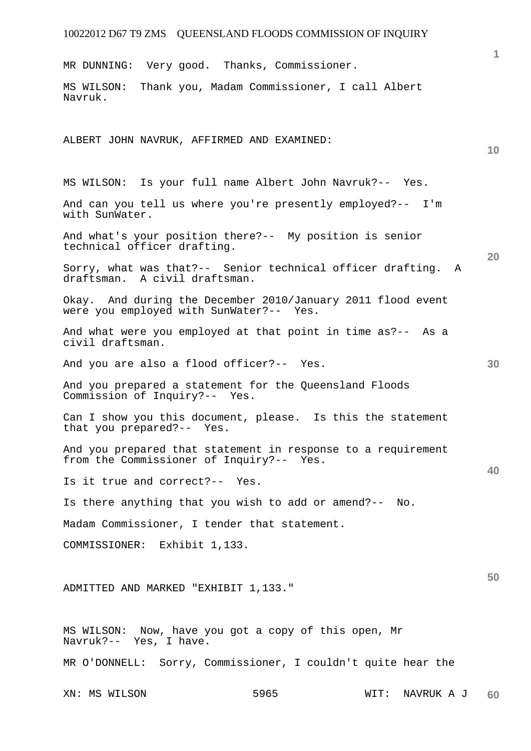XN: MS WILSON 5965 WIT: NAVRUK A J **1 10 20 30 40 50 60**  MR DUNNING: Very good. Thanks, Commissioner. MS WILSON: Thank you, Madam Commissioner, I call Albert Navruk. ALBERT JOHN NAVRUK, AFFIRMED AND EXAMINED: MS WILSON: Is your full name Albert John Navruk?-- Yes. And can you tell us where you're presently employed?-- I'm with SunWater. And what's your position there?-- My position is senior technical officer drafting. Sorry, what was that?-- Senior technical officer drafting. A draftsman. A civil draftsman. Okay. And during the December 2010/January 2011 flood event were you employed with SunWater?-- Yes. And what were you employed at that point in time as?-- As a civil draftsman. And you are also a flood officer?-- Yes. And you prepared a statement for the Queensland Floods Commission of Inquiry?-- Yes. Can I show you this document, please. Is this the statement that you prepared?-- Yes. And you prepared that statement in response to a requirement from the Commissioner of Inquiry?-- Yes. Is it true and correct?-- Yes. Is there anything that you wish to add or amend?-- No. Madam Commissioner, I tender that statement. COMMISSIONER: Exhibit 1,133. ADMITTED AND MARKED "EXHIBIT 1,133." MS WILSON: Now, have you got a copy of this open, Mr Navruk?-- Yes, I have. MR O'DONNELL: Sorry, Commissioner, I couldn't quite hear the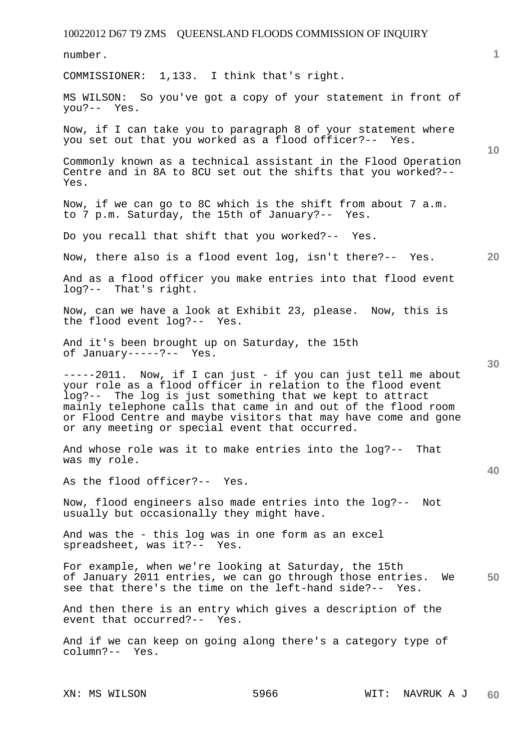10022012 D67 T9 ZMS QUEENSLAND FLOODS COMMISSION OF INQUIRY **1 10 20 30 40 50**  number. COMMISSIONER: 1,133. I think that's right. MS WILSON: So you've got a copy of your statement in front of you?-- Yes. Now, if I can take you to paragraph 8 of your statement where you set out that you worked as a flood officer?-- Yes. Commonly known as a technical assistant in the Flood Operation Centre and in 8A to 8CU set out the shifts that you worked?-- Yes. Now, if we can go to 8C which is the shift from about 7 a.m. to 7 p.m. Saturday, the 15th of January?-- Yes. Do you recall that shift that you worked?-- Yes. Now, there also is a flood event log, isn't there?-- Yes. And as a flood officer you make entries into that flood event log?-- That's right. Now, can we have a look at Exhibit 23, please. Now, this is the flood event log?-- Yes. And it's been brought up on Saturday, the 15th of January-----?-- Yes. -----2011. Now, if I can just - if you can just tell me about your role as a flood officer in relation to the flood event log?-- The log is just something that we kept to attract mainly telephone calls that came in and out of the flood room or Flood Centre and maybe visitors that may have come and gone or any meeting or special event that occurred. And whose role was it to make entries into the log?-- That was my role. As the flood officer?-- Yes. Now, flood engineers also made entries into the log?-- Not usually but occasionally they might have. And was the - this log was in one form as an excel spreadsheet, was it?-- Yes. For example, when we're looking at Saturday, the 15th of January 2011 entries, we can go through those entries. We see that there's the time on the left-hand side?-- Yes. And then there is an entry which gives a description of the event that occurred?-- Yes. And if we can keep on going along there's a category type of column?-- Yes.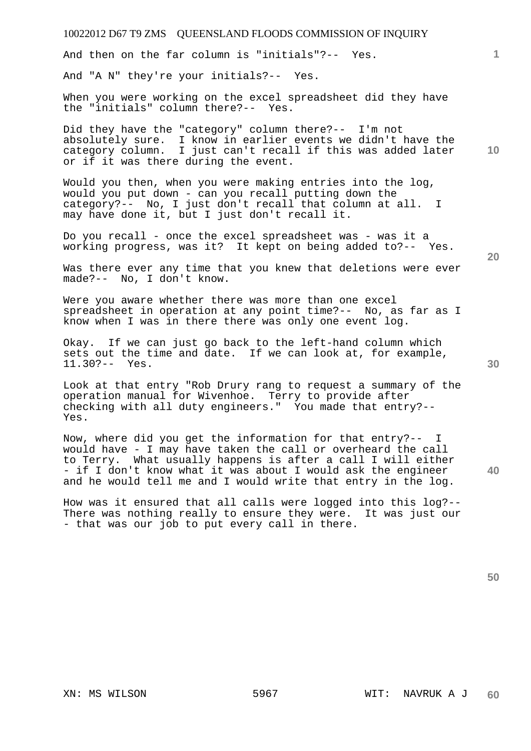And then on the far column is "initials"?-- Yes.

And "A N" they're your initials?-- Yes.

When you were working on the excel spreadsheet did they have the "initials" column there?-- Yes.

**10**  Did they have the "category" column there?-- I'm not absolutely sure. I know in earlier events we didn't have the category column. I just can't recall if this was added later or if it was there during the event.

Would you then, when you were making entries into the log, would you put down - can you recall putting down the category?-- No, I just don't recall that column at all. I may have done it, but I just don't recall it.

Do you recall - once the excel spreadsheet was - was it a working progress, was it? It kept on being added to?-- Yes.

Was there ever any time that you knew that deletions were ever made?-- No, I don't know.

Were you aware whether there was more than one excel spreadsheet in operation at any point time?-- No, as far as I know when I was in there there was only one event log.

Okay. If we can just go back to the left-hand column which sets out the time and date. If we can look at, for example, 11.30?-- Yes.

Look at that entry "Rob Drury rang to request a summary of the operation manual for Wivenhoe. Terry to provide after checking with all duty engineers." You made that entry?-- Yes.

Now, where did you get the information for that entry?-- I would have - I may have taken the call or overheard the call to Terry. What usually happens is after a call I will either - if I don't know what it was about I would ask the engineer and he would tell me and I would write that entry in the log.

How was it ensured that all calls were logged into this log?-- There was nothing really to ensure they were. It was just our - that was our job to put every call in there.

**50** 

**30** 

**40** 

**20**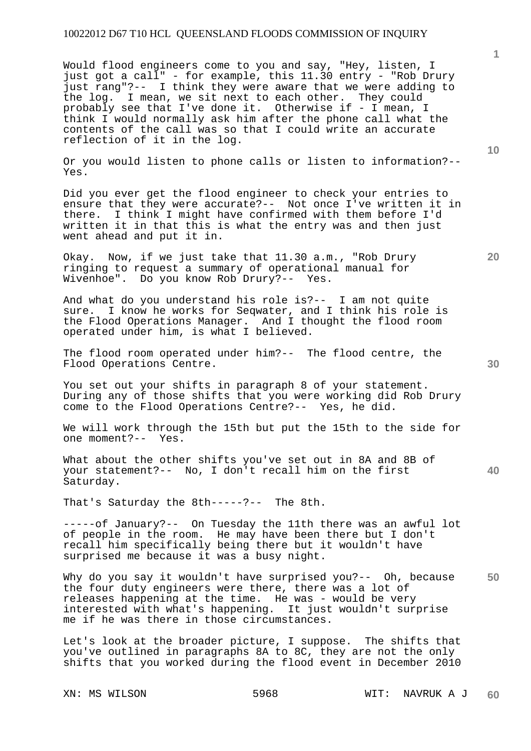Would flood engineers come to you and say, "Hey, listen, I just got a call" - for example, this 11.30 entry - "Rob Drury just rang"?-- I think they were aware that we were adding to the log. I mean, we sit next to each other. They could probably see that I've done it. Otherwise if - I mean, I think I would normally ask him after the phone call what the contents of the call was so that I could write an accurate reflection of it in the log.

Or you would listen to phone calls or listen to information?-- Yes.

Did you ever get the flood engineer to check your entries to ensure that they were accurate?-- Not once I've written it in there. I think I might have confirmed with them before I'd written it in that this is what the entry was and then just went ahead and put it in.

Okay. Now, if we just take that 11.30 a.m., "Rob Drury ringing to request a summary of operational manual for Wivenhoe". Do you know Rob Drury?-- Yes.

And what do you understand his role is?-- I am not quite sure. I know he works for Seqwater, and I think his role is the Flood Operations Manager. And I thought the flood room operated under him, is what I believed.

The flood room operated under him?-- The flood centre, the Flood Operations Centre.

You set out your shifts in paragraph 8 of your statement. During any of those shifts that you were working did Rob Drury come to the Flood Operations Centre?-- Yes, he did.

We will work through the 15th but put the 15th to the side for one moment?-- Yes.

What about the other shifts you've set out in 8A and 8B of your statement?-- No, I don't recall him on the first Saturday.

That's Saturday the 8th-----?-- The 8th.

-----of January?-- On Tuesday the 11th there was an awful lot of people in the room. He may have been there but I don't recall him specifically being there but it wouldn't have surprised me because it was a busy night.

**50**  Why do you say it wouldn't have surprised you?-- Oh, because the four duty engineers were there, there was a lot of releases happening at the time. He was - would be very interested with what's happening. It just wouldn't surprise me if he was there in those circumstances.

Let's look at the broader picture, I suppose. The shifts that you've outlined in paragraphs 8A to 8C, they are not the only shifts that you worked during the flood event in December 2010

**1**

**10** 

**20**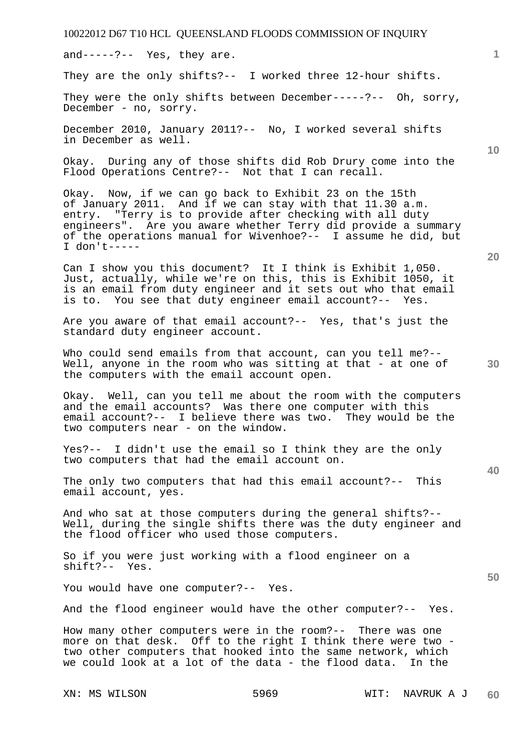XN: MS WILSON 5969 WIT: NAVRUK A J **1 10 30**  Well, anyone in the room who was sitting at that - at one of **40 50 60**  and-----?-- Yes, they are. They are the only shifts?-- I worked three 12-hour shifts. They were the only shifts between December-----?-- Oh, sorry, December - no, sorry. December 2010, January 2011?-- No, I worked several shifts in December as well. Okay. During any of those shifts did Rob Drury come into the Flood Operations Centre?-- Not that I can recall. Okay. Now, if we can go back to Exhibit 23 on the 15th of January 2011. And if we can stay with that 11.30 a.m. entry. "Terry is to provide after checking with all duty engineers". Are you aware whether Terry did provide a summary of the operations manual for Wivenhoe?-- I assume he did, but I don't----- Can I show you this document? It I think is Exhibit 1,050. Just, actually, while we're on this, this is Exhibit 1050, it is an email from duty engineer and it sets out who that email is to. You see that duty engineer email account?-- Yes. Are you aware of that email account?-- Yes, that's just the standard duty engineer account. Who could send emails from that account, can you tell me?-the computers with the email account open. Okay. Well, can you tell me about the room with the computers and the email accounts? Was there one computer with this email account?-- I believe there was two. They would be the two computers near - on the window. Yes?-- I didn't use the email so I think they are the only two computers that had the email account on. The only two computers that had this email account?-- This email account, yes. And who sat at those computers during the general shifts?-- Well, during the single shifts there was the duty engineer and the flood officer who used those computers. So if you were just working with a flood engineer on a shift?-- Yes. You would have one computer?-- Yes. And the flood engineer would have the other computer?-- Yes. How many other computers were in the room?-- There was one more on that desk. Off to the right I think there were two two other computers that hooked into the same network, which we could look at a lot of the data - the flood data. In the

#### 10022012 D67 T10 HCL QUEENSLAND FLOODS COMMISSION OF INQUIRY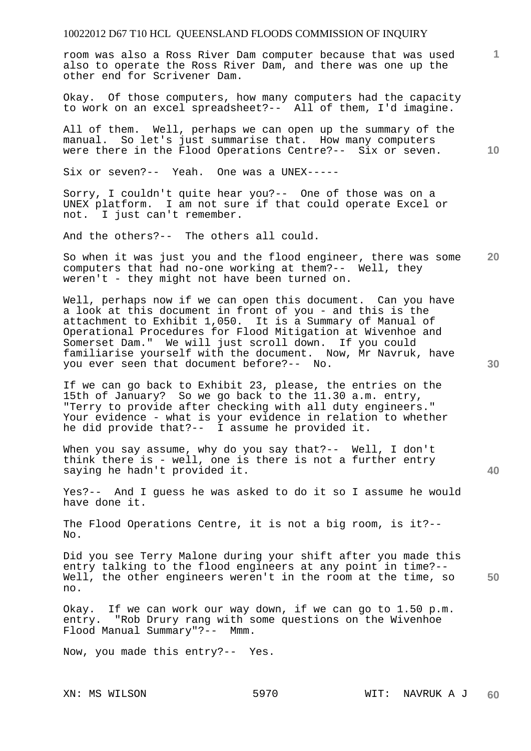room was also a Ross River Dam computer because that was used also to operate the Ross River Dam, and there was one up the other end for Scrivener Dam.

Okay. Of those computers, how many computers had the capacity to work on an excel spreadsheet?-- All of them, I'd imagine.

All of them. Well, perhaps we can open up the summary of the manual. So let's just summarise that. How many computers were there in the Flood Operations Centre?-- Six or seven.

Six or seven?-- Yeah. One was a UNEX-----

Sorry, I couldn't quite hear you?-- One of those was on a UNEX platform. I am not sure if that could operate Excel or not. I just can't remember.

And the others?-- The others all could.

**20**  So when it was just you and the flood engineer, there was some computers that had no-one working at them?-- Well, they weren't - they might not have been turned on.

Well, perhaps now if we can open this document. Can you have a look at this document in front of you - and this is the attachment to Exhibit 1,050. It is a Summary of Manual of Operational Procedures for Flood Mitigation at Wivenhoe and Somerset Dam." We will just scroll down. If you could familiarise yourself with the document. Now, Mr Navruk, have you ever seen that document before?-- No.

If we can go back to Exhibit 23, please, the entries on the 15th of January? So we go back to the 11.30 a.m. entry, "Terry to provide after checking with all duty engineers." Your evidence - what is your evidence in relation to whether he did provide that?-- I assume he provided it.

When you say assume, why do you say that?-- Well, I don't think there is - well, one is there is not a further entry saying he hadn't provided it.

Yes?-- And I guess he was asked to do it so I assume he would have done it.

The Flood Operations Centre, it is not a big room, is it?--  $N<sub>O</sub>$ 

Did you see Terry Malone during your shift after you made this entry talking to the flood engineers at any point in time?-- Well, the other engineers weren't in the room at the time, so no.

Okay. If we can work our way down, if we can go to 1.50 p.m. entry. "Rob Drury rang with some questions on the Wivenhoe Flood Manual Summary"?-- Mmm.

Now, you made this entry?-- Yes.

**30** 

**40** 

**50** 

**10**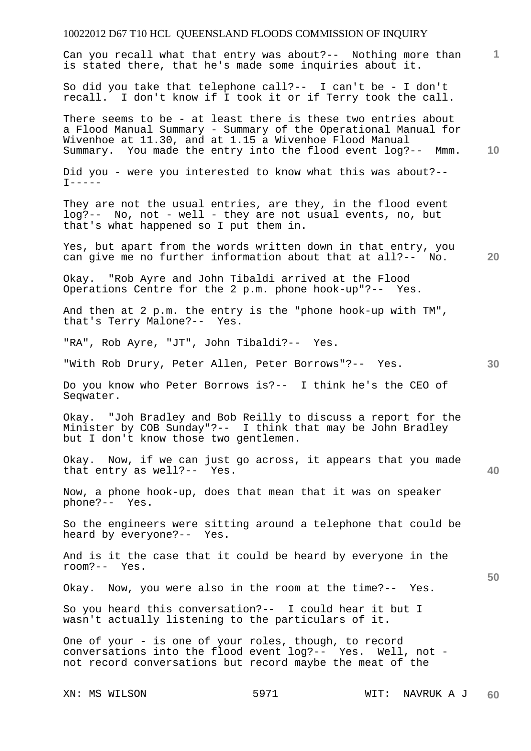# 10022012 D67 T10 HCL QUEENSLAND FLOODS COMMISSION OF INQUIRY XN: MS WILSON 5971 WIT: NAVRUK A J **1 10 20 30 40 50 60**  Can you recall what that entry was about?-- Nothing more than is stated there, that he's made some inquiries about it. So did you take that telephone call?-- I can't be - I don't recall. I don't know if I took it or if Terry took the call. There seems to be - at least there is these two entries about a Flood Manual Summary - Summary of the Operational Manual for Wivenhoe at 11.30, and at 1.15 a Wivenhoe Flood Manual Summary. You made the entry into the flood event log?-- Mmm. Did you - were you interested to know what this was about?--  $T-----$ They are not the usual entries, are they, in the flood event log?-- No, not - well - they are not usual events, no, but that's what happened so I put them in. Yes, but apart from the words written down in that entry, you can give me no further information about that at all?-- No. Okay. "Rob Ayre and John Tibaldi arrived at the Flood Operations Centre for the 2 p.m. phone hook-up"?-- Yes. And then at 2 p.m. the entry is the "phone hook-up with TM", that's Terry Malone?-- Yes. "RA", Rob Ayre, "JT", John Tibaldi?-- Yes. "With Rob Drury, Peter Allen, Peter Borrows"?-- Yes. Do you know who Peter Borrows is?-- I think he's the CEO of Seqwater. Okay. "Joh Bradley and Bob Reilly to discuss a report for the Minister by COB Sunday"?-- I think that may be John Bradley but I don't know those two gentlemen. Okay. Now, if we can just go across, it appears that you made that entry as well?-- Yes. Now, a phone hook-up, does that mean that it was on speaker phone?-- Yes. So the engineers were sitting around a telephone that could be heard by everyone?-- Yes. And is it the case that it could be heard by everyone in the room?-- Yes. Okay. Now, you were also in the room at the time?-- Yes. So you heard this conversation?-- I could hear it but I wasn't actually listening to the particulars of it. One of your - is one of your roles, though, to record conversations into the flood event log?-- Yes. Well, not not record conversations but record maybe the meat of the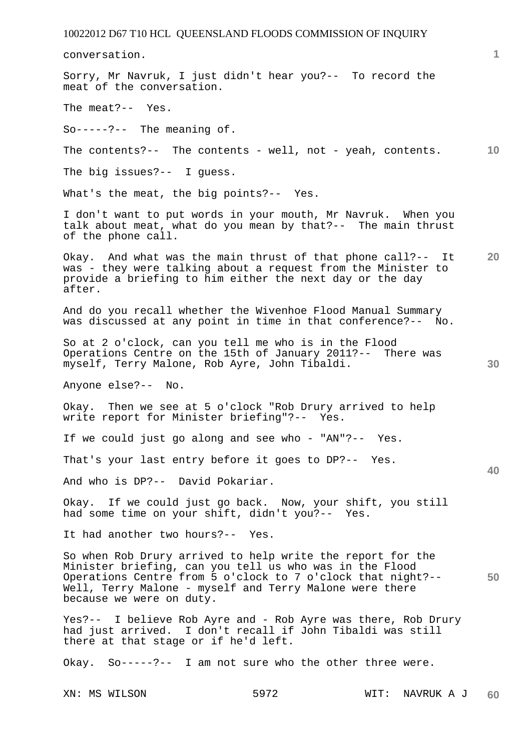conversation.

Sorry, Mr Navruk, I just didn't hear you?-- To record the meat of the conversation. The meat?-- Yes.

So-----?-- The meaning of.

**10**  The contents?-- The contents - well, not - yeah, contents.

The big issues?-- I guess.

What's the meat, the big points?-- Yes.

I don't want to put words in your mouth, Mr Navruk. When you talk about meat, what do you mean by that?-- The main thrust of the phone call.

**20**  Okay. And what was the main thrust of that phone call?-- It was - they were talking about a request from the Minister to provide a briefing to him either the next day or the day after.

And do you recall whether the Wivenhoe Flood Manual Summary was discussed at any point in time in that conference?-- No.

So at 2 o'clock, can you tell me who is in the Flood Operations Centre on the 15th of January 2011?-- There was myself, Terry Malone, Rob Ayre, John Tibaldi.

Anyone else?-- No.

Okay. Then we see at 5 o'clock "Rob Drury arrived to help write report for Minister briefing"?-- Yes.

If we could just go along and see who - "AN"?-- Yes.

That's your last entry before it goes to DP?-- Yes.

And who is DP?-- David Pokariar.

Okay. If we could just go back. Now, your shift, you still had some time on your shift, didn't you?-- Yes.

It had another two hours?-- Yes.

**50**  So when Rob Drury arrived to help write the report for the Minister briefing, can you tell us who was in the Flood Operations Centre from 5 o'clock to 7 o'clock that night?-- Well, Terry Malone - myself and Terry Malone were there because we were on duty.

Yes?-- I believe Rob Ayre and - Rob Ayre was there, Rob Drury had just arrived. I don't recall if John Tibaldi was still there at that stage or if he'd left.

Okay. So-----?-- I am not sure who the other three were.

**1**

**30**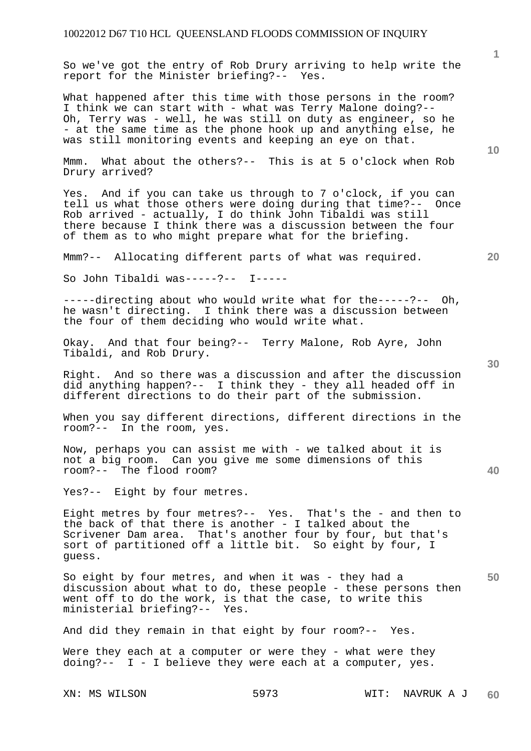So we've got the entry of Rob Drury arriving to help write the report for the Minister briefing?-- Yes.

What happened after this time with those persons in the room? I think we can start with - what was Terry Malone doing?-- Oh, Terry was - well, he was still on duty as engineer, so he - at the same time as the phone hook up and anything else, he was still monitoring events and keeping an eye on that.

Mmm. What about the others?-- This is at 5 o'clock when Rob Drury arrived?

Yes. And if you can take us through to 7 o'clock, if you can tell us what those others were doing during that time?-- Once Rob arrived - actually, I do think John Tibaldi was still there because I think there was a discussion between the four of them as to who might prepare what for the briefing.

Mmm?-- Allocating different parts of what was required.

So John Tibaldi was-----?-- I-----

-----directing about who would write what for the-----?-- Oh, he wasn't directing. I think there was a discussion between the four of them deciding who would write what.

Okay. And that four being?-- Terry Malone, Rob Ayre, John Tibaldi, and Rob Drury.

Right. And so there was a discussion and after the discussion did anything happen?-- I think they - they all headed off in different directions to do their part of the submission.

When you say different directions, different directions in the room?-- In the room, yes.

Now, perhaps you can assist me with - we talked about it is not a big room. Can you give me some dimensions of this room?-- The flood room?

Yes?-- Eight by four metres.

Eight metres by four metres?-- Yes. That's the - and then to the back of that there is another - I talked about the Scrivener Dam area. That's another four by four, but that's sort of partitioned off a little bit. So eight by four, I guess.

**50**  So eight by four metres, and when it was - they had a discussion about what to do, these people - these persons then went off to do the work, is that the case, to write this ministerial briefing?-- Yes.

And did they remain in that eight by four room?-- Yes.

Were they each at a computer or were they - what were they doing?-- I - I believe they were each at a computer, yes.

XN: MS WILSON 5973 WIT: NAVRUK A J **60** 

**20** 

**1**

**10**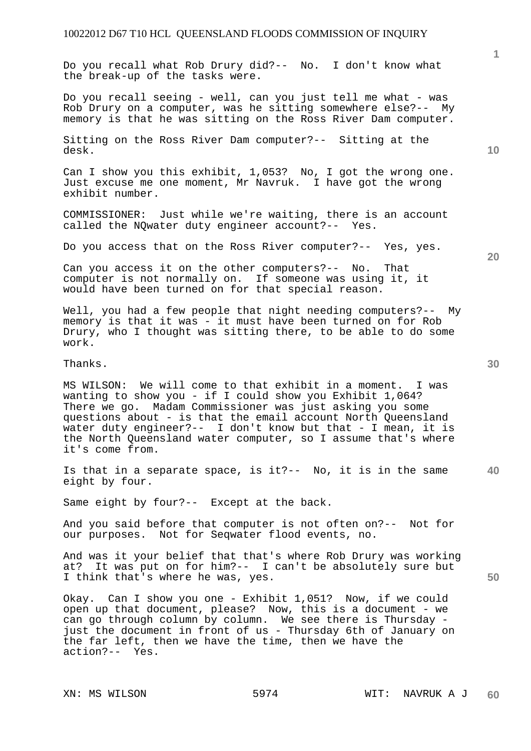Do you recall what Rob Drury did?-- No. I don't know what the break-up of the tasks were.

Do you recall seeing - well, can you just tell me what - was Rob Drury on a computer, was he sitting somewhere else?-- My memory is that he was sitting on the Ross River Dam computer.

Sitting on the Ross River Dam computer?-- Sitting at the desk.

Can I show you this exhibit, 1,053? No, I got the wrong one. Just excuse me one moment, Mr Navruk. I have got the wrong exhibit number.

COMMISSIONER: Just while we're waiting, there is an account called the NQwater duty engineer account?-- Yes.

Do you access that on the Ross River computer?-- Yes, yes.

Can you access it on the other computers?-- No. That computer is not normally on. If someone was using it, it would have been turned on for that special reason.

Well, you had a few people that night needing computers?-- My memory is that it was - it must have been turned on for Rob Drury, who I thought was sitting there, to be able to do some work.

Thanks.

MS WILSON: We will come to that exhibit in a moment. I was wanting to show you - if I could show you Exhibit 1,064? There we go. Madam Commissioner was just asking you some questions about - is that the email account North Queensland water duty engineer?-- I don't know but that - I mean, it is the North Queensland water computer, so I assume that's where it's come from.

**40**  Is that in a separate space, is it?-- No, it is in the same eight by four.

Same eight by four?-- Except at the back.

And you said before that computer is not often on?-- Not for our purposes. Not for Seqwater flood events, no.

And was it your belief that that's where Rob Drury was working at? It was put on for him?-- I can't be absolutely sure but I think that's where he was, yes.

Okay. Can I show you one - Exhibit 1,051? Now, if we could open up that document, please? Now, this is a document - we can go through column by column. We see there is Thursday just the document in front of us - Thursday 6th of January on the far left, then we have the time, then we have the action?-- Yes.

**10** 

**20**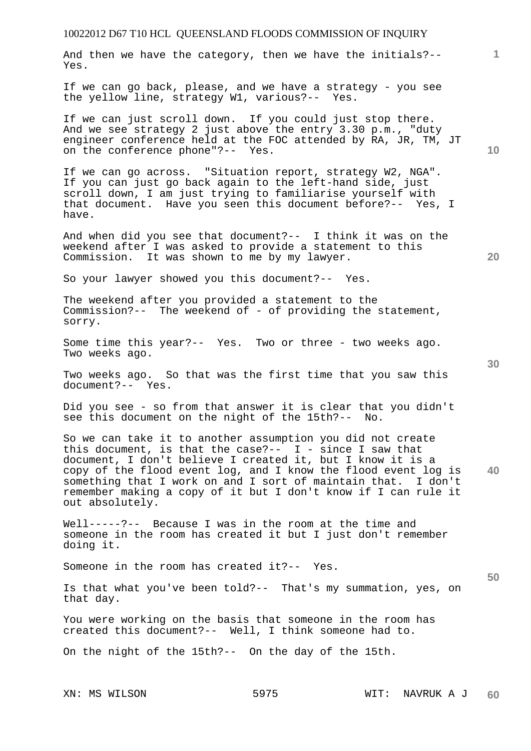**1** And then we have the category, then we have the initials?-- Yes.

If we can go back, please, and we have a strategy - you see the yellow line, strategy W1, various?-- Yes.

If we can just scroll down. If you could just stop there. And we see strategy 2 just above the entry 3.30 p.m., "duty engineer conference held at the FOC attended by RA, JR, TM, JT on the conference phone"?-- Yes.

If we can go across. "Situation report, strategy W2, NGA". If you can just go back again to the left-hand side, just scroll down, I am just trying to familiarise yourself with that document. Have you seen this document before?-- Yes, I have.

And when did you see that document?-- I think it was on the weekend after I was asked to provide a statement to this Commission. It was shown to me by my lawyer.

So your lawyer showed you this document?-- Yes.

The weekend after you provided a statement to the Commission?-- The weekend of - of providing the statement, sorry.

Some time this year?-- Yes. Two or three - two weeks ago. Two weeks ago.

Two weeks ago. So that was the first time that you saw this document?-- Yes.

Did you see - so from that answer it is clear that you didn't see this document on the night of the 15th?-- No.

**40**  So we can take it to another assumption you did not create this document, is that the case?--  $I$  - since I saw that document, I don't believe I created it, but I know it is a copy of the flood event log, and I know the flood event log is something that I work on and I sort of maintain that. I don't remember making a copy of it but I don't know if I can rule it out absolutely.

Well-----?-- Because I was in the room at the time and someone in the room has created it but I just don't remember doing it.

Someone in the room has created it?-- Yes.

Is that what you've been told?-- That's my summation, yes, on that day.

You were working on the basis that someone in the room has created this document?-- Well, I think someone had to.

On the night of the 15th?-- On the day of the 15th.

XN: MS WILSON 5975 WIT: NAVRUK A J **60** 

**50** 

**10**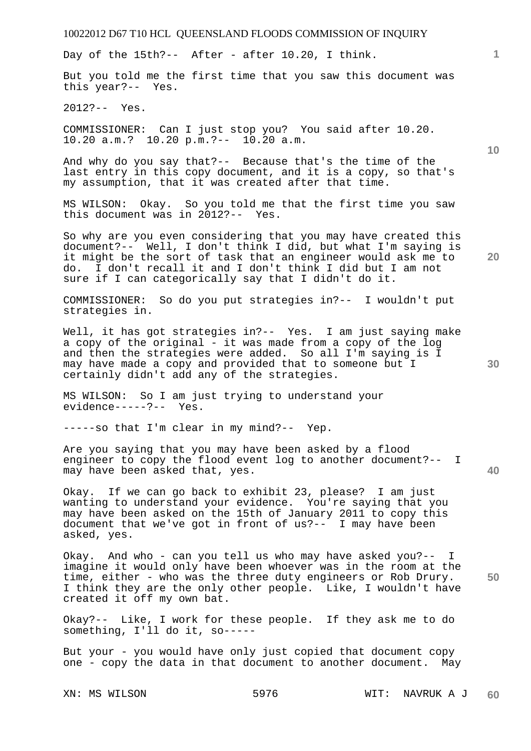Day of the 15th?-- After - after 10.20, I think.

But you told me the first time that you saw this document was this year?-- Yes.

2012?-- Yes.

COMMISSIONER: Can I just stop you? You said after 10.20. 10.20 a.m.? 10.20 p.m.?-- 10.20 a.m.

And why do you say that?-- Because that's the time of the last entry in this copy document, and it is a copy, so that's my assumption, that it was created after that time.

MS WILSON: Okay. So you told me that the first time you saw this document was in 2012?-- Yes.

So why are you even considering that you may have created this document?-- Well, I don't think I did, but what I'm saying is it might be the sort of task that an engineer would ask me to do. I don't recall it and I don't think I did but I am not sure if I can categorically say that I didn't do it.

COMMISSIONER: So do you put strategies in?-- I wouldn't put strategies in.

Well, it has got strategies in?-- Yes. I am just saying make a copy of the original - it was made from a copy of the log and then the strategies were added. So all I'm saying is I may have made a copy and provided that to someone but I certainly didn't add any of the strategies.

MS WILSON: So I am just trying to understand your evidence-----?-- Yes.

-----so that I'm clear in my mind?-- Yep.

Are you saying that you may have been asked by a flood engineer to copy the flood event log to another document?-- I may have been asked that, yes.

Okay. If we can go back to exhibit 23, please? I am just wanting to understand your evidence. You're saying that you may have been asked on the 15th of January 2011 to copy this document that we've got in front of us?-- I may have been asked, yes.

Okay. And who - can you tell us who may have asked you?-- I imagine it would only have been whoever was in the room at the time, either - who was the three duty engineers or Rob Drury. I think they are the only other people. Like, I wouldn't have created it off my own bat.

Okay?-- Like, I work for these people. If they ask me to do something, I'll do it, so-----

But your - you would have only just copied that document copy one - copy the data in that document to another document. May

**10** 

**1**

**20** 

**30** 

**40**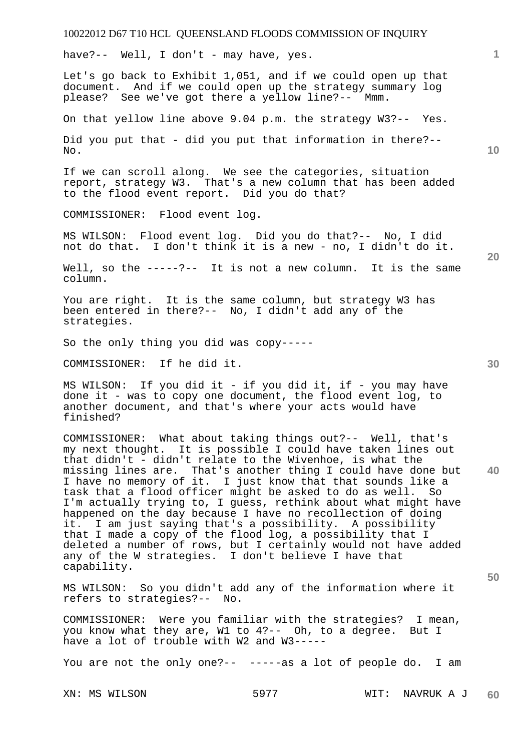have?-- Well, I don't - may have, yes.

Let's go back to Exhibit 1,051, and if we could open up that document. And if we could open up the strategy summary log please? See we've got there a yellow line?-- Mmm.

On that yellow line above 9.04 p.m. the strategy W3?-- Yes.

Did you put that - did you put that information in there?-- No.

If we can scroll along. We see the categories, situation report, strategy W3. That's a new column that has been added to the flood event report. Did you do that?

COMMISSIONER: Flood event log.

MS WILSON: Flood event log. Did you do that?-- No, I did not do that. I don't think it is a new - no, I didn't do it.

Well, so the -----?-- It is not a new column. It is the same column.

You are right. It is the same column, but strategy W3 has been entered in there?-- No, I didn't add any of the strategies.

So the only thing you did was copy-----

COMMISSIONER: If he did it.

MS WILSON: If you did it - if you did it, if - you may have done it - was to copy one document, the flood event log, to another document, and that's where your acts would have finished?

**40**  COMMISSIONER: What about taking things out?-- Well, that's my next thought. It is possible I could have taken lines out that didn't - didn't relate to the Wivenhoe, is what the missing lines are. That's another thing I could have done but I have no memory of it. I just know that that sounds like a task that a flood officer might be asked to do as well. So I'm actually trying to, I guess, rethink about what might have happened on the day because I have no recollection of doing it. I am just saying that's a possibility. A possibility that I made a copy of the flood log, a possibility that I deleted a number of rows, but I certainly would not have added any of the W strategies. I don't believe I have that capability.

MS WILSON: So you didn't add any of the information where it refers to strategies?-- No.

COMMISSIONER: Were you familiar with the strategies? I mean, you know what they are, W1 to 4?-- Oh, to a degree. But I have a lot of trouble with W2 and W3-----

You are not the only one?-- -----as a lot of people do. I am

**10** 

**1**

**20** 

**30**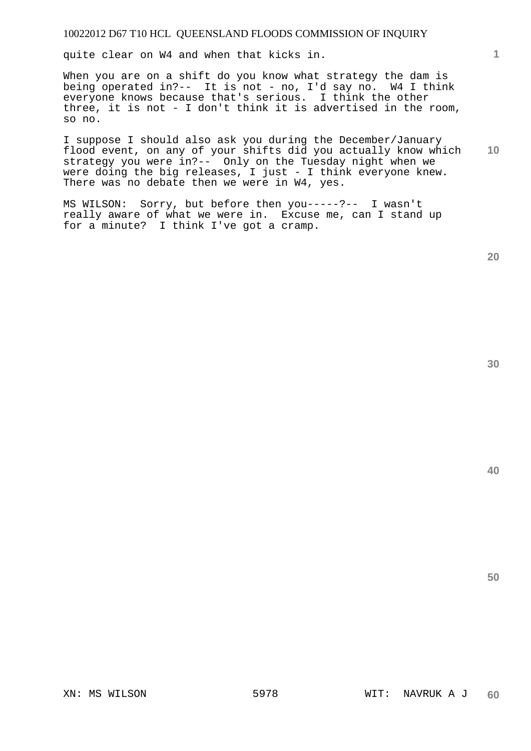quite clear on W4 and when that kicks in.

When you are on a shift do you know what strategy the dam is being operated in?-- It is not - no, I'd say no. W4 I think everyone knows because that's serious. I think the other three, it is not - I don't think it is advertised in the room, so no.

**10**  I suppose I should also ask you during the December/January flood event, on any of your shifts did you actually know which strategy you were in?-- Only on the Tuesday night when we were doing the big releases, I just - I think everyone knew. There was no debate then we were in W4, yes.

MS WILSON: Sorry, but before then you-----?-- I wasn't really aware of what we were in. Excuse me, can I stand up for a minute? I think I've got a cramp.

**1**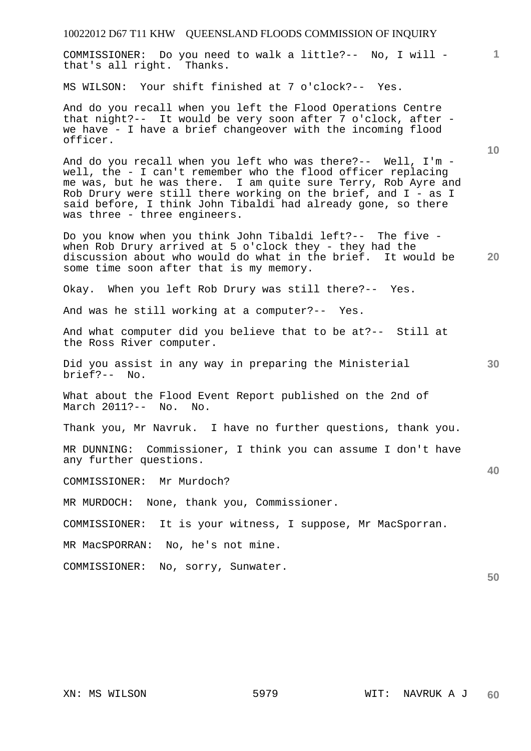| 10022012 D67 T11 KHW QUEENSLAND FLOODS COMMISSION OF INQUIRY                                                                                                                                                                                                                                                                                                   |                 |
|----------------------------------------------------------------------------------------------------------------------------------------------------------------------------------------------------------------------------------------------------------------------------------------------------------------------------------------------------------------|-----------------|
| COMMISSIONER: Do you need to walk a little?-- No, I will -<br>that's all right. Thanks.                                                                                                                                                                                                                                                                        | 1.              |
| MS WILSON: Your shift finished at 7 o'clock?-- Yes.                                                                                                                                                                                                                                                                                                            |                 |
| And do you recall when you left the Flood Operations Centre<br>that night?-- It would be very soon after 7 o'clock, after -<br>we have - I have a brief changeover with the incoming flood<br>officer.                                                                                                                                                         | 10 <sup>°</sup> |
| And do you recall when you left who was there?-- Well, I'm -<br>well, the - I can't remember who the flood officer replacing<br>me was, but he was there. I am quite sure Terry, Rob Ayre and<br>Rob Drury were still there working on the brief, and I - as I<br>said before, I think John Tibaldi had already gone, so there<br>was three - three engineers. |                 |
| Do you know when you think John Tibaldi left?-- The five -<br>when Rob Drury arrived at 5 o'clock they - they had the<br>discussion about who would do what in the brief. It would be<br>some time soon after that is my memory.                                                                                                                               | <b>20</b>       |
| Okay. When you left Rob Drury was still there?-- Yes.                                                                                                                                                                                                                                                                                                          |                 |
| And was he still working at a computer?-- Yes.                                                                                                                                                                                                                                                                                                                 |                 |
| And what computer did you believe that to be at?-- Still at<br>the Ross River computer.                                                                                                                                                                                                                                                                        |                 |
| Did you assist in any way in preparing the Ministerial<br>brief?-- No.                                                                                                                                                                                                                                                                                         | 30              |
| What about the Flood Event Report published on the 2nd of<br>March 2011?-- No. No.                                                                                                                                                                                                                                                                             |                 |
| Thank you, Mr Navruk. I have no further questions, thank you.                                                                                                                                                                                                                                                                                                  |                 |
| MR DUNNING: Commissioner, I think you can assume I don't have<br>any further questions.                                                                                                                                                                                                                                                                        | 40              |
| COMMISSIONER: Mr Murdoch?                                                                                                                                                                                                                                                                                                                                      |                 |
| MR MURDOCH:<br>None, thank you, Commissioner.                                                                                                                                                                                                                                                                                                                  |                 |
| COMMISSIONER:<br>It is your witness, I suppose, Mr MacSporran.                                                                                                                                                                                                                                                                                                 |                 |
| MR MacSPORRAN: No, he's not mine.                                                                                                                                                                                                                                                                                                                              |                 |
| COMMISSIONER: No, sorry, Sunwater.                                                                                                                                                                                                                                                                                                                             | 50              |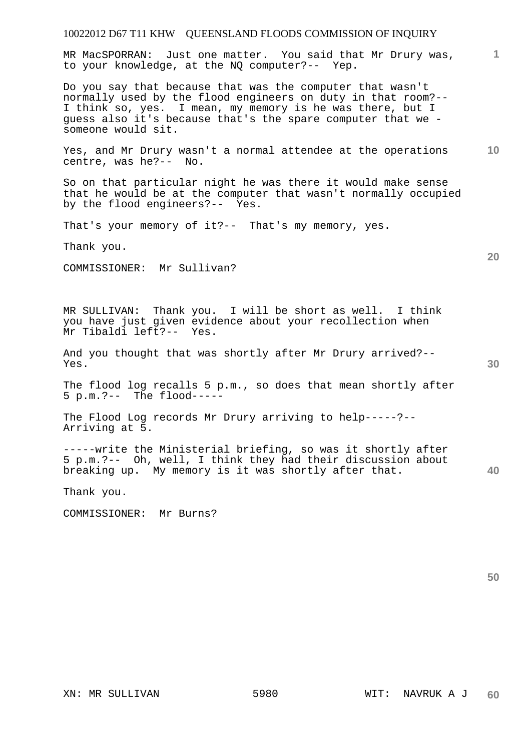MR MacSPORRAN: Just one matter. You said that Mr Drury was, to your knowledge, at the NQ computer?-- Yep.

Do you say that because that was the computer that wasn't normally used by the flood engineers on duty in that room?-- I think so, yes. I mean, my memory is he was there, but I guess also it's because that's the spare computer that we someone would sit.

**10**  Yes, and Mr Drury wasn't a normal attendee at the operations centre, was he?-- No.

So on that particular night he was there it would make sense that he would be at the computer that wasn't normally occupied by the flood engineers?-- Yes.

That's your memory of it?-- That's my memory, yes.

Thank you.

COMMISSIONER: Mr Sullivan?

MR SULLIVAN: Thank you. I will be short as well. I think you have just given evidence about your recollection when Mr Tibaldi left?-- Yes.

And you thought that was shortly after Mr Drury arrived?-- Yes.

The flood log recalls 5 p.m., so does that mean shortly after 5 p.m.?-- The flood-----

The Flood Log records Mr Drury arriving to help-----?-- Arriving at 5.

-----write the Ministerial briefing, so was it shortly after 5 p.m.?-- Oh, well, I think they had their discussion about breaking up. My memory is it was shortly after that.

Thank you.

COMMISSIONER: Mr Burns?

**50** 

**20** 

**40**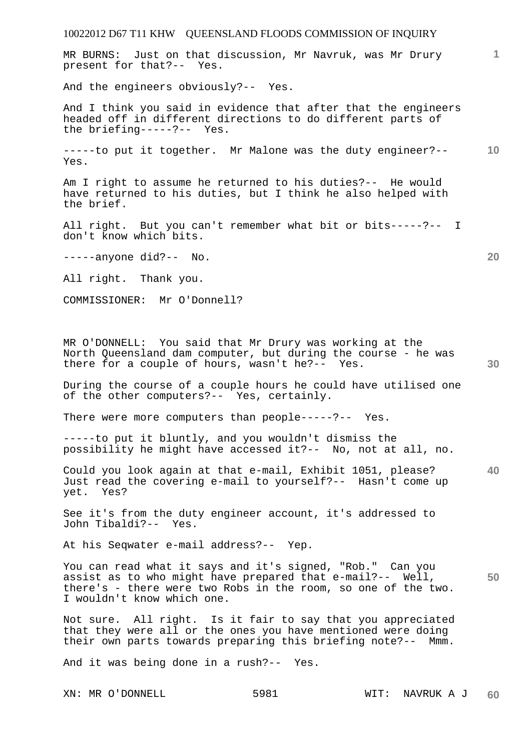MR BURNS: Just on that discussion, Mr Navruk, was Mr Drury present for that?-- Yes.

And the engineers obviously?-- Yes.

And I think you said in evidence that after that the engineers headed off in different directions to do different parts of the briefing-----?-- Yes.

**10**  -----to put it together. Mr Malone was the duty engineer?-- Yes.

Am I right to assume he returned to his duties?-- He would have returned to his duties, but I think he also helped with the brief.

All right. But you can't remember what bit or bits-----?-- I don't know which bits.

-----anyone did?-- No.

All right. Thank you.

COMMISSIONER: Mr O'Donnell?

MR O'DONNELL: You said that Mr Drury was working at the North Queensland dam computer, but during the course - he was there for a couple of hours, wasn't he?-- Yes.

During the course of a couple hours he could have utilised one of the other computers?-- Yes, certainly.

There were more computers than people-----?-- Yes.

-----to put it bluntly, and you wouldn't dismiss the possibility he might have accessed it?-- No, not at all, no.

**40**  Could you look again at that e-mail, Exhibit 1051, please? Just read the covering e-mail to yourself?-- Hasn't come up yet. Yes?

See it's from the duty engineer account, it's addressed to John Tibaldi?-- Yes.

At his Seqwater e-mail address?-- Yep.

**50**  You can read what it says and it's signed, "Rob." Can you assist as to who might have prepared that e-mail?-- Well, there's - there were two Robs in the room, so one of the two. I wouldn't know which one.

Not sure. All right. Is it fair to say that you appreciated that they were all or the ones you have mentioned were doing their own parts towards preparing this briefing note?-- Mmm.

And it was being done in a rush?-- Yes.

**1**

**20**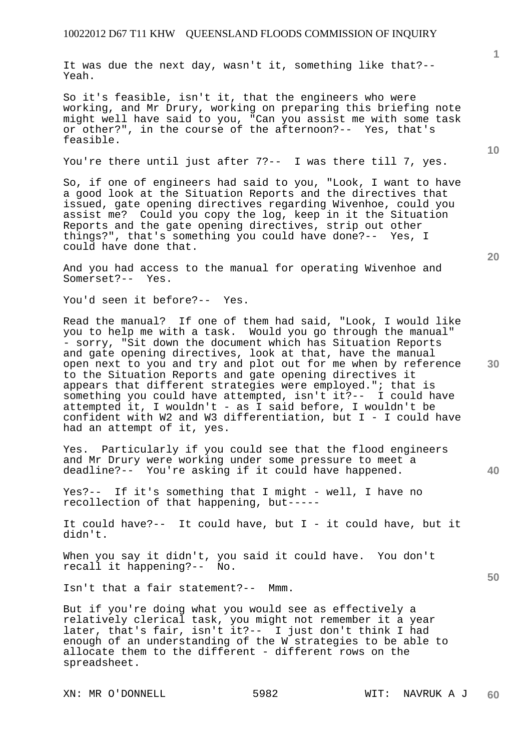It was due the next day, wasn't it, something like that?-- Yeah.

So it's feasible, isn't it, that the engineers who were working, and Mr Drury, working on preparing this briefing note might well have said to you, "Can you assist me with some task or other?", in the course of the afternoon?-- Yes, that's feasible.

You're there until just after 7?-- I was there till 7, yes.

So, if one of engineers had said to you, "Look, I want to have a good look at the Situation Reports and the directives that issued, gate opening directives regarding Wivenhoe, could you assist me? Could you copy the log, keep in it the Situation Reports and the gate opening directives, strip out other things?", that's something you could have done?-- Yes, I could have done that.

And you had access to the manual for operating Wivenhoe and Somerset?-- Yes.

You'd seen it before?-- Yes.

Read the manual? If one of them had said, "Look, I would like you to help me with a task. Would you go through the manual" - sorry, "Sit down the document which has Situation Reports and gate opening directives, look at that, have the manual open next to you and try and plot out for me when by reference to the Situation Reports and gate opening directives it appears that different strategies were employed."; that is<br>something you could have attempted, isn't it?-- I could have something you could have attempted,  $isn't$  it?-attempted it, I wouldn't - as I said before, I wouldn't be confident with W2 and W3 differentiation, but I - I could have had an attempt of it, yes.

Yes. Particularly if you could see that the flood engineers and Mr Drury were working under some pressure to meet a deadline?-- You're asking if it could have happened.

Yes?-- If it's something that I might - well, I have no recollection of that happening, but-----

It could have?-- It could have, but I - it could have, but it didn't.

When you say it didn't, you said it could have. You don't recall it happening?-- No.

Isn't that a fair statement?-- Mmm.

But if you're doing what you would see as effectively a relatively clerical task, you might not remember it a year later, that's fair, isn't it?-- I just don't think I had enough of an understanding of the W strategies to be able to allocate them to the different - different rows on the spreadsheet.

**1**

**40**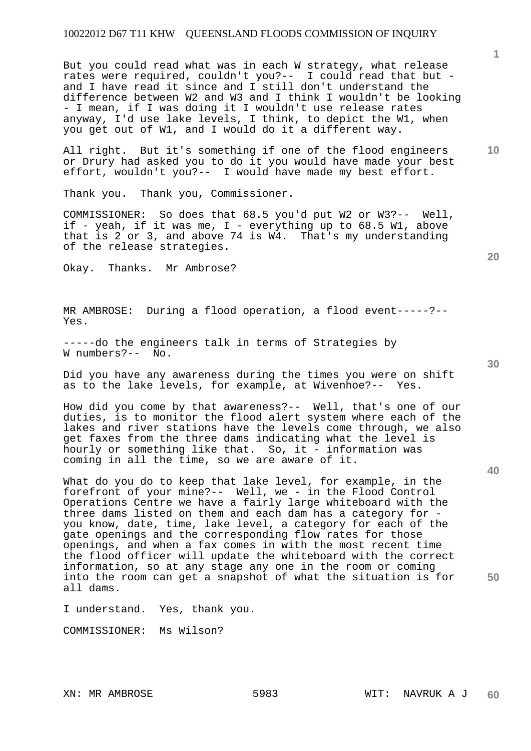But you could read what was in each W strategy, what release rates were required, couldn't you?-- I could read that but and I have read it since and I still don't understand the difference between W2 and W3 and I think I wouldn't be looking - I mean, if I was doing it I wouldn't use release rates anyway, I'd use lake levels, I think, to depict the W1, when you get out of W1, and I would do it a different way.

All right. But it's something if one of the flood engineers or Drury had asked you to do it you would have made your best effort, wouldn't you?-- I would have made my best effort.

Thank you. Thank you, Commissioner.

COMMISSIONER: So does that 68.5 you'd put W2 or W3?-- Well, if - yeah, if it was me, I - everything up to 68.5 W1, above that is 2 or 3, and above 74 is W4. That's my understanding of the release strategies.

Okay. Thanks. Mr Ambrose?

MR AMBROSE: During a flood operation, a flood event-----?-- Yes.

-----do the engineers talk in terms of Strategies by W numbers?-- No.

Did you have any awareness during the times you were on shift as to the lake levels, for example, at Wivenhoe?-- Yes.

How did you come by that awareness?-- Well, that's one of our duties, is to monitor the flood alert system where each of the lakes and river stations have the levels come through, we also get faxes from the three dams indicating what the level is hourly or something like that. So, it - information was coming in all the time, so we are aware of it.

What do you do to keep that lake level, for example, in the forefront of your mine?-- Well, we - in the Flood Control Operations Centre we have a fairly large whiteboard with the three dams listed on them and each dam has a category for you know, date, time, lake level, a category for each of the gate openings and the corresponding flow rates for those openings, and when a fax comes in with the most recent time the flood officer will update the whiteboard with the correct information, so at any stage any one in the room or coming into the room can get a snapshot of what the situation is for all dams.

I understand. Yes, thank you.

COMMISSIONER: Ms Wilson?

**20** 

**1**

**10** 

**40** 

**50**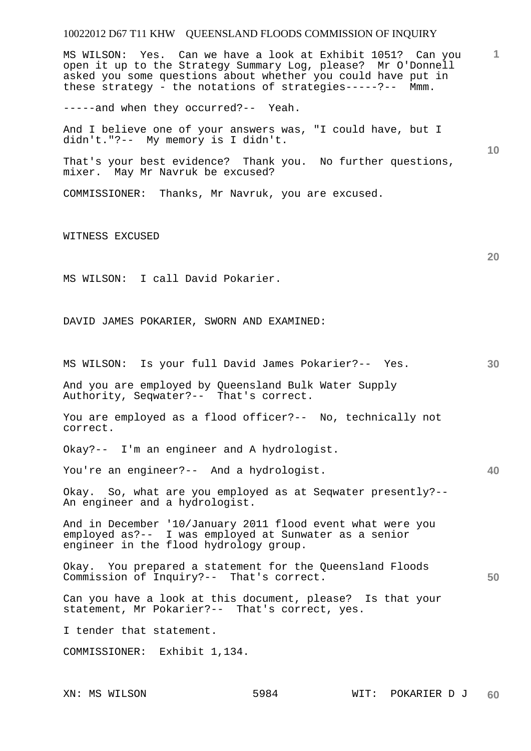**1 10 20 30 40 50**  MS WILSON: Yes. Can we have a look at Exhibit 1051? Can you open it up to the Strategy Summary Log, please? Mr O'Donnell asked you some questions about whether you could have put in these strategy - the notations of strategies-----?-- Mmm. -----and when they occurred?-- Yeah. And I believe one of your answers was, "I could have, but I didn't."?-- My memory is I didn't. That's your best evidence? Thank you. No further questions, mixer. May Mr Navruk be excused? COMMISSIONER: Thanks, Mr Navruk, you are excused. WITNESS EXCUSED MS WILSON: I call David Pokarier. DAVID JAMES POKARIER, SWORN AND EXAMINED: MS WILSON: Is your full David James Pokarier?-- Yes. And you are employed by Queensland Bulk Water Supply Authority, Seqwater?-- That's correct. You are employed as a flood officer?-- No, technically not correct. Okay?-- I'm an engineer and A hydrologist. You're an engineer?-- And a hydrologist. Okay. So, what are you employed as at Seqwater presently?-- An engineer and a hydrologist. And in December '10/January 2011 flood event what were you employed as?-- I was employed at Sunwater as a senior engineer in the flood hydrology group. Okay. You prepared a statement for the Queensland Floods Commission of Inquiry?-- That's correct. Can you have a look at this document, please? Is that your statement, Mr Pokarier?-- That's correct, yes. I tender that statement. COMMISSIONER: Exhibit 1,134.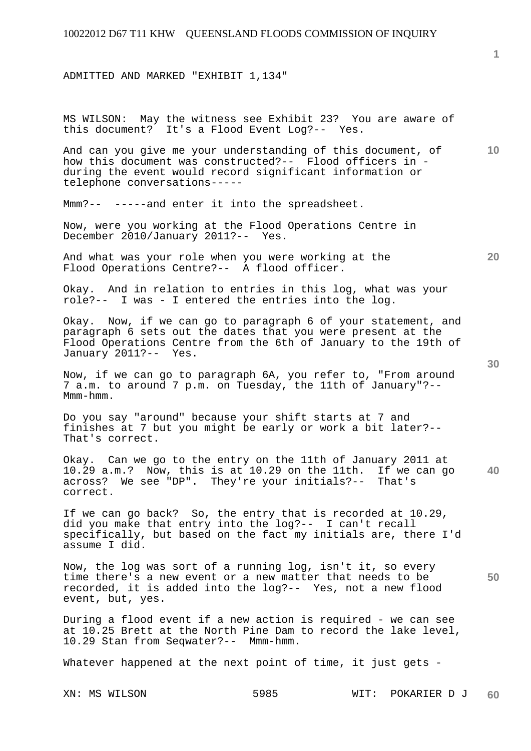ADMITTED AND MARKED "EXHIBIT 1,134"

MS WILSON: May the witness see Exhibit 23? You are aware of this document? It's a Flood Event Log?-- Yes.

And can you give me your understanding of this document, of how this document was constructed?-- Flood officers in during the event would record significant information or telephone conversations-----

Mmm?-- -----and enter it into the spreadsheet.

Now, were you working at the Flood Operations Centre in December 2010/January 2011?-- Yes.

And what was your role when you were working at the Flood Operations Centre?-- A flood officer.

Okay. And in relation to entries in this log, what was your role?-- I was - I entered the entries into the log.

Okay. Now, if we can go to paragraph 6 of your statement, and paragraph 6 sets out the dates that you were present at the Flood Operations Centre from the 6th of January to the 19th of January 2011?-- Yes.

Now, if we can go to paragraph 6A, you refer to, "From around 7 a.m. to around 7 p.m. on Tuesday, the 11th of January"?-- Mmm-hmm.

Do you say "around" because your shift starts at 7 and finishes at 7 but you might be early or work a bit later?-- That's correct.

**40**  Okay. Can we go to the entry on the 11th of January 2011 at 10.29 a.m.? Now, this is at 10.29 on the 11th. If we can go across? We see "DP". They're your initials?-- That's correct.

If we can go back? So, the entry that is recorded at 10.29, did you make that entry into the log?-- I can't recall specifically, but based on the fact my initials are, there I'd assume I did.

Now, the log was sort of a running log, isn't it, so every time there's a new event or a new matter that needs to be recorded, it is added into the log?-- Yes, not a new flood event, but, yes.

During a flood event if a new action is required - we can see at 10.25 Brett at the North Pine Dam to record the lake level, 10.29 Stan from Seqwater?-- Mmm-hmm.

Whatever happened at the next point of time, it just gets -

XN: MS WILSON 5985 WIT: POKARIER D J **60** 

**50** 

**10** 

**20**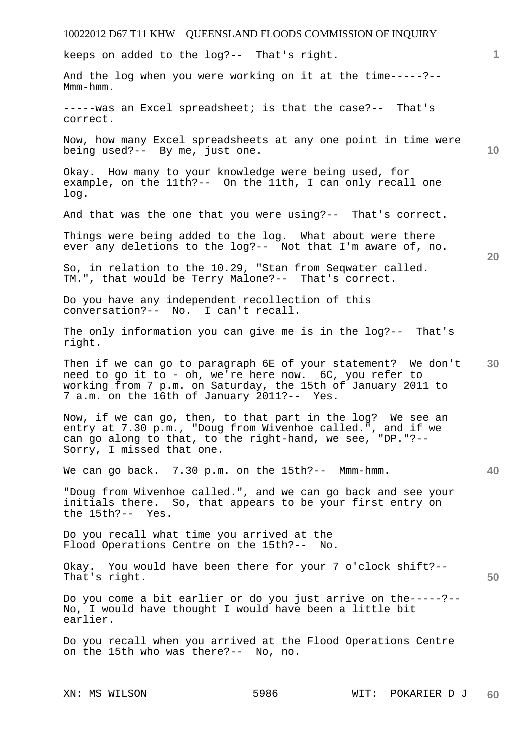# 10022012 D67 T11 KHW QUEENSLAND FLOODS COMMISSION OF INQUIRY **1 10 20 30 40 50**  keeps on added to the log?-- That's right. And the log when you were working on it at the time-----?-- Mmm-hmm. -----was an Excel spreadsheet; is that the case?-- That's correct. Now, how many Excel spreadsheets at any one point in time were being used?-- By me, just one. Okay. How many to your knowledge were being used, for example, on the 11th?-- On the 11th, I can only recall one log. And that was the one that you were using?-- That's correct. Things were being added to the log. What about were there ever any deletions to the log?-- Not that I'm aware of, no. So, in relation to the 10.29, "Stan from Seqwater called.<br>TM.", that would be Terry Malone?-- That's correct. TM.", that would be Terry Malone?--Do you have any independent recollection of this conversation?-- No. I can't recall. The only information you can give me is in the log?-- That's right. Then if we can go to paragraph 6E of your statement? We don't need to go it to - oh, we're here now. 6C, you refer to working from 7 p.m. on Saturday, the 15th of January 2011 to 7 a.m. on the 16th of January 2011?-- Yes. Now, if we can go, then, to that part in the log? We see an entry at 7.30 p.m., "Doug from Wivenhoe called.", and if we can go along to that, to the right-hand, we see, "DP."?-- Sorry, I missed that one. We can go back. 7.30 p.m. on the 15th?-- Mmm-hmm. "Doug from Wivenhoe called.", and we can go back and see your initials there. So, that appears to be your first entry on the 15th?-- Yes. Do you recall what time you arrived at the Flood Operations Centre on the 15th?-- No. Okay. You would have been there for your 7 o'clock shift?-- That's right. Do you come a bit earlier or do you just arrive on the-----?-- No, I would have thought I would have been a little bit earlier. Do you recall when you arrived at the Flood Operations Centre on the 15th who was there?-- No, no.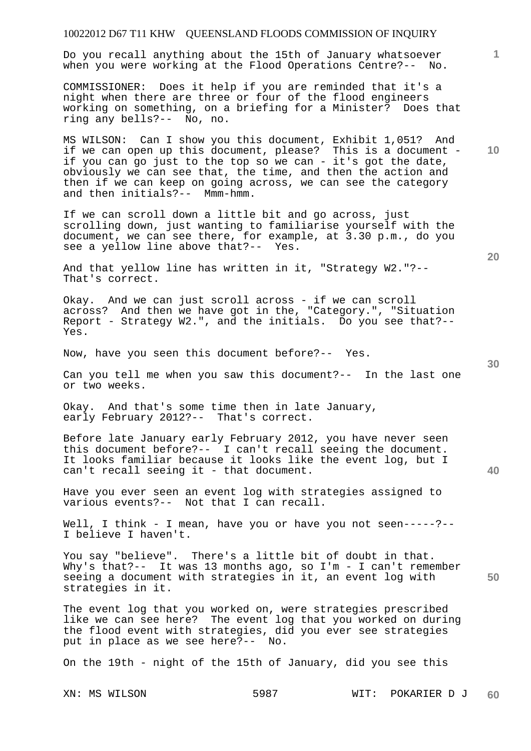| 10022012 D67 T11 KHW QUEENSLAND FLOODS COMMISSION OF INQUIRY                                                                                                                                                                                                                                                                                                  |                 |
|---------------------------------------------------------------------------------------------------------------------------------------------------------------------------------------------------------------------------------------------------------------------------------------------------------------------------------------------------------------|-----------------|
| Do you recall anything about the 15th of January whatsoever<br>when you were working at the Flood Operations Centre?-- No.                                                                                                                                                                                                                                    | $\mathbf{1}$    |
| COMMISSIONER: Does it help if you are reminded that it's a<br>night when there are three or four of the flood engineers<br>working on something, on a briefing for a Minister? Does that<br>ring any bells?-- No, no.                                                                                                                                         |                 |
| MS WILSON: Can I show you this document, Exhibit 1,051? And<br>if we can open up this document, please? This is a document -<br>if you can go just to the top so we can - it's got the date,<br>obviously we can see that, the time, and then the action and<br>then if we can keep on going across, we can see the category<br>and then initials?-- Mmm-hmm. | 10 <sup>°</sup> |
| If we can scroll down a little bit and go across, just<br>scrolling down, just wanting to familiarise yourself with the<br>document, we can see there, for example, at 3.30 p.m., do you<br>see a yellow line above that?-- Yes.                                                                                                                              | <b>20</b>       |
| And that yellow line has written in it, "Strategy W2."?--<br>That's correct.                                                                                                                                                                                                                                                                                  |                 |
| Okay. And we can just scroll across - if we can scroll<br>across? And then we have got in the, "Category.", "Situation<br>Report - Strategy W2.", and the initials. Do you see that?--<br>Yes.                                                                                                                                                                |                 |
| Now, have you seen this document before?-- Yes.                                                                                                                                                                                                                                                                                                               | 30              |
| Can you tell me when you saw this document?-- In the last one<br>or two weeks.                                                                                                                                                                                                                                                                                |                 |
| Okay. And that's some time then in late January,<br>early February 2012?-- That's correct.                                                                                                                                                                                                                                                                    |                 |
| Before late January early February 2012, you have never seen<br>this document before?-- I can't recall seeing the document.<br>It looks familiar because it looks like the event log, but I<br>can't recall seeing it - that document.                                                                                                                        | 40              |
| Have you ever seen an event log with strategies assigned to<br>various events?-- Not that I can recall.                                                                                                                                                                                                                                                       |                 |
| Well, I think - I mean, have you or have you not seen-----?--<br>I believe I haven't.                                                                                                                                                                                                                                                                         |                 |
| You say "believe". There's a little bit of doubt in that.<br>Why's that?-- It was 13 months ago, so I'm - I can't remember<br>seeing a document with strategies in it, an event log with<br>strategies in it.                                                                                                                                                 | 50              |
| The event log that you worked on, were strategies prescribed<br>like we can see here? The event log that you worked on during<br>the flood event with strategies, did you ever see strategies<br>put in place as we see here?-- No.                                                                                                                           |                 |
| On the 19th - night of the 15th of January, did you see this                                                                                                                                                                                                                                                                                                  |                 |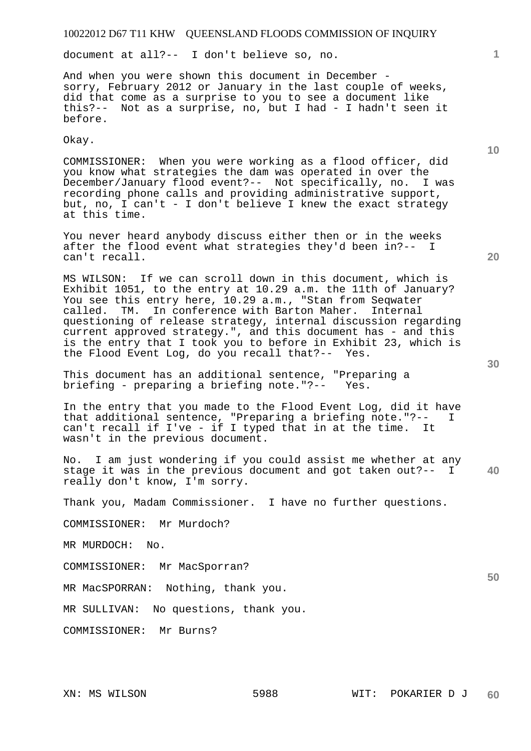document at all?-- I don't believe so, no.

And when you were shown this document in December sorry, February 2012 or January in the last couple of weeks, did that come as a surprise to you to see a document like this?-- Not as a surprise, no, but I had - I hadn't seen it before.

Okay.

COMMISSIONER: When you were working as a flood officer, did you know what strategies the dam was operated in over the December/January flood event?-- Not specifically, no. I was recording phone calls and providing administrative support, but, no, I can't - I don't believe I knew the exact strategy at this time.

You never heard anybody discuss either then or in the weeks after the flood event what strategies they'd been in?-- I can't recall.

MS WILSON: If we can scroll down in this document, which is Exhibit 1051, to the entry at 10.29 a.m. the 11th of January? You see this entry here, 10.29 a.m., "Stan from Seqwater called. TM. In conference with Barton Maher. Internal TM. In conference with Barton Maher. Internal questioning of release strategy, internal discussion regarding current approved strategy.", and this document has - and this is the entry that I took you to before in Exhibit 23, which is the Flood Event Log, do you recall that?-- Yes.

This document has an additional sentence, "Preparing a briefing - preparing a briefing note."?-- Yes.

In the entry that you made to the Flood Event Log, did it have that additional sentence, "Preparing a briefing note."?-- I can't recall if I've - if I typed that in at the time. It wasn't in the previous document.

**40**  No. I am just wondering if you could assist me whether at any stage it was in the previous document and got taken out?-- I really don't know, I'm sorry.

Thank you, Madam Commissioner. I have no further questions.

COMMISSIONER: Mr Murdoch?

MR MURDOCH: No.

COMMISSIONER: Mr MacSporran?

MR MacSPORRAN: Nothing, thank you.

MR SULLIVAN: No questions, thank you.

COMMISSIONER: Mr Burns?

**20** 

**10**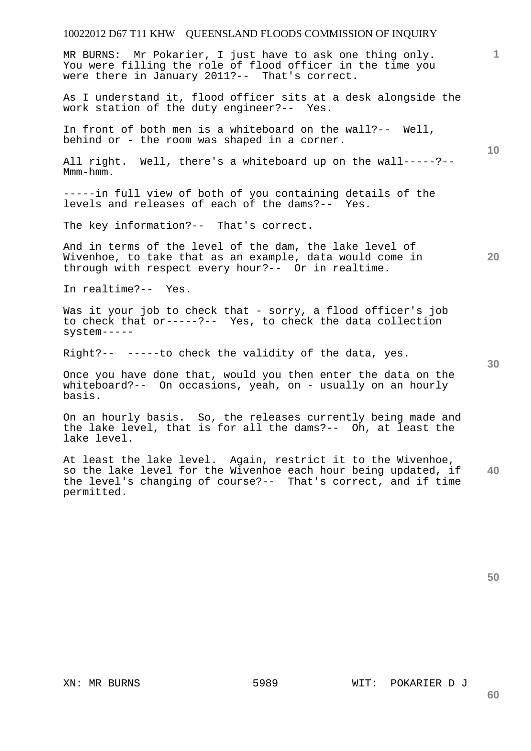MR BURNS: Mr Pokarier, I just have to ask one thing only. You were filling the role of flood officer in the time you were there in January 2011?-- That's correct.

As I understand it, flood officer sits at a desk alongside the work station of the duty engineer?-- Yes.

In front of both men is a whiteboard on the wall?-- Well, behind or - the room was shaped in a corner.

All right. Well, there's a whiteboard up on the wall-----?-- Mmm-hmm.

-----in full view of both of you containing details of the levels and releases of each of the dams?-- Yes.

The key information?-- That's correct.

And in terms of the level of the dam, the lake level of Wivenhoe, to take that as an example, data would come in through with respect every hour?-- Or in realtime.

In realtime?-- Yes.

Was it your job to check that - sorry, a flood officer's job to check that or-----?-- Yes, to check the data collection system-----

Right?-- -----to check the validity of the data, yes.

Once you have done that, would you then enter the data on the whiteboard?-- On occasions, yeah, on - usually on an hourly basis.

On an hourly basis. So, the releases currently being made and the lake level, that is for all the dams?-- Oh, at least the lake level.

**40**  At least the lake level. Again, restrict it to the Wivenhoe, so the lake level for the Wivenhoe each hour being updated, if the level's changing of course?-- That's correct, and if time permitted.

**50** 

**60** 

**20** 

**10**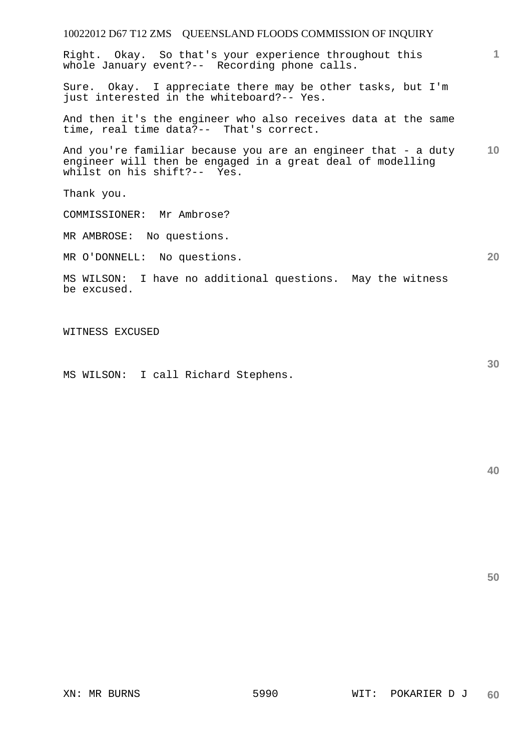| 10022012 D67 T12 ZMS QUEENSLAND FLOODS COMMISSION OF INQUIRY                                                                                               |    |
|------------------------------------------------------------------------------------------------------------------------------------------------------------|----|
| Right. Okay. So that's your experience throughout this<br>whole January event?-- Recording phone calls.                                                    | 1  |
| Sure. Okay. I appreciate there may be other tasks, but I'm<br>just interested in the whiteboard?-- Yes.                                                    |    |
| And then it's the engineer who also receives data at the same<br>time, real time data?-- That's correct.                                                   |    |
| And you're familiar because you are an engineer that - a duty<br>engineer will then be engaged in a great deal of modelling<br>whilst on his shift?-- Yes. | 10 |
| Thank you.                                                                                                                                                 |    |
| COMMISSIONER: Mr Ambrose?                                                                                                                                  |    |
| MR AMBROSE: No questions.                                                                                                                                  |    |
| MR O'DONNELL: No questions.                                                                                                                                | 20 |
| MS WILSON: I have no additional questions. May the witness<br>be excused.                                                                                  |    |
| WITNESS EXCUSED                                                                                                                                            |    |

MS WILSON: I call Richard Stephens.

**40** 

**50**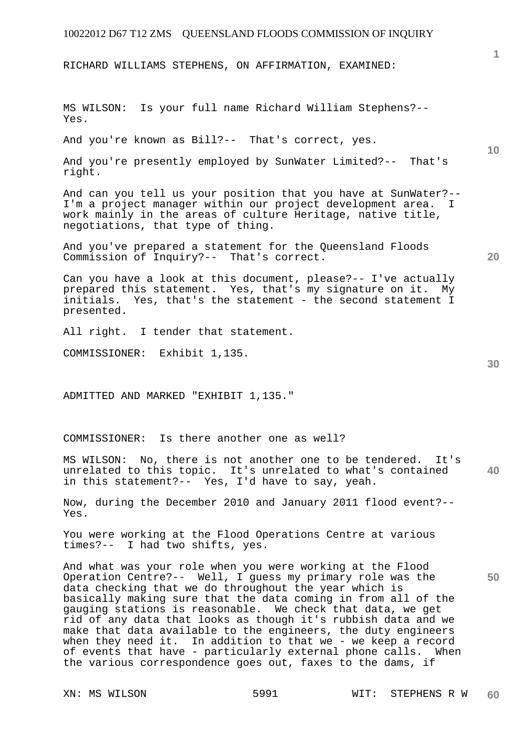RICHARD WILLIAMS STEPHENS, ON AFFIRMATION, EXAMINED:

MS WILSON: Is your full name Richard William Stephens?-- Yes.

And you're known as Bill?-- That's correct, yes.

And you're presently employed by SunWater Limited?-- That's right.

And can you tell us your position that you have at SunWater?-- I'm a project manager within our project development area. I work mainly in the areas of culture Heritage, native title, negotiations, that type of thing.

And you've prepared a statement for the Queensland Floods Commission of Inquiry?-- That's correct.

Can you have a look at this document, please?-- I've actually prepared this statement. Yes, that's my signature on it. My<br>initials. Yes, that's the statement - the second statement I Yes, that's the statement - the second statement I presented.

All right. I tender that statement.

COMMISSIONER: Exhibit 1,135.

ADMITTED AND MARKED "EXHIBIT 1,135."

COMMISSIONER: Is there another one as well?

**40**  MS WILSON: No, there is not another one to be tendered. It's unrelated to this topic. It's unrelated to what's contained in this statement?-- Yes, I'd have to say, yeah.

Now, during the December 2010 and January 2011 flood event?-- Yes.

You were working at the Flood Operations Centre at various times?-- I had two shifts, yes.

And what was your role when you were working at the Flood Operation Centre?-- Well, I guess my primary role was the data checking that we do throughout the year which is basically making sure that the data coming in from all of the gauging stations is reasonable. We check that data, we get rid of any data that looks as though it's rubbish data and we make that data available to the engineers, the duty engineers when they need it. In addition to that we - we keep a record of events that have - particularly external phone calls. When the various correspondence goes out, faxes to the dams, if

**20** 

**50** 

**10**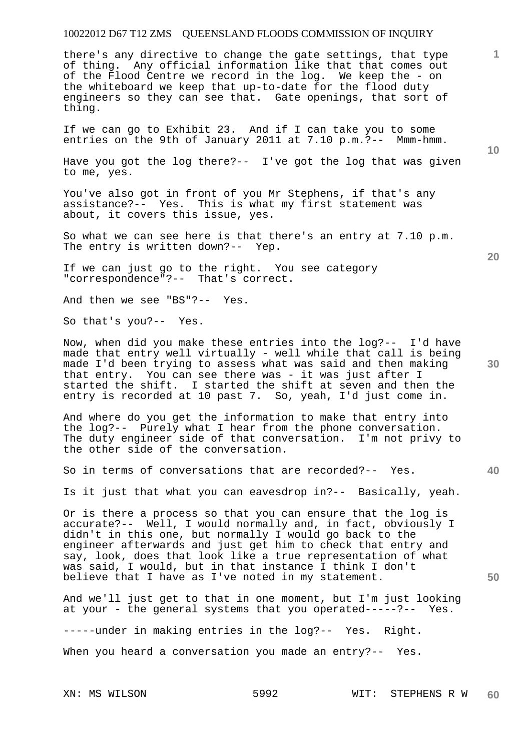there's any directive to change the gate settings, that type of thing. Any official information like that that comes out of the Flood Centre we record in the log. We keep the - on the whiteboard we keep that up-to-date for the flood duty engineers so they can see that. Gate openings, that sort of thing.

If we can go to Exhibit 23. And if I can take you to some entries on the 9th of January 2011 at 7.10 p.m.?-- Mmm-hmm.

Have you got the log there?-- I've got the log that was given to me, yes.

You've also got in front of you Mr Stephens, if that's any assistance?-- Yes. This is what my first statement was about, it covers this issue, yes.

So what we can see here is that there's an entry at 7.10 p.m. The entry is written down?-- Yep.

If we can just go to the right. You see category "correspondence"?-- That's correct.

And then we see "BS"?-- Yes.

So that's you?-- Yes.

Now, when did you make these entries into the log?-- I'd have made that entry well virtually - well while that call is being made I'd been trying to assess what was said and then making that entry. You can see there was - it was just after I started the shift. I started the shift at seven and then the entry is recorded at 10 past 7. So, yeah, I'd just come in.

And where do you get the information to make that entry into the log?-- Purely what I hear from the phone conversation. The duty engineer side of that conversation. I'm not privy to the other side of the conversation.

So in terms of conversations that are recorded?-- Yes.

Is it just that what you can eavesdrop in?-- Basically, yeah.

Or is there a process so that you can ensure that the log is accurate?-- Well, I would normally and, in fact, obviously I didn't in this one, but normally I would go back to the engineer afterwards and just get him to check that entry and say, look, does that look like a true representation of what was said, I would, but in that instance I think I don't believe that I have as I've noted in my statement.

And we'll just get to that in one moment, but I'm just looking at your - the general systems that you operated-----?-- Yes.

-----under in making entries in the log?-- Yes. Right.

When you heard a conversation you made an entry?-- Yes.

**10** 

**20** 

**1**

**30** 

**40**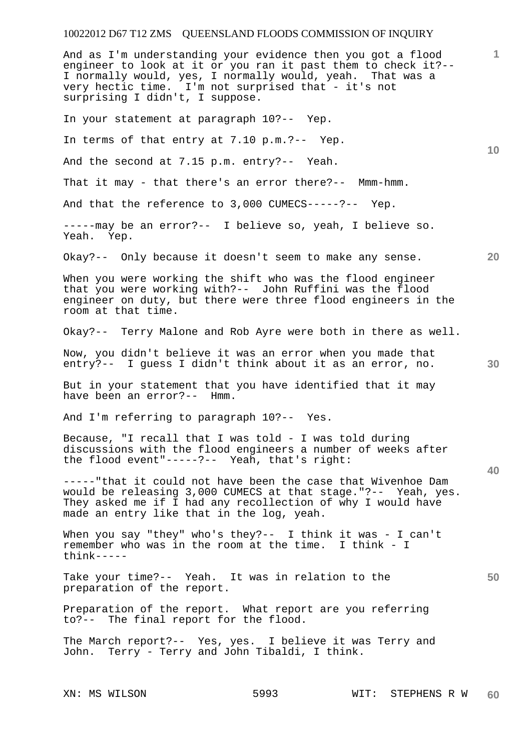**1 10 20 30 40 50**  And as I'm understanding your evidence then you got a flood engineer to look at it or you ran it past them to check it?-- I normally would, yes, I normally would, yeah. That was a very hectic time. I'm not surprised that - it's not surprising I didn't, I suppose. In your statement at paragraph 10?-- Yep. In terms of that entry at 7.10 p.m.?-- Yep. And the second at 7.15 p.m. entry?-- Yeah. That it may - that there's an error there?-- Mmm-hmm. And that the reference to 3,000 CUMECS-----?-- Yep. -----may be an error?-- I believe so, yeah, I believe so. Yeah. Yep. Okay?-- Only because it doesn't seem to make any sense. When you were working the shift who was the flood engineer that you were working with?-- John Ruffini was the flood engineer on duty, but there were three flood engineers in the room at that time. Okay?-- Terry Malone and Rob Ayre were both in there as well. Now, you didn't believe it was an error when you made that entry?-- I guess I didn't think about it as an error, no. But in your statement that you have identified that it may have been an error?-- Hmm. And I'm referring to paragraph 10?-- Yes. Because, "I recall that I was told - I was told during discussions with the flood engineers a number of weeks after the flood event"-----?-- Yeah, that's right: -----"that it could not have been the case that Wivenhoe Dam would be releasing 3,000 CUMECS at that stage."?-- Yeah, yes. They asked me if I had any recollection of why I would have made an entry like that in the log, yeah. When you say "they" who's they?-- I think it was - I can't remember who was in the room at the time. I think - I think----- Take your time?-- Yeah. It was in relation to the preparation of the report. Preparation of the report. What report are you referring to?-- The final report for the flood. The March report?-- Yes, yes. I believe it was Terry and John. Terry - Terry and John Tibaldi, I think.

XN: MS WILSON 5993 WIT: STEPHENS R W **60**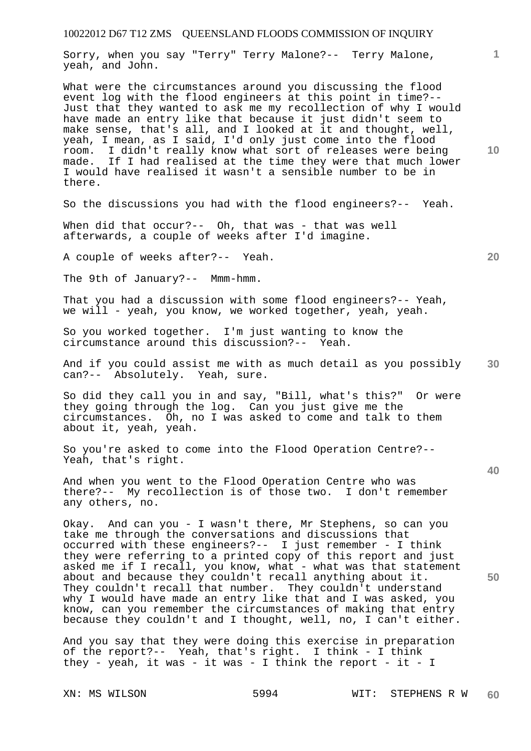Sorry, when you say "Terry" Terry Malone?-- Terry Malone, yeah, and John.

What were the circumstances around you discussing the flood event log with the flood engineers at this point in time?-- Just that they wanted to ask me my recollection of why I would have made an entry like that because it just didn't seem to make sense, that's all, and I looked at it and thought, well, yeah, I mean, as I said, I'd only just come into the flood room. I didn't really know what sort of releases were being made. If I had realised at the time they were that much lower I would have realised it wasn't a sensible number to be in there.

So the discussions you had with the flood engineers?-- Yeah.

When did that occur?-- Oh, that was - that was well afterwards, a couple of weeks after I'd imagine.

A couple of weeks after?-- Yeah.

The 9th of January?-- Mmm-hmm.

That you had a discussion with some flood engineers?-- Yeah, we will - yeah, you know, we worked together, yeah, yeah.

So you worked together. I'm just wanting to know the circumstance around this discussion?-- Yeah.

**30**  And if you could assist me with as much detail as you possibly can?-- Absolutely. Yeah, sure.

So did they call you in and say, "Bill, what's this?" Or were they going through the log. Can you just give me the circumstances. Oh, no I was asked to come and talk to them about it, yeah, yeah.

So you're asked to come into the Flood Operation Centre?-- Yeah, that's right.

And when you went to the Flood Operation Centre who was there?-- My recollection is of those two. I don't remember any others, no.

Okay. And can you - I wasn't there, Mr Stephens, so can you take me through the conversations and discussions that occurred with these engineers?-- I just remember - I think they were referring to a printed copy of this report and just asked me if I recall, you know, what - what was that statement about and because they couldn't recall anything about it. They couldn't recall that number. They couldn't understand why I would have made an entry like that and I was asked, you know, can you remember the circumstances of making that entry because they couldn't and I thought, well, no, I can't either.

And you say that they were doing this exercise in preparation of the report?-- Yeah, that's right. I think - I think they - yeah, it was - it was - I think the report - it - I

**10** 

**1**

**20** 

**40**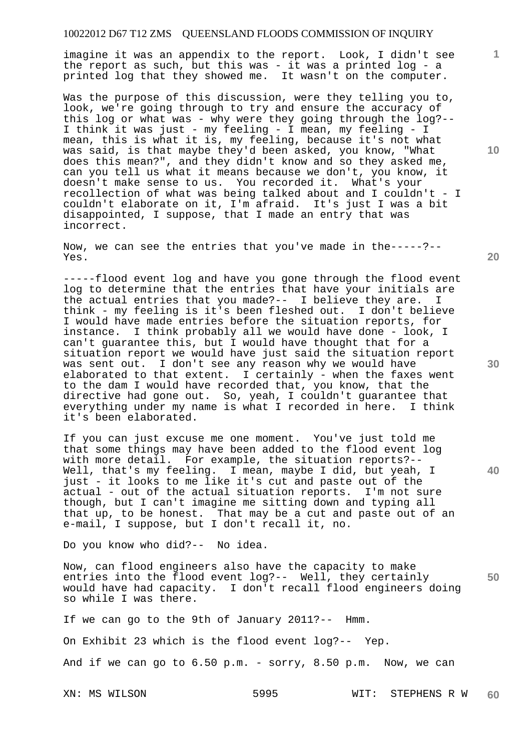imagine it was an appendix to the report. Look, I didn't see the report as such, but this was - it was a printed log - a printed log that they showed me. It wasn't on the computer.

Was the purpose of this discussion, were they telling you to, look, we're going through to try and ensure the accuracy of this log or what was - why were they going through the log?-- I think it was just - my feeling - I mean, my feeling - I mean, this is what it is, my feeling, because it's not what was said, is that maybe they'd been asked, you know, "What does this mean?", and they didn't know and so they asked me, can you tell us what it means because we don't, you know, it doesn't make sense to us. You recorded it. What's your recollection of what was being talked about and I couldn't - I couldn't elaborate on it, I'm afraid. It's just I was a bit disappointed, I suppose, that I made an entry that was incorrect.

Now, we can see the entries that you've made in the-----?-- Yes.

-----flood event log and have you gone through the flood event log to determine that the entries that have your initials are the actual entries that you made?-- I believe they are. think - my feeling is it's been fleshed out. I don't believe I would have made entries before the situation reports, for instance. I think probably all we would have done - look, I can't guarantee this, but I would have thought that for a situation report we would have just said the situation report was sent out. I don't see any reason why we would have elaborated to that extent. I certainly - when the faxes went to the dam I would have recorded that, you know, that the directive had gone out. So, yeah, I couldn't guarantee that everything under my name is what I recorded in here. I think it's been elaborated.

If you can just excuse me one moment. You've just told me that some things may have been added to the flood event log with more detail. For example, the situation reports?-- Well, that's my feeling. I mean, maybe I did, but yeah, I just - it looks to me like it's cut and paste out of the actual - out of the actual situation reports. I'm not sure though, but I can't imagine me sitting down and typing all that up, to be honest. That may be a cut and paste out of an e-mail, I suppose, but I don't recall it, no.

Do you know who did?-- No idea.

**50**  Now, can flood engineers also have the capacity to make entries into the flood event log?-- Well, they certainly would have had capacity. I don't recall flood engineers doing so while I was there.

If we can go to the 9th of January 2011?-- Hmm. On Exhibit 23 which is the flood event log?-- Yep. And if we can go to 6.50 p.m. - sorry, 8.50 p.m. Now, we can

XN: MS WILSON 5995 WIT: STEPHENS R W **60** 

**30** 

**40** 

**20** 

**10**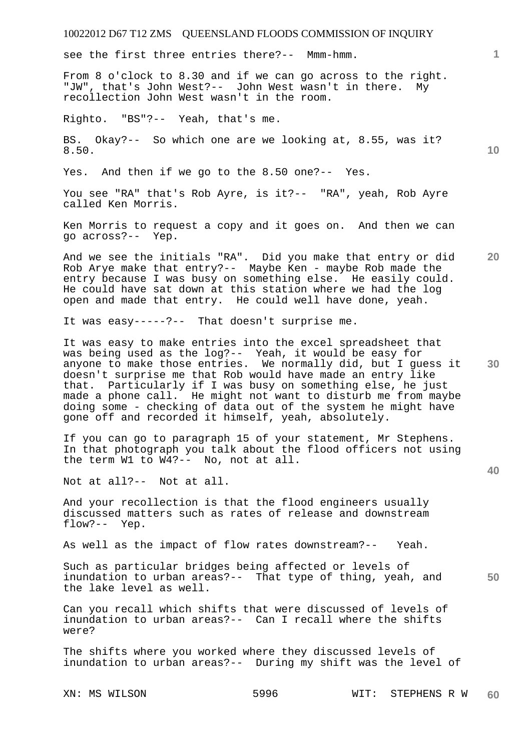see the first three entries there?-- Mmm-hmm.

From 8 o'clock to 8.30 and if we can go across to the right. "JW", that's John West?-- John West wasn't in there. My recollection John West wasn't in the room.

Righto. "BS"?-- Yeah, that's me.

BS. Okay?-- So which one are we looking at, 8.55, was it? 8.50.

Yes. And then if we go to the 8.50 one?-- Yes.

You see "RA" that's Rob Ayre, is it?-- "RA", yeah, Rob Ayre called Ken Morris.

Ken Morris to request a copy and it goes on. And then we can go across?-- Yep.

**20**  And we see the initials "RA". Did you make that entry or did Rob Arye make that entry?-- Maybe Ken - maybe Rob made the entry because I was busy on something else. He easily could. He could have sat down at this station where we had the log open and made that entry. He could well have done, yeah.

It was easy-----?-- That doesn't surprise me.

It was easy to make entries into the excel spreadsheet that was being used as the log?-- Yeah, it would be easy for anyone to make those entries. We normally did, but I guess it doesn't surprise me that Rob would have made an entry like that. Particularly if I was busy on something else, he just made a phone call. He might not want to disturb me from maybe doing some - checking of data out of the system he might have gone off and recorded it himself, yeah, absolutely.

If you can go to paragraph 15 of your statement, Mr Stephens. In that photograph you talk about the flood officers not using the term W1 to W4?-- No, not at all.

Not at all?-- Not at all.

And your recollection is that the flood engineers usually discussed matters such as rates of release and downstream flow?-- Yep.

As well as the impact of flow rates downstream?-- Yeah.

**50**  Such as particular bridges being affected or levels of inundation to urban areas?-- That type of thing, yeah, and the lake level as well.

Can you recall which shifts that were discussed of levels of inundation to urban areas?-- Can I recall where the shifts were?

The shifts where you worked where they discussed levels of inundation to urban areas?-- During my shift was the level of

XN: MS WILSON 5996 WIT: STEPHENS R W **60** 

**30** 

**40**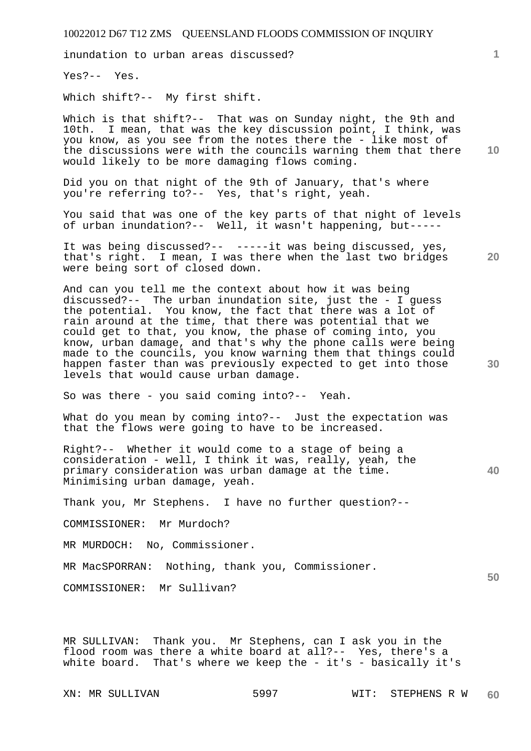inundation to urban areas discussed?

Yes?-- Yes.

Which shift?-- My first shift.

**10**  Which is that shift?-- That was on Sunday night, the 9th and 10th. I mean, that was the key discussion point, I think, was you know, as you see from the notes there the - like most of the discussions were with the councils warning them that there would likely to be more damaging flows coming.

Did you on that night of the 9th of January, that's where you're referring to?-- Yes, that's right, yeah.

You said that was one of the key parts of that night of levels of urban inundation?-- Well, it wasn't happening, but-----

It was being discussed?-- -----it was being discussed, yes, that's right. I mean, I was there when the last two bridges were being sort of closed down.

And can you tell me the context about how it was being discussed?-- The urban inundation site, just the - I guess the potential. You know, the fact that there was a lot of rain around at the time, that there was potential that we could get to that, you know, the phase of coming into, you know, urban damage, and that's why the phone calls were being made to the councils, you know warning them that things could happen faster than was previously expected to get into those levels that would cause urban damage.

So was there - you said coming into?-- Yeah.

What do you mean by coming into?-- Just the expectation was that the flows were going to have to be increased.

Right?-- Whether it would come to a stage of being a consideration - well, I think it was, really, yeah, the primary consideration was urban damage at the time. Minimising urban damage, yeah.

Thank you, Mr Stephens. I have no further question?--

COMMISSIONER: Mr Murdoch?

MR MURDOCH: No, Commissioner.

MR MacSPORRAN: Nothing, thank you, Commissioner.

COMMISSIONER: Mr Sullivan?

MR SULLIVAN: Thank you. Mr Stephens, can I ask you in the flood room was there a white board at all?-- Yes, there's a white board. That's where we keep the - it's - basically it's

**1**

**20** 

**30** 

**40**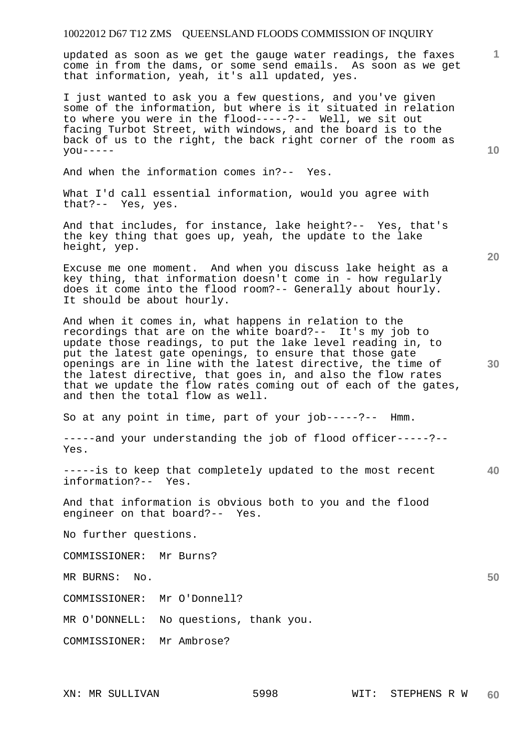updated as soon as we get the gauge water readings, the faxes come in from the dams, or some send emails. As soon as we get that information, yeah, it's all updated, yes.

I just wanted to ask you a few questions, and you've given some of the information, but where is it situated in relation to where you were in the flood-----?-- Well, we sit out facing Turbot Street, with windows, and the board is to the back of us to the right, the back right corner of the room as  $you---$ 

And when the information comes in?-- Yes.

What I'd call essential information, would you agree with that?-- Yes, yes.

And that includes, for instance, lake height?-- Yes, that's the key thing that goes up, yeah, the update to the lake height, yep.

Excuse me one moment. And when you discuss lake height as a key thing, that information doesn't come in - how regularly does it come into the flood room?-- Generally about hourly. It should be about hourly.

And when it comes in, what happens in relation to the recordings that are on the white board?-- It's my job to update those readings, to put the lake level reading in, to put the latest gate openings, to ensure that those gate openings are in line with the latest directive, the time of the latest directive, that goes in, and also the flow rates that we update the flow rates coming out of each of the gates, and then the total flow as well.

So at any point in time, part of your job-----?-- Hmm.

-----and your understanding the job of flood officer-----?-- Yes.

**40**  -----is to keep that completely updated to the most recent information?-- Yes.

And that information is obvious both to you and the flood engineer on that board?-- Yes.

No further questions.

COMMISSIONER: Mr Burns?

MR BURNS: No.

COMMISSIONER: Mr O'Donnell?

MR O'DONNELL: No questions, thank you.

COMMISSIONER: Mr Ambrose?

**20** 

**10** 

**1**

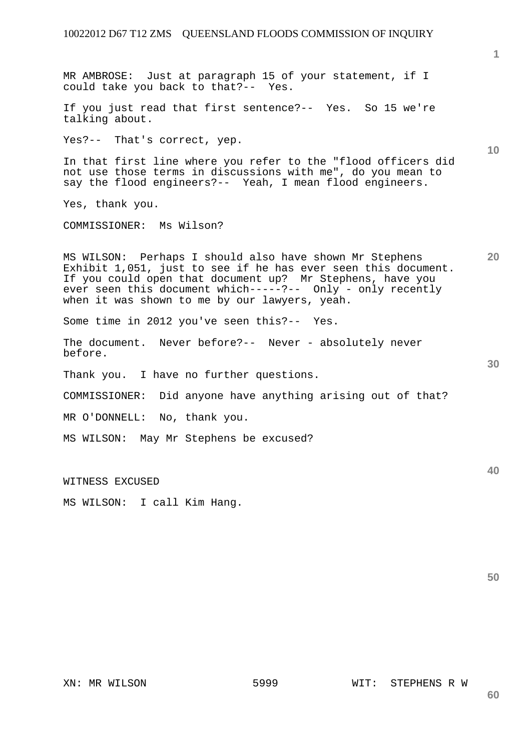**10 20 30 40**  MR AMBROSE: Just at paragraph 15 of your statement, if I could take you back to that?-- Yes. If you just read that first sentence?-- Yes. So 15 we're talking about. Yes?-- That's correct, yep. In that first line where you refer to the "flood officers did not use those terms in discussions with me", do you mean to say the flood engineers?-- Yeah, I mean flood engineers. Yes, thank you. COMMISSIONER: Ms Wilson? MS WILSON: Perhaps I should also have shown Mr Stephens Exhibit 1,051, just to see if he has ever seen this document. If you could open that document up? Mr Stephens, have you ever seen this document which-----?-- Only - only recently when it was shown to me by our lawyers, yeah. Some time in 2012 you've seen this?-- Yes. The document. Never before?-- Never - absolutely never before. Thank you. I have no further questions. COMMISSIONER: Did anyone have anything arising out of that? MR O'DONNELL: No, thank you. MS WILSON: May Mr Stephens be excused? WITNESS EXCUSED MS WILSON: I call Kim Hang.

**50** 

**1**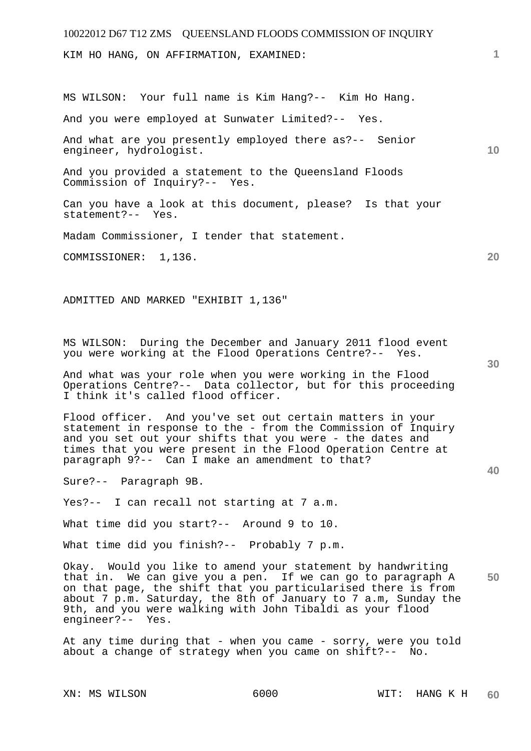KIM HO HANG, ON AFFIRMATION, EXAMINED:

MS WILSON: Your full name is Kim Hang?-- Kim Ho Hang.

And you were employed at Sunwater Limited?-- Yes.

And what are you presently employed there as?-- Senior engineer, hydrologist.

And you provided a statement to the Queensland Floods Commission of Inquiry?-- Yes.

Can you have a look at this document, please? Is that your statement?-- Yes.

Madam Commissioner, I tender that statement.

COMMISSIONER: 1,136.

ADMITTED AND MARKED "EXHIBIT 1,136"

MS WILSON: During the December and January 2011 flood event you were working at the Flood Operations Centre?-- Yes.

And what was your role when you were working in the Flood Operations Centre?-- Data collector, but for this proceeding I think it's called flood officer.

Flood officer. And you've set out certain matters in your statement in response to the - from the Commission of Inquiry and you set out your shifts that you were - the dates and times that you were present in the Flood Operation Centre at paragraph 9?-- Can I make an amendment to that?

Sure?-- Paragraph 9B.

Yes?-- I can recall not starting at 7 a.m.

What time did you start?-- Around 9 to 10.

What time did you finish?-- Probably 7 p.m.

**50**  Okay. Would you like to amend your statement by handwriting that in. We can give you a pen. If we can go to paragraph A on that page, the shift that you particularised there is from about 7 p.m. Saturday, the 8th of January to 7 a.m, Sunday the 9th, and you were walking with John Tibaldi as your flood engineer?-- Yes.

At any time during that - when you came - sorry, were you told about a change of strategy when you came on shift?-- No.

**20** 

**10** 

**1**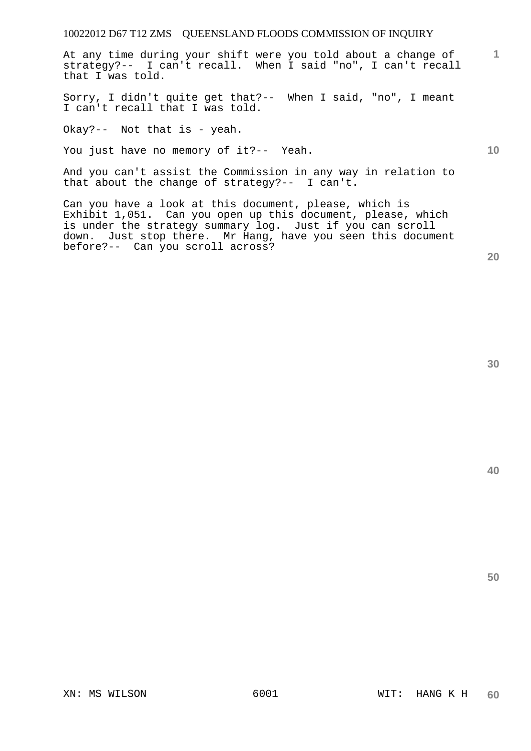At any time during your shift were you told about a change of strategy?-- I can't recall. When I said "no", I can't recall that I was told.

Sorry, I didn't quite get that?-- When I said, "no", I meant I can't recall that I was told.

Okay?-- Not that is - yeah.

You just have no memory of it?-- Yeah.

And you can't assist the Commission in any way in relation to that about the change of strategy?-- I can't.

Can you have a look at this document, please, which is Exhibit 1,051. Can you open up this document, please, which is under the strategy summary log. Just if you can scroll down. Just stop there. Mr Hang, have you seen this document before?-- Can you scroll across?

**20** 

**1**

**10** 

**40**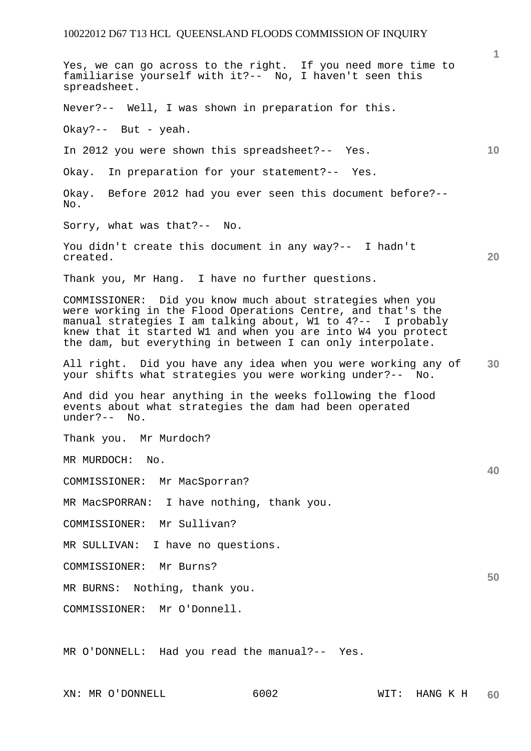**1 10 20 30 40 50**  Yes, we can go across to the right. If you need more time to familiarise yourself with it?-- No, I haven't seen this spreadsheet. Never?-- Well, I was shown in preparation for this. Okay?-- But - yeah. In 2012 you were shown this spreadsheet?-- Yes. Okay. In preparation for your statement?-- Yes. Okay. Before 2012 had you ever seen this document before?--  $N<sub>O</sub>$ . Sorry, what was that?-- No. You didn't create this document in any way?-- I hadn't created. Thank you, Mr Hang. I have no further questions. COMMISSIONER: Did you know much about strategies when you were working in the Flood Operations Centre, and that's the manual strategies I am talking about, W1 to 4?-- I probably knew that it started W1 and when you are into W4 you protect the dam, but everything in between I can only interpolate. All right. Did you have any idea when you were working any of your shifts what strategies you were working under?-- No. And did you hear anything in the weeks following the flood events about what strategies the dam had been operated under?-- No. Thank you. Mr Murdoch? MR MURDOCH: No. COMMISSIONER: Mr MacSporran? MR MacSPORRAN: I have nothing, thank you. COMMISSIONER: Mr Sullivan? MR SULLIVAN: I have no questions. COMMISSIONER: Mr Burns? MR BURNS: Nothing, thank you. COMMISSIONER: Mr O'Donnell. MR O'DONNELL: Had you read the manual?-- Yes.

XN: MR O'DONNELL 6002 WIT: HANG K H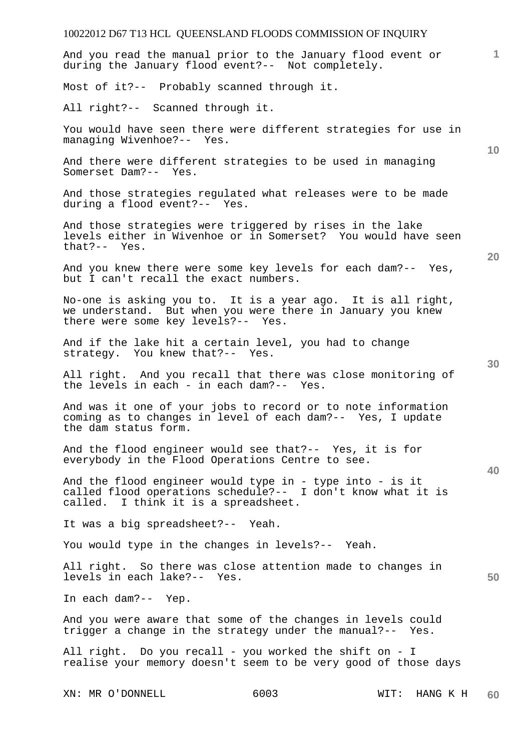# 10022012 D67 T13 HCL QUEENSLAND FLOODS COMMISSION OF INQUIRY XN: MR O'DONNELL 6003 WIT: HANG K H **1 10 20 30 40 50 60**  And you read the manual prior to the January flood event or during the January flood event?-- Not completely. Most of it?-- Probably scanned through it. All right?-- Scanned through it. You would have seen there were different strategies for use in managing Wivenhoe?-- Yes. And there were different strategies to be used in managing Somerset Dam?-- Yes. And those strategies regulated what releases were to be made during a flood event?-- Yes. And those strategies were triggered by rises in the lake levels either in Wivenhoe or in Somerset? You would have seen that?-- Yes. And you knew there were some key levels for each dam?-- Yes, but I can't recall the exact numbers. No-one is asking you to. It is a year ago. It is all right, we understand. But when you were there in January you knew there were some key levels?-- Yes. And if the lake hit a certain level, you had to change strategy. You knew that?-- Yes. All right. And you recall that there was close monitoring of the levels in each - in each dam?-- Yes. And was it one of your jobs to record or to note information coming as to changes in level of each dam?-- Yes, I update the dam status form. And the flood engineer would see that?-- Yes, it is for everybody in the Flood Operations Centre to see. And the flood engineer would type in - type into - is it called flood operations schedule?-- I don't know what it is called. I think it is a spreadsheet. It was a big spreadsheet?-- Yeah. You would type in the changes in levels?-- Yeah. All right. So there was close attention made to changes in levels in each lake?-- Yes. In each dam?-- Yep. And you were aware that some of the changes in levels could trigger a change in the strategy under the manual?-- Yes. All right. Do you recall - you worked the shift on - I realise your memory doesn't seem to be very good of those days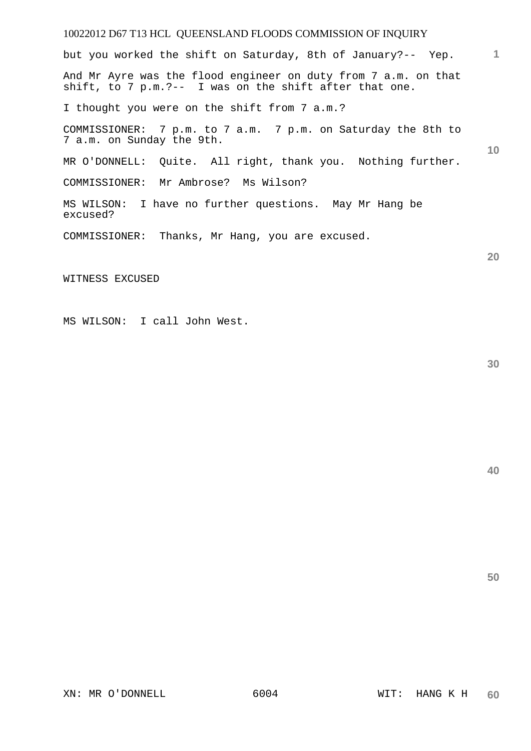**1 10 20**  but you worked the shift on Saturday, 8th of January?-- Yep. And Mr Ayre was the flood engineer on duty from 7 a.m. on that shift, to 7 p.m.?-- I was on the shift after that one. I thought you were on the shift from 7 a.m.? COMMISSIONER: 7 p.m. to 7 a.m. 7 p.m. on Saturday the 8th to 7 a.m. on Sunday the 9th. MR O'DONNELL: Quite. All right, thank you. Nothing further. COMMISSIONER: Mr Ambrose? Ms Wilson? MS WILSON: I have no further questions. May Mr Hang be excused? COMMISSIONER: Thanks, Mr Hang, you are excused.

WITNESS EXCUSED

MS WILSON: I call John West.

**30**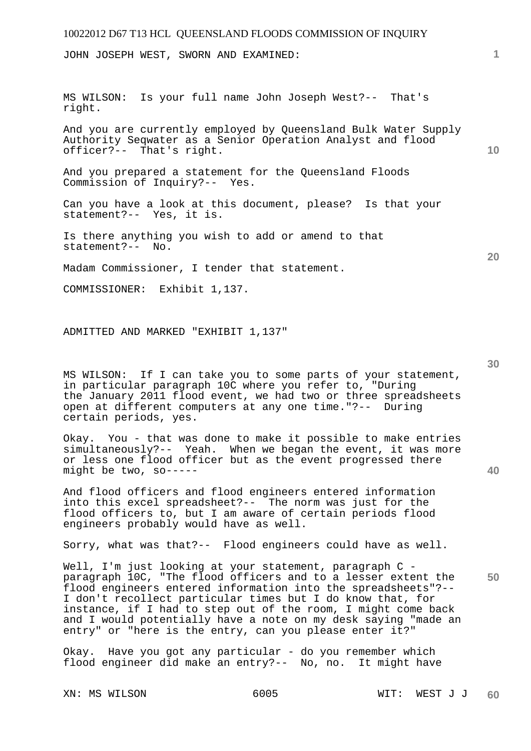JOHN JOSEPH WEST, SWORN AND EXAMINED:

MS WILSON: Is your full name John Joseph West?-- That's right.

And you are currently employed by Queensland Bulk Water Supply Authority Seqwater as a Senior Operation Analyst and flood officer?-- That's right.

And you prepared a statement for the Queensland Floods Commission of Inquiry?-- Yes.

Can you have a look at this document, please? Is that your statement?-- Yes, it is.

Is there anything you wish to add or amend to that statement?-- No.

Madam Commissioner, I tender that statement.

COMMISSIONER: Exhibit 1,137.

ADMITTED AND MARKED "EXHIBIT 1,137"

MS WILSON: If I can take you to some parts of your statement, in particular paragraph 10C where you refer to, "During the January 2011 flood event, we had two or three spreadsheets open at different computers at any one time."?-- During certain periods, yes.

Okay. You - that was done to make it possible to make entries simultaneously?-- Yeah. When we began the event, it was more or less one flood officer but as the event progressed there might be two, so-----

And flood officers and flood engineers entered information into this excel spreadsheet?-- The norm was just for the flood officers to, but I am aware of certain periods flood engineers probably would have as well.

Sorry, what was that?-- Flood engineers could have as well.

**50**  Well, I'm just looking at your statement, paragraph C paragraph 10C, "The flood officers and to a lesser extent the flood engineers entered information into the spreadsheets"?-- I don't recollect particular times but I do know that, for instance, if I had to step out of the room, I might come back and I would potentially have a note on my desk saying "made an entry" or "here is the entry, can you please enter it?"

Okay. Have you got any particular - do you remember which flood engineer did make an entry?-- No, no. It might have

**30** 

**20** 

**40**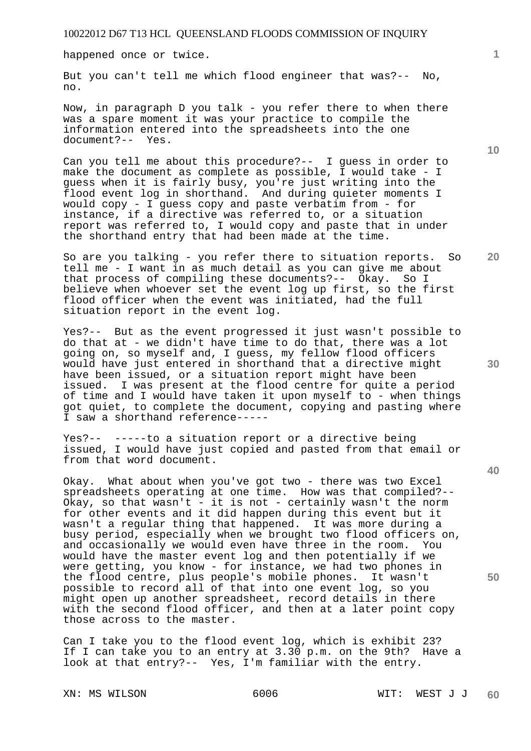happened once or twice.

But you can't tell me which flood engineer that was?-- No, no.

Now, in paragraph D you talk - you refer there to when there was a spare moment it was your practice to compile the information entered into the spreadsheets into the one document?-- Yes.

Can you tell me about this procedure?-- I guess in order to make the document as complete as possible, I would take - I guess when it is fairly busy, you're just writing into the flood event log in shorthand. And during quieter moments I would copy - I guess copy and paste verbatim from - for instance, if a directive was referred to, or a situation report was referred to, I would copy and paste that in under the shorthand entry that had been made at the time.

So are you talking - you refer there to situation reports. So tell me - I want in as much detail as you can give me about that process of compiling these documents?-- Okay. So I believe when whoever set the event log up first, so the first flood officer when the event was initiated, had the full situation report in the event log.

Yes?-- But as the event progressed it just wasn't possible to do that at - we didn't have time to do that, there was a lot going on, so myself and, I guess, my fellow flood officers would have just entered in shorthand that a directive might have been issued, or a situation report might have been issued. I was present at the flood centre for quite a period of time and I would have taken it upon myself to - when things got quiet, to complete the document, copying and pasting where I saw a shorthand reference-----

Yes?-- -----to a situation report or a directive being issued, I would have just copied and pasted from that email or from that word document.

Okay. What about when you've got two - there was two Excel spreadsheets operating at one time. How was that compiled?-- Okay, so that wasn't - it is not - certainly wasn't the norm for other events and it did happen during this event but it wasn't a regular thing that happened. It was more during a busy period, especially when we brought two flood officers on, and occasionally we would even have three in the room. You would have the master event log and then potentially if we were getting, you know - for instance, we had two phones in the flood centre, plus people's mobile phones. It wasn't possible to record all of that into one event log, so you might open up another spreadsheet, record details in there with the second flood officer, and then at a later point copy those across to the master.

Can I take you to the flood event log, which is exhibit 23? If I can take you to an entry at 3.30 p.m. on the 9th? Have a look at that entry?-- Yes, I'm familiar with the entry.

**10** 

**1**

**20** 

**40** 

**50**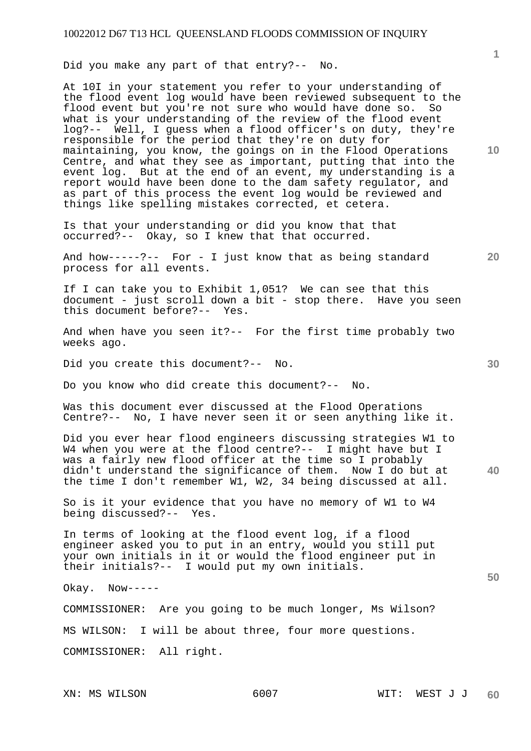Did you make any part of that entry?-- No.

At 10I in your statement you refer to your understanding of the flood event log would have been reviewed subsequent to the flood event but you're not sure who would have done so. So what is your understanding of the review of the flood event log?-- Well, I guess when a flood officer's on duty, they're responsible for the period that they're on duty for maintaining, you know, the goings on in the Flood Operations Centre, and what they see as important, putting that into the event log. But at the end of an event, my understanding is a report would have been done to the dam safety regulator, and as part of this process the event log would be reviewed and things like spelling mistakes corrected, et cetera.

Is that your understanding or did you know that that occurred?-- Okay, so I knew that that occurred.

And how-----?-- For - I just know that as being standard process for all events.

If I can take you to Exhibit 1,051? We can see that this document - just scroll down a bit - stop there. Have you seen this document before?-- Yes.

And when have you seen it?-- For the first time probably two weeks ago.

Did you create this document?-- No.

Do you know who did create this document?-- No.

Was this document ever discussed at the Flood Operations Centre?-- No, I have never seen it or seen anything like it.

**40**  Did you ever hear flood engineers discussing strategies W1 to W4 when you were at the flood centre?-- I might have but I was a fairly new flood officer at the time so I probably didn't understand the significance of them. Now I do but at the time I don't remember W1, W2, 34 being discussed at all.

So is it your evidence that you have no memory of W1 to W4 being discussed?-- Yes.

In terms of looking at the flood event log, if a flood engineer asked you to put in an entry, would you still put your own initials in it or would the flood engineer put in their initials?-- I would put my own initials.

Okay. Now-----

COMMISSIONER: Are you going to be much longer, Ms Wilson? MS WILSON: I will be about three, four more questions. COMMISSIONER: All right.

**10** 

**20** 

**1**

**30**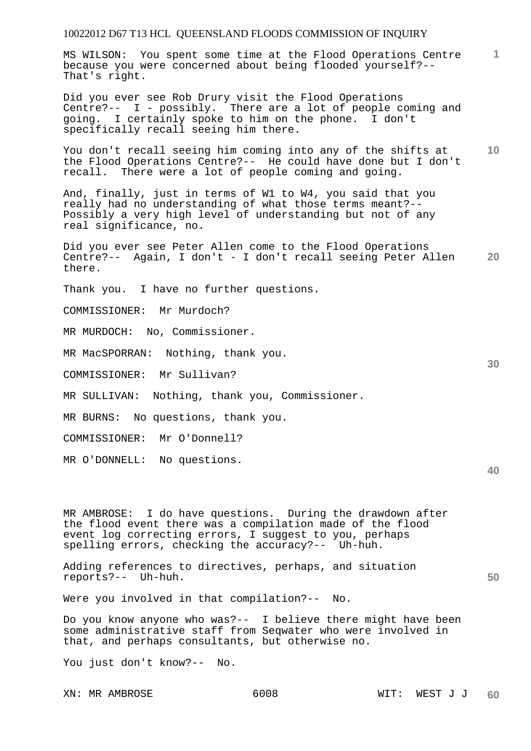**1** MS WILSON: You spent some time at the Flood Operations Centre because you were concerned about being flooded yourself?-- That's right.

Did you ever see Rob Drury visit the Flood Operations Centre?-- I - possibly. There are a lot of people coming and going. I certainly spoke to him on the phone. I don't specifically recall seeing him there.

**10**  You don't recall seeing him coming into any of the shifts at the Flood Operations Centre?-- He could have done but I don't recall. There were a lot of people coming and going.

And, finally, just in terms of W1 to W4, you said that you really had no understanding of what those terms meant?-- Possibly a very high level of understanding but not of any real significance, no.

**20**  Did you ever see Peter Allen come to the Flood Operations Centre?-- Again, I don't - I don't recall seeing Peter Allen there.

Thank you. I have no further questions.

COMMISSIONER: Mr Murdoch?

MR MURDOCH: No, Commissioner.

MR MacSPORRAN: Nothing, thank you.

COMMISSIONER: Mr Sullivan?

MR SULLIVAN: Nothing, thank you, Commissioner.

MR BURNS: No questions, thank you.

COMMISSIONER: Mr O'Donnell?

MR O'DONNELL: No questions.

MR AMBROSE: I do have questions. During the drawdown after the flood event there was a compilation made of the flood event log correcting errors, I suggest to you, perhaps spelling errors, checking the accuracy?-- Uh-huh.

Adding references to directives, perhaps, and situation reports?-- Uh-huh.

Were you involved in that compilation?-- No.

Do you know anyone who was?-- I believe there might have been some administrative staff from Seqwater who were involved in that, and perhaps consultants, but otherwise no.

You just don't know?-- No.

**30** 

**40**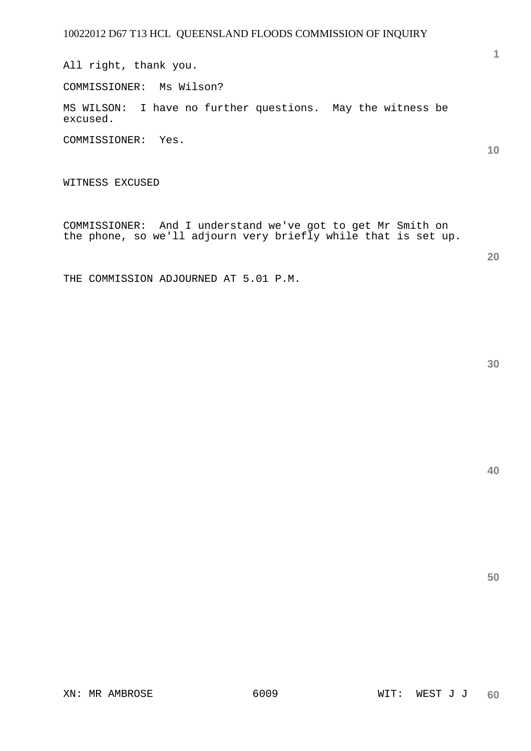All right, thank you.

COMMISSIONER: Ms Wilson?

MS WILSON: I have no further questions. May the witness be excused.

COMMISSIONER: Yes.

WITNESS EXCUSED

COMMISSIONER: And I understand we've got to get Mr Smith on the phone, so we'll adjourn very briefly while that is set up.

THE COMMISSION ADJOURNED AT 5.01 P.M.

**40** 

**50** 

**10**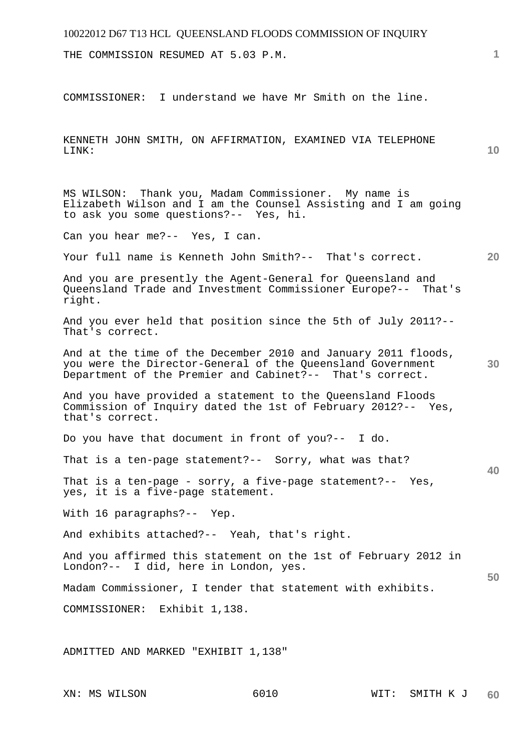# 10022012 D67 T13 HCL QUEENSLAND FLOODS COMMISSION OF INQUIRY **1 10 20 30 40 50**  THE COMMISSION RESUMED AT 5.03 P.M. COMMISSIONER: I understand we have Mr Smith on the line. KENNETH JOHN SMITH, ON AFFIRMATION, EXAMINED VIA TELEPHONE LINK: MS WILSON: Thank you, Madam Commissioner. My name is Elizabeth Wilson and I am the Counsel Assisting and I am going to ask you some questions?-- Yes, hi. Can you hear me?-- Yes, I can. Your full name is Kenneth John Smith?-- That's correct. And you are presently the Agent-General for Queensland and Queensland Trade and Investment Commissioner Europe?-- That's right. And you ever held that position since the 5th of July 2011?-- That's correct. And at the time of the December 2010 and January 2011 floods, you were the Director-General of the Queensland Government Department of the Premier and Cabinet?-- That's correct. And you have provided a statement to the Queensland Floods Commission of Inquiry dated the 1st of February 2012?-- Yes, that's correct. Do you have that document in front of you?-- I do. That is a ten-page statement?-- Sorry, what was that? That is a ten-page - sorry, a five-page statement?-- Yes, yes, it is a five-page statement. With 16 paragraphs?-- Yep. And exhibits attached?-- Yeah, that's right. And you affirmed this statement on the 1st of February 2012 in London?-- I did, here in London, yes. Madam Commissioner, I tender that statement with exhibits. COMMISSIONER: Exhibit 1,138. ADMITTED AND MARKED "EXHIBIT 1,138"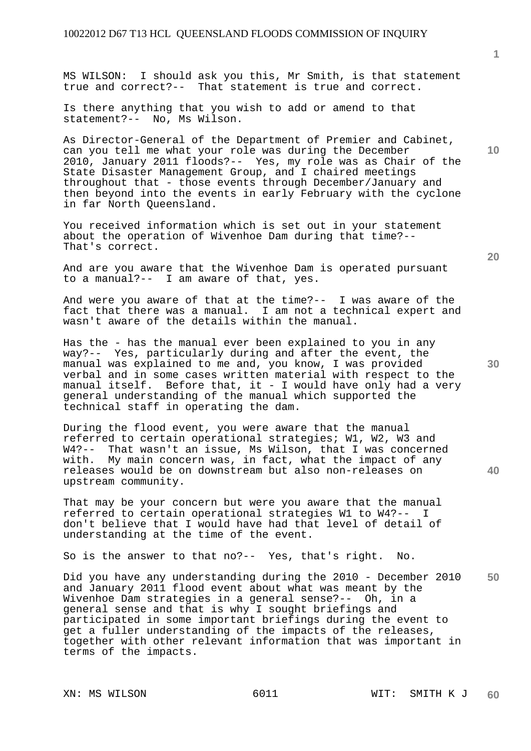MS WILSON: I should ask you this, Mr Smith, is that statement true and correct?-- That statement is true and correct.

Is there anything that you wish to add or amend to that statement?-- No, Ms Wilson.

As Director-General of the Department of Premier and Cabinet, can you tell me what your role was during the December 2010, January 2011 floods?-- Yes, my role was as Chair of the State Disaster Management Group, and I chaired meetings throughout that - those events through December/January and then beyond into the events in early February with the cyclone in far North Queensland.

You received information which is set out in your statement about the operation of Wivenhoe Dam during that time?-- That's correct.

And are you aware that the Wivenhoe Dam is operated pursuant to a manual?-- I am aware of that, yes.

And were you aware of that at the time?-- I was aware of the fact that there was a manual. I am not a technical expert and wasn't aware of the details within the manual.

Has the - has the manual ever been explained to you in any way?-- Yes, particularly during and after the event, the manual was explained to me and, you know, I was provided verbal and in some cases written material with respect to the manual itself. Before that, it - I would have only had a very general understanding of the manual which supported the technical staff in operating the dam.

During the flood event, you were aware that the manual referred to certain operational strategies; W1, W2, W3 and W4?-- That wasn't an issue, Ms Wilson, that I was concerned with. My main concern was, in fact, what the impact of any releases would be on downstream but also non-releases on upstream community.

That may be your concern but were you aware that the manual referred to certain operational strategies W1 to W4?-- I don't believe that I would have had that level of detail of understanding at the time of the event.

So is the answer to that no?-- Yes, that's right. No.

**50**  Did you have any understanding during the 2010 - December 2010 and January 2011 flood event about what was meant by the Wivenhoe Dam strategies in a general sense?-- Oh, in a general sense and that is why I sought briefings and participated in some important briefings during the event to get a fuller understanding of the impacts of the releases, together with other relevant information that was important in terms of the impacts.

**10** 

**1**

**40**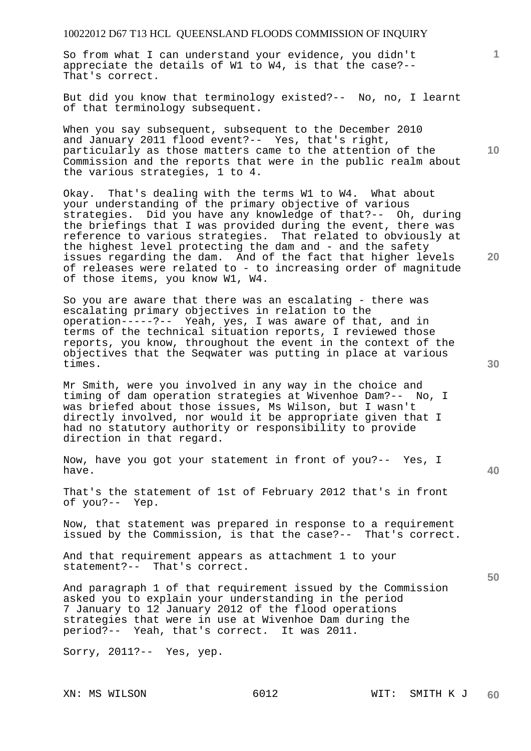So from what I can understand your evidence, you didn't appreciate the details of W1 to W4, is that the case?-- That's correct.

But did you know that terminology existed?-- No, no, I learnt of that terminology subsequent.

When you say subsequent, subsequent to the December 2010 and January 2011 flood event?-- Yes, that's right, particularly as those matters came to the attention of the Commission and the reports that were in the public realm about the various strategies, 1 to 4.

Okay. That's dealing with the terms W1 to W4. What about your understanding of the primary objective of various strategies. Did you have any knowledge of that?-- Oh, during the briefings that I was provided during the event, there was reference to various strategies. That related to obviously at the highest level protecting the dam and - and the safety issues regarding the dam. And of the fact that higher levels of releases were related to - to increasing order of magnitude of those items, you know W1, W4.

So you are aware that there was an escalating - there was escalating primary objectives in relation to the operation-----?-- Yeah, yes, I was aware of that, and in terms of the technical situation reports, I reviewed those reports, you know, throughout the event in the context of the objectives that the Seqwater was putting in place at various times.

Mr Smith, were you involved in any way in the choice and timing of dam operation strategies at Wivenhoe Dam?-- No, I was briefed about those issues, Ms Wilson, but I wasn't directly involved, nor would it be appropriate given that I had no statutory authority or responsibility to provide direction in that regard.

Now, have you got your statement in front of you?-- Yes, I have.

That's the statement of 1st of February 2012 that's in front of you?-- Yep.

Now, that statement was prepared in response to a requirement issued by the Commission, is that the case?-- That's correct.

And that requirement appears as attachment 1 to your statement?-- That's correct.

And paragraph 1 of that requirement issued by the Commission asked you to explain your understanding in the period 7 January to 12 January 2012 of the flood operations strategies that were in use at Wivenhoe Dam during the period?-- Yeah, that's correct. It was 2011.

Sorry, 2011?-- Yes, yep.

**30** 

**20** 

**50** 

**10**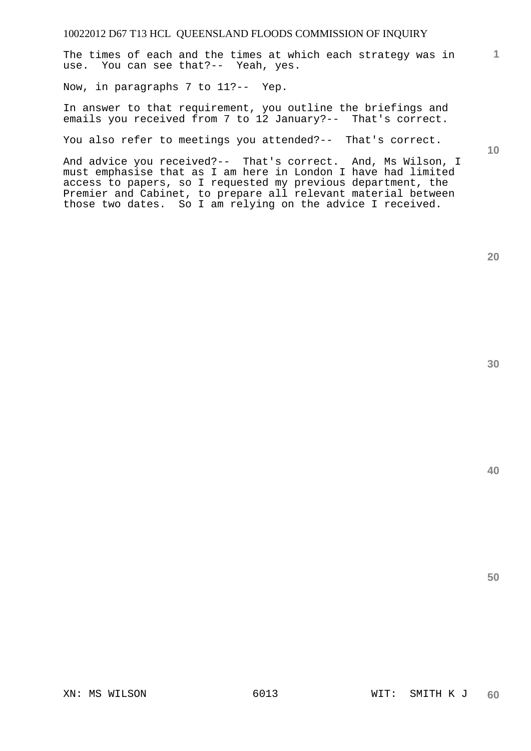The times of each and the times at which each strategy was in use. You can see that?-- Yeah, yes.

Now, in paragraphs 7 to 11?-- Yep.

In answer to that requirement, you outline the briefings and emails you received from 7 to 12 January?-- That's correct.

You also refer to meetings you attended?-- That's correct.

**10** 

**1**

And advice you received?-- That's correct. And, Ms Wilson, I must emphasise that as I am here in London I have had limited access to papers, so I requested my previous department, the Premier and Cabinet, to prepare all relevant material between those two dates. So I am relying on the advice I received.

**40** 

**50**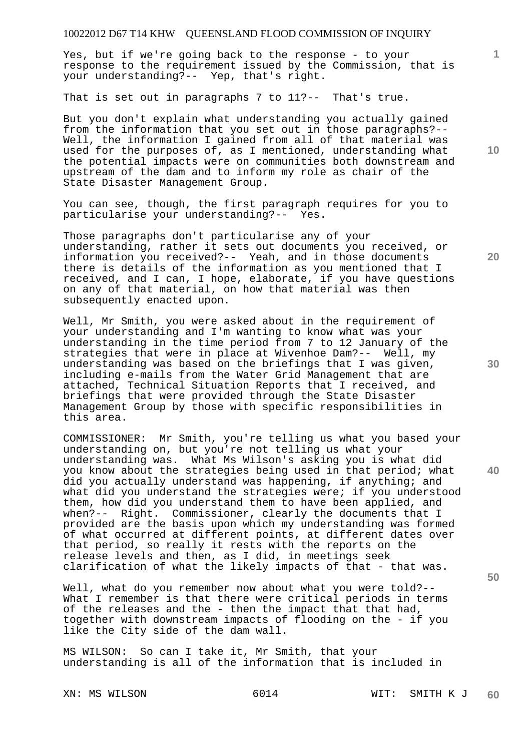Yes, but if we're going back to the response - to your response to the requirement issued by the Commission, that is your understanding?-- Yep, that's right.

That is set out in paragraphs 7 to 11?-- That's true.

But you don't explain what understanding you actually gained from the information that you set out in those paragraphs?-- Well, the information I gained from all of that material was used for the purposes of, as I mentioned, understanding what the potential impacts were on communities both downstream and upstream of the dam and to inform my role as chair of the State Disaster Management Group.

You can see, though, the first paragraph requires for you to particularise your understanding?-- Yes.

Those paragraphs don't particularise any of your understanding, rather it sets out documents you received, or information you received?-- Yeah, and in those documents there is details of the information as you mentioned that I received, and I can, I hope, elaborate, if you have questions on any of that material, on how that material was then subsequently enacted upon.

Well, Mr Smith, you were asked about in the requirement of your understanding and I'm wanting to know what was your understanding in the time period from 7 to 12 January of the strategies that were in place at Wivenhoe Dam?-- Well, my understanding was based on the briefings that I was given, including e-mails from the Water Grid Management that are attached, Technical Situation Reports that I received, and briefings that were provided through the State Disaster Management Group by those with specific responsibilities in this area.

COMMISSIONER: Mr Smith, you're telling us what you based your understanding on, but you're not telling us what your understanding was. What Ms Wilson's asking you is what did you know about the strategies being used in that period; what did you actually understand was happening, if anything; and what did you understand the strategies were; if you understood them, how did you understand them to have been applied, and when?-- Right. Commissioner, clearly the documents that I provided are the basis upon which my understanding was formed of what occurred at different points, at different dates over that period, so really it rests with the reports on the release levels and then, as I did, in meetings seek clarification of what the likely impacts of that - that was.

Well, what do you remember now about what you were told?--What I remember is that there were critical periods in terms of the releases and the - then the impact that that had, together with downstream impacts of flooding on the - if you like the City side of the dam wall.

MS WILSON: So can I take it, Mr Smith, that your understanding is all of the information that is included in

**10** 

**1**

**20** 

**30** 

**40**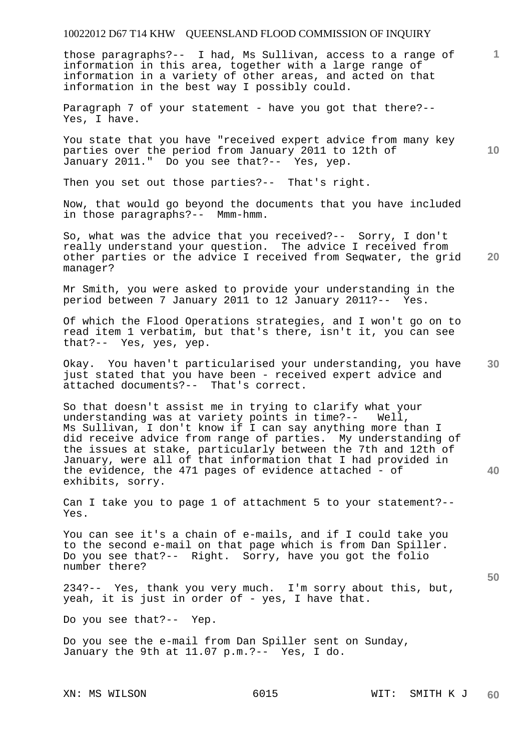those paragraphs?-- I had, Ms Sullivan, access to a range of information in this area, together with a large range of information in a variety of other areas, and acted on that information in the best way I possibly could.

Paragraph 7 of your statement - have you got that there?--Yes, I have.

You state that you have "received expert advice from many key parties over the period from January 2011 to 12th of January 2011." Do you see that?-- Yes, yep.

Then you set out those parties?-- That's right.

Now, that would go beyond the documents that you have included in those paragraphs?-- Mmm-hmm.

**20**  So, what was the advice that you received?-- Sorry, I don't really understand your question. The advice I received from other parties or the advice I received from Seqwater, the grid manager?

Mr Smith, you were asked to provide your understanding in the period between 7 January 2011 to 12 January 2011?-- Yes.

Of which the Flood Operations strategies, and I won't go on to read item 1 verbatim, but that's there, isn't it, you can see that?-- Yes, yes, yep.

**30**  Okay. You haven't particularised your understanding, you have just stated that you have been - received expert advice and attached documents?-- That's correct.

So that doesn't assist me in trying to clarify what your understanding was at variety points in time?-- Well, Ms Sullivan, I don't know if I can say anything more than I did receive advice from range of parties. My understanding of the issues at stake, particularly between the 7th and 12th of January, were all of that information that I had provided in the evidence, the 471 pages of evidence attached - of exhibits, sorry.

Can I take you to page 1 of attachment 5 to your statement?-- Yes.

You can see it's a chain of e-mails, and if I could take you to the second e-mail on that page which is from Dan Spiller. Do you see that?-- Right. Sorry, have you got the folio number there?

234?-- Yes, thank you very much. I'm sorry about this, but, yeah, it is just in order of - yes, I have that.

Do you see that?-- Yep.

Do you see the e-mail from Dan Spiller sent on Sunday, January the 9th at 11.07 p.m.?-- Yes, I do.

**1**

**10** 

**40**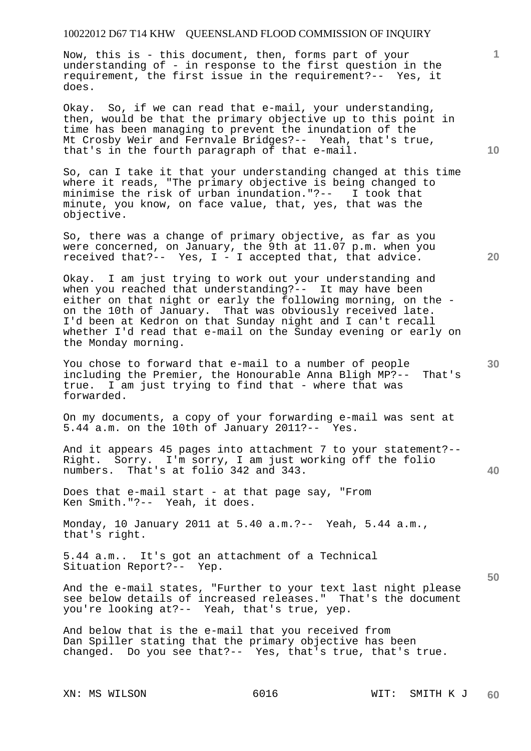Now, this is - this document, then, forms part of your understanding of - in response to the first question in the requirement, the first issue in the requirement?-- Yes, it does.

Okay. So, if we can read that e-mail, your understanding, then, would be that the primary objective up to this point in time has been managing to prevent the inundation of the Mt Crosby Weir and Fernvale Bridges?-- Yeah, that's true, that's in the fourth paragraph of that e-mail.

So, can I take it that your understanding changed at this time where it reads, "The primary objective is being changed to minimise the risk of urban inundation."?-- I took that minute, you know, on face value, that, yes, that was the objective.

So, there was a change of primary objective, as far as you were concerned, on January, the 9th at 11.07 p.m. when you received that?-- Yes, I - I accepted that, that advice.

Okay. I am just trying to work out your understanding and when you reached that understanding?-- It may have been either on that night or early the following morning, on the on the 10th of January. That was obviously received late. I'd been at Kedron on that Sunday night and I can't recall whether I'd read that e-mail on the Sunday evening or early on the Monday morning.

You chose to forward that e-mail to a number of people including the Premier, the Honourable Anna Bligh MP?-- That's true. I am just trying to find that - where that was forwarded.

On my documents, a copy of your forwarding e-mail was sent at 5.44 a.m. on the 10th of January 2011?-- Yes.

And it appears 45 pages into attachment 7 to your statement?-- Right. Sorry. I'm sorry, I am just working off the folio numbers. That's at folio 342 and 343.

Does that e-mail start - at that page say, "From Ken Smith."?-- Yeah, it does.

Monday, 10 January 2011 at 5.40 a.m.?-- Yeah, 5.44 a.m., that's right.

5.44 a.m.. It's got an attachment of a Technical Situation Report?-- Yep.

And the e-mail states, "Further to your text last night please see below details of increased releases." That's the document you're looking at?-- Yeah, that's true, yep.

And below that is the e-mail that you received from Dan Spiller stating that the primary objective has been changed. Do you see that?-- Yes, that's true, that's true.

**10** 

**20** 

**1**

**30** 

**50**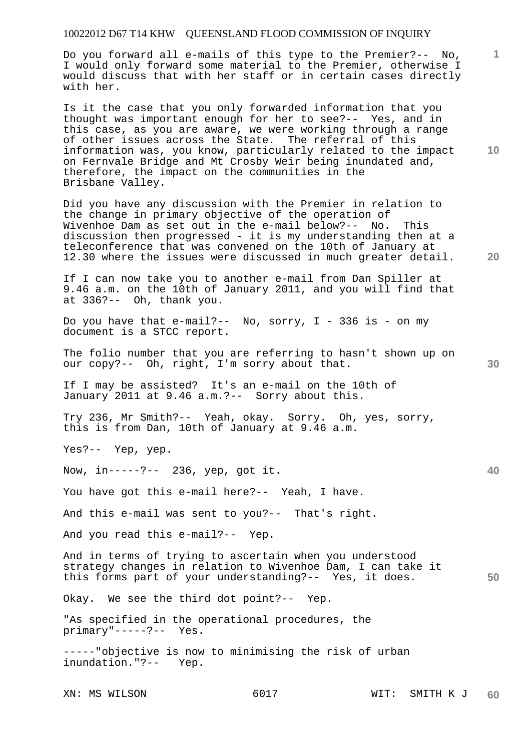Do you forward all e-mails of this type to the Premier?-- No, I would only forward some material to the Premier, otherwise I would discuss that with her staff or in certain cases directly with her.

Is it the case that you only forwarded information that you thought was important enough for her to see?-- Yes, and in this case, as you are aware, we were working through a range of other issues across the State. The referral of this information was, you know, particularly related to the impact on Fernvale Bridge and Mt Crosby Weir being inundated and, therefore, the impact on the communities in the Brisbane Valley.

Did you have any discussion with the Premier in relation to the change in primary objective of the operation of Wivenhoe Dam as set out in the e-mail below?-- No. This discussion then progressed - it is my understanding then at a teleconference that was convened on the 10th of January at 12.30 where the issues were discussed in much greater detail.

If I can now take you to another e-mail from Dan Spiller at 9.46 a.m. on the 10th of January 2011, and you will find that at 336?-- Oh, thank you.

Do you have that e-mail?-- No, sorry, I - 336 is - on my document is a STCC report.

The folio number that you are referring to hasn't shown up on our copy?-- Oh, right, I'm sorry about that.

If I may be assisted? It's an e-mail on the 10th of January 2011 at 9.46 a.m.?-- Sorry about this.

Try 236, Mr Smith?-- Yeah, okay. Sorry. Oh, yes, sorry, this is from Dan, 10th of January at 9.46 a.m.

Yes?-- Yep, yep.

Now, in-----?-- 236, yep, got it.

You have got this e-mail here?-- Yeah, I have.

And this e-mail was sent to you?-- That's right.

And you read this e-mail?-- Yep.

**50**  And in terms of trying to ascertain when you understood strategy changes in relation to Wivenhoe Dam, I can take it this forms part of your understanding?-- Yes, it does.

Okay. We see the third dot point?-- Yep.

"As specified in the operational procedures, the primary"-----?-- Yes.

-----"objective is now to minimising the risk of urban inundation."?-- Yep.

XN: MS WILSON 6017 6017 WIT: SMITH K J **60** 

**10** 

**1**

**20** 

**40**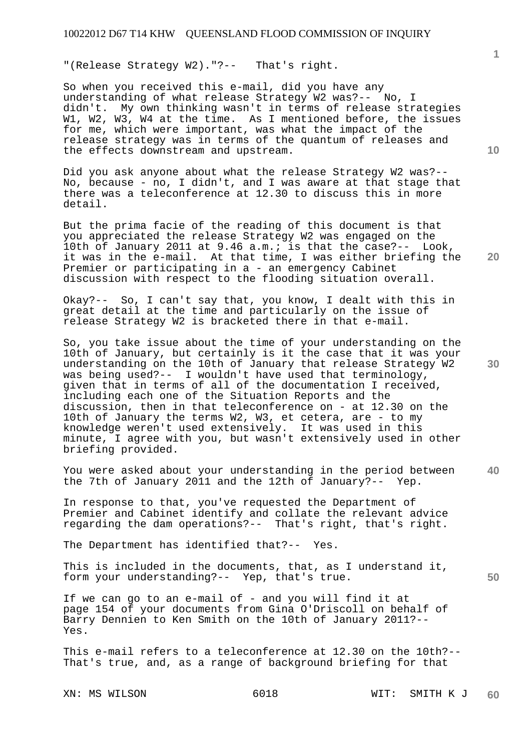"(Release Strategy W2)."?-- That's right.

So when you received this e-mail, did you have any understanding of what release Strategy W2 was?-- No, I didn't. My own thinking wasn't in terms of release strategies W1, W2, W3, W4 at the time. As I mentioned before, the issues for me, which were important, was what the impact of the release strategy was in terms of the quantum of releases and the effects downstream and upstream.

Did you ask anyone about what the release Strategy W2 was?-- No, because - no, I didn't, and I was aware at that stage that there was a teleconference at 12.30 to discuss this in more detail.

But the prima facie of the reading of this document is that you appreciated the release Strategy W2 was engaged on the 10th of January 2011 at 9.46 a.m.; is that the case?-- Look, it was in the e-mail. At that time, I was either briefing the Premier or participating in a - an emergency Cabinet discussion with respect to the flooding situation overall.

Okay?-- So, I can't say that, you know, I dealt with this in great detail at the time and particularly on the issue of release Strategy W2 is bracketed there in that e-mail.

So, you take issue about the time of your understanding on the 10th of January, but certainly is it the case that it was your understanding on the 10th of January that release Strategy W2 was being used?-- I wouldn't have used that terminology, given that in terms of all of the documentation I received, including each one of the Situation Reports and the discussion, then in that teleconference on - at 12.30 on the 10th of January the terms W2, W3, et cetera, are - to my knowledge weren't used extensively. It was used in this minute, I agree with you, but wasn't extensively used in other briefing provided.

**40**  You were asked about your understanding in the period between the 7th of January 2011 and the 12th of January?-- Yep.

In response to that, you've requested the Department of Premier and Cabinet identify and collate the relevant advice regarding the dam operations?-- That's right, that's right.

The Department has identified that?-- Yes.

This is included in the documents, that, as I understand it, form your understanding?-- Yep, that's true.

If we can go to an e-mail of - and you will find it at page 154 of your documents from Gina O'Driscoll on behalf of Barry Dennien to Ken Smith on the 10th of January 2011?-- Yes.

This e-mail refers to a teleconference at 12.30 on the 10th?-- That's true, and, as a range of background briefing for that

XN: MS WILSON 6018 WIT: SMITH K J **60** 

**10** 

**1**

**20**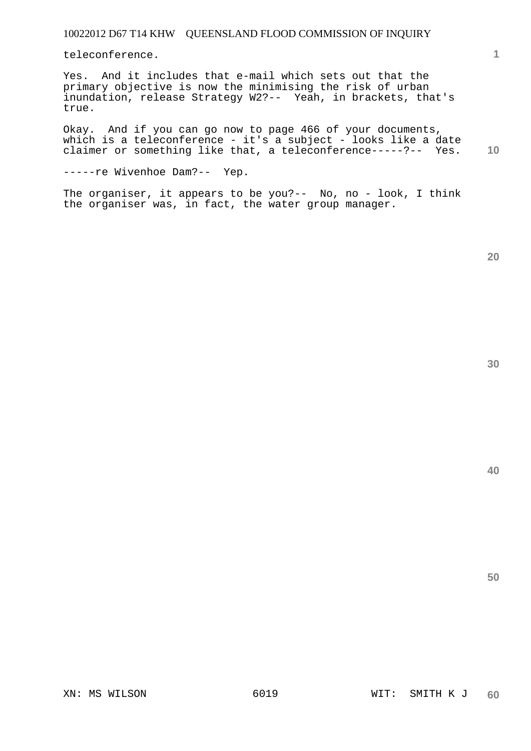teleconference.

Yes. And it includes that e-mail which sets out that the primary objective is now the minimising the risk of urban inundation, release Strategy W2?-- Yeah, in brackets, that's true.

**10**  Okay. And if you can go now to page 466 of your documents, which is a teleconference - it's a subject - looks like a date claimer or something like that, a teleconference-----?-- Yes.

-----re Wivenhoe Dam?-- Yep.

The organiser, it appears to be you?-- No, no - look, I think the organiser was, in fact, the water group manager.

**20** 

**1**

**40**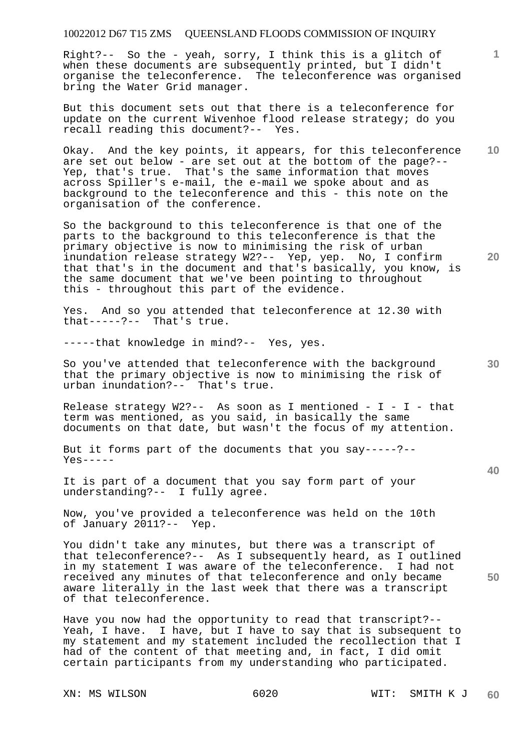## 10022012 D67 T15 ZMS QUEENSLAND FLOODS COMMISSION OF INQUIRY

Right?-- So the - yeah, sorry, I think this is a glitch of when these documents are subsequently printed, but I didn't organise the teleconference. The teleconference was organised bring the Water Grid manager.

But this document sets out that there is a teleconference for update on the current Wivenhoe flood release strategy; do you recall reading this document?-- Yes.

**10**  Okay. And the key points, it appears, for this teleconference are set out below - are set out at the bottom of the page?-- Yep, that's true. That's the same information that moves across Spiller's e-mail, the e-mail we spoke about and as background to the teleconference and this - this note on the organisation of the conference.

So the background to this teleconference is that one of the parts to the background to this teleconference is that the primary objective is now to minimising the risk of urban inundation release strategy W2?-- Yep, yep. No, I confirm that that's in the document and that's basically, you know, is the same document that we've been pointing to throughout this - throughout this part of the evidence.

Yes. And so you attended that teleconference at 12.30 with that-----?-- That's true.

-----that knowledge in mind?-- Yes, yes.

So you've attended that teleconference with the background that the primary objective is now to minimising the risk of urban inundation?-- That's true.

Release strategy  $W2?---$  As soon as I mentioned - I - I - that term was mentioned, as you said, in basically the same documents on that date, but wasn't the focus of my attention.

But it forms part of the documents that you say-----?--  $Yes----$ 

It is part of a document that you say form part of your understanding?-- I fully agree.

Now, you've provided a teleconference was held on the 10th of January 2011?-- Yep.

You didn't take any minutes, but there was a transcript of that teleconference?-- As I subsequently heard, as I outlined in my statement I was aware of the teleconference. I had not received any minutes of that teleconference and only became aware literally in the last week that there was a transcript of that teleconference.

Have you now had the opportunity to read that transcript?-- Yeah, I have. I have, but I have to say that is subsequent to my statement and my statement included the recollection that I had of the content of that meeting and, in fact, I did omit certain participants from my understanding who participated.

**20** 

**1**

**30** 

**40**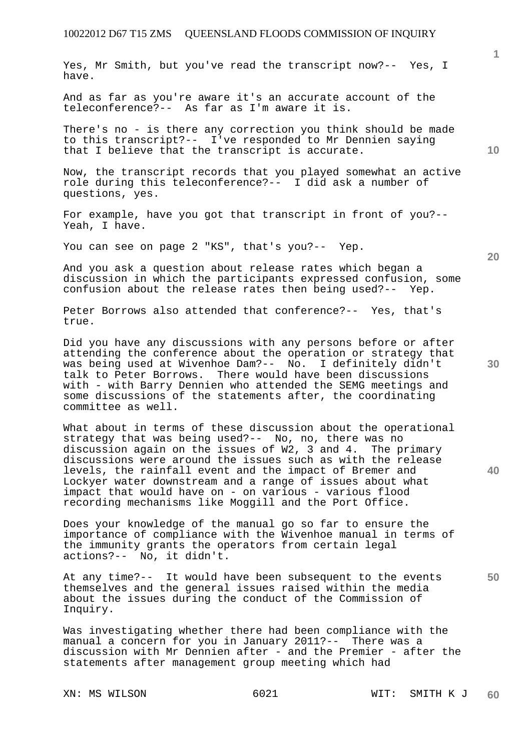Yes, Mr Smith, but you've read the transcript now?-- Yes, I have.

And as far as you're aware it's an accurate account of the teleconference?-- As far as I'm aware it is.

There's no - is there any correction you think should be made to this transcript?-- I've responded to Mr Dennien saying that I believe that the transcript is accurate.

Now, the transcript records that you played somewhat an active role during this teleconference?-- I did ask a number of questions, yes.

For example, have you got that transcript in front of you?-- Yeah, I have.

You can see on page 2 "KS", that's you?-- Yep.

And you ask a question about release rates which began a discussion in which the participants expressed confusion, some confusion about the release rates then being used?-- Yep.

Peter Borrows also attended that conference?-- Yes, that's true.

Did you have any discussions with any persons before or after attending the conference about the operation or strategy that was being used at Wivenhoe Dam?-- No. I definitely didn't talk to Peter Borrows. There would have been discussions with - with Barry Dennien who attended the SEMG meetings and some discussions of the statements after, the coordinating committee as well.

What about in terms of these discussion about the operational strategy that was being used?-- No, no, there was no discussion again on the issues of W2, 3 and 4. The primary discussions were around the issues such as with the release levels, the rainfall event and the impact of Bremer and Lockyer water downstream and a range of issues about what impact that would have on - on various - various flood recording mechanisms like Moggill and the Port Office.

Does your knowledge of the manual go so far to ensure the importance of compliance with the Wivenhoe manual in terms of the immunity grants the operators from certain legal actions?-- No, it didn't.

At any time?-- It would have been subsequent to the events themselves and the general issues raised within the media about the issues during the conduct of the Commission of Inquiry.

Was investigating whether there had been compliance with the manual a concern for you in January 2011?-- There was a discussion with Mr Dennien after - and the Premier - after the statements after management group meeting which had

**20** 

**30** 

**50** 

**1**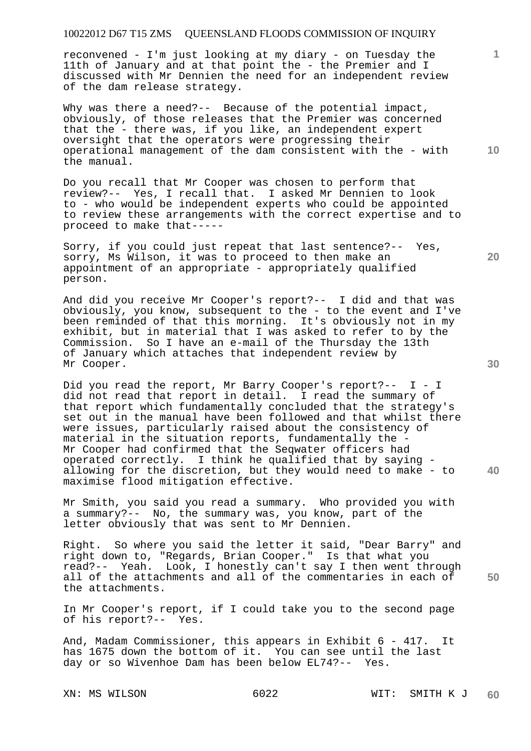## 10022012 D67 T15 ZMS QUEENSLAND FLOODS COMMISSION OF INQUIRY

reconvened - I'm just looking at my diary - on Tuesday the 11th of January and at that point the - the Premier and I discussed with Mr Dennien the need for an independent review of the dam release strategy.

Why was there a need?-- Because of the potential impact, obviously, of those releases that the Premier was concerned that the - there was, if you like, an independent expert oversight that the operators were progressing their operational management of the dam consistent with the - with the manual.

Do you recall that Mr Cooper was chosen to perform that review?-- Yes, I recall that. I asked Mr Dennien to look to - who would be independent experts who could be appointed to review these arrangements with the correct expertise and to proceed to make that-----

Sorry, if you could just repeat that last sentence?-- Yes, sorry, Ms Wilson, it was to proceed to then make an appointment of an appropriate - appropriately qualified person.

And did you receive Mr Cooper's report?-- I did and that was obviously, you know, subsequent to the - to the event and I've been reminded of that this morning. It's obviously not in my exhibit, but in material that I was asked to refer to by the Commission. So I have an e-mail of the Thursday the 13th of January which attaches that independent review by Mr Cooper.

Did you read the report, Mr Barry Cooper's report?-- I - I did not read that report in detail. I read the summary of that report which fundamentally concluded that the strategy's set out in the manual have been followed and that whilst there were issues, particularly raised about the consistency of material in the situation reports, fundamentally the - Mr Cooper had confirmed that the Seqwater officers had operated correctly. I think he qualified that by saying allowing for the discretion, but they would need to make - to maximise flood mitigation effective.

Mr Smith, you said you read a summary. Who provided you with a summary?-- No, the summary was, you know, part of the letter obviously that was sent to Mr Dennien.

Right. So where you said the letter it said, "Dear Barry" and right down to, "Regards, Brian Cooper." Is that what you read?-- Yeah. Look, I honestly can't say I then went through all of the attachments and all of the commentaries in each of the attachments.

In Mr Cooper's report, if I could take you to the second page of his report?-- Yes.

And, Madam Commissioner, this appears in Exhibit 6 - 417. It has 1675 down the bottom of it. You can see until the last day or so Wivenhoe Dam has been below EL74?-- Yes.

**20** 

**40** 

**30** 

**50** 

**1**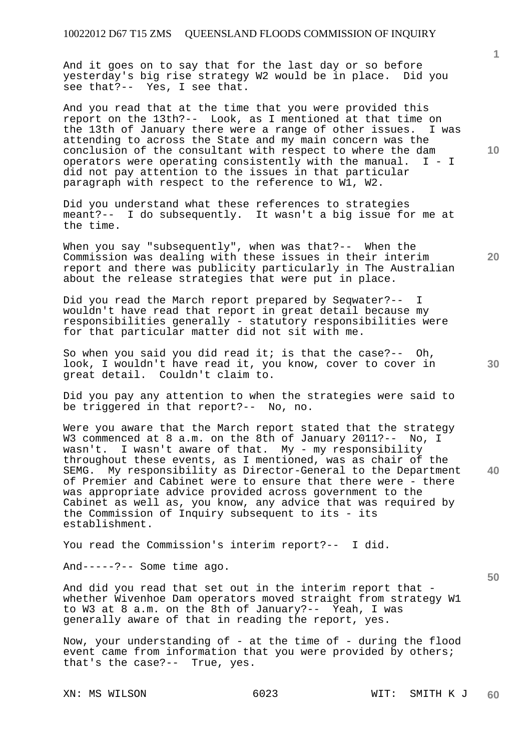And it goes on to say that for the last day or so before yesterday's big rise strategy W2 would be in place. Did you see that?-- Yes, I see that.

And you read that at the time that you were provided this report on the 13th?-- Look, as I mentioned at that time on the 13th of January there were a range of other issues. I was attending to across the State and my main concern was the conclusion of the consultant with respect to where the dam operators were operating consistently with the manual. I - I did not pay attention to the issues in that particular paragraph with respect to the reference to W1, W2.

Did you understand what these references to strategies meant?-- I do subsequently. It wasn't a big issue for me at the time.

When you say "subsequently", when was that?-- When the Commission was dealing with these issues in their interim report and there was publicity particularly in The Australian about the release strategies that were put in place.

Did you read the March report prepared by Seqwater?-- I wouldn't have read that report in great detail because my responsibilities generally - statutory responsibilities were for that particular matter did not sit with me.

So when you said you did read it; is that the case?-- Oh, look, I wouldn't have read it, you know, cover to cover in great detail. Couldn't claim to.

Did you pay any attention to when the strategies were said to be triggered in that report?-- No, no.

**40**  Were you aware that the March report stated that the strategy W3 commenced at 8 a.m. on the 8th of January 2011?-- No, I wasn't. I wasn't aware of that. My - my responsibility throughout these events, as I mentioned, was as chair of the SEMG. My responsibility as Director-General to the Department of Premier and Cabinet were to ensure that there were - there was appropriate advice provided across government to the Cabinet as well as, you know, any advice that was required by the Commission of Inquiry subsequent to its - its establishment.

You read the Commission's interim report?-- I did.

And-----?-- Some time ago.

And did you read that set out in the interim report that whether Wivenhoe Dam operators moved straight from strategy W1 to W3 at 8 a.m. on the 8th of January?-- Yeah, I was generally aware of that in reading the report, yes.

Now, your understanding of - at the time of - during the flood event came from information that you were provided by others; that's the case?-- True, yes.

**10** 

**1**

**20** 

**30**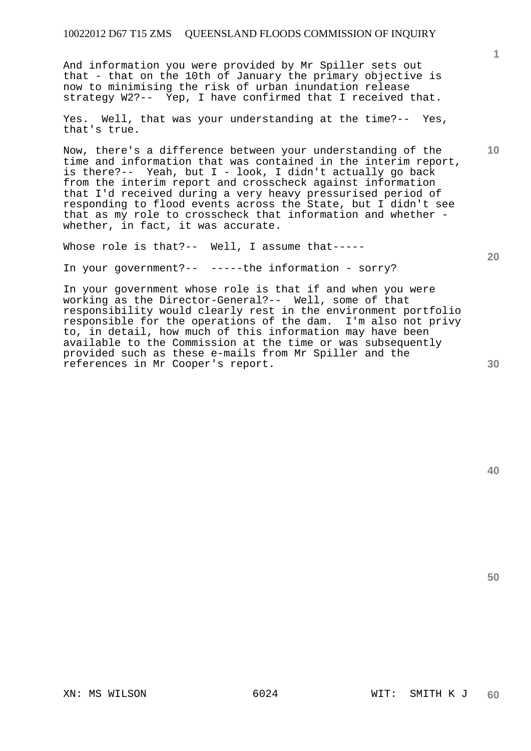And information you were provided by Mr Spiller sets out that - that on the 10th of January the primary objective is now to minimising the risk of urban inundation release strategy W2?-- Yep, I have confirmed that I received that.

Yes. Well, that was your understanding at the time?-- Yes, that's true.

Now, there's a difference between your understanding of the time and information that was contained in the interim report, is there?-- Yeah, but I - look, I didn't actually go back from the interim report and crosscheck against information that I'd received during a very heavy pressurised period of responding to flood events across the State, but I didn't see that as my role to crosscheck that information and whether whether, in fact, it was accurate.

Whose role is that?-- Well, I assume that-----

In your government?-- -----the information - sorry?

In your government whose role is that if and when you were working as the Director-General?-- Well, some of that responsibility would clearly rest in the environment portfolio responsible for the operations of the dam. I'm also not privy to, in detail, how much of this information may have been available to the Commission at the time or was subsequently provided such as these e-mails from Mr Spiller and the references in Mr Cooper's report.

**20** 

**1**

**10**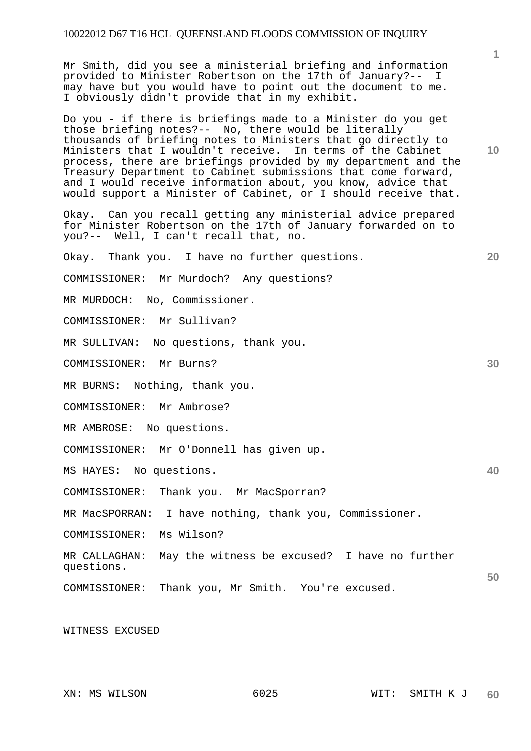Mr Smith, did you see a ministerial briefing and information provided to Minister Robertson on the 17th of January?-- I may have but you would have to point out the document to me. I obviously didn't provide that in my exhibit.

Do you - if there is briefings made to a Minister do you get those briefing notes?-- No, there would be literally thousands of briefing notes to Ministers that go directly to Ministers that I wouldn't receive. In terms of the Cabinet process, there are briefings provided by my department and the Treasury Department to Cabinet submissions that come forward, and I would receive information about, you know, advice that would support a Minister of Cabinet, or I should receive that.

Okay. Can you recall getting any ministerial advice prepared for Minister Robertson on the 17th of January forwarded on to you?-- Well, I can't recall that, no.

Okay. Thank you. I have no further questions.

COMMISSIONER: Mr Murdoch? Any questions?

MR MURDOCH: No, Commissioner.

COMMISSIONER: Mr Sullivan?

MR SULLIVAN: No questions, thank you.

COMMISSIONER: Mr Burns?

MR BURNS: Nothing, thank you.

COMMISSIONER: Mr Ambrose?

MR AMBROSE: No questions.

COMMISSIONER: Mr O'Donnell has given up.

MS HAYES: No questions.

COMMISSIONER: Thank you. Mr MacSporran?

MR MacSPORRAN: I have nothing, thank you, Commissioner.

COMMISSIONER: Ms Wilson?

**50**  MR CALLAGHAN: May the witness be excused? I have no further questions.

COMMISSIONER: Thank you, Mr Smith. You're excused.

WITNESS EXCUSED

**10** 

**20** 

**30**